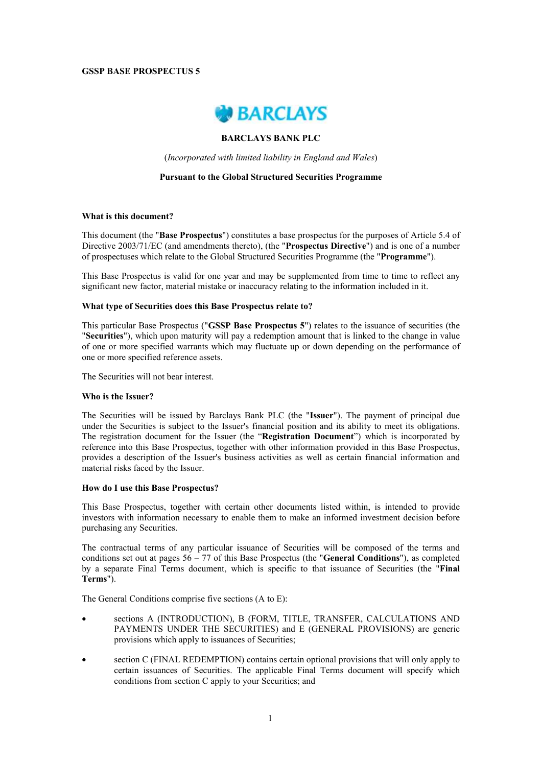# **GSSP BASE PROSPECTUS 5**



# **BARCLAYS BANK PLC**

(*Incorporated with limited liability in England and Wales*)

## **Pursuant to the Global Structured Securities Programme**

# **What is this document?**

This document (the "**Base Prospectus**") constitutes a base prospectus for the purposes of Article 5.4 of Directive 2003/71/EC (and amendments thereto), (the "**Prospectus Directive**") and is one of a number of prospectuses which relate to the Global Structured Securities Programme (the "**Programme**").

This Base Prospectus is valid for one year and may be supplemented from time to time to reflect any significant new factor, material mistake or inaccuracy relating to the information included in it.

## **What type of Securities does this Base Prospectus relate to?**

This particular Base Prospectus ("**GSSP Base Prospectus 5**") relates to the issuance of securities (the "**Securities**"), which upon maturity will pay a redemption amount that is linked to the change in value of one or more specified warrants which may fluctuate up or down depending on the performance of one or more specified reference assets.

The Securities will not bear interest.

### **Who is the Issuer?**

The Securities will be issued by Barclays Bank PLC (the "**Issuer**"). The payment of principal due under the Securities is subject to the Issuer's financial position and its ability to meet its obligations. The registration document for the Issuer (the "**Registration Document**") which is incorporated by reference into this Base Prospectus, together with other information provided in this Base Prospectus, provides a description of the Issuer's business activities as well as certain financial information and material risks faced by the Issuer.

### **How do I use this Base Prospectus?**

This Base Prospectus, together with certain other documents listed within, is intended to provide investors with information necessary to enable them to make an informed investment decision before purchasing any Securities.

The contractual terms of any particular issuance of Securities will be composed of the terms and conditions set out at pages 56 – 77 of this Base Prospectus (the "**General Conditions**"), as completed by a separate Final Terms document, which is specific to that issuance of Securities (the "**Final Terms**").

The General Conditions comprise five sections (A to E):

- sections A (INTRODUCTION), B (FORM, TITLE, TRANSFER, CALCULATIONS AND PAYMENTS UNDER THE SECURITIES) and E (GENERAL PROVISIONS) are generic provisions which apply to issuances of Securities;
- section C (FINAL REDEMPTION) contains certain optional provisions that will only apply to certain issuances of Securities. The applicable Final Terms document will specify which conditions from section C apply to your Securities; and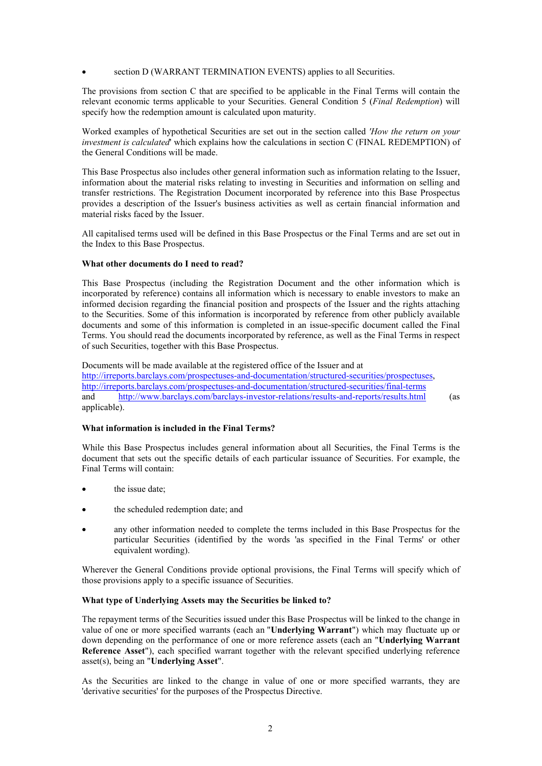# section D (WARRANT TERMINATION EVENTS) applies to all Securities.

The provisions from section C that are specified to be applicable in the Final Terms will contain the relevant economic terms applicable to your Securities. General Condition 5 (*Final Redemption*) will specify how the redemption amount is calculated upon maturity.

Worked examples of hypothetical Securities are set out in the section called *'How the return on your investment is calculated*' which explains how the calculations in section C (FINAL REDEMPTION) of the General Conditions will be made.

This Base Prospectus also includes other general information such as information relating to the Issuer, information about the material risks relating to investing in Securities and information on selling and transfer restrictions. The Registration Document incorporated by reference into this Base Prospectus provides a description of the Issuer's business activities as well as certain financial information and material risks faced by the Issuer.

All capitalised terms used will be defined in this Base Prospectus or the Final Terms and are set out in the Index to this Base Prospectus.

## **What other documents do I need to read?**

This Base Prospectus (including the Registration Document and the other information which is incorporated by reference) contains all information which is necessary to enable investors to make an informed decision regarding the financial position and prospects of the Issuer and the rights attaching to the Securities. Some of this information is incorporated by reference from other publicly available documents and some of this information is completed in an issue-specific document called the Final Terms. You should read the documents incorporated by reference, as well as the Final Terms in respect of such Securities, together with this Base Prospectus.

Documents will be made available at the registered office of the Issuer and at http://irreports.barclays.com/prospectuses-and-documentation/structured-securities/prospectuses, http://irreports.barclays.com/prospectuses-and-documentation/structured-securities/final-terms and http://www.barclays.com/barclays-investor-relations/results-and-reports/results.html (as applicable).

### **What information is included in the Final Terms?**

While this Base Prospectus includes general information about all Securities, the Final Terms is the document that sets out the specific details of each particular issuance of Securities. For example, the Final Terms will contain:

- the issue date;
- the scheduled redemption date; and
- any other information needed to complete the terms included in this Base Prospectus for the particular Securities (identified by the words 'as specified in the Final Terms' or other equivalent wording).

Wherever the General Conditions provide optional provisions, the Final Terms will specify which of those provisions apply to a specific issuance of Securities.

### **What type of Underlying Assets may the Securities be linked to?**

The repayment terms of the Securities issued under this Base Prospectus will be linked to the change in value of one or more specified warrants (each an "**Underlying Warrant**") which may fluctuate up or down depending on the performance of one or more reference assets (each an "**Underlying Warrant Reference Asset**"), each specified warrant together with the relevant specified underlying reference asset(s), being an "**Underlying Asset**".

As the Securities are linked to the change in value of one or more specified warrants, they are 'derivative securities' for the purposes of the Prospectus Directive.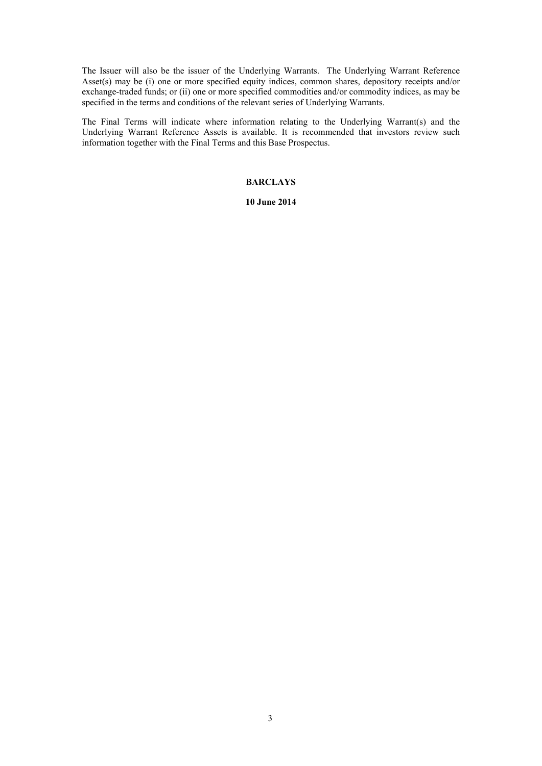The Issuer will also be the issuer of the Underlying Warrants. The Underlying Warrant Reference Asset(s) may be (i) one or more specified equity indices, common shares, depository receipts and/or exchange-traded funds; or (ii) one or more specified commodities and/or commodity indices, as may be specified in the terms and conditions of the relevant series of Underlying Warrants.

The Final Terms will indicate where information relating to the Underlying Warrant(s) and the Underlying Warrant Reference Assets is available. It is recommended that investors review such information together with the Final Terms and this Base Prospectus.

# **BARCLAYS**

### **10 June 2014**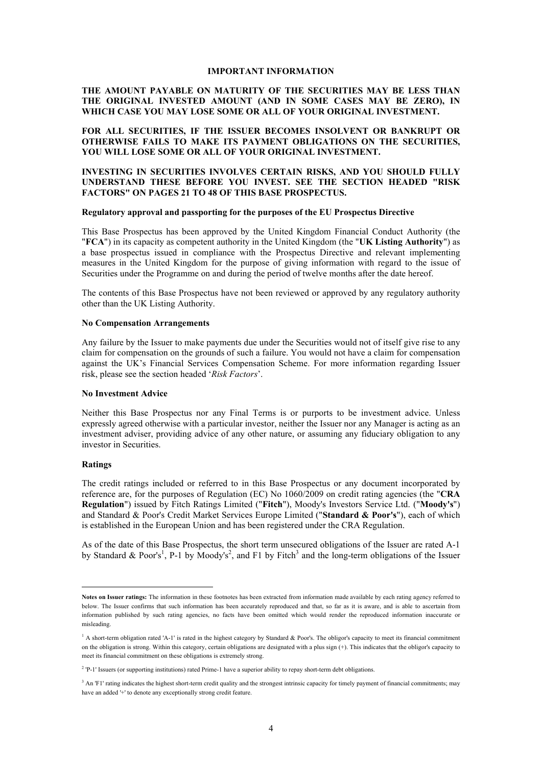### **IMPORTANT INFORMATION**

# **THE AMOUNT PAYABLE ON MATURITY OF THE SECURITIES MAY BE LESS THAN THE ORIGINAL INVESTED AMOUNT (AND IN SOME CASES MAY BE ZERO), IN WHICH CASE YOU MAY LOSE SOME OR ALL OF YOUR ORIGINAL INVESTMENT.**

# **FOR ALL SECURITIES, IF THE ISSUER BECOMES INSOLVENT OR BANKRUPT OR OTHERWISE FAILS TO MAKE ITS PAYMENT OBLIGATIONS ON THE SECURITIES, YOU WILL LOSE SOME OR ALL OF YOUR ORIGINAL INVESTMENT.**

# **INVESTING IN SECURITIES INVOLVES CERTAIN RISKS, AND YOU SHOULD FULLY UNDERSTAND THESE BEFORE YOU INVEST. SEE THE SECTION HEADED "RISK FACTORS" ON PAGES 21 TO 48 OF THIS BASE PROSPECTUS.**

## **Regulatory approval and passporting for the purposes of the EU Prospectus Directive**

This Base Prospectus has been approved by the United Kingdom Financial Conduct Authority (the "**FCA**") in its capacity as competent authority in the United Kingdom (the "**UK Listing Authority**") as a base prospectus issued in compliance with the Prospectus Directive and relevant implementing measures in the United Kingdom for the purpose of giving information with regard to the issue of Securities under the Programme on and during the period of twelve months after the date hereof.

The contents of this Base Prospectus have not been reviewed or approved by any regulatory authority other than the UK Listing Authority.

# **No Compensation Arrangements**

Any failure by the Issuer to make payments due under the Securities would not of itself give rise to any claim for compensation on the grounds of such a failure. You would not have a claim for compensation against the UK's Financial Services Compensation Scheme. For more information regarding Issuer risk, please see the section headed '*Risk Factors*'.

## **No Investment Advice**

Neither this Base Prospectus nor any Final Terms is or purports to be investment advice. Unless expressly agreed otherwise with a particular investor, neither the Issuer nor any Manager is acting as an investment adviser, providing advice of any other nature, or assuming any fiduciary obligation to any investor in Securities.

### **Ratings**

l

The credit ratings included or referred to in this Base Prospectus or any document incorporated by reference are, for the purposes of Regulation (EC) No 1060/2009 on credit rating agencies (the "**CRA Regulation**") issued by Fitch Ratings Limited ("**Fitch**"), Moody's Investors Service Ltd. ("**Moody's**") and Standard & Poor's Credit Market Services Europe Limited ("**Standard & Poor's**"), each of which is established in the European Union and has been registered under the CRA Regulation.

As of the date of this Base Prospectus, the short term unsecured obligations of the Issuer are rated A-1 by Standard & Poor's<sup>1</sup>, P-1 by Moody's<sup>2</sup>, and F1 by Fitch<sup>3</sup> and the long-term obligations of the Issuer

**Notes on Issuer ratings:** The information in these footnotes has been extracted from information made available by each rating agency referred to below. The Issuer confirms that such information has been accurately reproduced and that, so far as it is aware, and is able to ascertain from information published by such rating agencies, no facts have been omitted which would render the reproduced information inaccurate or misleading.

<sup>&</sup>lt;sup>1</sup> A short-term obligation rated 'A-1' is rated in the highest category by Standard & Poor's. The obligor's capacity to meet its financial commitment on the obligation is strong. Within this category, certain obligations are designated with a plus sign (+). This indicates that the obligor's capacity to meet its financial commitment on these obligations is extremely strong.

<sup>&</sup>lt;sup>2</sup> 'P-1' Issuers (or supporting institutions) rated Prime-1 have a superior ability to repay short-term debt obligations.

<sup>&</sup>lt;sup>3</sup> An 'F1' rating indicates the highest short-term credit quality and the strongest intrinsic capacity for timely payment of financial commitments; may have an added '+' to denote any exceptionally strong credit feature.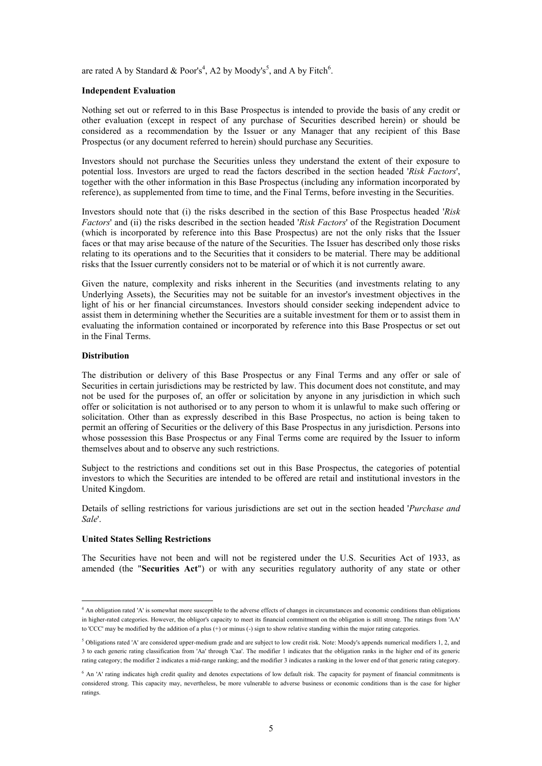are rated A by Standard & Poor's<sup>4</sup>, A2 by Moody's<sup>5</sup>, and A by Fitch<sup>6</sup>.

## **Independent Evaluation**

Nothing set out or referred to in this Base Prospectus is intended to provide the basis of any credit or other evaluation (except in respect of any purchase of Securities described herein) or should be considered as a recommendation by the Issuer or any Manager that any recipient of this Base Prospectus (or any document referred to herein) should purchase any Securities.

Investors should not purchase the Securities unless they understand the extent of their exposure to potential loss. Investors are urged to read the factors described in the section headed '*Risk Factors*', together with the other information in this Base Prospectus (including any information incorporated by reference), as supplemented from time to time, and the Final Terms, before investing in the Securities.

Investors should note that (i) the risks described in the section of this Base Prospectus headed '*Risk Factors*' and (ii) the risks described in the section headed '*Risk Factors*' of the Registration Document (which is incorporated by reference into this Base Prospectus) are not the only risks that the Issuer faces or that may arise because of the nature of the Securities. The Issuer has described only those risks relating to its operations and to the Securities that it considers to be material. There may be additional risks that the Issuer currently considers not to be material or of which it is not currently aware.

Given the nature, complexity and risks inherent in the Securities (and investments relating to any Underlying Assets), the Securities may not be suitable for an investor's investment objectives in the light of his or her financial circumstances. Investors should consider seeking independent advice to assist them in determining whether the Securities are a suitable investment for them or to assist them in evaluating the information contained or incorporated by reference into this Base Prospectus or set out in the Final Terms.

# **Distribution**

l

The distribution or delivery of this Base Prospectus or any Final Terms and any offer or sale of Securities in certain jurisdictions may be restricted by law. This document does not constitute, and may not be used for the purposes of, an offer or solicitation by anyone in any jurisdiction in which such offer or solicitation is not authorised or to any person to whom it is unlawful to make such offering or solicitation. Other than as expressly described in this Base Prospectus, no action is being taken to permit an offering of Securities or the delivery of this Base Prospectus in any jurisdiction. Persons into whose possession this Base Prospectus or any Final Terms come are required by the Issuer to inform themselves about and to observe any such restrictions.

Subject to the restrictions and conditions set out in this Base Prospectus, the categories of potential investors to which the Securities are intended to be offered are retail and institutional investors in the United Kingdom.

Details of selling restrictions for various jurisdictions are set out in the section headed '*Purchase and Sale*'.

### **United States Selling Restrictions**

The Securities have not been and will not be registered under the U.S. Securities Act of 1933, as amended (the "**Securities Act**") or with any securities regulatory authority of any state or other

<sup>4</sup> An obligation rated 'A' is somewhat more susceptible to the adverse effects of changes in circumstances and economic conditions than obligations in higher-rated categories. However, the obligor's capacity to meet its financial commitment on the obligation is still strong. The ratings from 'AA' to 'CCC' may be modified by the addition of a plus (+) or minus (-) sign to show relative standing within the major rating categories.

<sup>5</sup> Obligations rated 'A' are considered upper-medium grade and are subject to low credit risk. Note: Moody's appends numerical modifiers 1, 2, and 3 to each generic rating classification from 'Aa' through 'Caa'. The modifier 1 indicates that the obligation ranks in the higher end of its generic rating category; the modifier 2 indicates a mid-range ranking; and the modifier 3 indicates a ranking in the lower end of that generic rating category.

<sup>&</sup>lt;sup>6</sup> An 'A' rating indicates high credit quality and denotes expectations of low default risk. The capacity for payment of financial commitments is considered strong. This capacity may, nevertheless, be more vulnerable to adverse business or economic conditions than is the case for higher ratings.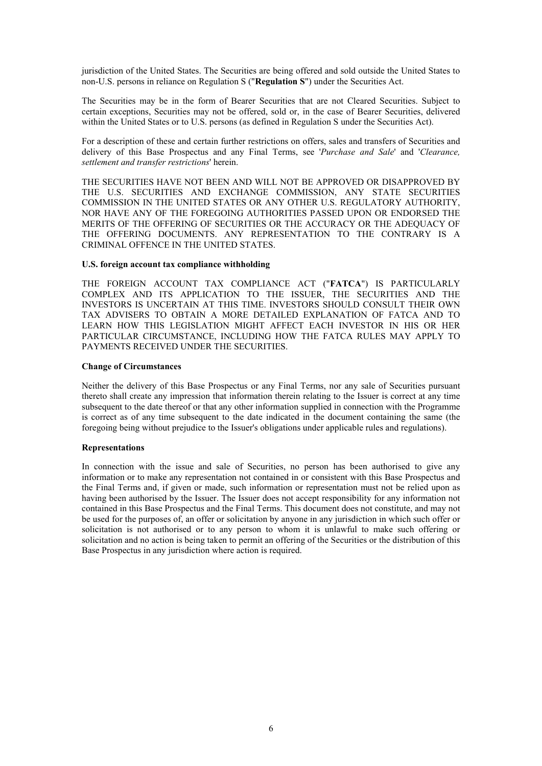jurisdiction of the United States. The Securities are being offered and sold outside the United States to non-U.S. persons in reliance on Regulation S ("**Regulation S**") under the Securities Act.

The Securities may be in the form of Bearer Securities that are not Cleared Securities. Subject to certain exceptions, Securities may not be offered, sold or, in the case of Bearer Securities, delivered within the United States or to U.S. persons (as defined in Regulation S under the Securities Act).

For a description of these and certain further restrictions on offers, sales and transfers of Securities and delivery of this Base Prospectus and any Final Terms, see '*Purchase and Sale*' and '*Clearance, settlement and transfer restrictions*' herein.

THE SECURITIES HAVE NOT BEEN AND WILL NOT BE APPROVED OR DISAPPROVED BY THE U.S. SECURITIES AND EXCHANGE COMMISSION, ANY STATE SECURITIES COMMISSION IN THE UNITED STATES OR ANY OTHER U.S. REGULATORY AUTHORITY, NOR HAVE ANY OF THE FOREGOING AUTHORITIES PASSED UPON OR ENDORSED THE MERITS OF THE OFFERING OF SECURITIES OR THE ACCURACY OR THE ADEQUACY OF THE OFFERING DOCUMENTS. ANY REPRESENTATION TO THE CONTRARY IS A CRIMINAL OFFENCE IN THE UNITED STATES.

### **U.S. foreign account tax compliance withholding**

THE FOREIGN ACCOUNT TAX COMPLIANCE ACT ("**FATCA**") IS PARTICULARLY COMPLEX AND ITS APPLICATION TO THE ISSUER, THE SECURITIES AND THE INVESTORS IS UNCERTAIN AT THIS TIME. INVESTORS SHOULD CONSULT THEIR OWN TAX ADVISERS TO OBTAIN A MORE DETAILED EXPLANATION OF FATCA AND TO LEARN HOW THIS LEGISLATION MIGHT AFFECT EACH INVESTOR IN HIS OR HER PARTICULAR CIRCUMSTANCE, INCLUDING HOW THE FATCA RULES MAY APPLY TO PAYMENTS RECEIVED UNDER THE SECURITIES.

### **Change of Circumstances**

Neither the delivery of this Base Prospectus or any Final Terms, nor any sale of Securities pursuant thereto shall create any impression that information therein relating to the Issuer is correct at any time subsequent to the date thereof or that any other information supplied in connection with the Programme is correct as of any time subsequent to the date indicated in the document containing the same (the foregoing being without prejudice to the Issuer's obligations under applicable rules and regulations).

## **Representations**

In connection with the issue and sale of Securities, no person has been authorised to give any information or to make any representation not contained in or consistent with this Base Prospectus and the Final Terms and, if given or made, such information or representation must not be relied upon as having been authorised by the Issuer. The Issuer does not accept responsibility for any information not contained in this Base Prospectus and the Final Terms. This document does not constitute, and may not be used for the purposes of, an offer or solicitation by anyone in any jurisdiction in which such offer or solicitation is not authorised or to any person to whom it is unlawful to make such offering or solicitation and no action is being taken to permit an offering of the Securities or the distribution of this Base Prospectus in any jurisdiction where action is required.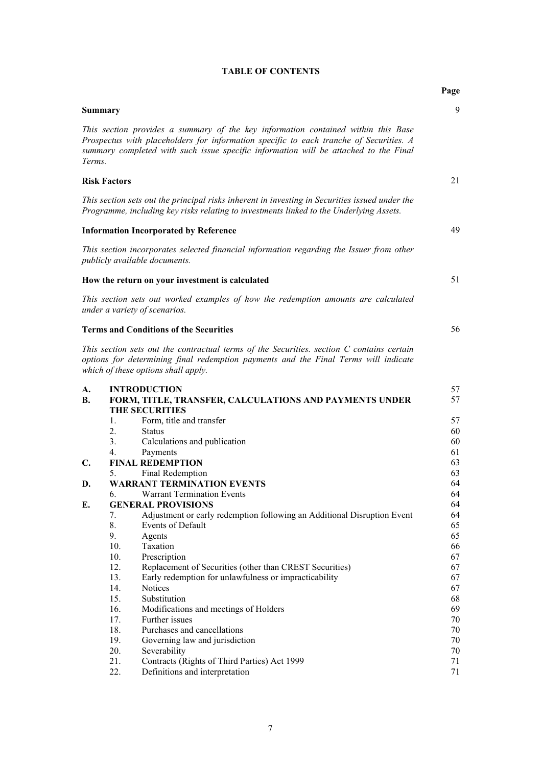|  |  | <b>TABLE OF CONTENTS</b> |
|--|--|--------------------------|
|--|--|--------------------------|

|                 |                                                                                                                                                                                                                                                                     | Page     |
|-----------------|---------------------------------------------------------------------------------------------------------------------------------------------------------------------------------------------------------------------------------------------------------------------|----------|
| <b>Summary</b>  |                                                                                                                                                                                                                                                                     | 9        |
| Terms.          | This section provides a summary of the key information contained within this Base<br>Prospectus with placeholders for information specific to each tranche of Securities. A<br>summary completed with such issue specific information will be attached to the Final |          |
|                 | <b>Risk Factors</b>                                                                                                                                                                                                                                                 | 21       |
|                 | This section sets out the principal risks inherent in investing in Securities issued under the<br>Programme, including key risks relating to investments linked to the Underlying Assets.                                                                           |          |
|                 | <b>Information Incorporated by Reference</b>                                                                                                                                                                                                                        | 49       |
|                 | This section incorporates selected financial information regarding the Issuer from other<br>publicly available documents.                                                                                                                                           |          |
|                 | How the return on your investment is calculated                                                                                                                                                                                                                     | 51       |
|                 | This section sets out worked examples of how the redemption amounts are calculated<br>under a variety of scenarios.                                                                                                                                                 |          |
|                 | <b>Terms and Conditions of the Securities</b>                                                                                                                                                                                                                       | 56       |
|                 | This section sets out the contractual terms of the Securities. section C contains certain<br>options for determining final redemption payments and the Final Terms will indicate<br>which of these options shall apply.                                             |          |
| A.<br><b>B.</b> | <b>INTRODUCTION</b><br>FORM, TITLE, TRANSFER, CALCULATIONS AND PAYMENTS UNDER<br><b>THE SECURITIES</b>                                                                                                                                                              | 57<br>57 |
|                 | Form, title and transfer<br>1.                                                                                                                                                                                                                                      | 57       |
|                 | 2.<br><b>Status</b>                                                                                                                                                                                                                                                 | 60       |
|                 | 3.<br>Calculations and publication                                                                                                                                                                                                                                  | 60       |
|                 | Payments<br>4.                                                                                                                                                                                                                                                      | 61       |
| C.              | <b>FINAL REDEMPTION</b>                                                                                                                                                                                                                                             | 63       |
|                 | Final Redemption<br>5.                                                                                                                                                                                                                                              | 63       |
| D.              | <b>WARRANT TERMINATION EVENTS</b>                                                                                                                                                                                                                                   | 64<br>64 |
| Е.              | <b>Warrant Termination Events</b><br>6.<br><b>GENERAL PROVISIONS</b>                                                                                                                                                                                                | 64       |
|                 | Adjustment or early redemption following an Additional Disruption Event<br>7.                                                                                                                                                                                       | 64       |
|                 | 8.<br>Events of Default                                                                                                                                                                                                                                             | 65       |
|                 | 9.<br>Agents                                                                                                                                                                                                                                                        | 65       |
|                 | 10.<br>Taxation                                                                                                                                                                                                                                                     | 66       |
|                 | 10.<br>Prescription                                                                                                                                                                                                                                                 | 67       |
|                 | 12.<br>Replacement of Securities (other than CREST Securities)                                                                                                                                                                                                      | 67       |
|                 | 13.<br>Early redemption for unlawfulness or impracticability                                                                                                                                                                                                        | 67       |
|                 | 14.<br>Notices                                                                                                                                                                                                                                                      | 67       |
|                 | 15.<br>Substitution                                                                                                                                                                                                                                                 | 68       |
|                 | 16.<br>Modifications and meetings of Holders<br>17.<br>Further issues                                                                                                                                                                                               | 69<br>70 |
|                 | Purchases and cancellations<br>18.                                                                                                                                                                                                                                  | 70       |
|                 | 19.<br>Governing law and jurisdiction                                                                                                                                                                                                                               | 70       |
|                 | 20.<br>Severability                                                                                                                                                                                                                                                 | 70       |
|                 | 21.<br>Contracts (Rights of Third Parties) Act 1999                                                                                                                                                                                                                 | 71       |
|                 | Definitions and interpretation<br>22.                                                                                                                                                                                                                               | 71       |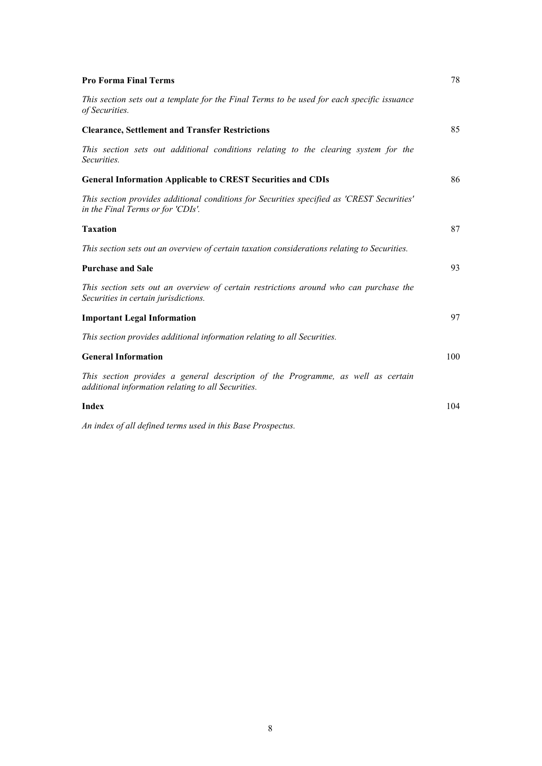| <b>Pro Forma Final Terms</b>                                                                                                           | 78  |
|----------------------------------------------------------------------------------------------------------------------------------------|-----|
| This section sets out a template for the Final Terms to be used for each specific issuance<br>of Securities.                           |     |
| <b>Clearance, Settlement and Transfer Restrictions</b>                                                                                 | 85  |
| This section sets out additional conditions relating to the clearing system for the<br>Securities.                                     |     |
| <b>General Information Applicable to CREST Securities and CDIs</b>                                                                     | 86  |
| This section provides additional conditions for Securities specified as 'CREST Securities'<br>in the Final Terms or for 'CDIs'.        |     |
| <b>Taxation</b>                                                                                                                        | 87  |
| This section sets out an overview of certain taxation considerations relating to Securities.                                           |     |
| <b>Purchase and Sale</b>                                                                                                               | 93  |
| This section sets out an overview of certain restrictions around who can purchase the<br>Securities in certain jurisdictions.          |     |
| <b>Important Legal Information</b>                                                                                                     | 97  |
| This section provides additional information relating to all Securities.                                                               |     |
| <b>General Information</b>                                                                                                             | 100 |
| This section provides a general description of the Programme, as well as certain<br>additional information relating to all Securities. |     |
| <b>Index</b>                                                                                                                           | 104 |
| An index of all defined terms used in this Base Prospectus.                                                                            |     |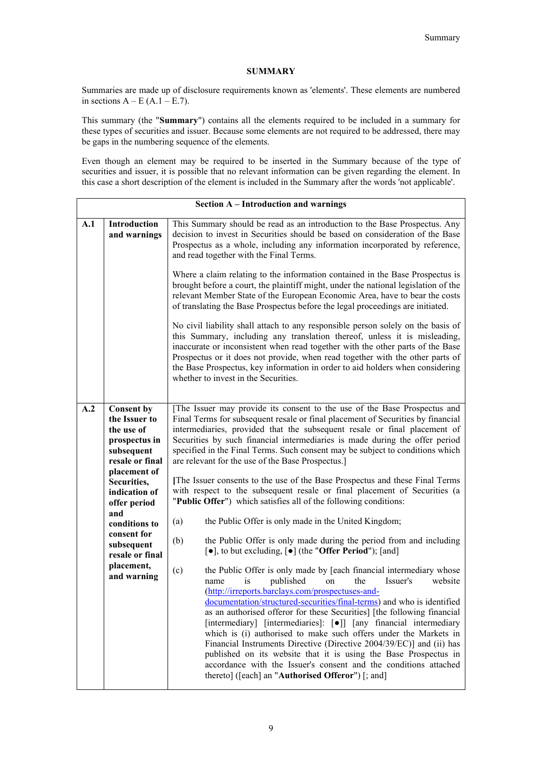# **SUMMARY**

Summaries are made up of disclosure requirements known as 'elements'. These elements are numbered in sections  $A - E(A.1 - E.7)$ .

This summary (the "**Summary**") contains all the elements required to be included in a summary for these types of securities and issuer. Because some elements are not required to be addressed, there may be gaps in the numbering sequence of the elements.

Even though an element may be required to be inserted in the Summary because of the type of securities and issuer, it is possible that no relevant information can be given regarding the element. In this case a short description of the element is included in the Summary after the words 'not applicable'.

| Section A - Introduction and warnings |                                                                                                                                                    |                                                                                                                                                                                                                                                                                                                                                                                                                                                                                                                                                                                                                                                                                                                                                                  |  |  |  |
|---------------------------------------|----------------------------------------------------------------------------------------------------------------------------------------------------|------------------------------------------------------------------------------------------------------------------------------------------------------------------------------------------------------------------------------------------------------------------------------------------------------------------------------------------------------------------------------------------------------------------------------------------------------------------------------------------------------------------------------------------------------------------------------------------------------------------------------------------------------------------------------------------------------------------------------------------------------------------|--|--|--|
| A.1                                   | Introduction<br>and warnings                                                                                                                       | This Summary should be read as an introduction to the Base Prospectus. Any<br>decision to invest in Securities should be based on consideration of the Base<br>Prospectus as a whole, including any information incorporated by reference,<br>and read together with the Final Terms.                                                                                                                                                                                                                                                                                                                                                                                                                                                                            |  |  |  |
|                                       |                                                                                                                                                    | Where a claim relating to the information contained in the Base Prospectus is<br>brought before a court, the plaintiff might, under the national legislation of the<br>relevant Member State of the European Economic Area, have to bear the costs<br>of translating the Base Prospectus before the legal proceedings are initiated.                                                                                                                                                                                                                                                                                                                                                                                                                             |  |  |  |
|                                       |                                                                                                                                                    | No civil liability shall attach to any responsible person solely on the basis of<br>this Summary, including any translation thereof, unless it is misleading,<br>inaccurate or inconsistent when read together with the other parts of the Base<br>Prospectus or it does not provide, when read together with the other parts of<br>the Base Prospectus, key information in order to aid holders when considering<br>whether to invest in the Securities.                                                                                                                                                                                                                                                                                                        |  |  |  |
| A.2                                   | <b>Consent by</b><br>the Issuer to<br>the use of<br>prospectus in<br>subsequent<br>resale or final<br>placement of<br>Securities,<br>indication of | [The Issuer may provide its consent to the use of the Base Prospectus and<br>Final Terms for subsequent resale or final placement of Securities by financial<br>intermediaries, provided that the subsequent resale or final placement of<br>Securities by such financial intermediaries is made during the offer period<br>specified in the Final Terms. Such consent may be subject to conditions which<br>are relevant for the use of the Base Prospectus.]<br>[The Issuer consents to the use of the Base Prospectus and these Final Terms                                                                                                                                                                                                                   |  |  |  |
|                                       | offer period<br>and                                                                                                                                | with respect to the subsequent resale or final placement of Securities (a<br>"Public Offer") which satisfies all of the following conditions:                                                                                                                                                                                                                                                                                                                                                                                                                                                                                                                                                                                                                    |  |  |  |
|                                       | conditions to<br>consent for<br>subsequent<br>resale or final                                                                                      | the Public Offer is only made in the United Kingdom;<br>(a)<br>(b)<br>the Public Offer is only made during the period from and including<br>$\lceil \bullet \rceil$ , to but excluding, $\lceil \bullet \rceil$ (the "Offer Period"); [and]                                                                                                                                                                                                                                                                                                                                                                                                                                                                                                                      |  |  |  |
|                                       | placement,<br>and warning                                                                                                                          | (c)<br>the Public Offer is only made by [each financial intermediary whose<br>published<br>website<br>is<br>on<br>the<br>Issuer's<br>name<br>(http://irreports.barclays.com/prospectuses-and-<br>documentation/structured-securities/final-terms) and who is identified<br>as an authorised offeror for these Securities] [the following financial<br>[intermediary] [intermediaries]: [•]] [any financial intermediary<br>which is (i) authorised to make such offers under the Markets in<br>Financial Instruments Directive (Directive 2004/39/EC)] and (ii) has<br>published on its website that it is using the Base Prospectus in<br>accordance with the Issuer's consent and the conditions attached<br>thereto] ([each] an "Authorised Offeror") [; and] |  |  |  |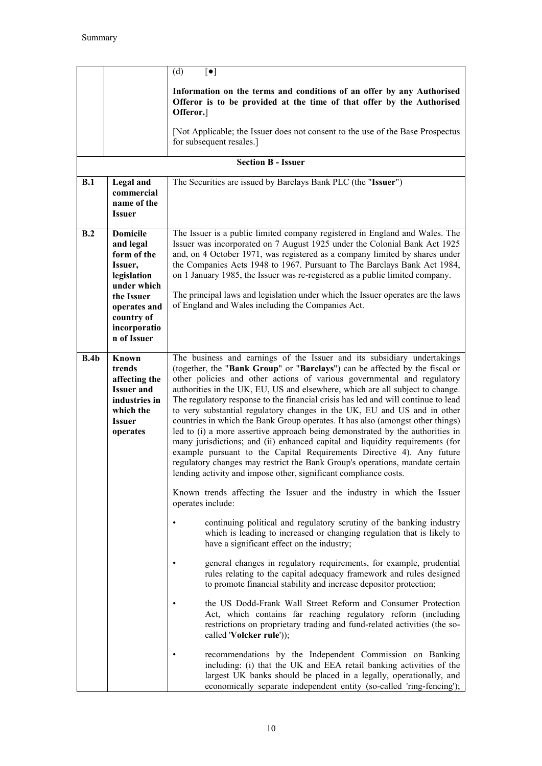|      |                                                                                                                                                                 | (d)<br>$\lbrack \bullet \rbrack$                                                                                                                                                                                                                                                                                                                                                                                                                                                                                                                                                                                                                                                                                                                                                                                                                                                                                                                                                                                                                                                                                                                                                                                                                                                                                                                                                                                                                                                                                                                                                                                                                                                                                                |
|------|-----------------------------------------------------------------------------------------------------------------------------------------------------------------|---------------------------------------------------------------------------------------------------------------------------------------------------------------------------------------------------------------------------------------------------------------------------------------------------------------------------------------------------------------------------------------------------------------------------------------------------------------------------------------------------------------------------------------------------------------------------------------------------------------------------------------------------------------------------------------------------------------------------------------------------------------------------------------------------------------------------------------------------------------------------------------------------------------------------------------------------------------------------------------------------------------------------------------------------------------------------------------------------------------------------------------------------------------------------------------------------------------------------------------------------------------------------------------------------------------------------------------------------------------------------------------------------------------------------------------------------------------------------------------------------------------------------------------------------------------------------------------------------------------------------------------------------------------------------------------------------------------------------------|
|      |                                                                                                                                                                 | Information on the terms and conditions of an offer by any Authorised<br>Offeror is to be provided at the time of that offer by the Authorised<br>Offeror.]                                                                                                                                                                                                                                                                                                                                                                                                                                                                                                                                                                                                                                                                                                                                                                                                                                                                                                                                                                                                                                                                                                                                                                                                                                                                                                                                                                                                                                                                                                                                                                     |
|      |                                                                                                                                                                 | [Not Applicable; the Issuer does not consent to the use of the Base Prospectus<br>for subsequent resales.]                                                                                                                                                                                                                                                                                                                                                                                                                                                                                                                                                                                                                                                                                                                                                                                                                                                                                                                                                                                                                                                                                                                                                                                                                                                                                                                                                                                                                                                                                                                                                                                                                      |
|      |                                                                                                                                                                 | <b>Section B - Issuer</b>                                                                                                                                                                                                                                                                                                                                                                                                                                                                                                                                                                                                                                                                                                                                                                                                                                                                                                                                                                                                                                                                                                                                                                                                                                                                                                                                                                                                                                                                                                                                                                                                                                                                                                       |
| B.1  | Legal and<br>commercial<br>name of the<br><b>Issuer</b>                                                                                                         | The Securities are issued by Barclays Bank PLC (the "Issuer")                                                                                                                                                                                                                                                                                                                                                                                                                                                                                                                                                                                                                                                                                                                                                                                                                                                                                                                                                                                                                                                                                                                                                                                                                                                                                                                                                                                                                                                                                                                                                                                                                                                                   |
| B.2  | <b>Domicile</b><br>and legal<br>form of the<br>Issuer,<br>legislation<br>under which<br>the Issuer<br>operates and<br>country of<br>incorporatio<br>n of Issuer | The Issuer is a public limited company registered in England and Wales. The<br>Issuer was incorporated on 7 August 1925 under the Colonial Bank Act 1925<br>and, on 4 October 1971, was registered as a company limited by shares under<br>the Companies Acts 1948 to 1967. Pursuant to The Barclays Bank Act 1984,<br>on 1 January 1985, the Issuer was re-registered as a public limited company.<br>The principal laws and legislation under which the Issuer operates are the laws<br>of England and Wales including the Companies Act.                                                                                                                                                                                                                                                                                                                                                                                                                                                                                                                                                                                                                                                                                                                                                                                                                                                                                                                                                                                                                                                                                                                                                                                     |
| B.4b | Known<br>trends<br>affecting the<br><b>Issuer and</b><br>industries in<br>which the<br><b>Issuer</b><br>operates                                                | The business and earnings of the Issuer and its subsidiary undertakings<br>(together, the "Bank Group" or "Barclays") can be affected by the fiscal or<br>other policies and other actions of various governmental and regulatory<br>authorities in the UK, EU, US and elsewhere, which are all subject to change.<br>The regulatory response to the financial crisis has led and will continue to lead<br>to very substantial regulatory changes in the UK, EU and US and in other<br>countries in which the Bank Group operates. It has also (amongst other things)<br>led to (i) a more assertive approach being demonstrated by the authorities in<br>many jurisdictions; and (ii) enhanced capital and liquidity requirements (for<br>example pursuant to the Capital Requirements Directive 4). Any future<br>regulatory changes may restrict the Bank Group's operations, mandate certain<br>lending activity and impose other, significant compliance costs.<br>Known trends affecting the Issuer and the industry in which the Issuer<br>operates include:<br>continuing political and regulatory scrutiny of the banking industry<br>which is leading to increased or changing regulation that is likely to<br>have a significant effect on the industry;<br>general changes in regulatory requirements, for example, prudential<br>rules relating to the capital adequacy framework and rules designed<br>to promote financial stability and increase depositor protection;<br>the US Dodd-Frank Wall Street Reform and Consumer Protection<br>Act, which contains far reaching regulatory reform (including<br>restrictions on proprietary trading and fund-related activities (the so-<br>called 'Volcker rule')); |
|      |                                                                                                                                                                 | recommendations by the Independent Commission on Banking<br>including: (i) that the UK and EEA retail banking activities of the<br>largest UK banks should be placed in a legally, operationally, and<br>economically separate independent entity (so-called 'ring-fencing');                                                                                                                                                                                                                                                                                                                                                                                                                                                                                                                                                                                                                                                                                                                                                                                                                                                                                                                                                                                                                                                                                                                                                                                                                                                                                                                                                                                                                                                   |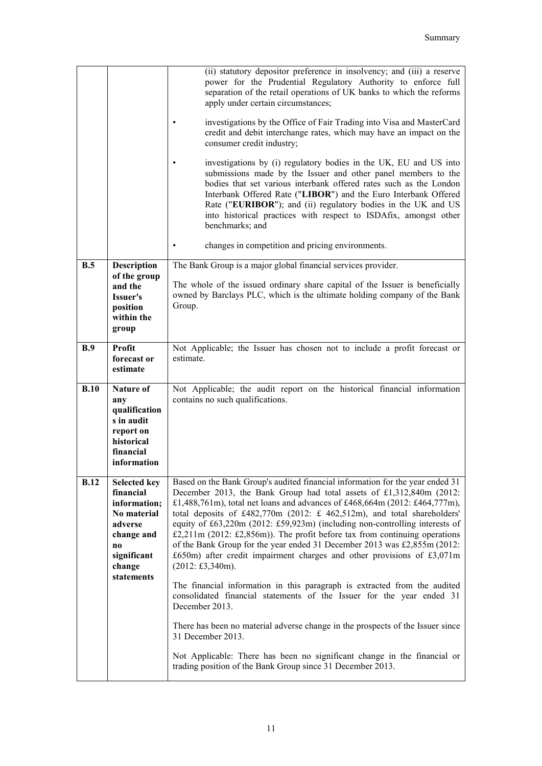|             |                                                                                                                                       | (ii) statutory depositor preference in insolvency; and (iii) a reserve<br>power for the Prudential Regulatory Authority to enforce full<br>separation of the retail operations of UK banks to which the reforms<br>apply under certain circumstances;<br>investigations by the Office of Fair Trading into Visa and MasterCard<br>credit and debit interchange rates, which may have an impact on the<br>consumer credit industry;<br>investigations by (i) regulatory bodies in the UK, EU and US into<br>submissions made by the Issuer and other panel members to the<br>bodies that set various interbank offered rates such as the London<br>Interbank Offered Rate ("LIBOR") and the Euro Interbank Offered<br>Rate ("EURIBOR"); and (ii) regulatory bodies in the UK and US<br>into historical practices with respect to ISDAfix, amongst other<br>benchmarks; and<br>changes in competition and pricing environments. |
|-------------|---------------------------------------------------------------------------------------------------------------------------------------|-------------------------------------------------------------------------------------------------------------------------------------------------------------------------------------------------------------------------------------------------------------------------------------------------------------------------------------------------------------------------------------------------------------------------------------------------------------------------------------------------------------------------------------------------------------------------------------------------------------------------------------------------------------------------------------------------------------------------------------------------------------------------------------------------------------------------------------------------------------------------------------------------------------------------------|
| B.5         | <b>Description</b>                                                                                                                    | The Bank Group is a major global financial services provider.                                                                                                                                                                                                                                                                                                                                                                                                                                                                                                                                                                                                                                                                                                                                                                                                                                                                 |
|             | of the group<br>and the<br>Issuer's<br>position<br>within the<br>group                                                                | The whole of the issued ordinary share capital of the Issuer is beneficially<br>owned by Barclays PLC, which is the ultimate holding company of the Bank<br>Group.                                                                                                                                                                                                                                                                                                                                                                                                                                                                                                                                                                                                                                                                                                                                                            |
| B.9         | Profit<br>forecast or<br>estimate                                                                                                     | Not Applicable; the Issuer has chosen not to include a profit forecast or<br>estimate.                                                                                                                                                                                                                                                                                                                                                                                                                                                                                                                                                                                                                                                                                                                                                                                                                                        |
| B.10        | <b>Nature of</b><br>any<br>qualification<br>s in audit<br>report on<br>historical<br>financial<br>information                         | Not Applicable; the audit report on the historical financial information<br>contains no such qualifications.                                                                                                                                                                                                                                                                                                                                                                                                                                                                                                                                                                                                                                                                                                                                                                                                                  |
| <b>B.12</b> | <b>Selected key</b><br>financial<br>information;<br>No material<br>adverse<br>change and<br>no<br>significant<br>change<br>statements | Based on the Bank Group's audited financial information for the year ended 31<br>December 2013, the Bank Group had total assets of £1,312,840m (2012:<br>£1,488,761m), total net loans and advances of £468,664m (2012: £464,777m),<br>total deposits of £482,770m (2012: £ 462,512m), and total shareholders'<br>equity of £63,220m (2012: £59,923m) (including non-controlling interests of<br>£2,211m (2012: £2,856m)). The profit before tax from continuing operations<br>of the Bank Group for the year ended 31 December 2013 was £2,855m (2012:<br>$£650m)$ after credit impairment charges and other provisions of £3,071m<br>$(2012: \text{\textsterling}3,340m).$<br>The financial information in this paragraph is extracted from the audited<br>consolidated financial statements of the Issuer for the year ended 31                                                                                            |
|             |                                                                                                                                       | December 2013.<br>There has been no material adverse change in the prospects of the Issuer since<br>31 December 2013.                                                                                                                                                                                                                                                                                                                                                                                                                                                                                                                                                                                                                                                                                                                                                                                                         |
|             |                                                                                                                                       | Not Applicable: There has been no significant change in the financial or<br>trading position of the Bank Group since 31 December 2013.                                                                                                                                                                                                                                                                                                                                                                                                                                                                                                                                                                                                                                                                                                                                                                                        |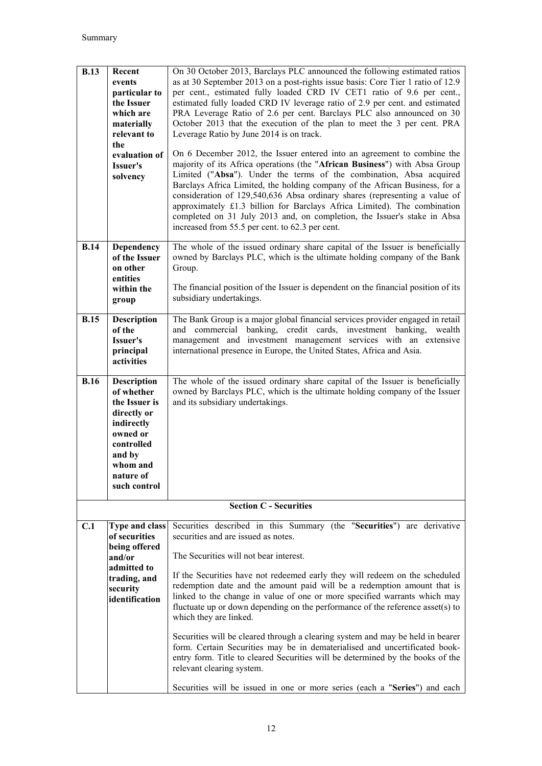| <b>B.13</b> | Recent<br>events<br>particular to<br>the Issuer<br>which are<br>materially<br>relevant to<br>the<br>evaluation of<br>Issuer's<br>solvency                   | On 30 October 2013, Barclays PLC announced the following estimated ratios<br>as at 30 September 2013 on a post-rights issue basis: Core Tier 1 ratio of 12.9<br>per cent., estimated fully loaded CRD IV CET1 ratio of 9.6 per cent.,<br>estimated fully loaded CRD IV leverage ratio of 2.9 per cent. and estimated<br>PRA Leverage Ratio of 2.6 per cent. Barclays PLC also announced on 30<br>October 2013 that the execution of the plan to meet the 3 per cent. PRA<br>Leverage Ratio by June 2014 is on track.<br>On 6 December 2012, the Issuer entered into an agreement to combine the<br>majority of its Africa operations (the "African Business") with Absa Group<br>Limited ("Absa"). Under the terms of the combination, Absa acquired<br>Barclays Africa Limited, the holding company of the African Business, for a<br>consideration of 129,540,636 Absa ordinary shares (representing a value of<br>approximately £1.3 billion for Barclays Africa Limited). The combination<br>completed on 31 July 2013 and, on completion, the Issuer's stake in Absa<br>increased from 55.5 per cent. to 62.3 per cent. |
|-------------|-------------------------------------------------------------------------------------------------------------------------------------------------------------|------------------------------------------------------------------------------------------------------------------------------------------------------------------------------------------------------------------------------------------------------------------------------------------------------------------------------------------------------------------------------------------------------------------------------------------------------------------------------------------------------------------------------------------------------------------------------------------------------------------------------------------------------------------------------------------------------------------------------------------------------------------------------------------------------------------------------------------------------------------------------------------------------------------------------------------------------------------------------------------------------------------------------------------------------------------------------------------------------------------------------|
| <b>B.14</b> | Dependency<br>of the Issuer<br>on other<br>entities<br>within the<br>group                                                                                  | The whole of the issued ordinary share capital of the Issuer is beneficially<br>owned by Barclays PLC, which is the ultimate holding company of the Bank<br>Group.<br>The financial position of the Issuer is dependent on the financial position of its<br>subsidiary undertakings.                                                                                                                                                                                                                                                                                                                                                                                                                                                                                                                                                                                                                                                                                                                                                                                                                                         |
| <b>B.15</b> | <b>Description</b><br>of the<br>Issuer's<br>principal<br>activities                                                                                         | The Bank Group is a major global financial services provider engaged in retail<br>and commercial banking, credit cards, investment banking,<br>wealth<br>management and investment management services with an extensive<br>international presence in Europe, the United States, Africa and Asia.                                                                                                                                                                                                                                                                                                                                                                                                                                                                                                                                                                                                                                                                                                                                                                                                                            |
| <b>B.16</b> | <b>Description</b><br>of whether<br>the Issuer is<br>directly or<br>indirectly<br>owned or<br>controlled<br>and by<br>whom and<br>nature of<br>such control | The whole of the issued ordinary share capital of the Issuer is beneficially<br>owned by Barclays PLC, which is the ultimate holding company of the Issuer<br>and its subsidiary undertakings.                                                                                                                                                                                                                                                                                                                                                                                                                                                                                                                                                                                                                                                                                                                                                                                                                                                                                                                               |
|             |                                                                                                                                                             | <b>Section C - Securities</b>                                                                                                                                                                                                                                                                                                                                                                                                                                                                                                                                                                                                                                                                                                                                                                                                                                                                                                                                                                                                                                                                                                |
| C.1         | <b>Type and class</b><br>of securities<br>being offered<br>and/or<br>admitted to<br>trading, and<br>security<br>identification                              | Securities described in this Summary (the "Securities") are derivative<br>securities and are issued as notes.<br>The Securities will not bear interest.<br>If the Securities have not redeemed early they will redeem on the scheduled<br>redemption date and the amount paid will be a redemption amount that is<br>linked to the change in value of one or more specified warrants which may<br>fluctuate up or down depending on the performance of the reference asset(s) to<br>which they are linked.<br>Securities will be cleared through a clearing system and may be held in bearer<br>form. Certain Securities may be in dematerialised and uncertificated book-<br>entry form. Title to cleared Securities will be determined by the books of the<br>relevant clearing system.<br>Securities will be issued in one or more series (each a "Series") and each                                                                                                                                                                                                                                                      |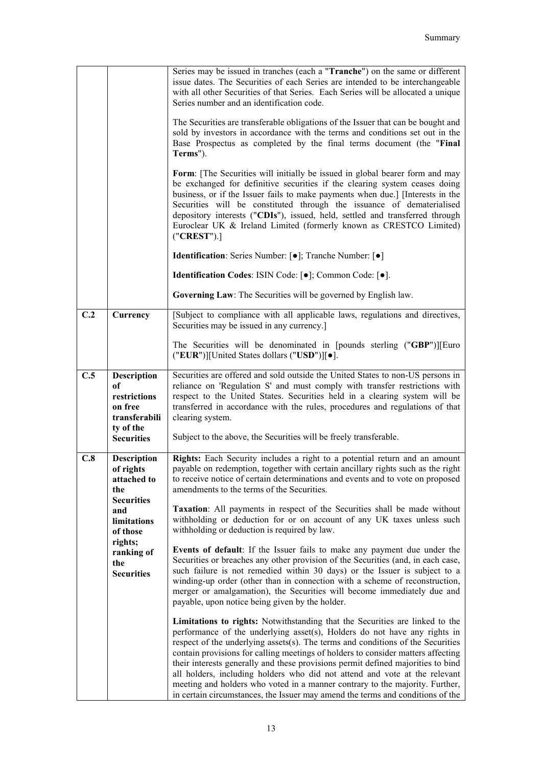|     |                                                                                                                                                                   | Series may be issued in tranches (each a "Tranche") on the same or different<br>issue dates. The Securities of each Series are intended to be interchangeable<br>with all other Securities of that Series. Each Series will be allocated a unique<br>Series number and an identification code.<br>The Securities are transferable obligations of the Issuer that can be bought and<br>sold by investors in accordance with the terms and conditions set out in the<br>Base Prospectus as completed by the final terms document (the "Final<br>Terms").<br>Form: [The Securities will initially be issued in global bearer form and may<br>be exchanged for definitive securities if the clearing system ceases doing<br>business, or if the Issuer fails to make payments when due.] [Interests in the<br>Securities will be constituted through the issuance of dematerialised<br>depository interests ("CDIs"), issued, held, settled and transferred through<br>Euroclear UK & Ireland Limited (formerly known as CRESTCO Limited)<br>('CREST'').]<br><b>Identification:</b> Series Number: [ $\bullet$ ]; Tranche Number: [ $\bullet$ ]<br>Identification Codes: ISIN Code: [ $\bullet$ ]; Common Code: [ $\bullet$ ].<br>Governing Law: The Securities will be governed by English law.                                                                                                                                                                                                                                                                                                                                            |
|-----|-------------------------------------------------------------------------------------------------------------------------------------------------------------------|-----------------------------------------------------------------------------------------------------------------------------------------------------------------------------------------------------------------------------------------------------------------------------------------------------------------------------------------------------------------------------------------------------------------------------------------------------------------------------------------------------------------------------------------------------------------------------------------------------------------------------------------------------------------------------------------------------------------------------------------------------------------------------------------------------------------------------------------------------------------------------------------------------------------------------------------------------------------------------------------------------------------------------------------------------------------------------------------------------------------------------------------------------------------------------------------------------------------------------------------------------------------------------------------------------------------------------------------------------------------------------------------------------------------------------------------------------------------------------------------------------------------------------------------------------------------------------------------------------------------------------------------|
|     |                                                                                                                                                                   |                                                                                                                                                                                                                                                                                                                                                                                                                                                                                                                                                                                                                                                                                                                                                                                                                                                                                                                                                                                                                                                                                                                                                                                                                                                                                                                                                                                                                                                                                                                                                                                                                                         |
| C.2 | Currency                                                                                                                                                          | [Subject to compliance with all applicable laws, regulations and directives,<br>Securities may be issued in any currency.]                                                                                                                                                                                                                                                                                                                                                                                                                                                                                                                                                                                                                                                                                                                                                                                                                                                                                                                                                                                                                                                                                                                                                                                                                                                                                                                                                                                                                                                                                                              |
|     |                                                                                                                                                                   | The Securities will be denominated in [pounds sterling ("GBP")][Euro<br>("EUR")][United States dollars ("USD")][ $\bullet$ ].                                                                                                                                                                                                                                                                                                                                                                                                                                                                                                                                                                                                                                                                                                                                                                                                                                                                                                                                                                                                                                                                                                                                                                                                                                                                                                                                                                                                                                                                                                           |
| C.5 | <b>Description</b><br>of<br>restrictions<br>on free<br>transferabili<br>ty of the<br><b>Securities</b>                                                            | Securities are offered and sold outside the United States to non-US persons in<br>reliance on 'Regulation S' and must comply with transfer restrictions with<br>respect to the United States. Securities held in a clearing system will be<br>transferred in accordance with the rules, procedures and regulations of that<br>clearing system.<br>Subject to the above, the Securities will be freely transferable.                                                                                                                                                                                                                                                                                                                                                                                                                                                                                                                                                                                                                                                                                                                                                                                                                                                                                                                                                                                                                                                                                                                                                                                                                     |
| C.8 | <b>Description</b><br>of rights<br>attached to<br>the<br><b>Securities</b><br>and<br>limitations<br>of those<br>rights;<br>ranking of<br>the<br><b>Securities</b> | Rights: Each Security includes a right to a potential return and an amount<br>payable on redemption, together with certain ancillary rights such as the right<br>to receive notice of certain determinations and events and to vote on proposed<br>amendments to the terms of the Securities.<br>Taxation: All payments in respect of the Securities shall be made without<br>withholding or deduction for or on account of any UK taxes unless such<br>withholding or deduction is required by law.<br>Events of default: If the Issuer fails to make any payment due under the<br>Securities or breaches any other provision of the Securities (and, in each case,<br>such failure is not remedied within 30 days) or the Issuer is subject to a<br>winding-up order (other than in connection with a scheme of reconstruction,<br>merger or amalgamation), the Securities will become immediately due and<br>payable, upon notice being given by the holder.<br>Limitations to rights: Notwithstanding that the Securities are linked to the<br>performance of the underlying asset(s), Holders do not have any rights in<br>respect of the underlying assets(s). The terms and conditions of the Securities<br>contain provisions for calling meetings of holders to consider matters affecting<br>their interests generally and these provisions permit defined majorities to bind<br>all holders, including holders who did not attend and vote at the relevant<br>meeting and holders who voted in a manner contrary to the majority. Further,<br>in certain circumstances, the Issuer may amend the terms and conditions of the |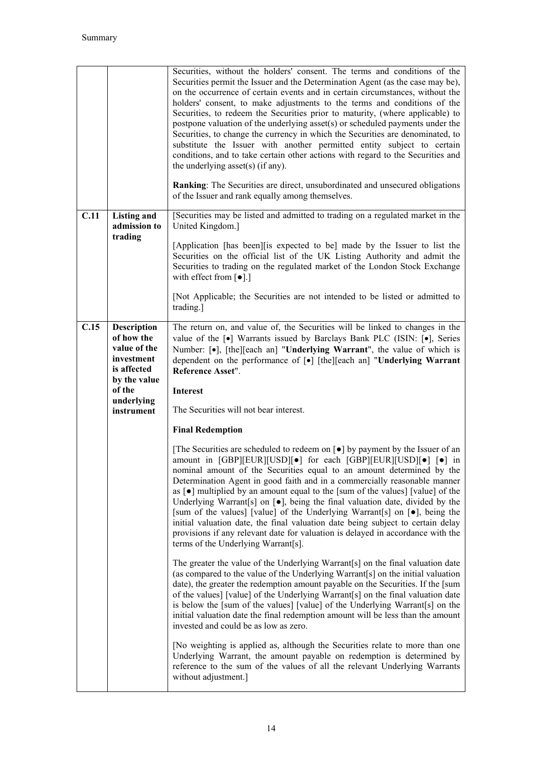|      |                                                                                               | Securities, without the holders' consent. The terms and conditions of the<br>Securities permit the Issuer and the Determination Agent (as the case may be),<br>on the occurrence of certain events and in certain circumstances, without the<br>holders' consent, to make adjustments to the terms and conditions of the<br>Securities, to redeem the Securities prior to maturity, (where applicable) to<br>postpone valuation of the underlying asset(s) or scheduled payments under the<br>Securities, to change the currency in which the Securities are denominated, to<br>substitute the Issuer with another permitted entity subject to certain<br>conditions, and to take certain other actions with regard to the Securities and<br>the underlying asset(s) (if any).<br><b>Ranking:</b> The Securities are direct, unsubordinated and unsecured obligations<br>of the Issuer and rank equally among themselves. |
|------|-----------------------------------------------------------------------------------------------|---------------------------------------------------------------------------------------------------------------------------------------------------------------------------------------------------------------------------------------------------------------------------------------------------------------------------------------------------------------------------------------------------------------------------------------------------------------------------------------------------------------------------------------------------------------------------------------------------------------------------------------------------------------------------------------------------------------------------------------------------------------------------------------------------------------------------------------------------------------------------------------------------------------------------|
| C.11 | <b>Listing and</b><br>admission to                                                            | [Securities may be listed and admitted to trading on a regulated market in the<br>United Kingdom.]                                                                                                                                                                                                                                                                                                                                                                                                                                                                                                                                                                                                                                                                                                                                                                                                                        |
|      | trading                                                                                       | [Application [has been] [is expected to be] made by the Issuer to list the<br>Securities on the official list of the UK Listing Authority and admit the<br>Securities to trading on the regulated market of the London Stock Exchange<br>with effect from $\lceil \bullet \rceil$ .]                                                                                                                                                                                                                                                                                                                                                                                                                                                                                                                                                                                                                                      |
|      |                                                                                               | [Not Applicable; the Securities are not intended to be listed or admitted to<br>trading.]                                                                                                                                                                                                                                                                                                                                                                                                                                                                                                                                                                                                                                                                                                                                                                                                                                 |
| C.15 | <b>Description</b><br>of how the<br>value of the<br>investment<br>is affected<br>by the value | The return on, and value of, the Securities will be linked to changes in the<br>value of the [ $\bullet$ ] Warrants issued by Barclays Bank PLC (ISIN: [ $\bullet$ ], Series<br>Number: [•], [the][each an] "Underlying Warrant", the value of which is<br>dependent on the performance of [•] [the][each an] "Underlying Warrant<br>Reference Asset".                                                                                                                                                                                                                                                                                                                                                                                                                                                                                                                                                                    |
|      | of the                                                                                        | <b>Interest</b>                                                                                                                                                                                                                                                                                                                                                                                                                                                                                                                                                                                                                                                                                                                                                                                                                                                                                                           |
|      | underlying<br>instrument                                                                      | The Securities will not bear interest.                                                                                                                                                                                                                                                                                                                                                                                                                                                                                                                                                                                                                                                                                                                                                                                                                                                                                    |
|      |                                                                                               | <b>Final Redemption</b>                                                                                                                                                                                                                                                                                                                                                                                                                                                                                                                                                                                                                                                                                                                                                                                                                                                                                                   |
|      |                                                                                               | [The Securities are scheduled to redeem on $\lceil \bullet \rceil$ by payment by the Issuer of an<br>amount in [GBP][EUR][USD][ $\bullet$ ] for each [GBP][EUR][USD][ $\bullet$ ] [ $\bullet$ ] in<br>nominal amount of the Securities equal to an amount determined by the<br>Determination Agent in good faith and in a commercially reasonable manner<br>as $\lceil \bullet \rceil$ multiplied by an amount equal to the [sum of the values] [value] of the<br>Underlying Warrant[s] on [.], being the final valuation date, divided by the<br>[sum of the values] [value] of the Underlying Warrant[s] on [.], being the<br>initial valuation date, the final valuation date being subject to certain delay<br>provisions if any relevant date for valuation is delayed in accordance with the<br>terms of the Underlying Warrant[s].                                                                                 |
|      |                                                                                               | The greater the value of the Underlying Warrant[s] on the final valuation date<br>(as compared to the value of the Underlying Warrant[s] on the initial valuation<br>date), the greater the redemption amount payable on the Securities. If the [sum<br>of the values] [value] of the Underlying Warrant[s] on the final valuation date<br>is below the [sum of the values] [value] of the Underlying Warrant[s] on the<br>initial valuation date the final redemption amount will be less than the amount<br>invested and could be as low as zero.                                                                                                                                                                                                                                                                                                                                                                       |
|      |                                                                                               | [No weighting is applied as, although the Securities relate to more than one<br>Underlying Warrant, the amount payable on redemption is determined by<br>reference to the sum of the values of all the relevant Underlying Warrants<br>without adjustment.]                                                                                                                                                                                                                                                                                                                                                                                                                                                                                                                                                                                                                                                               |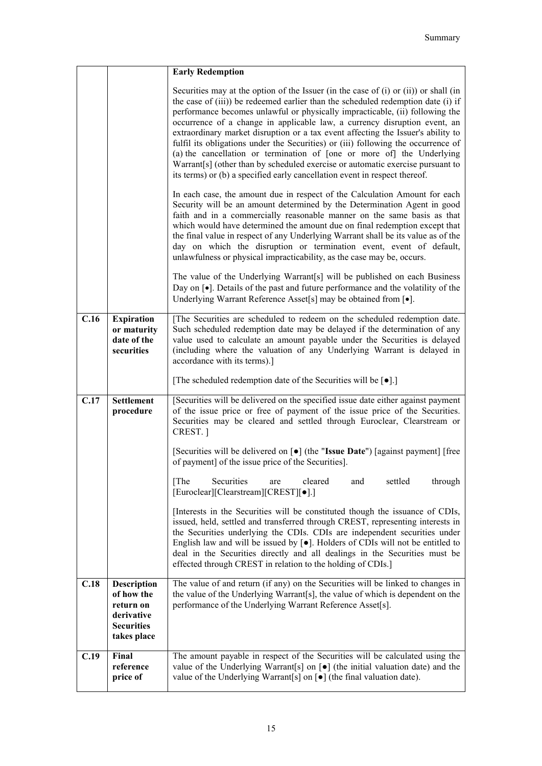|      |                                                                                                 | <b>Early Redemption</b>                                                                                                                                                                                                                                                                                                                                                                                                                                                                                                                                                                                                                                                                                                                                       |
|------|-------------------------------------------------------------------------------------------------|---------------------------------------------------------------------------------------------------------------------------------------------------------------------------------------------------------------------------------------------------------------------------------------------------------------------------------------------------------------------------------------------------------------------------------------------------------------------------------------------------------------------------------------------------------------------------------------------------------------------------------------------------------------------------------------------------------------------------------------------------------------|
|      |                                                                                                 | Securities may at the option of the Issuer (in the case of $(i)$ or $(ii)$ ) or shall (in<br>the case of (iii)) be redeemed earlier than the scheduled redemption date (i) if<br>performance becomes unlawful or physically impracticable, (ii) following the<br>occurrence of a change in applicable law, a currency disruption event, an<br>extraordinary market disruption or a tax event affecting the Issuer's ability to<br>fulfil its obligations under the Securities) or (iii) following the occurrence of<br>(a) the cancellation or termination of [one or more of] the Underlying<br>Warrant[s] (other than by scheduled exercise or automatic exercise pursuant to<br>its terms) or (b) a specified early cancellation event in respect thereof. |
|      |                                                                                                 | In each case, the amount due in respect of the Calculation Amount for each<br>Security will be an amount determined by the Determination Agent in good<br>faith and in a commercially reasonable manner on the same basis as that<br>which would have determined the amount due on final redemption except that<br>the final value in respect of any Underlying Warrant shall be its value as of the<br>day on which the disruption or termination event, event of default,<br>unlawfulness or physical impracticability, as the case may be, occurs.                                                                                                                                                                                                         |
|      |                                                                                                 | The value of the Underlying Warrant[s] will be published on each Business<br>Day on $\lceil \bullet \rceil$ . Details of the past and future performance and the volatility of the<br>Underlying Warrant Reference Asset[s] may be obtained from [ $\bullet$ ].                                                                                                                                                                                                                                                                                                                                                                                                                                                                                               |
| C.16 | <b>Expiration</b><br>or maturity<br>date of the<br>securities                                   | [The Securities are scheduled to redeem on the scheduled redemption date.<br>Such scheduled redemption date may be delayed if the determination of any<br>value used to calculate an amount payable under the Securities is delayed<br>(including where the valuation of any Underlying Warrant is delayed in<br>accordance with its terms).]                                                                                                                                                                                                                                                                                                                                                                                                                 |
|      |                                                                                                 | [The scheduled redemption date of the Securities will be [ $\bullet$ ].]                                                                                                                                                                                                                                                                                                                                                                                                                                                                                                                                                                                                                                                                                      |
| C.17 | <b>Settlement</b><br>procedure                                                                  | [Securities will be delivered on the specified issue date either against payment<br>of the issue price or free of payment of the issue price of the Securities.<br>Securities may be cleared and settled through Euroclear, Clearstream or<br>CREST. 1                                                                                                                                                                                                                                                                                                                                                                                                                                                                                                        |
|      |                                                                                                 | [Securities will be delivered on [ $\bullet$ ] (the "Issue Date") [against payment] [free<br>of payment] of the issue price of the Securities].                                                                                                                                                                                                                                                                                                                                                                                                                                                                                                                                                                                                               |
|      |                                                                                                 | Securities<br>[The]<br>cleared<br>settled<br>through<br>and<br>are<br>[Euroclear][Clearstream][CREST][•].]                                                                                                                                                                                                                                                                                                                                                                                                                                                                                                                                                                                                                                                    |
|      |                                                                                                 | [Interests in the Securities will be constituted though the issuance of CDIs,<br>issued, held, settled and transferred through CREST, representing interests in<br>the Securities underlying the CDIs. CDIs are independent securities under<br>English law and will be issued by $\lceil \bullet \rceil$ . Holders of CDIs will not be entitled to<br>deal in the Securities directly and all dealings in the Securities must be<br>effected through CREST in relation to the holding of CDIs.]                                                                                                                                                                                                                                                              |
| C.18 | <b>Description</b><br>of how the<br>return on<br>derivative<br><b>Securities</b><br>takes place | The value of and return (if any) on the Securities will be linked to changes in<br>the value of the Underlying Warrant[s], the value of which is dependent on the<br>performance of the Underlying Warrant Reference Asset[s].                                                                                                                                                                                                                                                                                                                                                                                                                                                                                                                                |
| C.19 | Final<br>reference<br>price of                                                                  | The amount payable in respect of the Securities will be calculated using the<br>value of the Underlying Warrant[s] on $[\bullet]$ (the initial valuation date) and the<br>value of the Underlying Warrant[s] on $\lceil \bullet \rceil$ (the final valuation date).                                                                                                                                                                                                                                                                                                                                                                                                                                                                                           |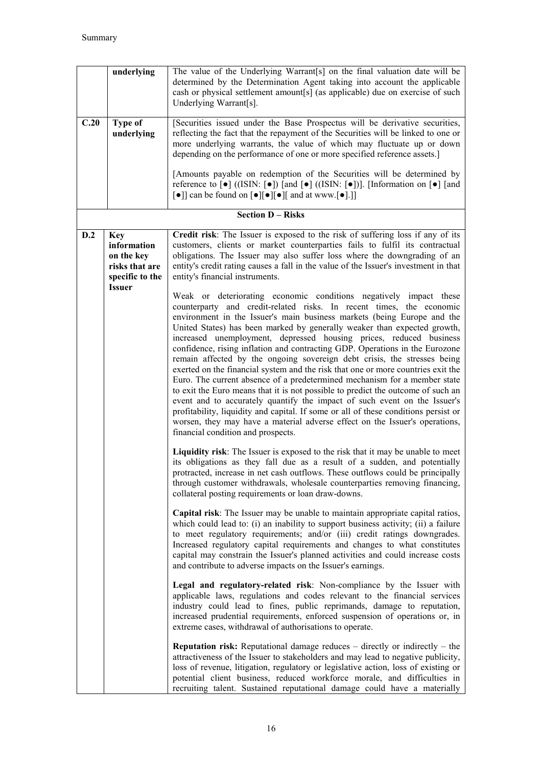|      | underlying                                                                                    | The value of the Underlying Warrant[s] on the final valuation date will be<br>determined by the Determination Agent taking into account the applicable<br>cash or physical settlement amount[s] (as applicable) due on exercise of such<br>Underlying Warrant[s].                                                                                                                                                                                                                                                                                                                                                                                                                                                                                                                                                                                                                                                                                                                                                                                                                |
|------|-----------------------------------------------------------------------------------------------|----------------------------------------------------------------------------------------------------------------------------------------------------------------------------------------------------------------------------------------------------------------------------------------------------------------------------------------------------------------------------------------------------------------------------------------------------------------------------------------------------------------------------------------------------------------------------------------------------------------------------------------------------------------------------------------------------------------------------------------------------------------------------------------------------------------------------------------------------------------------------------------------------------------------------------------------------------------------------------------------------------------------------------------------------------------------------------|
| C.20 | <b>Type of</b><br>underlying                                                                  | [Securities issued under the Base Prospectus will be derivative securities,<br>reflecting the fact that the repayment of the Securities will be linked to one or<br>more underlying warrants, the value of which may fluctuate up or down<br>depending on the performance of one or more specified reference assets.]                                                                                                                                                                                                                                                                                                                                                                                                                                                                                                                                                                                                                                                                                                                                                            |
|      |                                                                                               | [Amounts payable on redemption of the Securities will be determined by<br>reference to $\lceil \bullet \rceil$ ((ISIN: $\lceil \bullet \rceil$ ) $\lceil \text{and } \lceil \bullet \rceil$ ((ISIN: $\lceil \bullet \rceil$ )]. [Information on $\lceil \bullet \rceil$ $\lceil \text{and } \rceil$<br>$\lbrack \bullet \rbrack$ can be found on $\lbrack \bullet \rbrack \lbrack \bullet \rbrack \lbrack \bullet \rbrack$ and at www. $\lbrack \bullet \rbrack \rbrack$                                                                                                                                                                                                                                                                                                                                                                                                                                                                                                                                                                                                         |
|      |                                                                                               | <b>Section D - Risks</b>                                                                                                                                                                                                                                                                                                                                                                                                                                                                                                                                                                                                                                                                                                                                                                                                                                                                                                                                                                                                                                                         |
| D.2  | <b>Key</b><br>information<br>on the key<br>risks that are<br>specific to the<br><b>Issuer</b> | Credit risk: The Issuer is exposed to the risk of suffering loss if any of its<br>customers, clients or market counterparties fails to fulfil its contractual<br>obligations. The Issuer may also suffer loss where the downgrading of an<br>entity's credit rating causes a fall in the value of the Issuer's investment in that<br>entity's financial instruments.                                                                                                                                                                                                                                                                                                                                                                                                                                                                                                                                                                                                                                                                                                             |
|      |                                                                                               | Weak or deteriorating economic conditions negatively impact these<br>counterparty and credit-related risks. In recent times, the economic<br>environment in the Issuer's main business markets (being Europe and the<br>United States) has been marked by generally weaker than expected growth,<br>increased unemployment, depressed housing prices, reduced business<br>confidence, rising inflation and contracting GDP. Operations in the Eurozone<br>remain affected by the ongoing sovereign debt crisis, the stresses being<br>exerted on the financial system and the risk that one or more countries exit the<br>Euro. The current absence of a predetermined mechanism for a member state<br>to exit the Euro means that it is not possible to predict the outcome of such an<br>event and to accurately quantify the impact of such event on the Issuer's<br>profitability, liquidity and capital. If some or all of these conditions persist or<br>worsen, they may have a material adverse effect on the Issuer's operations,<br>financial condition and prospects. |
|      |                                                                                               | Liquidity risk: The Issuer is exposed to the risk that it may be unable to meet<br>its obligations as they fall due as a result of a sudden, and potentially<br>protracted, increase in net cash outflows. These outflows could be principally<br>through customer withdrawals, wholesale counterparties removing financing,<br>collateral posting requirements or loan draw-downs.                                                                                                                                                                                                                                                                                                                                                                                                                                                                                                                                                                                                                                                                                              |
|      |                                                                                               | Capital risk: The Issuer may be unable to maintain appropriate capital ratios,<br>which could lead to: (i) an inability to support business activity; (ii) a failure<br>to meet regulatory requirements; and/or (iii) credit ratings downgrades.<br>Increased regulatory capital requirements and changes to what constitutes<br>capital may constrain the Issuer's planned activities and could increase costs<br>and contribute to adverse impacts on the Issuer's earnings.                                                                                                                                                                                                                                                                                                                                                                                                                                                                                                                                                                                                   |
|      |                                                                                               | Legal and regulatory-related risk: Non-compliance by the Issuer with<br>applicable laws, regulations and codes relevant to the financial services<br>industry could lead to fines, public reprimands, damage to reputation,<br>increased prudential requirements, enforced suspension of operations or, in<br>extreme cases, withdrawal of authorisations to operate.                                                                                                                                                                                                                                                                                                                                                                                                                                                                                                                                                                                                                                                                                                            |
|      |                                                                                               | <b>Reputation risk:</b> Reputational damage reduces $-$ directly or indirectly $-$ the<br>attractiveness of the Issuer to stakeholders and may lead to negative publicity,<br>loss of revenue, litigation, regulatory or legislative action, loss of existing or<br>potential client business, reduced workforce morale, and difficulties in<br>recruiting talent. Sustained reputational damage could have a materially                                                                                                                                                                                                                                                                                                                                                                                                                                                                                                                                                                                                                                                         |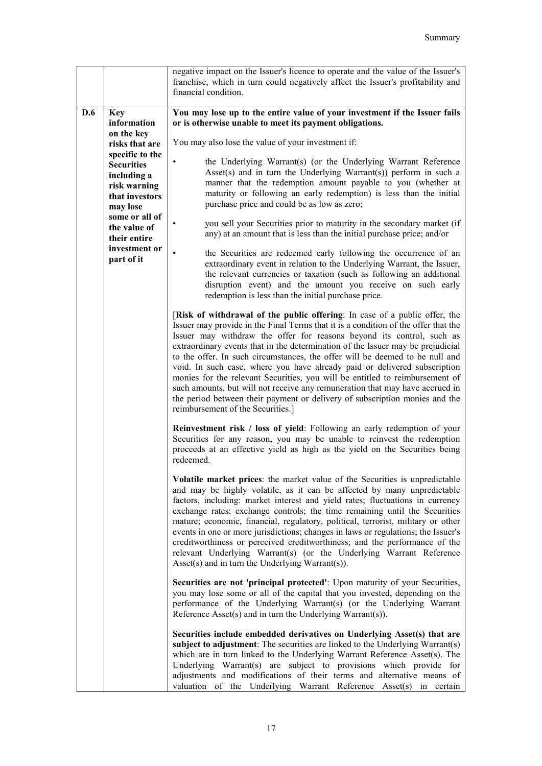|            |                                                                                                   | negative impact on the Issuer's licence to operate and the value of the Issuer's<br>franchise, which in turn could negatively affect the Issuer's profitability and<br>financial condition.                                                                                                                                                                                                                                                                                                                                                                                                                                                                                                                                                                                   |
|------------|---------------------------------------------------------------------------------------------------|-------------------------------------------------------------------------------------------------------------------------------------------------------------------------------------------------------------------------------------------------------------------------------------------------------------------------------------------------------------------------------------------------------------------------------------------------------------------------------------------------------------------------------------------------------------------------------------------------------------------------------------------------------------------------------------------------------------------------------------------------------------------------------|
| <b>D.6</b> | <b>Key</b><br>information                                                                         | You may lose up to the entire value of your investment if the Issuer fails<br>or is otherwise unable to meet its payment obligations.                                                                                                                                                                                                                                                                                                                                                                                                                                                                                                                                                                                                                                         |
|            | on the key<br>risks that are                                                                      | You may also lose the value of your investment if:                                                                                                                                                                                                                                                                                                                                                                                                                                                                                                                                                                                                                                                                                                                            |
|            | specific to the<br><b>Securities</b><br>including a<br>risk warning<br>that investors<br>may lose | the Underlying Warrant(s) (or the Underlying Warrant Reference<br>$\bullet$<br>Asset(s) and in turn the Underlying Warrant(s)) perform in such a<br>manner that the redemption amount payable to you (whether at<br>maturity or following an early redemption) is less than the initial<br>purchase price and could be as low as zero;                                                                                                                                                                                                                                                                                                                                                                                                                                        |
|            | some or all of<br>the value of<br>their entire                                                    | you sell your Securities prior to maturity in the secondary market (if<br>any) at an amount that is less than the initial purchase price; and/or                                                                                                                                                                                                                                                                                                                                                                                                                                                                                                                                                                                                                              |
|            | investment or<br>part of it                                                                       | the Securities are redeemed early following the occurrence of an<br>extraordinary event in relation to the Underlying Warrant, the Issuer,<br>the relevant currencies or taxation (such as following an additional<br>disruption event) and the amount you receive on such early<br>redemption is less than the initial purchase price.                                                                                                                                                                                                                                                                                                                                                                                                                                       |
|            |                                                                                                   | [Risk of withdrawal of the public offering: In case of a public offer, the<br>Issuer may provide in the Final Terms that it is a condition of the offer that the<br>Issuer may withdraw the offer for reasons beyond its control, such as<br>extraordinary events that in the determination of the Issuer may be prejudicial<br>to the offer. In such circumstances, the offer will be deemed to be null and<br>void. In such case, where you have already paid or delivered subscription<br>monies for the relevant Securities, you will be entitled to reimbursement of<br>such amounts, but will not receive any remuneration that may have accrued in<br>the period between their payment or delivery of subscription monies and the<br>reimbursement of the Securities.] |
|            |                                                                                                   | Reinvestment risk / loss of yield: Following an early redemption of your<br>Securities for any reason, you may be unable to reinvest the redemption<br>proceeds at an effective yield as high as the yield on the Securities being<br>redeemed.                                                                                                                                                                                                                                                                                                                                                                                                                                                                                                                               |
|            |                                                                                                   | Volatile market prices: the market value of the Securities is unpredictable<br>and may be highly volatile, as it can be affected by many unpredictable<br>factors, including: market interest and yield rates; fluctuations in currency<br>exchange rates; exchange controls; the time remaining until the Securities<br>mature; economic, financial, regulatory, political, terrorist, military or other<br>events in one or more jurisdictions; changes in laws or regulations; the Issuer's<br>creditworthiness or perceived creditworthiness; and the performance of the<br>relevant Underlying Warrant(s) (or the Underlying Warrant Reference<br>$\text{Asset}(s)$ and in turn the Underlying Warrant $(s)$ ).                                                          |
|            |                                                                                                   | Securities are not 'principal protected': Upon maturity of your Securities,<br>you may lose some or all of the capital that you invested, depending on the<br>performance of the Underlying Warrant(s) (or the Underlying Warrant<br>Reference Asset(s) and in turn the Underlying Warrant(s)).                                                                                                                                                                                                                                                                                                                                                                                                                                                                               |
|            |                                                                                                   | Securities include embedded derivatives on Underlying Asset(s) that are<br>subject to adjustment: The securities are linked to the Underlying Warrant(s)<br>which are in turn linked to the Underlying Warrant Reference Asset(s). The<br>Underlying Warrant(s) are subject to provisions which provide for<br>adjustments and modifications of their terms and alternative means of<br>valuation of the Underlying Warrant Reference Asset(s) in certain                                                                                                                                                                                                                                                                                                                     |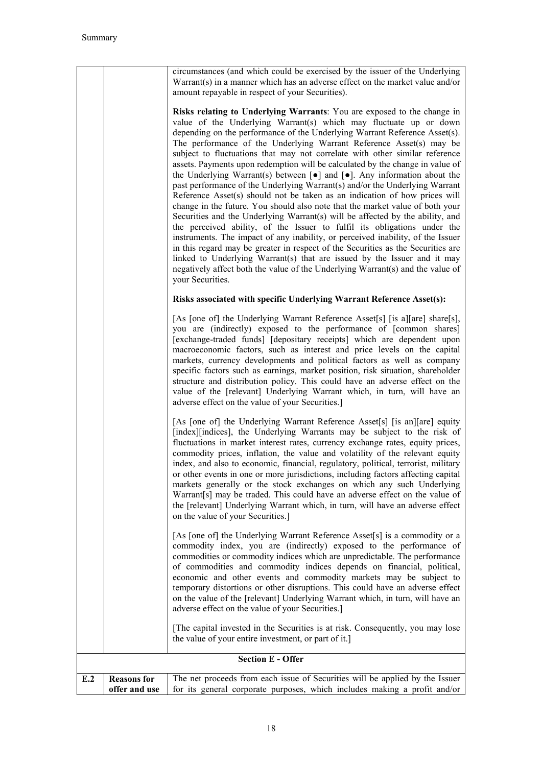|                          |                                     | circumstances (and which could be exercised by the issuer of the Underlying<br>Warrant(s) in a manner which has an adverse effect on the market value and/or<br>amount repayable in respect of your Securities).                                                                                                                                                                                                                                                                                                                                                                                                                                                                                                                                                                                                                                                                                                                                                                                                                                                                                                                                                                                                                                                                                                                   |  |  |
|--------------------------|-------------------------------------|------------------------------------------------------------------------------------------------------------------------------------------------------------------------------------------------------------------------------------------------------------------------------------------------------------------------------------------------------------------------------------------------------------------------------------------------------------------------------------------------------------------------------------------------------------------------------------------------------------------------------------------------------------------------------------------------------------------------------------------------------------------------------------------------------------------------------------------------------------------------------------------------------------------------------------------------------------------------------------------------------------------------------------------------------------------------------------------------------------------------------------------------------------------------------------------------------------------------------------------------------------------------------------------------------------------------------------|--|--|
|                          |                                     | Risks relating to Underlying Warrants: You are exposed to the change in<br>value of the Underlying Warrant(s) which may fluctuate up or down<br>depending on the performance of the Underlying Warrant Reference Asset(s).<br>The performance of the Underlying Warrant Reference Asset(s) may be<br>subject to fluctuations that may not correlate with other similar reference<br>assets. Payments upon redemption will be calculated by the change in value of<br>the Underlying Warrant(s) between $[\bullet]$ and $[\bullet]$ . Any information about the<br>past performance of the Underlying Warrant(s) and/or the Underlying Warrant<br>Reference Asset(s) should not be taken as an indication of how prices will<br>change in the future. You should also note that the market value of both your<br>Securities and the Underlying Warrant(s) will be affected by the ability, and<br>the perceived ability, of the Issuer to fulfil its obligations under the<br>instruments. The impact of any inability, or perceived inability, of the Issuer<br>in this regard may be greater in respect of the Securities as the Securities are<br>linked to Underlying Warrant(s) that are issued by the Issuer and it may<br>negatively affect both the value of the Underlying Warrant(s) and the value of<br>your Securities. |  |  |
|                          |                                     | Risks associated with specific Underlying Warrant Reference Asset(s):                                                                                                                                                                                                                                                                                                                                                                                                                                                                                                                                                                                                                                                                                                                                                                                                                                                                                                                                                                                                                                                                                                                                                                                                                                                              |  |  |
|                          |                                     | [As [one of] the Underlying Warrant Reference Asset[s] [is a][are] share[s],<br>you are (indirectly) exposed to the performance of [common shares]<br>[exchange-traded funds] [depositary receipts] which are dependent upon<br>macroeconomic factors, such as interest and price levels on the capital<br>markets, currency developments and political factors as well as company<br>specific factors such as earnings, market position, risk situation, shareholder<br>structure and distribution policy. This could have an adverse effect on the<br>value of the [relevant] Underlying Warrant which, in turn, will have an<br>adverse effect on the value of your Securities.]                                                                                                                                                                                                                                                                                                                                                                                                                                                                                                                                                                                                                                                |  |  |
|                          |                                     | [As [one of] the Underlying Warrant Reference Asset[s] [is an][are] equity<br>[index][indices], the Underlying Warrants may be subject to the risk of<br>fluctuations in market interest rates, currency exchange rates, equity prices,<br>commodity prices, inflation, the value and volatility of the relevant equity<br>index, and also to economic, financial, regulatory, political, terrorist, military<br>or other events in one or more jurisdictions, including factors affecting capital<br>markets generally or the stock exchanges on which any such Underlying<br>Warrant[s] may be traded. This could have an adverse effect on the value of<br>the [relevant] Underlying Warrant which, in turn, will have an adverse effect<br>on the value of your Securities.]                                                                                                                                                                                                                                                                                                                                                                                                                                                                                                                                                   |  |  |
|                          |                                     | [As [one of] the Underlying Warrant Reference Asset[s] is a commodity or a<br>commodity index, you are (indirectly) exposed to the performance of<br>commodities or commodity indices which are unpredictable. The performance<br>of commodities and commodity indices depends on financial, political,<br>economic and other events and commodity markets may be subject to<br>temporary distortions or other disruptions. This could have an adverse effect<br>on the value of the [relevant] Underlying Warrant which, in turn, will have an<br>adverse effect on the value of your Securities.]                                                                                                                                                                                                                                                                                                                                                                                                                                                                                                                                                                                                                                                                                                                                |  |  |
|                          |                                     | [The capital invested in the Securities is at risk. Consequently, you may lose<br>the value of your entire investment, or part of it.]                                                                                                                                                                                                                                                                                                                                                                                                                                                                                                                                                                                                                                                                                                                                                                                                                                                                                                                                                                                                                                                                                                                                                                                             |  |  |
| <b>Section E - Offer</b> |                                     |                                                                                                                                                                                                                                                                                                                                                                                                                                                                                                                                                                                                                                                                                                                                                                                                                                                                                                                                                                                                                                                                                                                                                                                                                                                                                                                                    |  |  |
| E.2                      | <b>Reasons</b> for<br>offer and use | The net proceeds from each issue of Securities will be applied by the Issuer<br>for its general corporate purposes, which includes making a profit and/or                                                                                                                                                                                                                                                                                                                                                                                                                                                                                                                                                                                                                                                                                                                                                                                                                                                                                                                                                                                                                                                                                                                                                                          |  |  |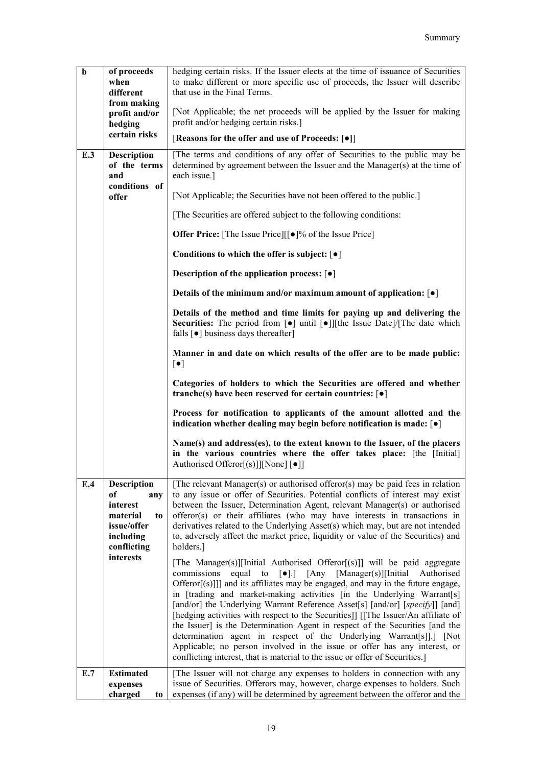| $\mathbf b$ | of proceeds<br>when<br>different<br>from making                                                               | hedging certain risks. If the Issuer elects at the time of issuance of Securities<br>to make different or more specific use of proceeds, the Issuer will describe<br>that use in the Final Terms.                                                                                                                                                                                                                                                                                                                                                                                                                                                                                                                                                                                                                                           |
|-------------|---------------------------------------------------------------------------------------------------------------|---------------------------------------------------------------------------------------------------------------------------------------------------------------------------------------------------------------------------------------------------------------------------------------------------------------------------------------------------------------------------------------------------------------------------------------------------------------------------------------------------------------------------------------------------------------------------------------------------------------------------------------------------------------------------------------------------------------------------------------------------------------------------------------------------------------------------------------------|
|             | profit and/or<br>hedging<br>certain risks                                                                     | [Not Applicable; the net proceeds will be applied by the Issuer for making<br>profit and/or hedging certain risks.]                                                                                                                                                                                                                                                                                                                                                                                                                                                                                                                                                                                                                                                                                                                         |
|             |                                                                                                               | [Reasons for the offer and use of Proceeds: [ $\bullet$ ]]                                                                                                                                                                                                                                                                                                                                                                                                                                                                                                                                                                                                                                                                                                                                                                                  |
| E.3         | <b>Description</b><br>of the terms<br>and                                                                     | The terms and conditions of any offer of Securities to the public may be<br>determined by agreement between the Issuer and the Manager(s) at the time of<br>each issue.]                                                                                                                                                                                                                                                                                                                                                                                                                                                                                                                                                                                                                                                                    |
|             | conditions of<br>offer                                                                                        | [Not Applicable; the Securities have not been offered to the public.]                                                                                                                                                                                                                                                                                                                                                                                                                                                                                                                                                                                                                                                                                                                                                                       |
|             |                                                                                                               | [The Securities are offered subject to the following conditions:                                                                                                                                                                                                                                                                                                                                                                                                                                                                                                                                                                                                                                                                                                                                                                            |
|             |                                                                                                               | Offer Price: [The Issue Price][[ $\bullet$ ]% of the Issue Price]                                                                                                                                                                                                                                                                                                                                                                                                                                                                                                                                                                                                                                                                                                                                                                           |
|             |                                                                                                               | Conditions to which the offer is subject: $\lceil \bullet \rceil$                                                                                                                                                                                                                                                                                                                                                                                                                                                                                                                                                                                                                                                                                                                                                                           |
|             |                                                                                                               | Description of the application process: $\lceil \bullet \rceil$                                                                                                                                                                                                                                                                                                                                                                                                                                                                                                                                                                                                                                                                                                                                                                             |
|             |                                                                                                               | Details of the minimum and/or maximum amount of application: $\lceil \bullet \rceil$                                                                                                                                                                                                                                                                                                                                                                                                                                                                                                                                                                                                                                                                                                                                                        |
|             |                                                                                                               | Details of the method and time limits for paying up and delivering the<br>Securities: The period from [ $\bullet$ ] until [ $\bullet$ ]][the Issue Date]/[The date which<br>falls $\lceil \bullet \rceil$ business days thereafter                                                                                                                                                                                                                                                                                                                                                                                                                                                                                                                                                                                                          |
|             |                                                                                                               | Manner in and date on which results of the offer are to be made public:<br>$[\bullet]$                                                                                                                                                                                                                                                                                                                                                                                                                                                                                                                                                                                                                                                                                                                                                      |
|             |                                                                                                               | Categories of holders to which the Securities are offered and whether<br>tranche(s) have been reserved for certain countries: $\lceil \bullet \rceil$                                                                                                                                                                                                                                                                                                                                                                                                                                                                                                                                                                                                                                                                                       |
|             |                                                                                                               | Process for notification to applicants of the amount allotted and the<br>indication whether dealing may begin before notification is made: $\lceil \bullet \rceil$                                                                                                                                                                                                                                                                                                                                                                                                                                                                                                                                                                                                                                                                          |
|             |                                                                                                               | Name(s) and address(es), to the extent known to the Issuer, of the placers<br>in the various countries where the offer takes place: [the [Initial]<br>Authorised Offeror[(s)]][None] [●]]                                                                                                                                                                                                                                                                                                                                                                                                                                                                                                                                                                                                                                                   |
| E.4         | Description<br>of<br>any<br>interest<br>material<br>t <sub>o</sub><br>issue/offer<br>including<br>conflicting | [The relevant Manager(s) or authorised offeror(s) may be paid fees in relation<br>to any issue or offer of Securities. Potential conflicts of interest may exist<br>between the Issuer, Determination Agent, relevant Manager(s) or authorised<br>offeror(s) or their affiliates (who may have interests in transactions in<br>derivatives related to the Underlying Asset(s) which may, but are not intended<br>to, adversely affect the market price, liquidity or value of the Securities) and<br>holders.]                                                                                                                                                                                                                                                                                                                              |
|             | interests                                                                                                     | [The Manager(s)][Initial Authorised Offeror[(s)]] will be paid aggregate<br>equal<br>to<br>$\lceil \bullet \rceil$ .<br>[Any<br>$[Manager(s)]$ [Initial]<br>commissions<br>Authorised<br>Offeror[(s)]]] and its affiliates may be engaged, and may in the future engage,<br>in [trading and market-making activities [in the Underlying Warrant[s]<br>[and/or] the Underlying Warrant Reference Asset[s] [and/or] [specify]] [and]<br>[hedging activities with respect to the Securities]] [[The Issuer/An affiliate of<br>the Issuer] is the Determination Agent in respect of the Securities [and the<br>determination agent in respect of the Underlying Warrant[s]].] [Not<br>Applicable; no person involved in the issue or offer has any interest, or<br>conflicting interest, that is material to the issue or offer of Securities.] |
| E.7         | <b>Estimated</b><br>expenses                                                                                  | [The Issuer will not charge any expenses to holders in connection with any<br>issue of Securities. Offerors may, however, charge expenses to holders. Such                                                                                                                                                                                                                                                                                                                                                                                                                                                                                                                                                                                                                                                                                  |
|             | charged<br>to                                                                                                 | expenses (if any) will be determined by agreement between the offeror and the                                                                                                                                                                                                                                                                                                                                                                                                                                                                                                                                                                                                                                                                                                                                                               |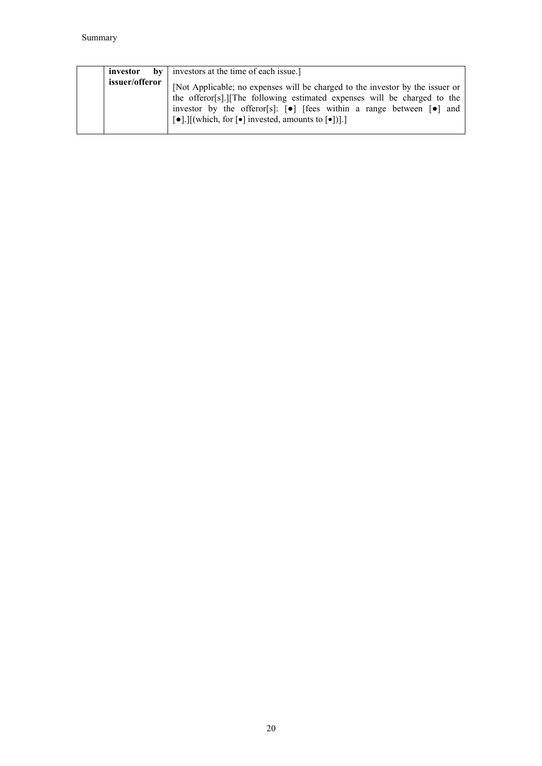| investor       | $\mathbf{b}$ investors at the time of each issue.]                                                                                                                                                                                                                                                                                                                     |
|----------------|------------------------------------------------------------------------------------------------------------------------------------------------------------------------------------------------------------------------------------------------------------------------------------------------------------------------------------------------------------------------|
| issuer/offeror | [Not Applicable; no expenses will be charged to the investor by the issuer or<br>the offeror[s].][The following estimated expenses will be charged to the<br>investor by the offeror[s]: $[•]$ [fees within a range between $[•]$ and<br>$\lceil \cdot \cdot \cdot \rceil$ [which, for $\lceil \cdot \cdot \rceil$ invested, amounts to $\lceil \cdot \cdot \rceil$ ]. |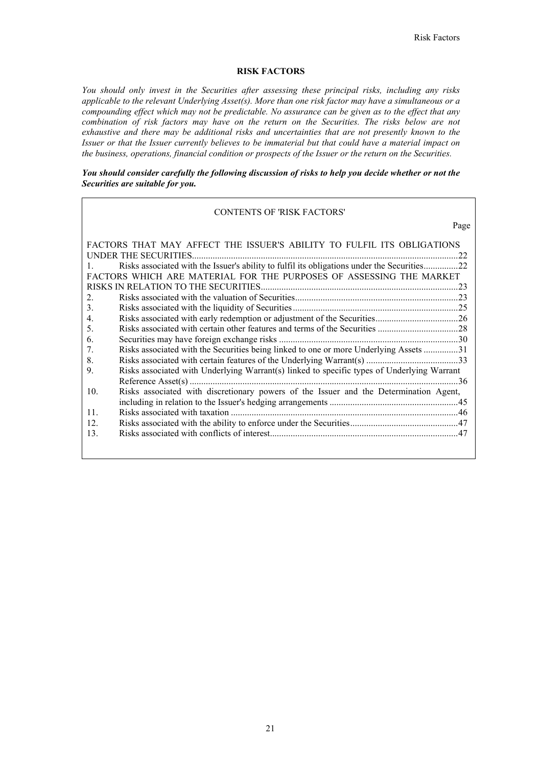Page

# **RISK FACTORS**

*You should only invest in the Securities after assessing these principal risks, including any risks applicable to the relevant Underlying Asset(s). More than one risk factor may have a simultaneous or a compounding effect which may not be predictable. No assurance can be given as to the effect that any combination of risk factors may have on the return on the Securities. The risks below are not exhaustive and there may be additional risks and uncertainties that are not presently known to the Issuer or that the Issuer currently believes to be immaterial but that could have a material impact on the business, operations, financial condition or prospects of the Issuer or the return on the Securities.* 

# *You should consider carefully the following discussion of risks to help you decide whether or not the Securities are suitable for you.*

### CONTENTS OF 'RISK FACTORS'

| FACTORS THAT MAY AFFECT THE ISSUER'S ABILITY TO FULFIL ITS OBLIGATIONS                                      |     |
|-------------------------------------------------------------------------------------------------------------|-----|
| UNDER THE SECURITIES.                                                                                       | 22  |
| Risks associated with the Issuer's ability to fulfil its obligations under the Securities22<br>$\mathbf{1}$ |     |
| FACTORS WHICH ARE MATERIAL FOR THE PURPOSES OF ASSESSING THE MARKET                                         |     |
|                                                                                                             |     |
|                                                                                                             |     |
| $\overline{2}$ .                                                                                            |     |
| 3.                                                                                                          |     |
| $\overline{4}$ .                                                                                            |     |
| .5.                                                                                                         |     |
| 6.                                                                                                          |     |
| Risks associated with the Securities being linked to one or more Underlying Assets 31<br>7.                 |     |
| 8.                                                                                                          |     |
| Risks associated with Underlying Warrant(s) linked to specific types of Underlying Warrant<br>9.            |     |
|                                                                                                             | -36 |
| Risks associated with discretionary powers of the Issuer and the Determination Agent,<br>10.                |     |
|                                                                                                             |     |
| 11                                                                                                          |     |
| 12.                                                                                                         |     |
| 13.                                                                                                         |     |
|                                                                                                             |     |
|                                                                                                             |     |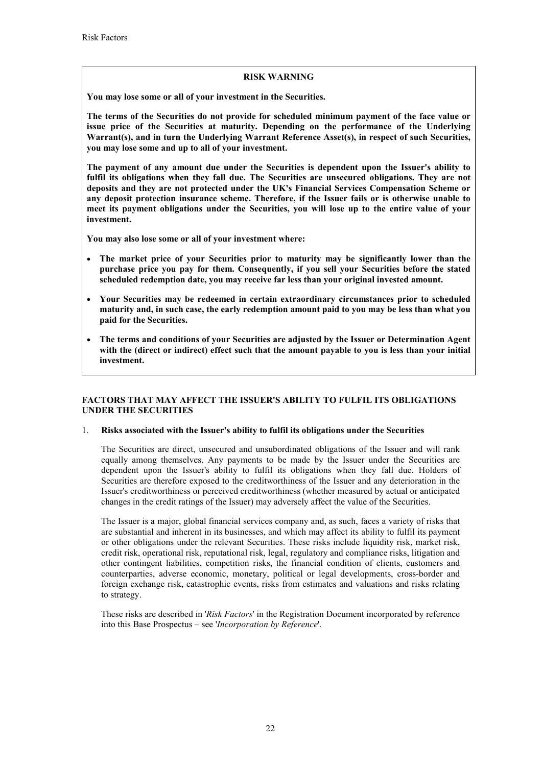# **RISK WARNING**

**You may lose some or all of your investment in the Securities.**

**The terms of the Securities do not provide for scheduled minimum payment of the face value or issue price of the Securities at maturity. Depending on the performance of the Underlying Warrant(s), and in turn the Underlying Warrant Reference Asset(s), in respect of such Securities, you may lose some and up to all of your investment.**

**The payment of any amount due under the Securities is dependent upon the Issuer's ability to fulfil its obligations when they fall due. The Securities are unsecured obligations. They are not deposits and they are not protected under the UK's Financial Services Compensation Scheme or any deposit protection insurance scheme. Therefore, if the Issuer fails or is otherwise unable to meet its payment obligations under the Securities, you will lose up to the entire value of your investment.** 

**You may also lose some or all of your investment where:**

- **The market price of your Securities prior to maturity may be significantly lower than the purchase price you pay for them. Consequently, if you sell your Securities before the stated scheduled redemption date, you may receive far less than your original invested amount.**
- **Your Securities may be redeemed in certain extraordinary circumstances prior to scheduled maturity and, in such case, the early redemption amount paid to you may be less than what you paid for the Securities.**
- **The terms and conditions of your Securities are adjusted by the Issuer or Determination Agent with the (direct or indirect) effect such that the amount payable to you is less than your initial investment.**

# **FACTORS THAT MAY AFFECT THE ISSUER'S ABILITY TO FULFIL ITS OBLIGATIONS UNDER THE SECURITIES**

# 1. **Risks associated with the Issuer's ability to fulfil its obligations under the Securities**

The Securities are direct, unsecured and unsubordinated obligations of the Issuer and will rank equally among themselves. Any payments to be made by the Issuer under the Securities are dependent upon the Issuer's ability to fulfil its obligations when they fall due. Holders of Securities are therefore exposed to the creditworthiness of the Issuer and any deterioration in the Issuer's creditworthiness or perceived creditworthiness (whether measured by actual or anticipated changes in the credit ratings of the Issuer) may adversely affect the value of the Securities.

The Issuer is a major, global financial services company and, as such, faces a variety of risks that are substantial and inherent in its businesses, and which may affect its ability to fulfil its payment or other obligations under the relevant Securities. These risks include liquidity risk, market risk, credit risk, operational risk, reputational risk, legal, regulatory and compliance risks, litigation and other contingent liabilities, competition risks, the financial condition of clients, customers and counterparties, adverse economic, monetary, political or legal developments, cross-border and foreign exchange risk, catastrophic events, risks from estimates and valuations and risks relating to strategy.

These risks are described in '*Risk Factors*' in the Registration Document incorporated by reference into this Base Prospectus – see '*Incorporation by Reference*'.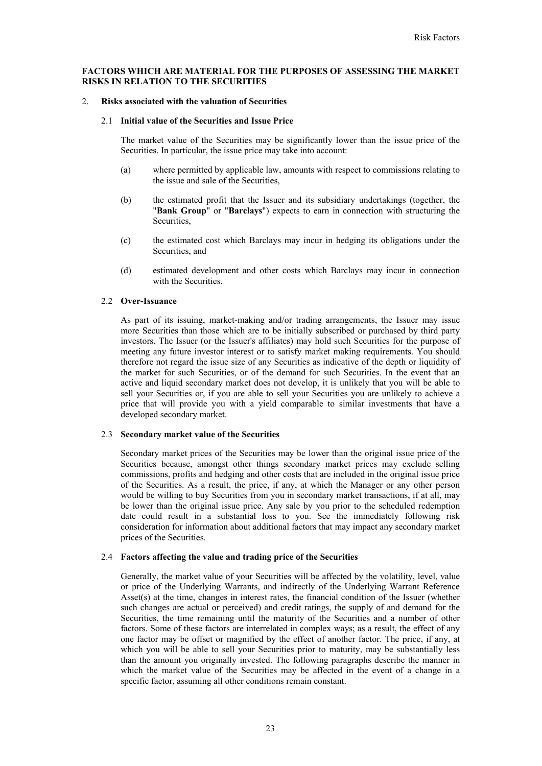## **FACTORS WHICH ARE MATERIAL FOR THE PURPOSES OF ASSESSING THE MARKET RISKS IN RELATION TO THE SECURITIES**

### 2. **Risks associated with the valuation of Securities**

## 2.1 **Initial value of the Securities and Issue Price**

The market value of the Securities may be significantly lower than the issue price of the Securities. In particular, the issue price may take into account:

- (a) where permitted by applicable law, amounts with respect to commissions relating to the issue and sale of the Securities,
- (b) the estimated profit that the Issuer and its subsidiary undertakings (together, the "**Bank Group**" or "**Barclays**") expects to earn in connection with structuring the Securities,
- (c) the estimated cost which Barclays may incur in hedging its obligations under the Securities, and
- (d) estimated development and other costs which Barclays may incur in connection with the Securities.

### 2.2 **Over-Issuance**

As part of its issuing, market-making and/or trading arrangements, the Issuer may issue more Securities than those which are to be initially subscribed or purchased by third party investors. The Issuer (or the Issuer's affiliates) may hold such Securities for the purpose of meeting any future investor interest or to satisfy market making requirements. You should therefore not regard the issue size of any Securities as indicative of the depth or liquidity of the market for such Securities, or of the demand for such Securities. In the event that an active and liquid secondary market does not develop, it is unlikely that you will be able to sell your Securities or, if you are able to sell your Securities you are unlikely to achieve a price that will provide you with a yield comparable to similar investments that have a developed secondary market.

## 2.3 **Secondary market value of the Securities**

Secondary market prices of the Securities may be lower than the original issue price of the Securities because, amongst other things secondary market prices may exclude selling commissions, profits and hedging and other costs that are included in the original issue price of the Securities. As a result, the price, if any, at which the Manager or any other person would be willing to buy Securities from you in secondary market transactions, if at all, may be lower than the original issue price. Any sale by you prior to the scheduled redemption date could result in a substantial loss to you. See the immediately following risk consideration for information about additional factors that may impact any secondary market prices of the Securities.

## 2.4 **Factors affecting the value and trading price of the Securities**

Generally, the market value of your Securities will be affected by the volatility, level, value or price of the Underlying Warrants, and indirectly of the Underlying Warrant Reference Asset(s) at the time, changes in interest rates, the financial condition of the Issuer (whether such changes are actual or perceived) and credit ratings, the supply of and demand for the Securities, the time remaining until the maturity of the Securities and a number of other factors. Some of these factors are interrelated in complex ways; as a result, the effect of any one factor may be offset or magnified by the effect of another factor. The price, if any, at which you will be able to sell your Securities prior to maturity, may be substantially less than the amount you originally invested. The following paragraphs describe the manner in which the market value of the Securities may be affected in the event of a change in a specific factor, assuming all other conditions remain constant.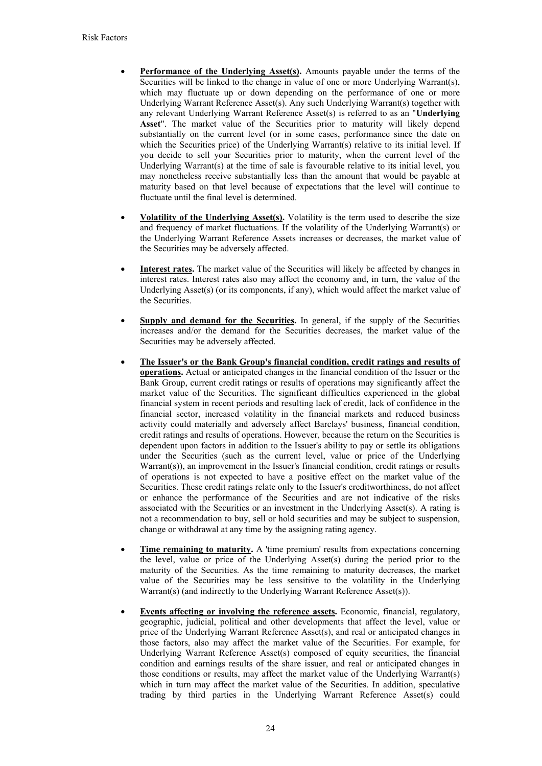- **Performance of the Underlying Asset(s).** Amounts payable under the terms of the Securities will be linked to the change in value of one or more Underlying Warrant(s), which may fluctuate up or down depending on the performance of one or more Underlying Warrant Reference Asset(s). Any such Underlying Warrant(s) together with any relevant Underlying Warrant Reference Asset(s) is referred to as an "**Underlying Asset**". The market value of the Securities prior to maturity will likely depend substantially on the current level (or in some cases, performance since the date on which the Securities price) of the Underlying Warrant(s) relative to its initial level. If you decide to sell your Securities prior to maturity, when the current level of the Underlying Warrant(s) at the time of sale is favourable relative to its initial level, you may nonetheless receive substantially less than the amount that would be payable at maturity based on that level because of expectations that the level will continue to fluctuate until the final level is determined.
- **Volatility of the Underlying Asset(s).** Volatility is the term used to describe the size and frequency of market fluctuations. If the volatility of the Underlying Warrant(s) or the Underlying Warrant Reference Assets increases or decreases, the market value of the Securities may be adversely affected.
- **Interest rates.** The market value of the Securities will likely be affected by changes in interest rates. Interest rates also may affect the economy and, in turn, the value of the Underlying Asset(s) (or its components, if any), which would affect the market value of the Securities.
- **Supply and demand for the Securities.** In general, if the supply of the Securities increases and/or the demand for the Securities decreases, the market value of the Securities may be adversely affected.
- **The Issuer's or the Bank Group's financial condition, credit ratings and results of operations.** Actual or anticipated changes in the financial condition of the Issuer or the Bank Group, current credit ratings or results of operations may significantly affect the market value of the Securities. The significant difficulties experienced in the global financial system in recent periods and resulting lack of credit, lack of confidence in the financial sector, increased volatility in the financial markets and reduced business activity could materially and adversely affect Barclays' business, financial condition, credit ratings and results of operations. However, because the return on the Securities is dependent upon factors in addition to the Issuer's ability to pay or settle its obligations under the Securities (such as the current level, value or price of the Underlying Warrant(s)), an improvement in the Issuer's financial condition, credit ratings or results of operations is not expected to have a positive effect on the market value of the Securities. These credit ratings relate only to the Issuer's creditworthiness, do not affect or enhance the performance of the Securities and are not indicative of the risks associated with the Securities or an investment in the Underlying Asset(s). A rating is not a recommendation to buy, sell or hold securities and may be subject to suspension, change or withdrawal at any time by the assigning rating agency.
- **Time remaining to maturity.** A 'time premium' results from expectations concerning the level, value or price of the Underlying Asset(s) during the period prior to the maturity of the Securities. As the time remaining to maturity decreases, the market value of the Securities may be less sensitive to the volatility in the Underlying Warrant(s) (and indirectly to the Underlying Warrant Reference Asset(s)).
- **Events affecting or involving the reference assets.** Economic, financial, regulatory, geographic, judicial, political and other developments that affect the level, value or price of the Underlying Warrant Reference Asset(s), and real or anticipated changes in those factors, also may affect the market value of the Securities. For example, for Underlying Warrant Reference Asset(s) composed of equity securities, the financial condition and earnings results of the share issuer, and real or anticipated changes in those conditions or results, may affect the market value of the Underlying Warrant(s) which in turn may affect the market value of the Securities. In addition, speculative trading by third parties in the Underlying Warrant Reference Asset(s) could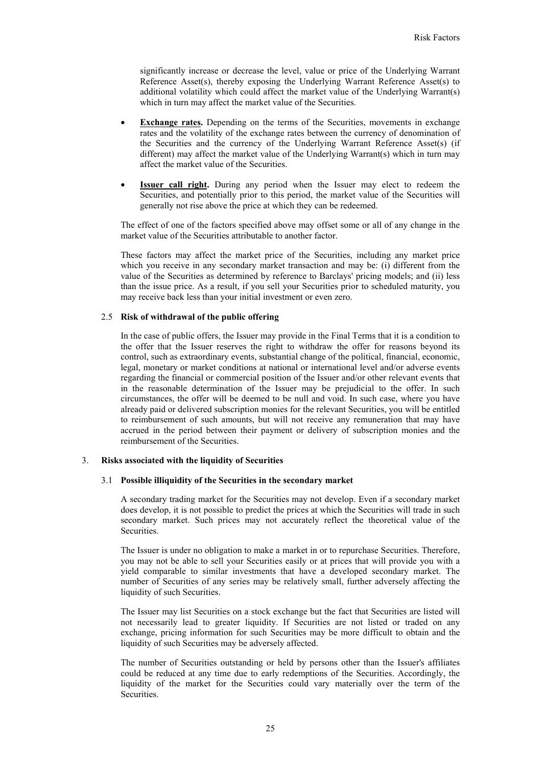significantly increase or decrease the level, value or price of the Underlying Warrant Reference Asset(s), thereby exposing the Underlying Warrant Reference Asset(s) to additional volatility which could affect the market value of the Underlying Warrant(s) which in turn may affect the market value of the Securities.

- **Exchange rates.** Depending on the terms of the Securities, movements in exchange rates and the volatility of the exchange rates between the currency of denomination of the Securities and the currency of the Underlying Warrant Reference Asset(s) (if different) may affect the market value of the Underlying Warrant(s) which in turn may affect the market value of the Securities.
- **Issuer call right.** During any period when the Issuer may elect to redeem the Securities, and potentially prior to this period, the market value of the Securities will generally not rise above the price at which they can be redeemed.

The effect of one of the factors specified above may offset some or all of any change in the market value of the Securities attributable to another factor.

These factors may affect the market price of the Securities, including any market price which you receive in any secondary market transaction and may be: (i) different from the value of the Securities as determined by reference to Barclays' pricing models; and (ii) less than the issue price. As a result, if you sell your Securities prior to scheduled maturity, you may receive back less than your initial investment or even zero.

# 2.5 **Risk of withdrawal of the public offering**

In the case of public offers, the Issuer may provide in the Final Terms that it is a condition to the offer that the Issuer reserves the right to withdraw the offer for reasons beyond its control, such as extraordinary events, substantial change of the political, financial, economic, legal, monetary or market conditions at national or international level and/or adverse events regarding the financial or commercial position of the Issuer and/or other relevant events that in the reasonable determination of the Issuer may be prejudicial to the offer. In such circumstances, the offer will be deemed to be null and void. In such case, where you have already paid or delivered subscription monies for the relevant Securities, you will be entitled to reimbursement of such amounts, but will not receive any remuneration that may have accrued in the period between their payment or delivery of subscription monies and the reimbursement of the Securities.

### 3. **Risks associated with the liquidity of Securities**

#### 3.1 **Possible illiquidity of the Securities in the secondary market**

A secondary trading market for the Securities may not develop. Even if a secondary market does develop, it is not possible to predict the prices at which the Securities will trade in such secondary market. Such prices may not accurately reflect the theoretical value of the Securities.

The Issuer is under no obligation to make a market in or to repurchase Securities. Therefore, you may not be able to sell your Securities easily or at prices that will provide you with a yield comparable to similar investments that have a developed secondary market. The number of Securities of any series may be relatively small, further adversely affecting the liquidity of such Securities.

The Issuer may list Securities on a stock exchange but the fact that Securities are listed will not necessarily lead to greater liquidity. If Securities are not listed or traded on any exchange, pricing information for such Securities may be more difficult to obtain and the liquidity of such Securities may be adversely affected.

The number of Securities outstanding or held by persons other than the Issuer's affiliates could be reduced at any time due to early redemptions of the Securities. Accordingly, the liquidity of the market for the Securities could vary materially over the term of the Securities.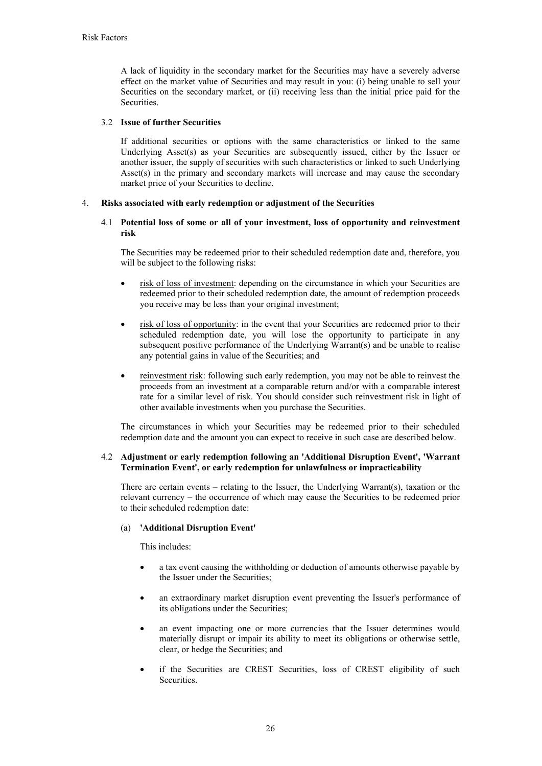A lack of liquidity in the secondary market for the Securities may have a severely adverse effect on the market value of Securities and may result in you: (i) being unable to sell your Securities on the secondary market, or (ii) receiving less than the initial price paid for the **Securities** 

# 3.2 **Issue of further Securities**

If additional securities or options with the same characteristics or linked to the same Underlying Asset(s) as your Securities are subsequently issued, either by the Issuer or another issuer, the supply of securities with such characteristics or linked to such Underlying Asset(s) in the primary and secondary markets will increase and may cause the secondary market price of your Securities to decline.

# 4. **Risks associated with early redemption or adjustment of the Securities**

# 4.1 **Potential loss of some or all of your investment, loss of opportunity and reinvestment risk**

The Securities may be redeemed prior to their scheduled redemption date and, therefore, you will be subject to the following risks:

- risk of loss of investment: depending on the circumstance in which your Securities are redeemed prior to their scheduled redemption date, the amount of redemption proceeds you receive may be less than your original investment;
- risk of loss of opportunity: in the event that your Securities are redeemed prior to their scheduled redemption date, you will lose the opportunity to participate in any subsequent positive performance of the Underlying Warrant(s) and be unable to realise any potential gains in value of the Securities; and
- reinvestment risk: following such early redemption, you may not be able to reinvest the proceeds from an investment at a comparable return and/or with a comparable interest rate for a similar level of risk. You should consider such reinvestment risk in light of other available investments when you purchase the Securities.

The circumstances in which your Securities may be redeemed prior to their scheduled redemption date and the amount you can expect to receive in such case are described below.

# 4.2 **Adjustment or early redemption following an 'Additional Disruption Event', 'Warrant Termination Event', or early redemption for unlawfulness or impracticability**

There are certain events – relating to the Issuer, the Underlying Warrant(s), taxation or the relevant currency – the occurrence of which may cause the Securities to be redeemed prior to their scheduled redemption date:

### (a) **'Additional Disruption Event'**

This includes:

- a tax event causing the withholding or deduction of amounts otherwise payable by the Issuer under the Securities;
- an extraordinary market disruption event preventing the Issuer's performance of its obligations under the Securities;
- an event impacting one or more currencies that the Issuer determines would materially disrupt or impair its ability to meet its obligations or otherwise settle, clear, or hedge the Securities; and
- if the Securities are CREST Securities, loss of CREST eligibility of such Securities.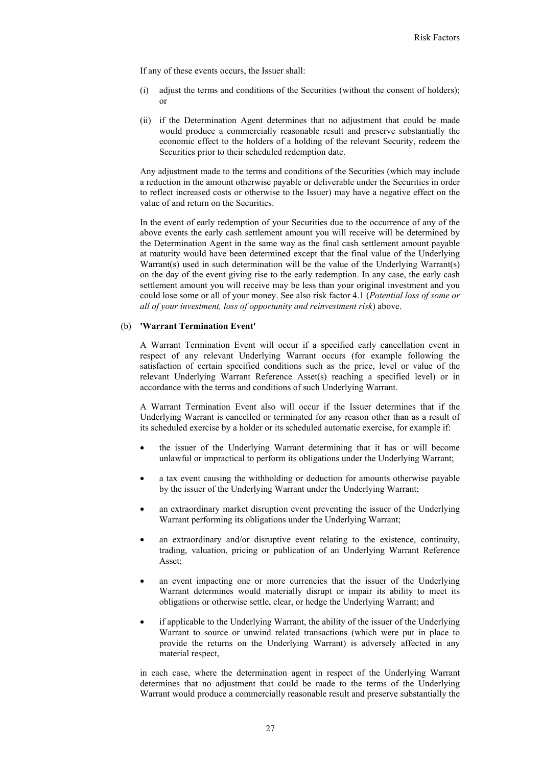If any of these events occurs, the Issuer shall:

- (i) adjust the terms and conditions of the Securities (without the consent of holders); or
- (ii) if the Determination Agent determines that no adjustment that could be made would produce a commercially reasonable result and preserve substantially the economic effect to the holders of a holding of the relevant Security, redeem the Securities prior to their scheduled redemption date.

Any adjustment made to the terms and conditions of the Securities (which may include a reduction in the amount otherwise payable or deliverable under the Securities in order to reflect increased costs or otherwise to the Issuer) may have a negative effect on the value of and return on the Securities.

In the event of early redemption of your Securities due to the occurrence of any of the above events the early cash settlement amount you will receive will be determined by the Determination Agent in the same way as the final cash settlement amount payable at maturity would have been determined except that the final value of the Underlying Warrant(s) used in such determination will be the value of the Underlying Warrant(s) on the day of the event giving rise to the early redemption. In any case, the early cash settlement amount you will receive may be less than your original investment and you could lose some or all of your money. See also risk factor 4.1 (*Potential loss of some or all of your investment, loss of opportunity and reinvestment risk*) above.

# (b) **'Warrant Termination Event'**

A Warrant Termination Event will occur if a specified early cancellation event in respect of any relevant Underlying Warrant occurs (for example following the satisfaction of certain specified conditions such as the price, level or value of the relevant Underlying Warrant Reference Asset(s) reaching a specified level) or in accordance with the terms and conditions of such Underlying Warrant.

A Warrant Termination Event also will occur if the Issuer determines that if the Underlying Warrant is cancelled or terminated for any reason other than as a result of its scheduled exercise by a holder or its scheduled automatic exercise, for example if:

- the issuer of the Underlying Warrant determining that it has or will become unlawful or impractical to perform its obligations under the Underlying Warrant;
- a tax event causing the withholding or deduction for amounts otherwise payable by the issuer of the Underlying Warrant under the Underlying Warrant;
- an extraordinary market disruption event preventing the issuer of the Underlying Warrant performing its obligations under the Underlying Warrant;
- an extraordinary and/or disruptive event relating to the existence, continuity, trading, valuation, pricing or publication of an Underlying Warrant Reference Asset;
- an event impacting one or more currencies that the issuer of the Underlying Warrant determines would materially disrupt or impair its ability to meet its obligations or otherwise settle, clear, or hedge the Underlying Warrant; and
- if applicable to the Underlying Warrant, the ability of the issuer of the Underlying Warrant to source or unwind related transactions (which were put in place to provide the returns on the Underlying Warrant) is adversely affected in any material respect,

in each case, where the determination agent in respect of the Underlying Warrant determines that no adjustment that could be made to the terms of the Underlying Warrant would produce a commercially reasonable result and preserve substantially the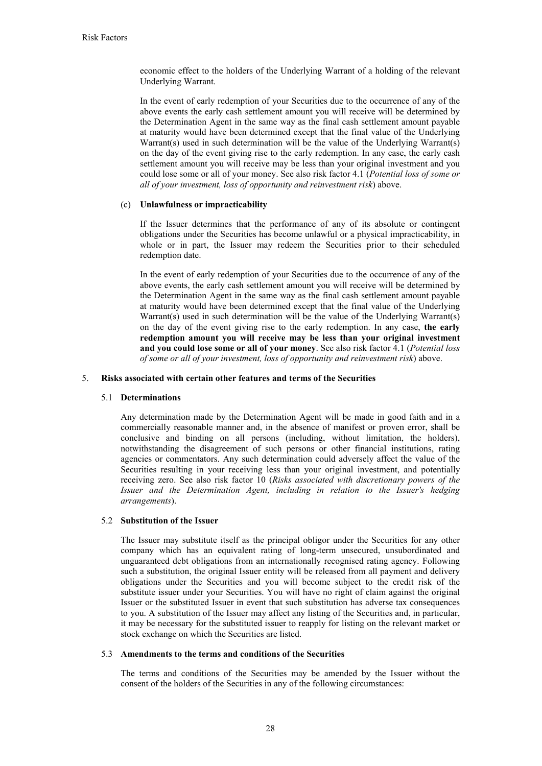economic effect to the holders of the Underlying Warrant of a holding of the relevant Underlying Warrant.

In the event of early redemption of your Securities due to the occurrence of any of the above events the early cash settlement amount you will receive will be determined by the Determination Agent in the same way as the final cash settlement amount payable at maturity would have been determined except that the final value of the Underlying Warrant(s) used in such determination will be the value of the Underlying Warrant(s) on the day of the event giving rise to the early redemption. In any case, the early cash settlement amount you will receive may be less than your original investment and you could lose some or all of your money. See also risk factor 4.1 (*Potential loss of some or all of your investment, loss of opportunity and reinvestment risk*) above.

# (c) **Unlawfulness or impracticability**

If the Issuer determines that the performance of any of its absolute or contingent obligations under the Securities has become unlawful or a physical impracticability, in whole or in part, the Issuer may redeem the Securities prior to their scheduled redemption date.

In the event of early redemption of your Securities due to the occurrence of any of the above events, the early cash settlement amount you will receive will be determined by the Determination Agent in the same way as the final cash settlement amount payable at maturity would have been determined except that the final value of the Underlying Warrant(s) used in such determination will be the value of the Underlying Warrant(s) on the day of the event giving rise to the early redemption. In any case, **the early redemption amount you will receive may be less than your original investment and you could lose some or all of your money**. See also risk factor 4.1 (*Potential loss of some or all of your investment, loss of opportunity and reinvestment risk*) above.

### 5. **Risks associated with certain other features and terms of the Securities**

#### 5.1 **Determinations**

Any determination made by the Determination Agent will be made in good faith and in a commercially reasonable manner and, in the absence of manifest or proven error, shall be conclusive and binding on all persons (including, without limitation, the holders), notwithstanding the disagreement of such persons or other financial institutions, rating agencies or commentators. Any such determination could adversely affect the value of the Securities resulting in your receiving less than your original investment, and potentially receiving zero. See also risk factor 10 (*Risks associated with discretionary powers of the Issuer and the Determination Agent, including in relation to the Issuer's hedging arrangements*).

#### 5.2 **Substitution of the Issuer**

The Issuer may substitute itself as the principal obligor under the Securities for any other company which has an equivalent rating of long-term unsecured, unsubordinated and unguaranteed debt obligations from an internationally recognised rating agency. Following such a substitution, the original Issuer entity will be released from all payment and delivery obligations under the Securities and you will become subject to the credit risk of the substitute issuer under your Securities. You will have no right of claim against the original Issuer or the substituted Issuer in event that such substitution has adverse tax consequences to you. A substitution of the Issuer may affect any listing of the Securities and, in particular, it may be necessary for the substituted issuer to reapply for listing on the relevant market or stock exchange on which the Securities are listed.

## 5.3 **Amendments to the terms and conditions of the Securities**

The terms and conditions of the Securities may be amended by the Issuer without the consent of the holders of the Securities in any of the following circumstances: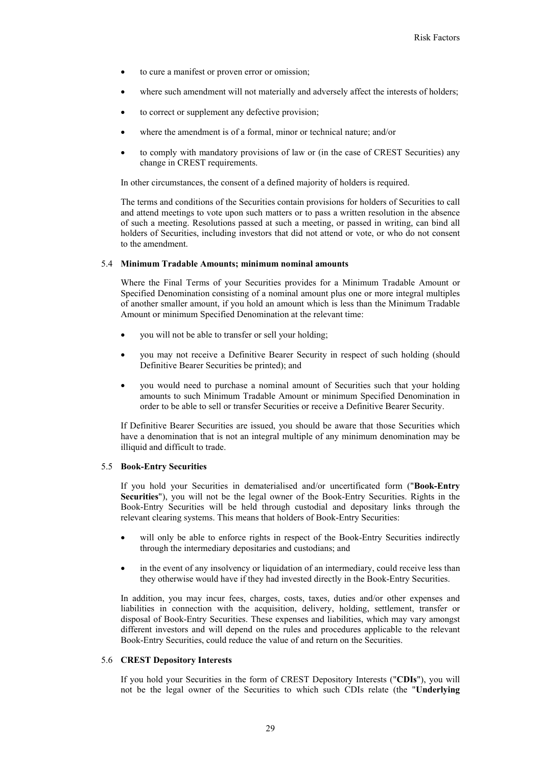- to cure a manifest or proven error or omission;
- where such amendment will not materially and adversely affect the interests of holders;
- to correct or supplement any defective provision;
- where the amendment is of a formal, minor or technical nature; and/or
- to comply with mandatory provisions of law or (in the case of CREST Securities) any change in CREST requirements.

In other circumstances, the consent of a defined majority of holders is required.

The terms and conditions of the Securities contain provisions for holders of Securities to call and attend meetings to vote upon such matters or to pass a written resolution in the absence of such a meeting. Resolutions passed at such a meeting, or passed in writing, can bind all holders of Securities, including investors that did not attend or vote, or who do not consent to the amendment.

## 5.4 **Minimum Tradable Amounts; minimum nominal amounts**

Where the Final Terms of your Securities provides for a Minimum Tradable Amount or Specified Denomination consisting of a nominal amount plus one or more integral multiples of another smaller amount, if you hold an amount which is less than the Minimum Tradable Amount or minimum Specified Denomination at the relevant time:

- you will not be able to transfer or sell your holding;
- you may not receive a Definitive Bearer Security in respect of such holding (should Definitive Bearer Securities be printed); and
- you would need to purchase a nominal amount of Securities such that your holding amounts to such Minimum Tradable Amount or minimum Specified Denomination in order to be able to sell or transfer Securities or receive a Definitive Bearer Security.

If Definitive Bearer Securities are issued, you should be aware that those Securities which have a denomination that is not an integral multiple of any minimum denomination may be illiquid and difficult to trade.

### 5.5 **Book-Entry Securities**

If you hold your Securities in dematerialised and/or uncertificated form ("**Book-Entry Securities**"), you will not be the legal owner of the Book-Entry Securities. Rights in the Book-Entry Securities will be held through custodial and depositary links through the relevant clearing systems. This means that holders of Book-Entry Securities:

- will only be able to enforce rights in respect of the Book-Entry Securities indirectly through the intermediary depositaries and custodians; and
- in the event of any insolvency or liquidation of an intermediary, could receive less than they otherwise would have if they had invested directly in the Book-Entry Securities.

In addition, you may incur fees, charges, costs, taxes, duties and/or other expenses and liabilities in connection with the acquisition, delivery, holding, settlement, transfer or disposal of Book-Entry Securities. These expenses and liabilities, which may vary amongst different investors and will depend on the rules and procedures applicable to the relevant Book-Entry Securities, could reduce the value of and return on the Securities.

## 5.6 **CREST Depository Interests**

If you hold your Securities in the form of CREST Depository Interests ("**CDIs**"), you will not be the legal owner of the Securities to which such CDIs relate (the "**Underlying**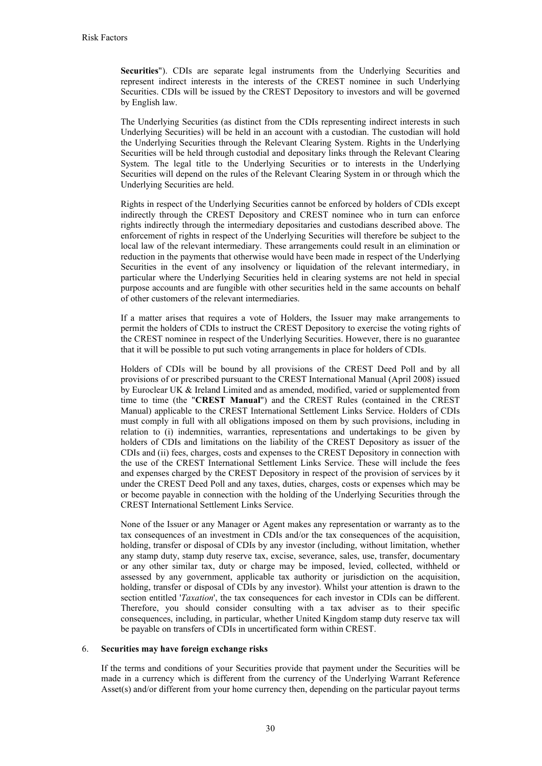**Securities**"). CDIs are separate legal instruments from the Underlying Securities and represent indirect interests in the interests of the CREST nominee in such Underlying Securities. CDIs will be issued by the CREST Depository to investors and will be governed by English law.

The Underlying Securities (as distinct from the CDIs representing indirect interests in such Underlying Securities) will be held in an account with a custodian. The custodian will hold the Underlying Securities through the Relevant Clearing System. Rights in the Underlying Securities will be held through custodial and depositary links through the Relevant Clearing System. The legal title to the Underlying Securities or to interests in the Underlying Securities will depend on the rules of the Relevant Clearing System in or through which the Underlying Securities are held.

Rights in respect of the Underlying Securities cannot be enforced by holders of CDIs except indirectly through the CREST Depository and CREST nominee who in turn can enforce rights indirectly through the intermediary depositaries and custodians described above. The enforcement of rights in respect of the Underlying Securities will therefore be subject to the local law of the relevant intermediary. These arrangements could result in an elimination or reduction in the payments that otherwise would have been made in respect of the Underlying Securities in the event of any insolvency or liquidation of the relevant intermediary, in particular where the Underlying Securities held in clearing systems are not held in special purpose accounts and are fungible with other securities held in the same accounts on behalf of other customers of the relevant intermediaries.

If a matter arises that requires a vote of Holders, the Issuer may make arrangements to permit the holders of CDIs to instruct the CREST Depository to exercise the voting rights of the CREST nominee in respect of the Underlying Securities. However, there is no guarantee that it will be possible to put such voting arrangements in place for holders of CDIs.

Holders of CDIs will be bound by all provisions of the CREST Deed Poll and by all provisions of or prescribed pursuant to the CREST International Manual (April 2008) issued by Euroclear UK & Ireland Limited and as amended, modified, varied or supplemented from time to time (the "**CREST Manual**") and the CREST Rules (contained in the CREST Manual) applicable to the CREST International Settlement Links Service. Holders of CDIs must comply in full with all obligations imposed on them by such provisions, including in relation to (i) indemnities, warranties, representations and undertakings to be given by holders of CDIs and limitations on the liability of the CREST Depository as issuer of the CDIs and (ii) fees, charges, costs and expenses to the CREST Depository in connection with the use of the CREST International Settlement Links Service. These will include the fees and expenses charged by the CREST Depository in respect of the provision of services by it under the CREST Deed Poll and any taxes, duties, charges, costs or expenses which may be or become payable in connection with the holding of the Underlying Securities through the CREST International Settlement Links Service.

None of the Issuer or any Manager or Agent makes any representation or warranty as to the tax consequences of an investment in CDIs and/or the tax consequences of the acquisition, holding, transfer or disposal of CDIs by any investor (including, without limitation, whether any stamp duty, stamp duty reserve tax, excise, severance, sales, use, transfer, documentary or any other similar tax, duty or charge may be imposed, levied, collected, withheld or assessed by any government, applicable tax authority or jurisdiction on the acquisition, holding, transfer or disposal of CDIs by any investor). Whilst your attention is drawn to the section entitled '*Taxation*', the tax consequences for each investor in CDIs can be different. Therefore, you should consider consulting with a tax adviser as to their specific consequences, including, in particular, whether United Kingdom stamp duty reserve tax will be payable on transfers of CDIs in uncertificated form within CREST.

### 6. **Securities may have foreign exchange risks**

If the terms and conditions of your Securities provide that payment under the Securities will be made in a currency which is different from the currency of the Underlying Warrant Reference Asset(s) and/or different from your home currency then, depending on the particular payout terms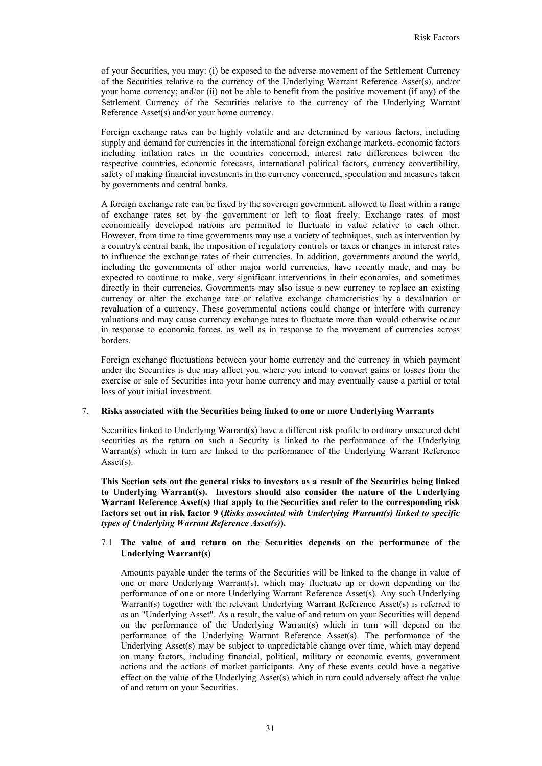of your Securities, you may: (i) be exposed to the adverse movement of the Settlement Currency of the Securities relative to the currency of the Underlying Warrant Reference Asset(s), and/or your home currency; and/or (ii) not be able to benefit from the positive movement (if any) of the Settlement Currency of the Securities relative to the currency of the Underlying Warrant Reference Asset(s) and/or your home currency.

Foreign exchange rates can be highly volatile and are determined by various factors, including supply and demand for currencies in the international foreign exchange markets, economic factors including inflation rates in the countries concerned, interest rate differences between the respective countries, economic forecasts, international political factors, currency convertibility, safety of making financial investments in the currency concerned, speculation and measures taken by governments and central banks.

A foreign exchange rate can be fixed by the sovereign government, allowed to float within a range of exchange rates set by the government or left to float freely. Exchange rates of most economically developed nations are permitted to fluctuate in value relative to each other. However, from time to time governments may use a variety of techniques, such as intervention by a country's central bank, the imposition of regulatory controls or taxes or changes in interest rates to influence the exchange rates of their currencies. In addition, governments around the world, including the governments of other major world currencies, have recently made, and may be expected to continue to make, very significant interventions in their economies, and sometimes directly in their currencies. Governments may also issue a new currency to replace an existing currency or alter the exchange rate or relative exchange characteristics by a devaluation or revaluation of a currency. These governmental actions could change or interfere with currency valuations and may cause currency exchange rates to fluctuate more than would otherwise occur in response to economic forces, as well as in response to the movement of currencies across borders.

Foreign exchange fluctuations between your home currency and the currency in which payment under the Securities is due may affect you where you intend to convert gains or losses from the exercise or sale of Securities into your home currency and may eventually cause a partial or total loss of your initial investment.

### 7. **Risks associated with the Securities being linked to one or more Underlying Warrants**

Securities linked to Underlying Warrant(s) have a different risk profile to ordinary unsecured debt securities as the return on such a Security is linked to the performance of the Underlying Warrant(s) which in turn are linked to the performance of the Underlying Warrant Reference Asset(s).

**This Section sets out the general risks to investors as a result of the Securities being linked to Underlying Warrant(s). Investors should also consider the nature of the Underlying Warrant Reference Asset(s) that apply to the Securities and refer to the corresponding risk factors set out in risk factor 9 (***Risks associated with Underlying Warrant(s) linked to specific types of Underlying Warrant Reference Asset(s)***).**

# 7.1 **The value of and return on the Securities depends on the performance of the Underlying Warrant(s)**

Amounts payable under the terms of the Securities will be linked to the change in value of one or more Underlying Warrant(s), which may fluctuate up or down depending on the performance of one or more Underlying Warrant Reference Asset(s). Any such Underlying Warrant(s) together with the relevant Underlying Warrant Reference Asset(s) is referred to as an "Underlying Asset". As a result, the value of and return on your Securities will depend on the performance of the Underlying Warrant(s) which in turn will depend on the performance of the Underlying Warrant Reference Asset(s). The performance of the Underlying Asset(s) may be subject to unpredictable change over time, which may depend on many factors, including financial, political, military or economic events, government actions and the actions of market participants. Any of these events could have a negative effect on the value of the Underlying Asset(s) which in turn could adversely affect the value of and return on your Securities.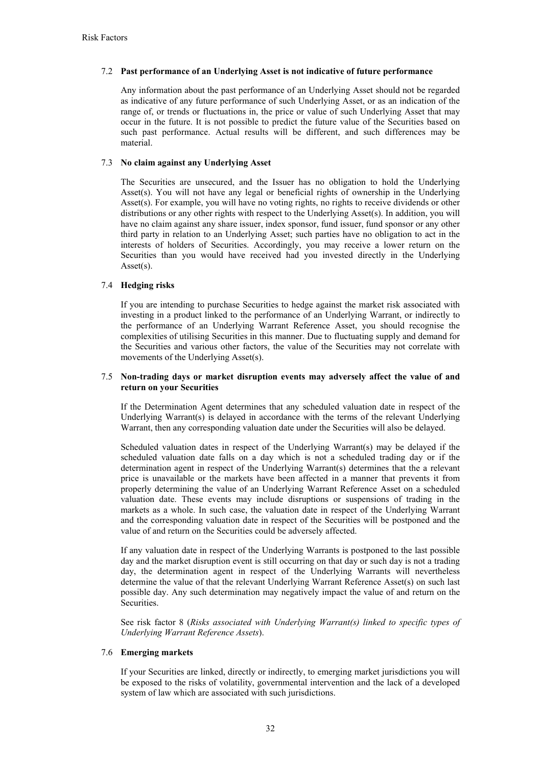# 7.2 **Past performance of an Underlying Asset is not indicative of future performance**

Any information about the past performance of an Underlying Asset should not be regarded as indicative of any future performance of such Underlying Asset, or as an indication of the range of, or trends or fluctuations in, the price or value of such Underlying Asset that may occur in the future. It is not possible to predict the future value of the Securities based on such past performance. Actual results will be different, and such differences may be material.

# 7.3 **No claim against any Underlying Asset**

The Securities are unsecured, and the Issuer has no obligation to hold the Underlying Asset(s). You will not have any legal or beneficial rights of ownership in the Underlying Asset(s). For example, you will have no voting rights, no rights to receive dividends or other distributions or any other rights with respect to the Underlying Asset(s). In addition, you will have no claim against any share issuer, index sponsor, fund issuer, fund sponsor or any other third party in relation to an Underlying Asset; such parties have no obligation to act in the interests of holders of Securities. Accordingly, you may receive a lower return on the Securities than you would have received had you invested directly in the Underlying Asset(s).

# 7.4 **Hedging risks**

If you are intending to purchase Securities to hedge against the market risk associated with investing in a product linked to the performance of an Underlying Warrant, or indirectly to the performance of an Underlying Warrant Reference Asset, you should recognise the complexities of utilising Securities in this manner. Due to fluctuating supply and demand for the Securities and various other factors, the value of the Securities may not correlate with movements of the Underlying Asset(s).

## 7.5 **Non-trading days or market disruption events may adversely affect the value of and return on your Securities**

If the Determination Agent determines that any scheduled valuation date in respect of the Underlying Warrant(s) is delayed in accordance with the terms of the relevant Underlying Warrant, then any corresponding valuation date under the Securities will also be delayed.

Scheduled valuation dates in respect of the Underlying Warrant(s) may be delayed if the scheduled valuation date falls on a day which is not a scheduled trading day or if the determination agent in respect of the Underlying Warrant(s) determines that the a relevant price is unavailable or the markets have been affected in a manner that prevents it from properly determining the value of an Underlying Warrant Reference Asset on a scheduled valuation date. These events may include disruptions or suspensions of trading in the markets as a whole. In such case, the valuation date in respect of the Underlying Warrant and the corresponding valuation date in respect of the Securities will be postponed and the value of and return on the Securities could be adversely affected.

If any valuation date in respect of the Underlying Warrants is postponed to the last possible day and the market disruption event is still occurring on that day or such day is not a trading day, the determination agent in respect of the Underlying Warrants will nevertheless determine the value of that the relevant Underlying Warrant Reference Asset(s) on such last possible day. Any such determination may negatively impact the value of and return on the Securities.

See risk factor 8 (*Risks associated with Underlying Warrant(s) linked to specific types of Underlying Warrant Reference Assets*).

### 7.6 **Emerging markets**

If your Securities are linked, directly or indirectly, to emerging market jurisdictions you will be exposed to the risks of volatility, governmental intervention and the lack of a developed system of law which are associated with such jurisdictions.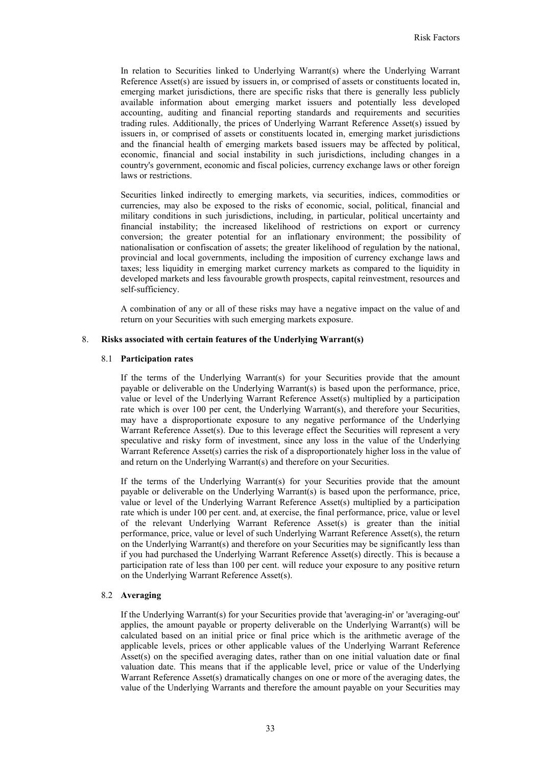In relation to Securities linked to Underlying Warrant(s) where the Underlying Warrant Reference Asset(s) are issued by issuers in, or comprised of assets or constituents located in, emerging market jurisdictions, there are specific risks that there is generally less publicly available information about emerging market issuers and potentially less developed accounting, auditing and financial reporting standards and requirements and securities trading rules. Additionally, the prices of Underlying Warrant Reference Asset(s) issued by issuers in, or comprised of assets or constituents located in, emerging market jurisdictions and the financial health of emerging markets based issuers may be affected by political, economic, financial and social instability in such jurisdictions, including changes in a country's government, economic and fiscal policies, currency exchange laws or other foreign laws or restrictions.

Securities linked indirectly to emerging markets, via securities, indices, commodities or currencies, may also be exposed to the risks of economic, social, political, financial and military conditions in such jurisdictions, including, in particular, political uncertainty and financial instability; the increased likelihood of restrictions on export or currency conversion; the greater potential for an inflationary environment; the possibility of nationalisation or confiscation of assets; the greater likelihood of regulation by the national, provincial and local governments, including the imposition of currency exchange laws and taxes; less liquidity in emerging market currency markets as compared to the liquidity in developed markets and less favourable growth prospects, capital reinvestment, resources and self-sufficiency.

A combination of any or all of these risks may have a negative impact on the value of and return on your Securities with such emerging markets exposure.

### 8. **Risks associated with certain features of the Underlying Warrant(s)**

### 8.1 **Participation rates**

If the terms of the Underlying Warrant(s) for your Securities provide that the amount payable or deliverable on the Underlying Warrant(s) is based upon the performance, price, value or level of the Underlying Warrant Reference Asset(s) multiplied by a participation rate which is over 100 per cent, the Underlying Warrant(s), and therefore your Securities, may have a disproportionate exposure to any negative performance of the Underlying Warrant Reference Asset(s). Due to this leverage effect the Securities will represent a very speculative and risky form of investment, since any loss in the value of the Underlying Warrant Reference Asset(s) carries the risk of a disproportionately higher loss in the value of and return on the Underlying Warrant(s) and therefore on your Securities.

If the terms of the Underlying Warrant(s) for your Securities provide that the amount payable or deliverable on the Underlying Warrant(s) is based upon the performance, price, value or level of the Underlying Warrant Reference Asset(s) multiplied by a participation rate which is under 100 per cent. and, at exercise, the final performance, price, value or level of the relevant Underlying Warrant Reference Asset(s) is greater than the initial performance, price, value or level of such Underlying Warrant Reference Asset(s), the return on the Underlying Warrant(s) and therefore on your Securities may be significantly less than if you had purchased the Underlying Warrant Reference Asset(s) directly. This is because a participation rate of less than 100 per cent. will reduce your exposure to any positive return on the Underlying Warrant Reference Asset(s).

# 8.2 **Averaging**

If the Underlying Warrant(s) for your Securities provide that 'averaging-in' or 'averaging-out' applies, the amount payable or property deliverable on the Underlying Warrant(s) will be calculated based on an initial price or final price which is the arithmetic average of the applicable levels, prices or other applicable values of the Underlying Warrant Reference Asset(s) on the specified averaging dates, rather than on one initial valuation date or final valuation date. This means that if the applicable level, price or value of the Underlying Warrant Reference Asset(s) dramatically changes on one or more of the averaging dates, the value of the Underlying Warrants and therefore the amount payable on your Securities may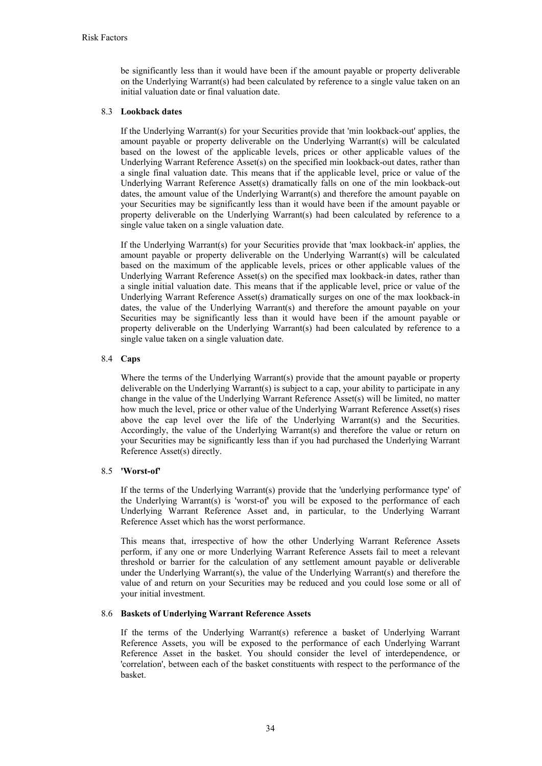be significantly less than it would have been if the amount payable or property deliverable on the Underlying Warrant(s) had been calculated by reference to a single value taken on an initial valuation date or final valuation date.

# 8.3 **Lookback dates**

If the Underlying Warrant(s) for your Securities provide that 'min lookback-out' applies, the amount payable or property deliverable on the Underlying Warrant(s) will be calculated based on the lowest of the applicable levels, prices or other applicable values of the Underlying Warrant Reference Asset(s) on the specified min lookback-out dates, rather than a single final valuation date. This means that if the applicable level, price or value of the Underlying Warrant Reference Asset(s) dramatically falls on one of the min lookback-out dates, the amount value of the Underlying Warrant(s) and therefore the amount payable on your Securities may be significantly less than it would have been if the amount payable or property deliverable on the Underlying Warrant(s) had been calculated by reference to a single value taken on a single valuation date.

If the Underlying Warrant(s) for your Securities provide that 'max lookback-in' applies, the amount payable or property deliverable on the Underlying Warrant(s) will be calculated based on the maximum of the applicable levels, prices or other applicable values of the Underlying Warrant Reference Asset(s) on the specified max lookback-in dates, rather than a single initial valuation date. This means that if the applicable level, price or value of the Underlying Warrant Reference Asset(s) dramatically surges on one of the max lookback-in dates, the value of the Underlying Warrant(s) and therefore the amount payable on your Securities may be significantly less than it would have been if the amount payable or property deliverable on the Underlying Warrant(s) had been calculated by reference to a single value taken on a single valuation date.

# 8.4 **Caps**

Where the terms of the Underlying Warrant(s) provide that the amount payable or property deliverable on the Underlying Warrant(s) is subject to a cap, your ability to participate in any change in the value of the Underlying Warrant Reference Asset(s) will be limited, no matter how much the level, price or other value of the Underlying Warrant Reference Asset(s) rises above the cap level over the life of the Underlying Warrant(s) and the Securities. Accordingly, the value of the Underlying Warrant(s) and therefore the value or return on your Securities may be significantly less than if you had purchased the Underlying Warrant Reference Asset(s) directly.

### 8.5 **'Worst-of'**

If the terms of the Underlying Warrant(s) provide that the 'underlying performance type' of the Underlying Warrant(s) is 'worst-of' you will be exposed to the performance of each Underlying Warrant Reference Asset and, in particular, to the Underlying Warrant Reference Asset which has the worst performance.

This means that, irrespective of how the other Underlying Warrant Reference Assets perform, if any one or more Underlying Warrant Reference Assets fail to meet a relevant threshold or barrier for the calculation of any settlement amount payable or deliverable under the Underlying Warrant(s), the value of the Underlying Warrant(s) and therefore the value of and return on your Securities may be reduced and you could lose some or all of your initial investment.

# 8.6 **Baskets of Underlying Warrant Reference Assets**

If the terms of the Underlying Warrant(s) reference a basket of Underlying Warrant Reference Assets, you will be exposed to the performance of each Underlying Warrant Reference Asset in the basket. You should consider the level of interdependence, or 'correlation', between each of the basket constituents with respect to the performance of the basket.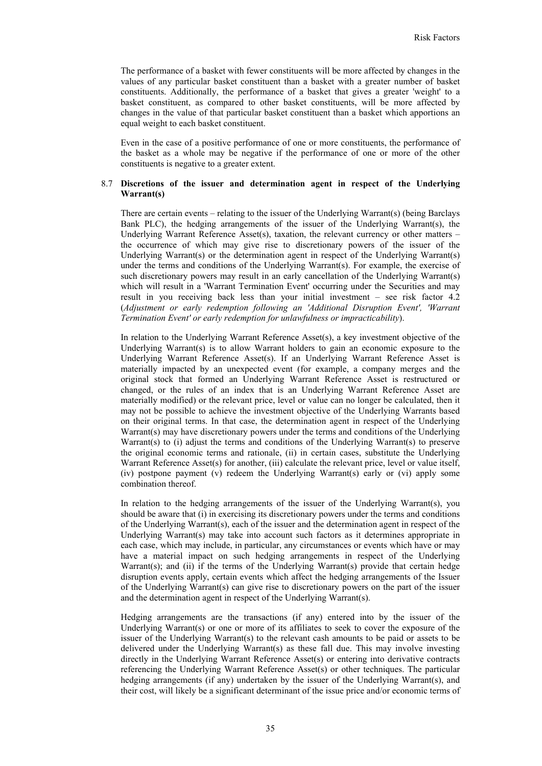The performance of a basket with fewer constituents will be more affected by changes in the values of any particular basket constituent than a basket with a greater number of basket constituents. Additionally, the performance of a basket that gives a greater 'weight' to a basket constituent, as compared to other basket constituents, will be more affected by changes in the value of that particular basket constituent than a basket which apportions an equal weight to each basket constituent.

Even in the case of a positive performance of one or more constituents, the performance of the basket as a whole may be negative if the performance of one or more of the other constituents is negative to a greater extent.

# 8.7 **Discretions of the issuer and determination agent in respect of the Underlying Warrant(s)**

There are certain events – relating to the issuer of the Underlying Warrant(s) (being Barclays Bank PLC), the hedging arrangements of the issuer of the Underlying Warrant(s), the Underlying Warrant Reference Asset(s), taxation, the relevant currency or other matters – the occurrence of which may give rise to discretionary powers of the issuer of the Underlying Warrant(s) or the determination agent in respect of the Underlying Warrant(s) under the terms and conditions of the Underlying Warrant(s). For example, the exercise of such discretionary powers may result in an early cancellation of the Underlying Warrant(s) which will result in a 'Warrant Termination Event' occurring under the Securities and may result in you receiving back less than your initial investment – see risk factor 4.2 (*Adjustment or early redemption following an 'Additional Disruption Event', 'Warrant Termination Event' or early redemption for unlawfulness or impracticability*).

In relation to the Underlying Warrant Reference Asset(s), a key investment objective of the Underlying Warrant(s) is to allow Warrant holders to gain an economic exposure to the Underlying Warrant Reference Asset(s). If an Underlying Warrant Reference Asset is materially impacted by an unexpected event (for example, a company merges and the original stock that formed an Underlying Warrant Reference Asset is restructured or changed, or the rules of an index that is an Underlying Warrant Reference Asset are materially modified) or the relevant price, level or value can no longer be calculated, then it may not be possible to achieve the investment objective of the Underlying Warrants based on their original terms. In that case, the determination agent in respect of the Underlying Warrant(s) may have discretionary powers under the terms and conditions of the Underlying Warrant(s) to (i) adjust the terms and conditions of the Underlying Warrant(s) to preserve the original economic terms and rationale, (ii) in certain cases, substitute the Underlying Warrant Reference Asset(s) for another, (iii) calculate the relevant price, level or value itself, (iv) postpone payment (v) redeem the Underlying Warrant(s) early or (vi) apply some combination thereof.

In relation to the hedging arrangements of the issuer of the Underlying Warrant(s), you should be aware that (i) in exercising its discretionary powers under the terms and conditions of the Underlying Warrant(s), each of the issuer and the determination agent in respect of the Underlying Warrant(s) may take into account such factors as it determines appropriate in each case, which may include, in particular, any circumstances or events which have or may have a material impact on such hedging arrangements in respect of the Underlying Warrant(s); and (ii) if the terms of the Underlying Warrant(s) provide that certain hedge disruption events apply, certain events which affect the hedging arrangements of the Issuer of the Underlying Warrant(s) can give rise to discretionary powers on the part of the issuer and the determination agent in respect of the Underlying Warrant(s).

Hedging arrangements are the transactions (if any) entered into by the issuer of the Underlying Warrant(s) or one or more of its affiliates to seek to cover the exposure of the issuer of the Underlying Warrant(s) to the relevant cash amounts to be paid or assets to be delivered under the Underlying Warrant(s) as these fall due. This may involve investing directly in the Underlying Warrant Reference Asset(s) or entering into derivative contracts referencing the Underlying Warrant Reference Asset(s) or other techniques. The particular hedging arrangements (if any) undertaken by the issuer of the Underlying Warrant(s), and their cost, will likely be a significant determinant of the issue price and/or economic terms of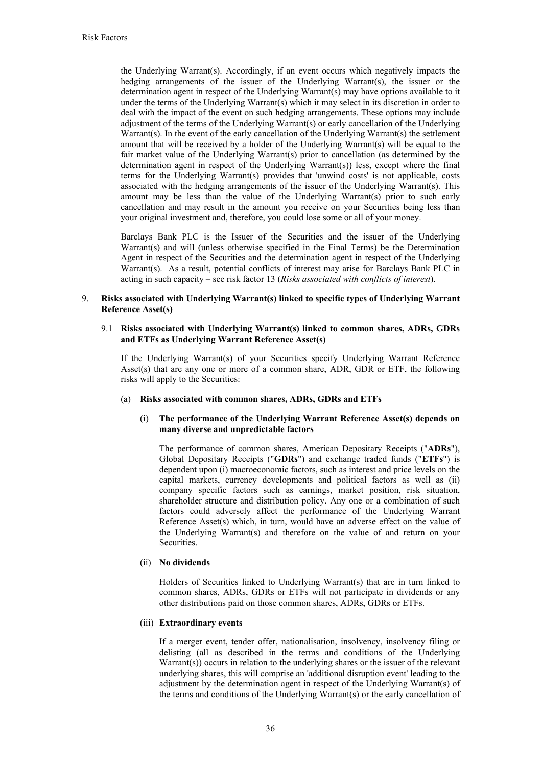the Underlying Warrant(s). Accordingly, if an event occurs which negatively impacts the hedging arrangements of the issuer of the Underlying Warrant(s), the issuer or the determination agent in respect of the Underlying Warrant(s) may have options available to it under the terms of the Underlying Warrant(s) which it may select in its discretion in order to deal with the impact of the event on such hedging arrangements. These options may include adjustment of the terms of the Underlying Warrant(s) or early cancellation of the Underlying Warrant(s). In the event of the early cancellation of the Underlying Warrant(s) the settlement amount that will be received by a holder of the Underlying Warrant(s) will be equal to the fair market value of the Underlying Warrant(s) prior to cancellation (as determined by the determination agent in respect of the Underlying Warrant(s)) less, except where the final terms for the Underlying Warrant(s) provides that 'unwind costs' is not applicable, costs associated with the hedging arrangements of the issuer of the Underlying Warrant(s). This amount may be less than the value of the Underlying Warrant(s) prior to such early cancellation and may result in the amount you receive on your Securities being less than your original investment and, therefore, you could lose some or all of your money.

Barclays Bank PLC is the Issuer of the Securities and the issuer of the Underlying Warrant(s) and will (unless otherwise specified in the Final Terms) be the Determination Agent in respect of the Securities and the determination agent in respect of the Underlying Warrant(s). As a result, potential conflicts of interest may arise for Barclays Bank PLC in acting in such capacity – see risk factor 13 (*Risks associated with conflicts of interest*).

# 9. **Risks associated with Underlying Warrant(s) linked to specific types of Underlying Warrant Reference Asset(s)**

## 9.1 **Risks associated with Underlying Warrant(s) linked to common shares, ADRs, GDRs and ETFs as Underlying Warrant Reference Asset(s)**

If the Underlying Warrant(s) of your Securities specify Underlying Warrant Reference Asset(s) that are any one or more of a common share, ADR, GDR or ETF, the following risks will apply to the Securities:

(a) **Risks associated with common shares, ADRs, GDRs and ETFs** 

# (i) **The performance of the Underlying Warrant Reference Asset(s) depends on many diverse and unpredictable factors**

The performance of common shares, American Depositary Receipts ("**ADRs**"), Global Depositary Receipts ("**GDRs**") and exchange traded funds ("**ETFs**") is dependent upon (i) macroeconomic factors, such as interest and price levels on the capital markets, currency developments and political factors as well as (ii) company specific factors such as earnings, market position, risk situation, shareholder structure and distribution policy. Any one or a combination of such factors could adversely affect the performance of the Underlying Warrant Reference Asset(s) which, in turn, would have an adverse effect on the value of the Underlying Warrant(s) and therefore on the value of and return on your Securities.

# (ii) **No dividends**

Holders of Securities linked to Underlying Warrant(s) that are in turn linked to common shares, ADRs, GDRs or ETFs will not participate in dividends or any other distributions paid on those common shares, ADRs, GDRs or ETFs.

### (iii) **Extraordinary events**

If a merger event, tender offer, nationalisation, insolvency, insolvency filing or delisting (all as described in the terms and conditions of the Underlying Warrant(s)) occurs in relation to the underlying shares or the issuer of the relevant underlying shares, this will comprise an 'additional disruption event' leading to the adjustment by the determination agent in respect of the Underlying Warrant(s) of the terms and conditions of the Underlying Warrant(s) or the early cancellation of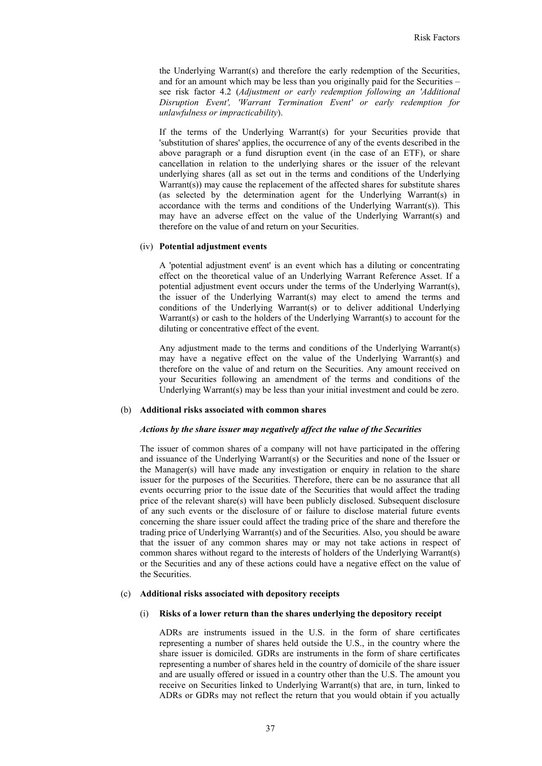the Underlying Warrant(s) and therefore the early redemption of the Securities, and for an amount which may be less than you originally paid for the Securities – see risk factor 4.2 (*Adjustment or early redemption following an 'Additional Disruption Event', 'Warrant Termination Event' or early redemption for unlawfulness or impracticability*).

If the terms of the Underlying Warrant(s) for your Securities provide that 'substitution of shares' applies, the occurrence of any of the events described in the above paragraph or a fund disruption event (in the case of an ETF), or share cancellation in relation to the underlying shares or the issuer of the relevant underlying shares (all as set out in the terms and conditions of the Underlying Warrant(s)) may cause the replacement of the affected shares for substitute shares (as selected by the determination agent for the Underlying Warrant(s) in accordance with the terms and conditions of the Underlying Warrant(s)). This may have an adverse effect on the value of the Underlying Warrant(s) and therefore on the value of and return on your Securities.

#### (iv) **Potential adjustment events**

A 'potential adjustment event' is an event which has a diluting or concentrating effect on the theoretical value of an Underlying Warrant Reference Asset. If a potential adjustment event occurs under the terms of the Underlying Warrant(s), the issuer of the Underlying Warrant(s) may elect to amend the terms and conditions of the Underlying Warrant(s) or to deliver additional Underlying Warrant(s) or cash to the holders of the Underlying Warrant(s) to account for the diluting or concentrative effect of the event.

Any adjustment made to the terms and conditions of the Underlying Warrant(s) may have a negative effect on the value of the Underlying Warrant(s) and therefore on the value of and return on the Securities. Any amount received on your Securities following an amendment of the terms and conditions of the Underlying Warrant(s) may be less than your initial investment and could be zero.

#### (b) **Additional risks associated with common shares**

#### *Actions by the share issuer may negatively affect the value of the Securities*

The issuer of common shares of a company will not have participated in the offering and issuance of the Underlying Warrant(s) or the Securities and none of the Issuer or the Manager(s) will have made any investigation or enquiry in relation to the share issuer for the purposes of the Securities. Therefore, there can be no assurance that all events occurring prior to the issue date of the Securities that would affect the trading price of the relevant share(s) will have been publicly disclosed. Subsequent disclosure of any such events or the disclosure of or failure to disclose material future events concerning the share issuer could affect the trading price of the share and therefore the trading price of Underlying Warrant(s) and of the Securities. Also, you should be aware that the issuer of any common shares may or may not take actions in respect of common shares without regard to the interests of holders of the Underlying Warrant(s) or the Securities and any of these actions could have a negative effect on the value of the Securities.

#### (c) **Additional risks associated with depository receipts**

#### (i) **Risks of a lower return than the shares underlying the depository receipt**

ADRs are instruments issued in the U.S. in the form of share certificates representing a number of shares held outside the U.S., in the country where the share issuer is domiciled. GDRs are instruments in the form of share certificates representing a number of shares held in the country of domicile of the share issuer and are usually offered or issued in a country other than the U.S. The amount you receive on Securities linked to Underlying Warrant(s) that are, in turn, linked to ADRs or GDRs may not reflect the return that you would obtain if you actually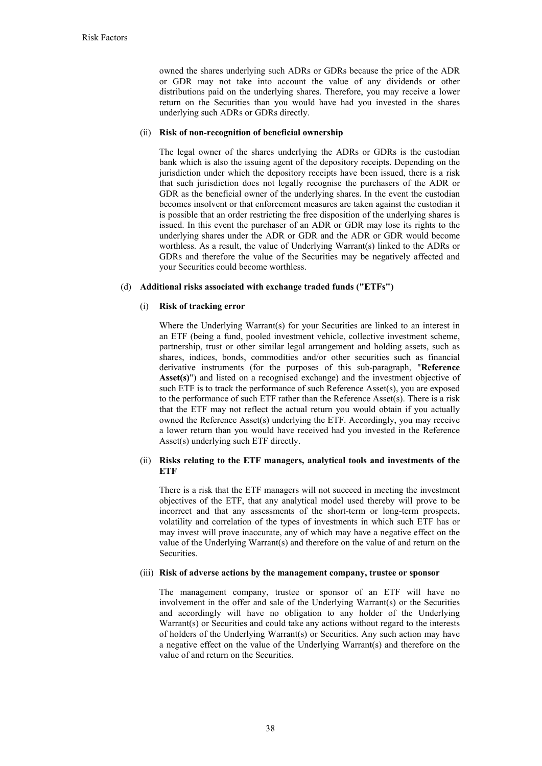owned the shares underlying such ADRs or GDRs because the price of the ADR or GDR may not take into account the value of any dividends or other distributions paid on the underlying shares. Therefore, you may receive a lower return on the Securities than you would have had you invested in the shares underlying such ADRs or GDRs directly.

## (ii) **Risk of non-recognition of beneficial ownership**

The legal owner of the shares underlying the ADRs or GDRs is the custodian bank which is also the issuing agent of the depository receipts. Depending on the jurisdiction under which the depository receipts have been issued, there is a risk that such jurisdiction does not legally recognise the purchasers of the ADR or GDR as the beneficial owner of the underlying shares. In the event the custodian becomes insolvent or that enforcement measures are taken against the custodian it is possible that an order restricting the free disposition of the underlying shares is issued. In this event the purchaser of an ADR or GDR may lose its rights to the underlying shares under the ADR or GDR and the ADR or GDR would become worthless. As a result, the value of Underlying Warrant(s) linked to the ADRs or GDRs and therefore the value of the Securities may be negatively affected and your Securities could become worthless.

# (d) **Additional risks associated with exchange traded funds ("ETFs")**

# (i) **Risk of tracking error**

Where the Underlying Warrant(s) for your Securities are linked to an interest in an ETF (being a fund, pooled investment vehicle, collective investment scheme, partnership, trust or other similar legal arrangement and holding assets, such as shares, indices, bonds, commodities and/or other securities such as financial derivative instruments (for the purposes of this sub-paragraph, "**Reference Asset(s)**") and listed on a recognised exchange) and the investment objective of such ETF is to track the performance of such Reference Asset(s), you are exposed to the performance of such ETF rather than the Reference Asset(s). There is a risk that the ETF may not reflect the actual return you would obtain if you actually owned the Reference Asset(s) underlying the ETF. Accordingly, you may receive a lower return than you would have received had you invested in the Reference Asset(s) underlying such ETF directly.

# (ii) **Risks relating to the ETF managers, analytical tools and investments of the ETF**

There is a risk that the ETF managers will not succeed in meeting the investment objectives of the ETF, that any analytical model used thereby will prove to be incorrect and that any assessments of the short-term or long-term prospects, volatility and correlation of the types of investments in which such ETF has or may invest will prove inaccurate, any of which may have a negative effect on the value of the Underlying Warrant(s) and therefore on the value of and return on the **Securities** 

## (iii) **Risk of adverse actions by the management company, trustee or sponsor**

The management company, trustee or sponsor of an ETF will have no involvement in the offer and sale of the Underlying Warrant(s) or the Securities and accordingly will have no obligation to any holder of the Underlying Warrant(s) or Securities and could take any actions without regard to the interests of holders of the Underlying Warrant(s) or Securities. Any such action may have a negative effect on the value of the Underlying Warrant(s) and therefore on the value of and return on the Securities.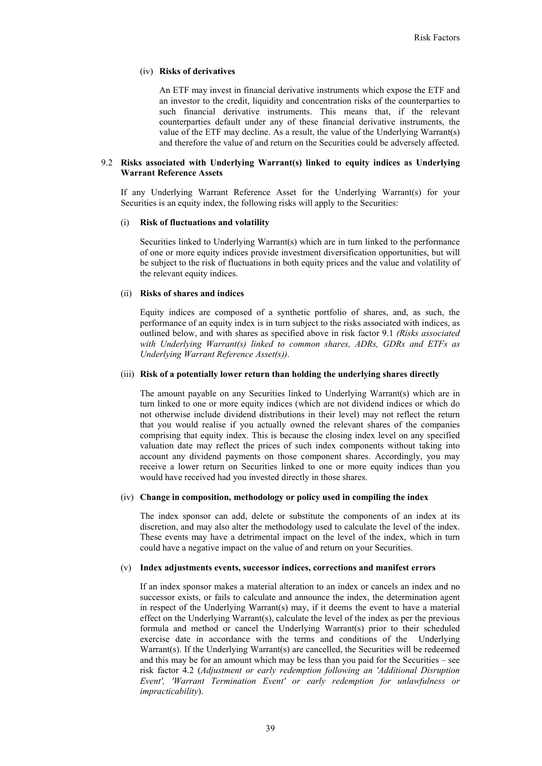## (iv) **Risks of derivatives**

An ETF may invest in financial derivative instruments which expose the ETF and an investor to the credit, liquidity and concentration risks of the counterparties to such financial derivative instruments. This means that, if the relevant counterparties default under any of these financial derivative instruments, the value of the ETF may decline. As a result, the value of the Underlying Warrant(s) and therefore the value of and return on the Securities could be adversely affected.

### 9.2 **Risks associated with Underlying Warrant(s) linked to equity indices as Underlying Warrant Reference Assets**

If any Underlying Warrant Reference Asset for the Underlying Warrant(s) for your Securities is an equity index, the following risks will apply to the Securities:

# (i) **Risk of fluctuations and volatility**

Securities linked to Underlying Warrant(s) which are in turn linked to the performance of one or more equity indices provide investment diversification opportunities, but will be subject to the risk of fluctuations in both equity prices and the value and volatility of the relevant equity indices.

#### (ii) **Risks of shares and indices**

Equity indices are composed of a synthetic portfolio of shares, and, as such, the performance of an equity index is in turn subject to the risks associated with indices, as outlined below, and with shares as specified above in risk factor 9.1 *(Risks associated with Underlying Warrant(s) linked to common shares, ADRs, GDRs and ETFs as Underlying Warrant Reference Asset(s))*.

## (iii) **Risk of a potentially lower return than holding the underlying shares directly**

The amount payable on any Securities linked to Underlying Warrant(s) which are in turn linked to one or more equity indices (which are not dividend indices or which do not otherwise include dividend distributions in their level) may not reflect the return that you would realise if you actually owned the relevant shares of the companies comprising that equity index. This is because the closing index level on any specified valuation date may reflect the prices of such index components without taking into account any dividend payments on those component shares. Accordingly, you may receive a lower return on Securities linked to one or more equity indices than you would have received had you invested directly in those shares.

#### (iv) **Change in composition, methodology or policy used in compiling the index**

The index sponsor can add, delete or substitute the components of an index at its discretion, and may also alter the methodology used to calculate the level of the index. These events may have a detrimental impact on the level of the index, which in turn could have a negative impact on the value of and return on your Securities.

#### (v) **Index adjustments events, successor indices, corrections and manifest errors**

If an index sponsor makes a material alteration to an index or cancels an index and no successor exists, or fails to calculate and announce the index, the determination agent in respect of the Underlying Warrant(s) may, if it deems the event to have a material effect on the Underlying Warrant(s), calculate the level of the index as per the previous formula and method or cancel the Underlying Warrant(s) prior to their scheduled exercise date in accordance with the terms and conditions of the Underlying Warrant(s). If the Underlying Warrant(s) are cancelled, the Securities will be redeemed and this may be for an amount which may be less than you paid for the Securities – see risk factor 4.2 (*Adjustment or early redemption following an 'Additional Disruption Event', 'Warrant Termination Event' or early redemption for unlawfulness or impracticability*).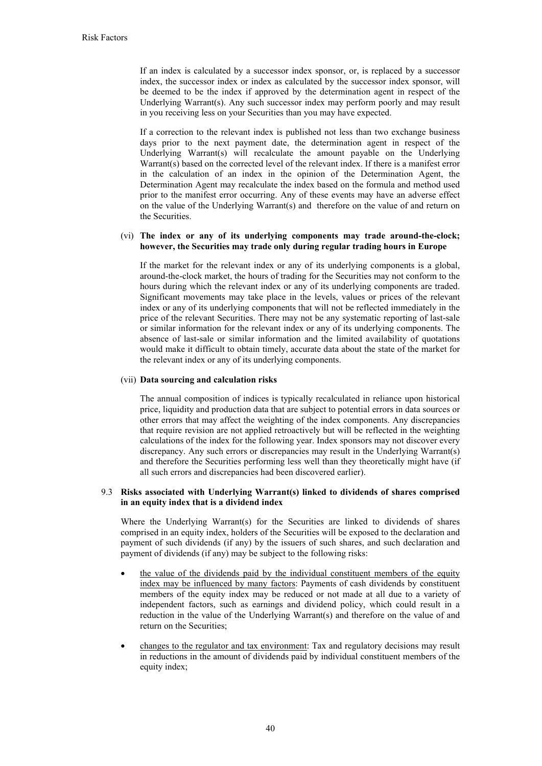If an index is calculated by a successor index sponsor, or, is replaced by a successor index, the successor index or index as calculated by the successor index sponsor, will be deemed to be the index if approved by the determination agent in respect of the Underlying Warrant(s). Any such successor index may perform poorly and may result in you receiving less on your Securities than you may have expected.

If a correction to the relevant index is published not less than two exchange business days prior to the next payment date, the determination agent in respect of the Underlying Warrant(s) will recalculate the amount payable on the Underlying Warrant(s) based on the corrected level of the relevant index. If there is a manifest error in the calculation of an index in the opinion of the Determination Agent, the Determination Agent may recalculate the index based on the formula and method used prior to the manifest error occurring. Any of these events may have an adverse effect on the value of the Underlying Warrant(s) and therefore on the value of and return on the Securities.

# (vi) **The index or any of its underlying components may trade around-the-clock; however, the Securities may trade only during regular trading hours in Europe**

If the market for the relevant index or any of its underlying components is a global, around-the-clock market, the hours of trading for the Securities may not conform to the hours during which the relevant index or any of its underlying components are traded. Significant movements may take place in the levels, values or prices of the relevant index or any of its underlying components that will not be reflected immediately in the price of the relevant Securities. There may not be any systematic reporting of last-sale or similar information for the relevant index or any of its underlying components. The absence of last-sale or similar information and the limited availability of quotations would make it difficult to obtain timely, accurate data about the state of the market for the relevant index or any of its underlying components.

## (vii) **Data sourcing and calculation risks**

The annual composition of indices is typically recalculated in reliance upon historical price, liquidity and production data that are subject to potential errors in data sources or other errors that may affect the weighting of the index components. Any discrepancies that require revision are not applied retroactively but will be reflected in the weighting calculations of the index for the following year. Index sponsors may not discover every discrepancy. Any such errors or discrepancies may result in the Underlying Warrant(s) and therefore the Securities performing less well than they theoretically might have (if all such errors and discrepancies had been discovered earlier).

## 9.3 **Risks associated with Underlying Warrant(s) linked to dividends of shares comprised in an equity index that is a dividend index**

Where the Underlying Warrant(s) for the Securities are linked to dividends of shares comprised in an equity index, holders of the Securities will be exposed to the declaration and payment of such dividends (if any) by the issuers of such shares, and such declaration and payment of dividends (if any) may be subject to the following risks:

- the value of the dividends paid by the individual constituent members of the equity index may be influenced by many factors: Payments of cash dividends by constituent members of the equity index may be reduced or not made at all due to a variety of independent factors, such as earnings and dividend policy, which could result in a reduction in the value of the Underlying Warrant(s) and therefore on the value of and return on the Securities;
- changes to the regulator and tax environment: Tax and regulatory decisions may result in reductions in the amount of dividends paid by individual constituent members of the equity index;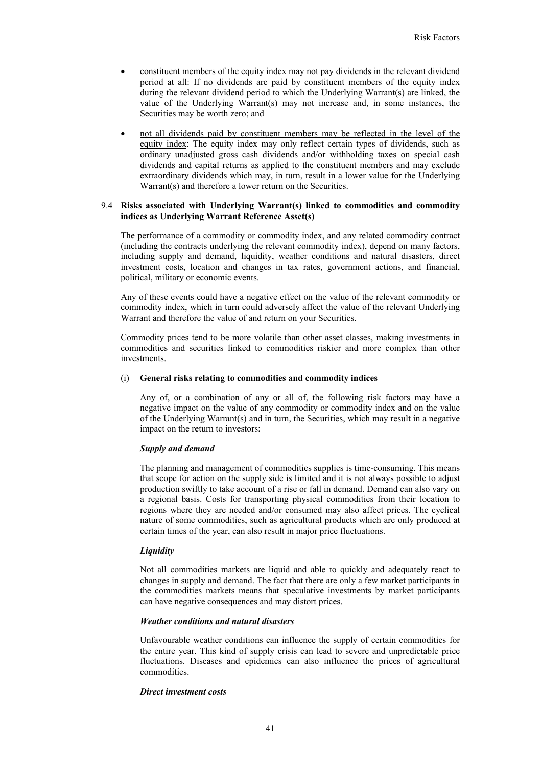- constituent members of the equity index may not pay dividends in the relevant dividend period at all: If no dividends are paid by constituent members of the equity index during the relevant dividend period to which the Underlying Warrant(s) are linked, the value of the Underlying Warrant(s) may not increase and, in some instances, the Securities may be worth zero; and
- not all dividends paid by constituent members may be reflected in the level of the equity index: The equity index may only reflect certain types of dividends, such as ordinary unadjusted gross cash dividends and/or withholding taxes on special cash dividends and capital returns as applied to the constituent members and may exclude extraordinary dividends which may, in turn, result in a lower value for the Underlying Warrant(s) and therefore a lower return on the Securities.

## 9.4 **Risks associated with Underlying Warrant(s) linked to commodities and commodity indices as Underlying Warrant Reference Asset(s)**

The performance of a commodity or commodity index, and any related commodity contract (including the contracts underlying the relevant commodity index), depend on many factors, including supply and demand, liquidity, weather conditions and natural disasters, direct investment costs, location and changes in tax rates, government actions, and financial, political, military or economic events.

Any of these events could have a negative effect on the value of the relevant commodity or commodity index, which in turn could adversely affect the value of the relevant Underlying Warrant and therefore the value of and return on your Securities.

Commodity prices tend to be more volatile than other asset classes, making investments in commodities and securities linked to commodities riskier and more complex than other investments.

#### (i) **General risks relating to commodities and commodity indices**

Any of, or a combination of any or all of, the following risk factors may have a negative impact on the value of any commodity or commodity index and on the value of the Underlying Warrant(s) and in turn, the Securities, which may result in a negative impact on the return to investors:

#### *Supply and demand*

The planning and management of commodities supplies is time-consuming. This means that scope for action on the supply side is limited and it is not always possible to adjust production swiftly to take account of a rise or fall in demand. Demand can also vary on a regional basis. Costs for transporting physical commodities from their location to regions where they are needed and/or consumed may also affect prices. The cyclical nature of some commodities, such as agricultural products which are only produced at certain times of the year, can also result in major price fluctuations.

#### *Liquidity*

Not all commodities markets are liquid and able to quickly and adequately react to changes in supply and demand. The fact that there are only a few market participants in the commodities markets means that speculative investments by market participants can have negative consequences and may distort prices.

#### *Weather conditions and natural disasters*

Unfavourable weather conditions can influence the supply of certain commodities for the entire year. This kind of supply crisis can lead to severe and unpredictable price fluctuations. Diseases and epidemics can also influence the prices of agricultural commodities.

#### *Direct investment costs*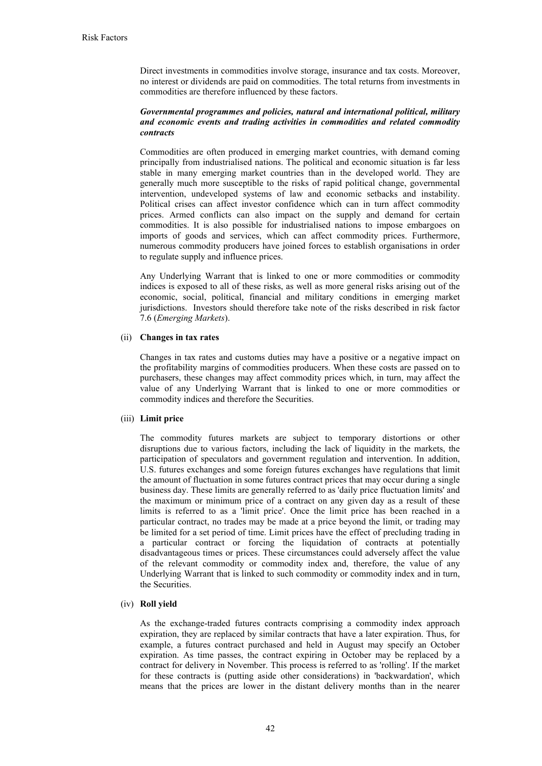Direct investments in commodities involve storage, insurance and tax costs. Moreover, no interest or dividends are paid on commodities. The total returns from investments in commodities are therefore influenced by these factors.

## *Governmental programmes and policies, natural and international political, military and economic events and trading activities in commodities and related commodity contracts*

Commodities are often produced in emerging market countries, with demand coming principally from industrialised nations. The political and economic situation is far less stable in many emerging market countries than in the developed world. They are generally much more susceptible to the risks of rapid political change, governmental intervention, undeveloped systems of law and economic setbacks and instability. Political crises can affect investor confidence which can in turn affect commodity prices. Armed conflicts can also impact on the supply and demand for certain commodities. It is also possible for industrialised nations to impose embargoes on imports of goods and services, which can affect commodity prices. Furthermore, numerous commodity producers have joined forces to establish organisations in order to regulate supply and influence prices.

Any Underlying Warrant that is linked to one or more commodities or commodity indices is exposed to all of these risks, as well as more general risks arising out of the economic, social, political, financial and military conditions in emerging market jurisdictions. Investors should therefore take note of the risks described in risk factor 7.6 (*Emerging Markets*).

# (ii) **Changes in tax rates**

Changes in tax rates and customs duties may have a positive or a negative impact on the profitability margins of commodities producers. When these costs are passed on to purchasers, these changes may affect commodity prices which, in turn, may affect the value of any Underlying Warrant that is linked to one or more commodities or commodity indices and therefore the Securities.

#### (iii) **Limit price**

The commodity futures markets are subject to temporary distortions or other disruptions due to various factors, including the lack of liquidity in the markets, the participation of speculators and government regulation and intervention. In addition, U.S. futures exchanges and some foreign futures exchanges have regulations that limit the amount of fluctuation in some futures contract prices that may occur during a single business day. These limits are generally referred to as 'daily price fluctuation limits' and the maximum or minimum price of a contract on any given day as a result of these limits is referred to as a 'limit price'. Once the limit price has been reached in a particular contract, no trades may be made at a price beyond the limit, or trading may be limited for a set period of time. Limit prices have the effect of precluding trading in a particular contract or forcing the liquidation of contracts at potentially disadvantageous times or prices. These circumstances could adversely affect the value of the relevant commodity or commodity index and, therefore, the value of any Underlying Warrant that is linked to such commodity or commodity index and in turn, the Securities.

# (iv) **Roll yield**

As the exchange-traded futures contracts comprising a commodity index approach expiration, they are replaced by similar contracts that have a later expiration. Thus, for example, a futures contract purchased and held in August may specify an October expiration. As time passes, the contract expiring in October may be replaced by a contract for delivery in November. This process is referred to as 'rolling'. If the market for these contracts is (putting aside other considerations) in 'backwardation', which means that the prices are lower in the distant delivery months than in the nearer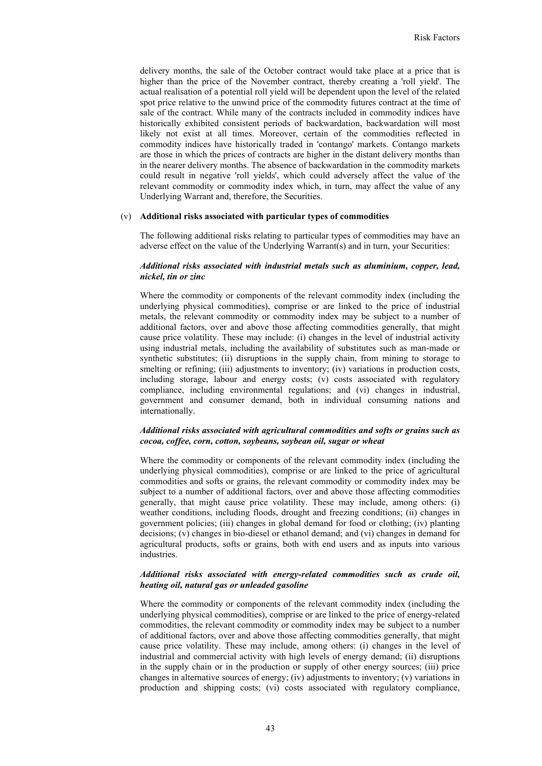delivery months, the sale of the October contract would take place at a price that is higher than the price of the November contract, thereby creating a 'roll yield'. The actual realisation of a potential roll yield will be dependent upon the level of the related spot price relative to the unwind price of the commodity futures contract at the time of sale of the contract. While many of the contracts included in commodity indices have historically exhibited consistent periods of backwardation, backwardation will most likely not exist at all times. Moreover, certain of the commodities reflected in commodity indices have historically traded in 'contango' markets. Contango markets are those in which the prices of contracts are higher in the distant delivery months than in the nearer delivery months. The absence of backwardation in the commodity markets could result in negative 'roll yields', which could adversely affect the value of the relevant commodity or commodity index which, in turn, may affect the value of any Underlying Warrant and, therefore, the Securities.

#### (v) **Additional risks associated with particular types of commodities**

The following additional risks relating to particular types of commodities may have an adverse effect on the value of the Underlying Warrant(s) and in turn, your Securities:

# *Additional risks associated with industrial metals such as aluminium, copper, lead, nickel, tin or zinc*

Where the commodity or components of the relevant commodity index (including the underlying physical commodities), comprise or are linked to the price of industrial metals, the relevant commodity or commodity index may be subject to a number of additional factors, over and above those affecting commodities generally, that might cause price volatility. These may include: (i) changes in the level of industrial activity using industrial metals, including the availability of substitutes such as man-made or synthetic substitutes; (ii) disruptions in the supply chain, from mining to storage to smelting or refining; (iii) adjustments to inventory; (iv) variations in production costs, including storage, labour and energy costs; (v) costs associated with regulatory compliance, including environmental regulations; and (vi) changes in industrial, government and consumer demand, both in individual consuming nations and internationally.

## *Additional risks associated with agricultural commodities and softs or grains such as cocoa, coffee, corn, cotton, soybeans, soybean oil, sugar or wheat*

Where the commodity or components of the relevant commodity index (including the underlying physical commodities), comprise or are linked to the price of agricultural commodities and softs or grains, the relevant commodity or commodity index may be subject to a number of additional factors, over and above those affecting commodities generally, that might cause price volatility. These may include, among others: (i) weather conditions, including floods, drought and freezing conditions; (ii) changes in government policies; (iii) changes in global demand for food or clothing; (iv) planting decisions; (v) changes in bio-diesel or ethanol demand; and (vi) changes in demand for agricultural products, softs or grains, both with end users and as inputs into various industries.

## *Additional risks associated with energy-related commodities such as crude oil, heating oil, natural gas or unleaded gasoline*

Where the commodity or components of the relevant commodity index (including the underlying physical commodities), comprise or are linked to the price of energy-related commodities, the relevant commodity or commodity index may be subject to a number of additional factors, over and above those affecting commodities generally, that might cause price volatility. These may include, among others: (i) changes in the level of industrial and commercial activity with high levels of energy demand; (ii) disruptions in the supply chain or in the production or supply of other energy sources; (iii) price changes in alternative sources of energy; (iv) adjustments to inventory; (v) variations in production and shipping costs; (vi) costs associated with regulatory compliance,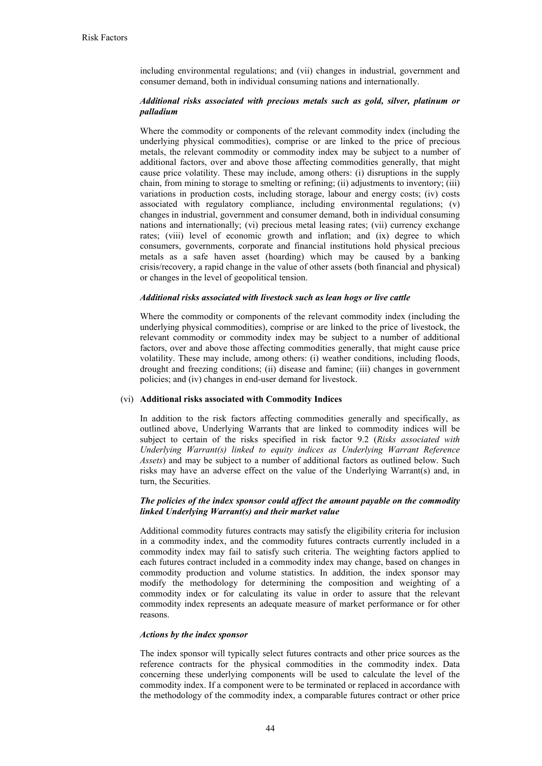including environmental regulations; and (vii) changes in industrial, government and consumer demand, both in individual consuming nations and internationally.

# *Additional risks associated with precious metals such as gold, silver, platinum or palladium*

Where the commodity or components of the relevant commodity index (including the underlying physical commodities), comprise or are linked to the price of precious metals, the relevant commodity or commodity index may be subject to a number of additional factors, over and above those affecting commodities generally, that might cause price volatility. These may include, among others: (i) disruptions in the supply chain, from mining to storage to smelting or refining; (ii) adjustments to inventory; (iii) variations in production costs, including storage, labour and energy costs; (iv) costs associated with regulatory compliance, including environmental regulations; (v) changes in industrial, government and consumer demand, both in individual consuming nations and internationally; (vi) precious metal leasing rates; (vii) currency exchange rates; (viii) level of economic growth and inflation; and (ix) degree to which consumers, governments, corporate and financial institutions hold physical precious metals as a safe haven asset (hoarding) which may be caused by a banking crisis/recovery, a rapid change in the value of other assets (both financial and physical) or changes in the level of geopolitical tension.

# *Additional risks associated with livestock such as lean hogs or live cattle*

Where the commodity or components of the relevant commodity index (including the underlying physical commodities), comprise or are linked to the price of livestock, the relevant commodity or commodity index may be subject to a number of additional factors, over and above those affecting commodities generally, that might cause price volatility. These may include, among others: (i) weather conditions, including floods, drought and freezing conditions; (ii) disease and famine; (iii) changes in government policies; and (iv) changes in end-user demand for livestock.

#### (vi) **Additional risks associated with Commodity Indices**

In addition to the risk factors affecting commodities generally and specifically, as outlined above, Underlying Warrants that are linked to commodity indices will be subject to certain of the risks specified in risk factor 9.2 (*Risks associated with Underlying Warrant(s) linked to equity indices as Underlying Warrant Reference Assets*) and may be subject to a number of additional factors as outlined below. Such risks may have an adverse effect on the value of the Underlying Warrant(s) and, in turn, the Securities.

## *The policies of the index sponsor could affect the amount payable on the commodity linked Underlying Warrant(s) and their market value*

Additional commodity futures contracts may satisfy the eligibility criteria for inclusion in a commodity index, and the commodity futures contracts currently included in a commodity index may fail to satisfy such criteria. The weighting factors applied to each futures contract included in a commodity index may change, based on changes in commodity production and volume statistics. In addition, the index sponsor may modify the methodology for determining the composition and weighting of a commodity index or for calculating its value in order to assure that the relevant commodity index represents an adequate measure of market performance or for other reasons.

#### *Actions by the index sponsor*

The index sponsor will typically select futures contracts and other price sources as the reference contracts for the physical commodities in the commodity index. Data concerning these underlying components will be used to calculate the level of the commodity index. If a component were to be terminated or replaced in accordance with the methodology of the commodity index, a comparable futures contract or other price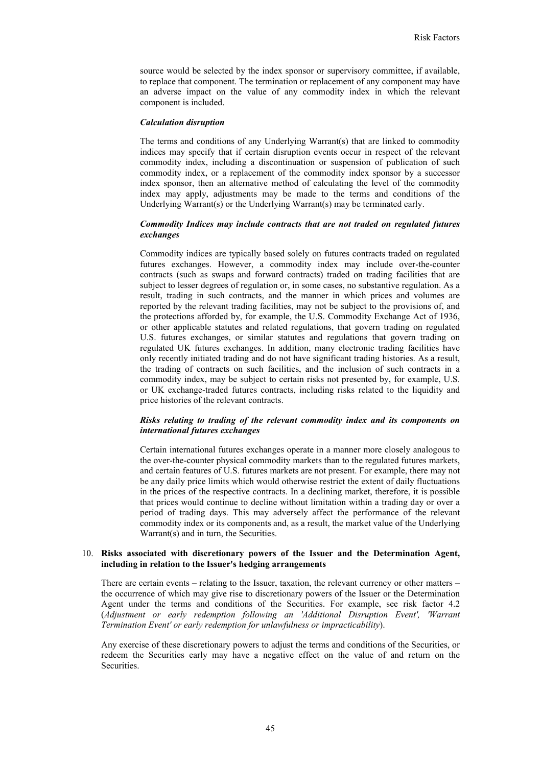source would be selected by the index sponsor or supervisory committee, if available, to replace that component. The termination or replacement of any component may have an adverse impact on the value of any commodity index in which the relevant component is included.

#### *Calculation disruption*

The terms and conditions of any Underlying Warrant(s) that are linked to commodity indices may specify that if certain disruption events occur in respect of the relevant commodity index, including a discontinuation or suspension of publication of such commodity index, or a replacement of the commodity index sponsor by a successor index sponsor, then an alternative method of calculating the level of the commodity index may apply, adjustments may be made to the terms and conditions of the Underlying Warrant(s) or the Underlying Warrant(s) may be terminated early.

## *Commodity Indices may include contracts that are not traded on regulated futures exchanges*

Commodity indices are typically based solely on futures contracts traded on regulated futures exchanges. However, a commodity index may include over-the-counter contracts (such as swaps and forward contracts) traded on trading facilities that are subject to lesser degrees of regulation or, in some cases, no substantive regulation. As a result, trading in such contracts, and the manner in which prices and volumes are reported by the relevant trading facilities, may not be subject to the provisions of, and the protections afforded by, for example, the U.S. Commodity Exchange Act of 1936, or other applicable statutes and related regulations, that govern trading on regulated U.S. futures exchanges, or similar statutes and regulations that govern trading on regulated UK futures exchanges. In addition, many electronic trading facilities have only recently initiated trading and do not have significant trading histories. As a result, the trading of contracts on such facilities, and the inclusion of such contracts in a commodity index, may be subject to certain risks not presented by, for example, U.S. or UK exchange-traded futures contracts, including risks related to the liquidity and price histories of the relevant contracts.

# *Risks relating to trading of the relevant commodity index and its components on international futures exchanges*

Certain international futures exchanges operate in a manner more closely analogous to the over-the-counter physical commodity markets than to the regulated futures markets, and certain features of U.S. futures markets are not present. For example, there may not be any daily price limits which would otherwise restrict the extent of daily fluctuations in the prices of the respective contracts. In a declining market, therefore, it is possible that prices would continue to decline without limitation within a trading day or over a period of trading days. This may adversely affect the performance of the relevant commodity index or its components and, as a result, the market value of the Underlying Warrant(s) and in turn, the Securities.

#### 10. **Risks associated with discretionary powers of the Issuer and the Determination Agent, including in relation to the Issuer's hedging arrangements**

There are certain events – relating to the Issuer, taxation, the relevant currency or other matters – the occurrence of which may give rise to discretionary powers of the Issuer or the Determination Agent under the terms and conditions of the Securities. For example, see risk factor 4.2 (*Adjustment or early redemption following an 'Additional Disruption Event', 'Warrant Termination Event' or early redemption for unlawfulness or impracticability*).

Any exercise of these discretionary powers to adjust the terms and conditions of the Securities, or redeem the Securities early may have a negative effect on the value of and return on the Securities.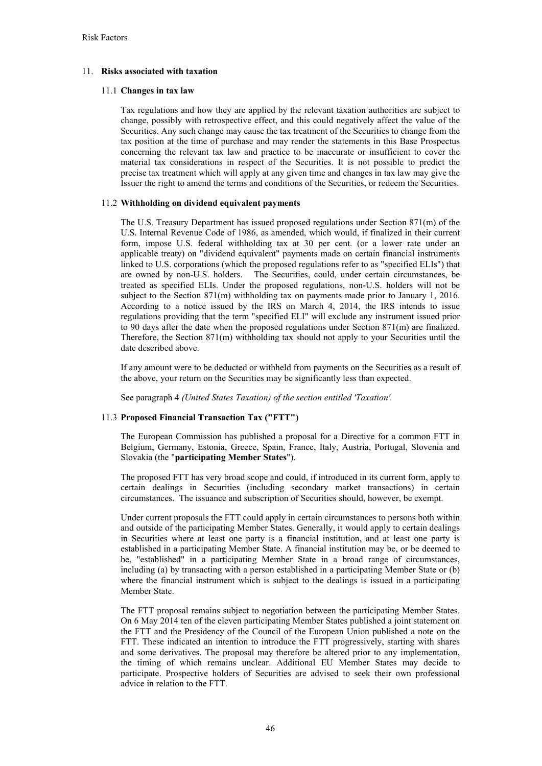# 11. **Risks associated with taxation**

# 11.1 **Changes in tax law**

Tax regulations and how they are applied by the relevant taxation authorities are subject to change, possibly with retrospective effect, and this could negatively affect the value of the Securities. Any such change may cause the tax treatment of the Securities to change from the tax position at the time of purchase and may render the statements in this Base Prospectus concerning the relevant tax law and practice to be inaccurate or insufficient to cover the material tax considerations in respect of the Securities. It is not possible to predict the precise tax treatment which will apply at any given time and changes in tax law may give the Issuer the right to amend the terms and conditions of the Securities, or redeem the Securities.

# 11.2 **Withholding on dividend equivalent payments**

The U.S. Treasury Department has issued proposed regulations under Section 871(m) of the U.S. Internal Revenue Code of 1986, as amended, which would, if finalized in their current form, impose U.S. federal withholding tax at 30 per cent. (or a lower rate under an applicable treaty) on "dividend equivalent" payments made on certain financial instruments linked to U.S. corporations (which the proposed regulations refer to as "specified ELIs") that are owned by non-U.S. holders. The Securities, could, under certain circumstances, be treated as specified ELIs. Under the proposed regulations, non-U.S. holders will not be subject to the Section  $871(m)$  withholding tax on payments made prior to January 1, 2016. According to a notice issued by the IRS on March 4, 2014, the IRS intends to issue regulations providing that the term "specified ELI" will exclude any instrument issued prior to 90 days after the date when the proposed regulations under Section 871(m) are finalized. Therefore, the Section  $871(m)$  withholding tax should not apply to your Securities until the date described above.

If any amount were to be deducted or withheld from payments on the Securities as a result of the above, your return on the Securities may be significantly less than expected.

See paragraph 4 *(United States Taxation) of the section entitled 'Taxation'.*

# 11.3 **Proposed Financial Transaction Tax ("FTT")**

The European Commission has published a proposal for a Directive for a common FTT in Belgium, Germany, Estonia, Greece, Spain, France, Italy, Austria, Portugal, Slovenia and Slovakia (the "**participating Member States**").

The proposed FTT has very broad scope and could, if introduced in its current form, apply to certain dealings in Securities (including secondary market transactions) in certain circumstances. The issuance and subscription of Securities should, however, be exempt.

Under current proposals the FTT could apply in certain circumstances to persons both within and outside of the participating Member States. Generally, it would apply to certain dealings in Securities where at least one party is a financial institution, and at least one party is established in a participating Member State. A financial institution may be, or be deemed to be, "established" in a participating Member State in a broad range of circumstances, including (a) by transacting with a person established in a participating Member State or (b) where the financial instrument which is subject to the dealings is issued in a participating Member State.

The FTT proposal remains subject to negotiation between the participating Member States. On 6 May 2014 ten of the eleven participating Member States published a joint statement on the FTT and the Presidency of the Council of the European Union published a note on the FTT. These indicated an intention to introduce the FTT progressively, starting with shares and some derivatives. The proposal may therefore be altered prior to any implementation, the timing of which remains unclear. Additional EU Member States may decide to participate. Prospective holders of Securities are advised to seek their own professional advice in relation to the FTT.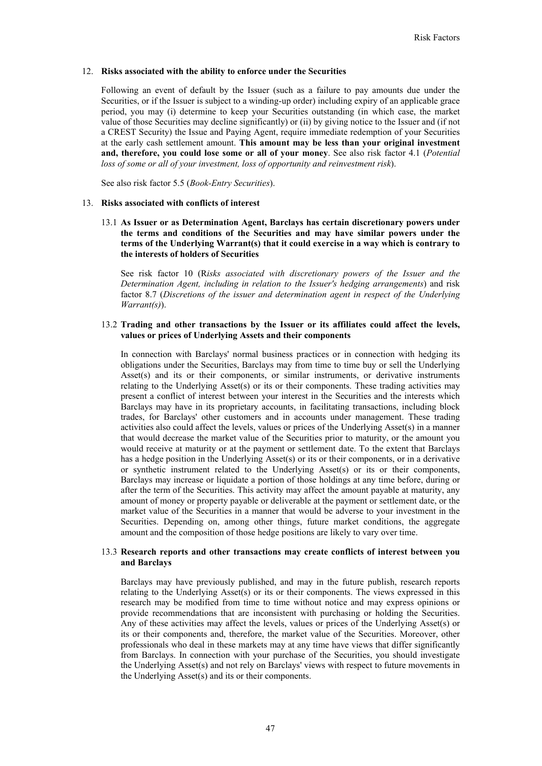# 12. **Risks associated with the ability to enforce under the Securities**

Following an event of default by the Issuer (such as a failure to pay amounts due under the Securities, or if the Issuer is subject to a winding-up order) including expiry of an applicable grace period, you may (i) determine to keep your Securities outstanding (in which case, the market value of those Securities may decline significantly) or (ii) by giving notice to the Issuer and (if not a CREST Security) the Issue and Paying Agent, require immediate redemption of your Securities at the early cash settlement amount. **This amount may be less than your original investment and, therefore, you could lose some or all of your money**. See also risk factor 4.1 (*Potential loss of some or all of your investment, loss of opportunity and reinvestment risk*).

See also risk factor 5.5 (*Book-Entry Securities*).

## 13. **Risks associated with conflicts of interest**

13.1 **As Issuer or as Determination Agent, Barclays has certain discretionary powers under the terms and conditions of the Securities and may have similar powers under the terms of the Underlying Warrant(s) that it could exercise in a way which is contrary to the interests of holders of Securities**

See risk factor 10 (R*isks associated with discretionary powers of the Issuer and the Determination Agent, including in relation to the Issuer's hedging arrangements*) and risk factor 8.7 (*Discretions of the issuer and determination agent in respect of the Underlying Warrant(s)*).

# 13.2 **Trading and other transactions by the Issuer or its affiliates could affect the levels, values or prices of Underlying Assets and their components**

In connection with Barclays' normal business practices or in connection with hedging its obligations under the Securities, Barclays may from time to time buy or sell the Underlying Asset(s) and its or their components, or similar instruments, or derivative instruments relating to the Underlying Asset(s) or its or their components. These trading activities may present a conflict of interest between your interest in the Securities and the interests which Barclays may have in its proprietary accounts, in facilitating transactions, including block trades, for Barclays' other customers and in accounts under management. These trading activities also could affect the levels, values or prices of the Underlying Asset(s) in a manner that would decrease the market value of the Securities prior to maturity, or the amount you would receive at maturity or at the payment or settlement date. To the extent that Barclays has a hedge position in the Underlying Asset(s) or its or their components, or in a derivative or synthetic instrument related to the Underlying Asset(s) or its or their components, Barclays may increase or liquidate a portion of those holdings at any time before, during or after the term of the Securities. This activity may affect the amount payable at maturity, any amount of money or property payable or deliverable at the payment or settlement date, or the market value of the Securities in a manner that would be adverse to your investment in the Securities. Depending on, among other things, future market conditions, the aggregate amount and the composition of those hedge positions are likely to vary over time.

## 13.3 **Research reports and other transactions may create conflicts of interest between you and Barclays**

Barclays may have previously published, and may in the future publish, research reports relating to the Underlying Asset(s) or its or their components. The views expressed in this research may be modified from time to time without notice and may express opinions or provide recommendations that are inconsistent with purchasing or holding the Securities. Any of these activities may affect the levels, values or prices of the Underlying Asset(s) or its or their components and, therefore, the market value of the Securities. Moreover, other professionals who deal in these markets may at any time have views that differ significantly from Barclays. In connection with your purchase of the Securities, you should investigate the Underlying Asset(s) and not rely on Barclays' views with respect to future movements in the Underlying Asset(s) and its or their components.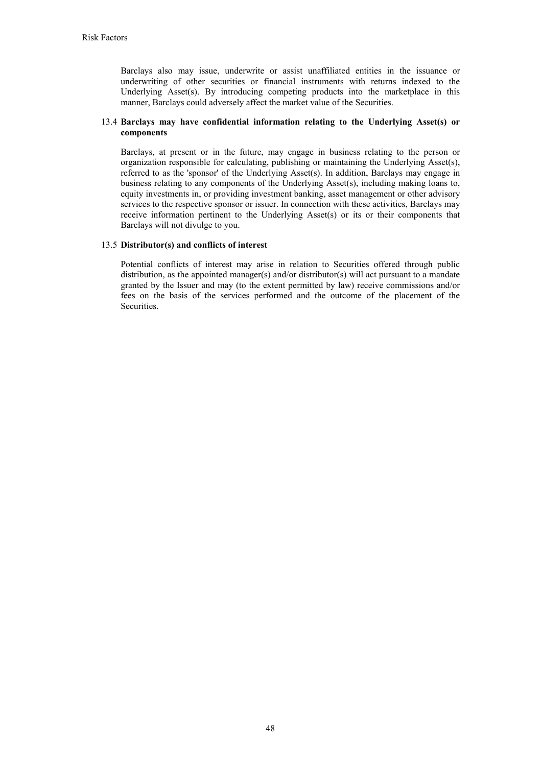Barclays also may issue, underwrite or assist unaffiliated entities in the issuance or underwriting of other securities or financial instruments with returns indexed to the Underlying Asset(s). By introducing competing products into the marketplace in this manner, Barclays could adversely affect the market value of the Securities.

## 13.4 **Barclays may have confidential information relating to the Underlying Asset(s) or components**

Barclays, at present or in the future, may engage in business relating to the person or organization responsible for calculating, publishing or maintaining the Underlying Asset(s), referred to as the 'sponsor' of the Underlying Asset(s). In addition, Barclays may engage in business relating to any components of the Underlying Asset(s), including making loans to, equity investments in, or providing investment banking, asset management or other advisory services to the respective sponsor or issuer. In connection with these activities, Barclays may receive information pertinent to the Underlying Asset(s) or its or their components that Barclays will not divulge to you.

## 13.5 **Distributor(s) and conflicts of interest**

Potential conflicts of interest may arise in relation to Securities offered through public distribution, as the appointed manager(s) and/or distributor(s) will act pursuant to a mandate granted by the Issuer and may (to the extent permitted by law) receive commissions and/or fees on the basis of the services performed and the outcome of the placement of the **Securities**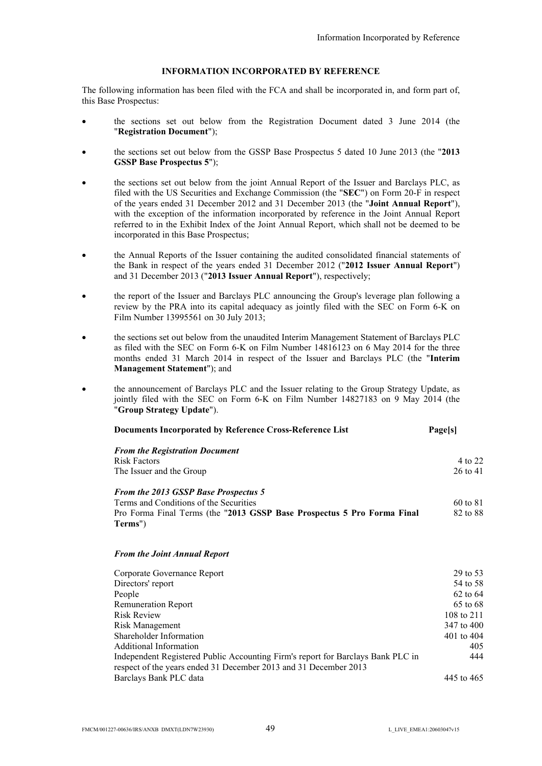# **INFORMATION INCORPORATED BY REFERENCE**

The following information has been filed with the FCA and shall be incorporated in, and form part of, this Base Prospectus:

- the sections set out below from the Registration Document dated 3 June 2014 (the "**Registration Document**");
- the sections set out below from the GSSP Base Prospectus 5 dated 10 June 2013 (the "**2013 GSSP Base Prospectus 5**");
- the sections set out below from the joint Annual Report of the Issuer and Barclays PLC, as filed with the US Securities and Exchange Commission (the "**SEC**") on Form 20-F in respect of the years ended 31 December 2012 and 31 December 2013 (the "**Joint Annual Report**"), with the exception of the information incorporated by reference in the Joint Annual Report referred to in the Exhibit Index of the Joint Annual Report, which shall not be deemed to be incorporated in this Base Prospectus;
- the Annual Reports of the Issuer containing the audited consolidated financial statements of the Bank in respect of the years ended 31 December 2012 ("**2012 Issuer Annual Report**") and 31 December 2013 ("**2013 Issuer Annual Report**"), respectively;
- the report of the Issuer and Barclays PLC announcing the Group's leverage plan following a review by the PRA into its capital adequacy as jointly filed with the SEC on Form 6-K on Film Number 13995561 on 30 July 2013;
- the sections set out below from the unaudited Interim Management Statement of Barclays PLC as filed with the SEC on Form 6-K on Film Number 14816123 on 6 May 2014 for the three months ended 31 March 2014 in respect of the Issuer and Barclays PLC (the "**Interim Management Statement**"); and
- the announcement of Barclays PLC and the Issuer relating to the Group Strategy Update, as jointly filed with the SEC on Form 6-K on Film Number 14827183 on 9 May 2014 (the "**Group Strategy Update**").

| Documents Incorporated by Reference Cross-Reference List                           | <b>Page[s]</b> |
|------------------------------------------------------------------------------------|----------------|
| <b>From the Registration Document</b>                                              |                |
| <b>Risk Factors</b>                                                                | 4 to 22        |
| The Issuer and the Group                                                           | 26 to 41       |
| <b>From the 2013 GSSP Base Prospectus 5</b>                                        |                |
| Terms and Conditions of the Securities                                             | 60 to 81       |
| Pro Forma Final Terms (the "2013 GSSP Base Prospectus 5 Pro Forma Final<br>Terms") | 82 to 88       |
|                                                                                    |                |

#### *From the Joint Annual Report*

| Corporate Governance Report                                                                                                                         | 29 to 53   |
|-----------------------------------------------------------------------------------------------------------------------------------------------------|------------|
| Directors' report                                                                                                                                   | 54 to 58   |
| People                                                                                                                                              | 62 to 64   |
| <b>Remuneration Report</b>                                                                                                                          | 65 to 68   |
| <b>Risk Review</b>                                                                                                                                  | 108 to 211 |
| Risk Management                                                                                                                                     | 347 to 400 |
| Shareholder Information                                                                                                                             | 401 to 404 |
| <b>Additional Information</b>                                                                                                                       | 405        |
| Independent Registered Public Accounting Firm's report for Barclays Bank PLC in<br>respect of the years ended 31 December 2013 and 31 December 2013 | 444        |
| Barclays Bank PLC data                                                                                                                              | 445 to 465 |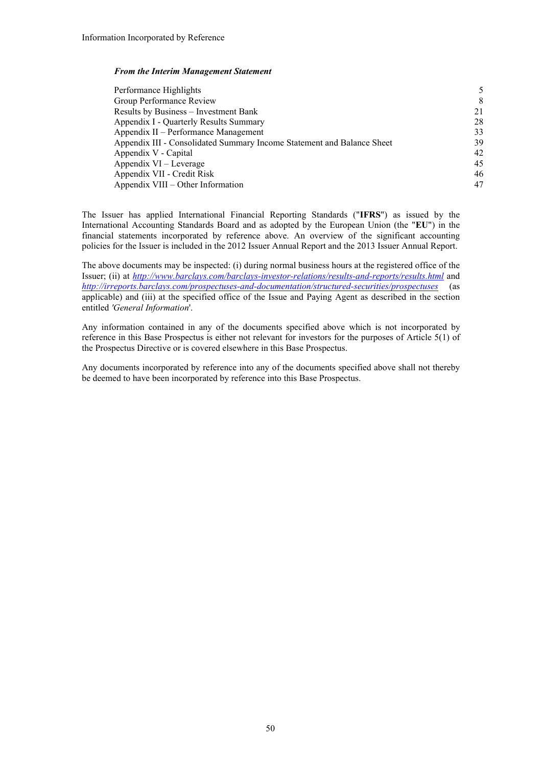#### *From the Interim Management Statement*

| Performance Highlights                                                 |    |
|------------------------------------------------------------------------|----|
| Group Performance Review                                               | 8  |
| Results by Business – Investment Bank                                  | 21 |
| Appendix I - Quarterly Results Summary                                 | 28 |
| Appendix II – Performance Management                                   | 33 |
| Appendix III - Consolidated Summary Income Statement and Balance Sheet | 39 |
| Appendix V - Capital                                                   | 42 |
| Appendix VI – Leverage                                                 | 45 |
| Appendix VII - Credit Risk                                             | 46 |
| Appendix VIII – Other Information                                      | 47 |

The Issuer has applied International Financial Reporting Standards ("**IFRS**") as issued by the International Accounting Standards Board and as adopted by the European Union (the "**EU**") in the financial statements incorporated by reference above. An overview of the significant accounting policies for the Issuer is included in the 2012 Issuer Annual Report and the 2013 Issuer Annual Report.

The above documents may be inspected: (i) during normal business hours at the registered office of the Issuer; (ii) at *http://www.barclays.com/barclays-investor-relations/results-and-reports/results.html* and *http://irreports.barclays.com/prospectuses-and-documentation/structured-securities/prospectuses* (as applicable) and (iii) at the specified office of the Issue and Paying Agent as described in the section entitled *'General Information*'.

Any information contained in any of the documents specified above which is not incorporated by reference in this Base Prospectus is either not relevant for investors for the purposes of Article 5(1) of the Prospectus Directive or is covered elsewhere in this Base Prospectus.

Any documents incorporated by reference into any of the documents specified above shall not thereby be deemed to have been incorporated by reference into this Base Prospectus.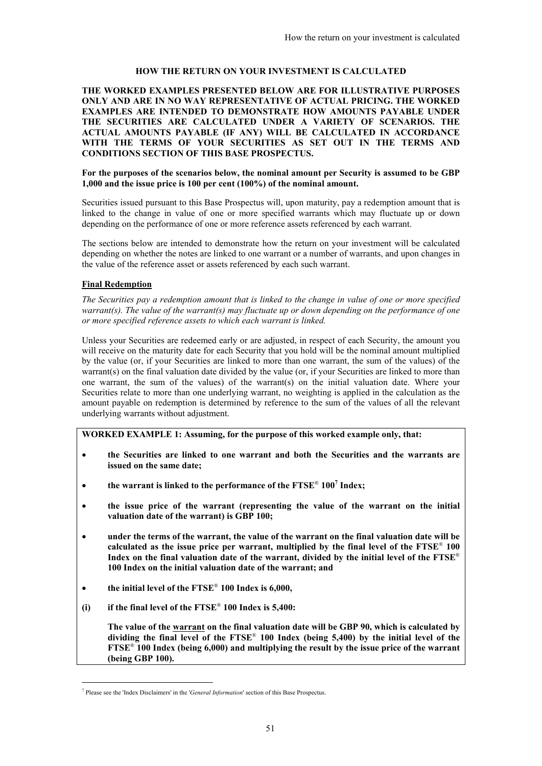## **HOW THE RETURN ON YOUR INVESTMENT IS CALCULATED**

**THE WORKED EXAMPLES PRESENTED BELOW ARE FOR ILLUSTRATIVE PURPOSES ONLY AND ARE IN NO WAY REPRESENTATIVE OF ACTUAL PRICING. THE WORKED EXAMPLES ARE INTENDED TO DEMONSTRATE HOW AMOUNTS PAYABLE UNDER THE SECURITIES ARE CALCULATED UNDER A VARIETY OF SCENARIOS. THE ACTUAL AMOUNTS PAYABLE (IF ANY) WILL BE CALCULATED IN ACCORDANCE WITH THE TERMS OF YOUR SECURITIES AS SET OUT IN THE TERMS AND CONDITIONS SECTION OF THIS BASE PROSPECTUS.**

## **For the purposes of the scenarios below, the nominal amount per Security is assumed to be GBP 1,000 and the issue price is 100 per cent (100%) of the nominal amount.**

Securities issued pursuant to this Base Prospectus will, upon maturity, pay a redemption amount that is linked to the change in value of one or more specified warrants which may fluctuate up or down depending on the performance of one or more reference assets referenced by each warrant.

The sections below are intended to demonstrate how the return on your investment will be calculated depending on whether the notes are linked to one warrant or a number of warrants, and upon changes in the value of the reference asset or assets referenced by each such warrant.

# **Final Redemption**

-

*The Securities pay a redemption amount that is linked to the change in value of one or more specified warrant(s). The value of the warrant(s) may fluctuate up or down depending on the performance of one or more specified reference assets to which each warrant is linked.*

Unless your Securities are redeemed early or are adjusted, in respect of each Security, the amount you will receive on the maturity date for each Security that you hold will be the nominal amount multiplied by the value (or, if your Securities are linked to more than one warrant, the sum of the values) of the warrant(s) on the final valuation date divided by the value (or, if your Securities are linked to more than one warrant, the sum of the values) of the warrant(s) on the initial valuation date. Where your Securities relate to more than one underlying warrant, no weighting is applied in the calculation as the amount payable on redemption is determined by reference to the sum of the values of all the relevant underlying warrants without adjustment.

**WORKED EXAMPLE 1: Assuming, for the purpose of this worked example only, that:**

- **the Securities are linked to one warrant and both the Securities and the warrants are issued on the same date;**
- **the warrant is linked to the performance of the FTSE**® **100<sup>7</sup> Index;**
- **the issue price of the warrant (representing the value of the warrant on the initial valuation date of the warrant) is GBP 100;**
- **under the terms of the warrant, the value of the warrant on the final valuation date will be calculated as the issue price per warrant, multiplied by the final level of the FTSE**® **100 Index on the final valuation date of the warrant, divided by the initial level of the FTSE**® **100 Index on the initial valuation date of the warrant; and**
- **the initial level of the FTSE**® **100 Index is 6,000,**
- **(i) if the final level of the FTSE**® **100 Index is 5,400:**

**The value of the warrant on the final valuation date will be GBP 90, which is calculated by dividing the final level of the FTSE**® **100 Index (being 5,400) by the initial level of the FTSE**® **100 Index (being 6,000) and multiplying the result by the issue price of the warrant (being GBP 100).** 

<sup>7</sup> Please see the 'Index Disclaimers' in the '*General Information*' section of this Base Prospectus.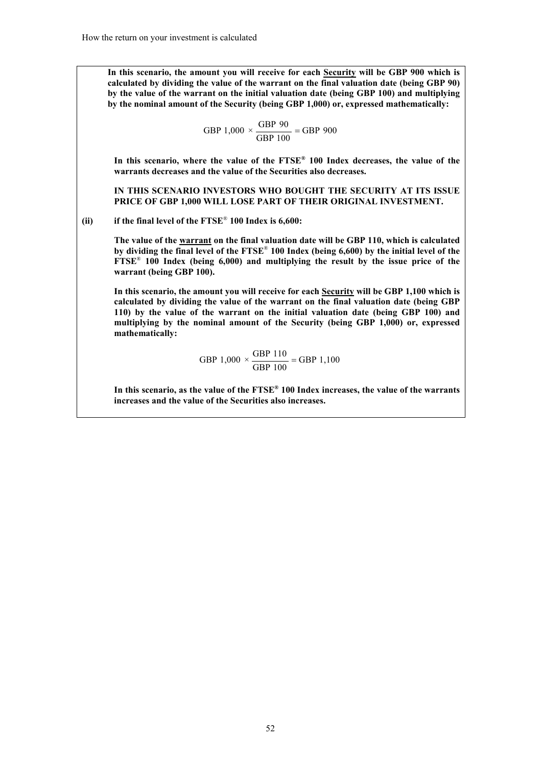**In this scenario, the amount you will receive for each Security will be GBP 900 which is calculated by dividing the value of the warrant on the final valuation date (being GBP 90) by the value of the warrant on the initial valuation date (being GBP 100) and multiplying by the nominal amount of the Security (being GBP 1,000) or, expressed mathematically:**

**GBP** 1,000 
$$
\times \frac{\text{GBP 90}}{\text{GBP 100}} = \text{GBP 900}
$$

**In this scenario, where the value of the FTSE® 100 Index decreases, the value of the warrants decreases and the value of the Securities also decreases.**

**IN THIS SCENARIO INVESTORS WHO BOUGHT THE SECURITY AT ITS ISSUE PRICE OF GBP 1,000 WILL LOSE PART OF THEIR ORIGINAL INVESTMENT.**

**(ii) if the final level of the FTSE**® **100 Index is 6,600:**

**The value of the warrant on the final valuation date will be GBP 110, which is calculated by dividing the final level of the FTSE**® **100 Index (being 6,600) by the initial level of the FTSE**® **100 Index (being 6,000) and multiplying the result by the issue price of the warrant (being GBP 100).** 

**In this scenario, the amount you will receive for each Security will be GBP 1,100 which is calculated by dividing the value of the warrant on the final valuation date (being GBP 110) by the value of the warrant on the initial valuation date (being GBP 100) and multiplying by the nominal amount of the Security (being GBP 1,000) or, expressed mathematically:**

> GBP 1,100 GBP 100 GBP 1,000  $\times \frac{\text{GBP 110}}{\text{GSE 100}} =$

**In this scenario, as the value of the FTSE® 100 Index increases, the value of the warrants increases and the value of the Securities also increases.**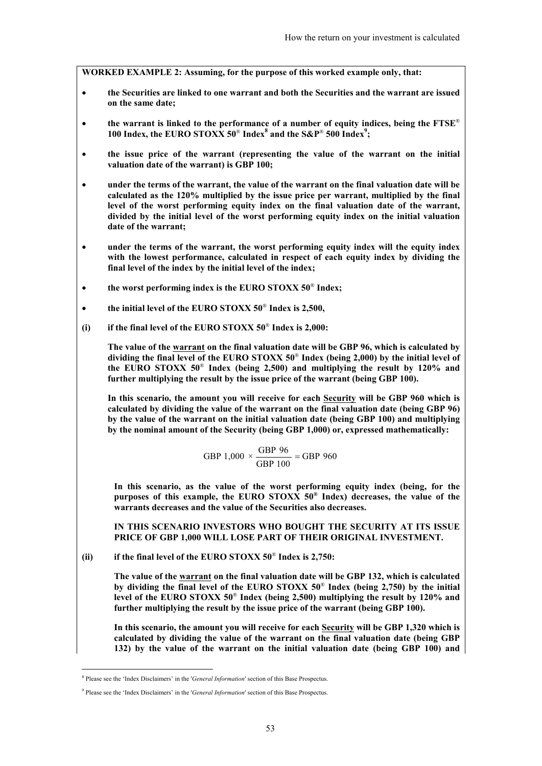**WORKED EXAMPLE 2: Assuming, for the purpose of this worked example only, that:**

- **the Securities are linked to one warrant and both the Securities and the warrant are issued on the same date;**
- **the warrant is linked to the performance of a number of equity indices, being the FTSE**® **100 Index, the EURO STOXX 50**® **Index<sup>8</sup> and the S&P**® **500 Index<sup>9</sup> ;**
- **the issue price of the warrant (representing the value of the warrant on the initial valuation date of the warrant) is GBP 100;**
- **under the terms of the warrant, the value of the warrant on the final valuation date will be calculated as the 120% multiplied by the issue price per warrant, multiplied by the final level of the worst performing equity index on the final valuation date of the warrant, divided by the initial level of the worst performing equity index on the initial valuation date of the warrant;**
- **under the terms of the warrant, the worst performing equity index will the equity index with the lowest performance, calculated in respect of each equity index by dividing the final level of the index by the initial level of the index;**
- **the worst performing index is the EURO STOXX 50**® **Index;**
- **the initial level of the EURO STOXX 50**® **Index is 2,500,**
- **(i) if the final level of the EURO STOXX 50**® **Index is 2,000:**

**The value of the warrant on the final valuation date will be GBP 96, which is calculated by dividing the final level of the EURO STOXX 50**® **Index (being 2,000) by the initial level of the EURO STOXX 50**® **Index (being 2,500) and multiplying the result by 120% and further multiplying the result by the issue price of the warrant (being GBP 100).** 

**In this scenario, the amount you will receive for each Security will be GBP 960 which is calculated by dividing the value of the warrant on the final valuation date (being GBP 96) by the value of the warrant on the initial valuation date (being GBP 100) and multiplying by the nominal amount of the Security (being GBP 1,000) or, expressed mathematically:**

**GBP** 1,000 
$$
\times \frac{\text{GBP 96}}{\text{GBP 100}} = \text{GBP 960}
$$

**In this scenario, as the value of the worst performing equity index (being, for the purposes of this example, the EURO STOXX 50® Index) decreases, the value of the warrants decreases and the value of the Securities also decreases.**

**IN THIS SCENARIO INVESTORS WHO BOUGHT THE SECURITY AT ITS ISSUE PRICE OF GBP 1,000 WILL LOSE PART OF THEIR ORIGINAL INVESTMENT.**

**(ii) if the final level of the EURO STOXX 50**® **Index is 2,750:**

**The value of the warrant on the final valuation date will be GBP 132, which is calculated by dividing the final level of the EURO STOXX 50**® **Index (being 2,750) by the initial level of the EURO STOXX 50**® **Index (being 2,500) multiplying the result by 120% and further multiplying the result by the issue price of the warrant (being GBP 100).** 

**In this scenario, the amount you will receive for each Security will be GBP 1,320 which is calculated by dividing the value of the warrant on the final valuation date (being GBP 132) by the value of the warrant on the initial valuation date (being GBP 100) and** 

-

<sup>8</sup> Please see the 'Index Disclaimers' in the '*General Information*' section of this Base Prospectus.

<sup>&</sup>lt;sup>9</sup> Please see the 'Index Disclaimers' in the '*General Information*' section of this Base Prospectus.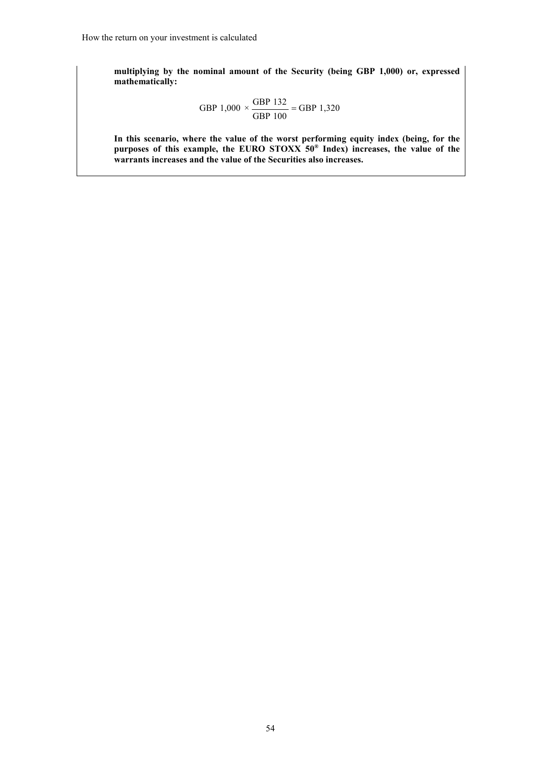**multiplying by the nominal amount of the Security (being GBP 1,000) or, expressed mathematically:**

**GBP** 1,000 
$$
\times \frac{\text{GBP 132}}{\text{GBP 100}} = \text{GBP 1,320}
$$

**In this scenario, where the value of the worst performing equity index (being, for the purposes of this example, the EURO STOXX 50® Index) increases, the value of the warrants increases and the value of the Securities also increases.**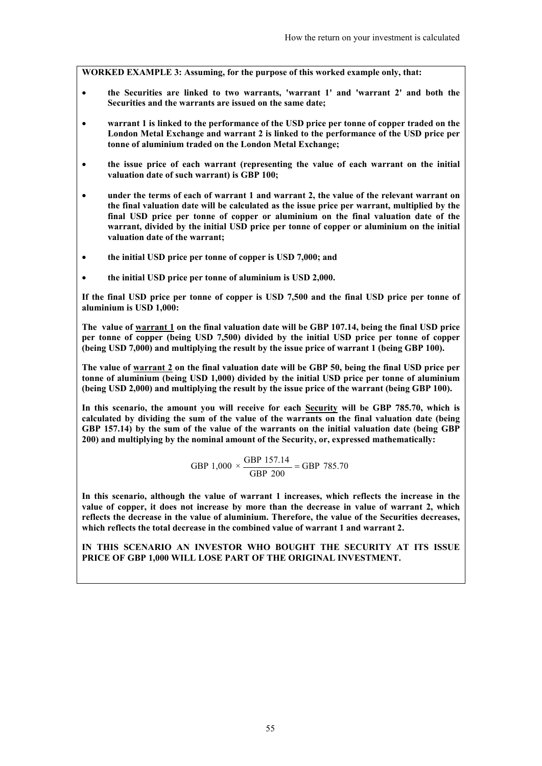**WORKED EXAMPLE 3: Assuming, for the purpose of this worked example only, that:**

- **the Securities are linked to two warrants, 'warrant 1' and 'warrant 2' and both the Securities and the warrants are issued on the same date;**
- **warrant 1 is linked to the performance of the USD price per tonne of copper traded on the London Metal Exchange and warrant 2 is linked to the performance of the USD price per tonne of aluminium traded on the London Metal Exchange;**
- **the issue price of each warrant (representing the value of each warrant on the initial valuation date of such warrant) is GBP 100;**
- **under the terms of each of warrant 1 and warrant 2, the value of the relevant warrant on the final valuation date will be calculated as the issue price per warrant, multiplied by the final USD price per tonne of copper or aluminium on the final valuation date of the warrant, divided by the initial USD price per tonne of copper or aluminium on the initial valuation date of the warrant;**
- **the initial USD price per tonne of copper is USD 7,000; and**
- **the initial USD price per tonne of aluminium is USD 2,000.**

**If the final USD price per tonne of copper is USD 7,500 and the final USD price per tonne of aluminium is USD 1,000:**

**The value of warrant 1 on the final valuation date will be GBP 107.14, being the final USD price per tonne of copper (being USD 7,500) divided by the initial USD price per tonne of copper (being USD 7,000) and multiplying the result by the issue price of warrant 1 (being GBP 100).**

**The value of warrant 2 on the final valuation date will be GBP 50, being the final USD price per tonne of aluminium (being USD 1,000) divided by the initial USD price per tonne of aluminium (being USD 2,000) and multiplying the result by the issue price of the warrant (being GBP 100).**

**In this scenario, the amount you will receive for each Security will be GBP 785.70, which is calculated by dividing the sum of the value of the warrants on the final valuation date (being GBP 157.14) by the sum of the value of the warrants on the initial valuation date (being GBP 200) and multiplying by the nominal amount of the Security, or, expressed mathematically:**

**GBP** 1,000 
$$
\times \frac{\text{GBP 157.14}}{\text{GBP 200}} = \text{GBP 785.70}
$$

**In this scenario, although the value of warrant 1 increases, which reflects the increase in the value of copper, it does not increase by more than the decrease in value of warrant 2, which reflects the decrease in the value of aluminium. Therefore, the value of the Securities decreases, which reflects the total decrease in the combined value of warrant 1 and warrant 2.**

**IN THIS SCENARIO AN INVESTOR WHO BOUGHT THE SECURITY AT ITS ISSUE PRICE OF GBP 1,000 WILL LOSE PART OF THE ORIGINAL INVESTMENT.**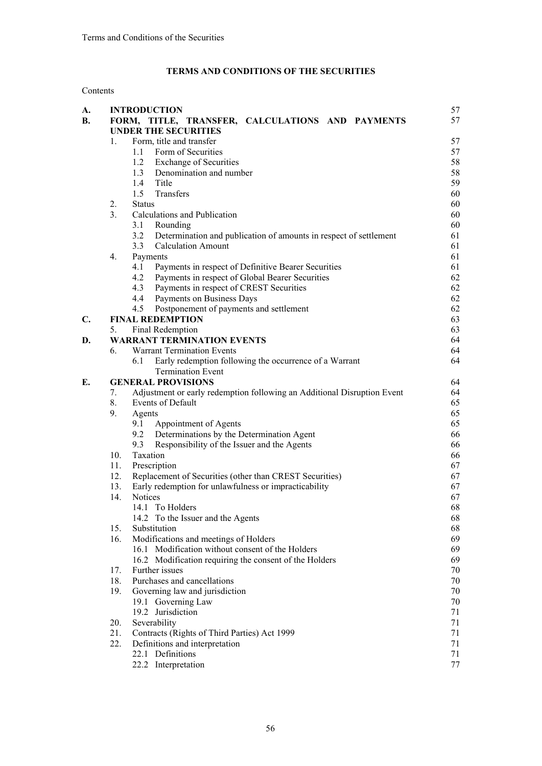# **TERMS AND CONDITIONS OF THE SECURITIES**

# Contents

| A.             |                  | <b>INTRODUCTION</b>                                                             | 57       |
|----------------|------------------|---------------------------------------------------------------------------------|----------|
| <b>B.</b>      |                  | FORM, TITLE, TRANSFER, CALCULATIONS AND PAYMENTS<br><b>UNDER THE SECURITIES</b> | 57       |
|                | 1.               | Form, title and transfer                                                        | 57       |
|                |                  | 1.1 Form of Securities                                                          | 57       |
|                |                  | 1.2<br><b>Exchange of Securities</b>                                            | 58       |
|                |                  | 1.3<br>Denomination and number                                                  | 58       |
|                |                  | 1.4<br>Title                                                                    | 59       |
|                |                  | 1.5<br>Transfers                                                                | 60       |
|                | 2.               | <b>Status</b>                                                                   | 60       |
|                | 3 <sub>1</sub>   | Calculations and Publication                                                    | 60       |
|                |                  | 3.1<br>Rounding                                                                 | 60       |
|                |                  | 3.2<br>Determination and publication of amounts in respect of settlement        | 61       |
|                |                  | <b>Calculation Amount</b><br>3.3                                                | 61       |
|                | $\overline{4}$ . | Payments                                                                        | 61       |
|                |                  | Payments in respect of Definitive Bearer Securities<br>4.1                      | 61       |
|                |                  | 4.2<br>Payments in respect of Global Bearer Securities<br>4.3                   | 62       |
|                |                  | Payments in respect of CREST Securities<br>4.4<br>Payments on Business Days     | 62       |
|                |                  | 4.5                                                                             | 62<br>62 |
| $\mathbf{C}$ . |                  | Postponement of payments and settlement<br><b>FINAL REDEMPTION</b>              | 63       |
|                | 5.               | Final Redemption                                                                | 63       |
| D.             |                  | <b>WARRANT TERMINATION EVENTS</b>                                               | 64       |
|                | 6.               | <b>Warrant Termination Events</b>                                               | 64       |
|                |                  | Early redemption following the occurrence of a Warrant<br>6.1                   | 64       |
|                |                  | <b>Termination Event</b>                                                        |          |
| Е.             |                  | <b>GENERAL PROVISIONS</b>                                                       | 64       |
|                | 7.               | Adjustment or early redemption following an Additional Disruption Event         | 64       |
|                | 8.               | Events of Default                                                               | 65       |
|                | 9.               | Agents                                                                          | 65       |
|                |                  | 9.1<br>Appointment of Agents                                                    | 65       |
|                |                  | 9.2<br>Determinations by the Determination Agent                                | 66       |
|                |                  | 9.3<br>Responsibility of the Issuer and the Agents                              | 66       |
|                | 10.              | Taxation                                                                        | 66       |
|                | 11.              | Prescription                                                                    | 67       |
|                | 12.              | Replacement of Securities (other than CREST Securities)                         | 67       |
|                | 13.              | Early redemption for unlawfulness or impracticability                           | 67       |
|                | 14.              | <b>Notices</b>                                                                  | 67       |
|                |                  | 14.1 To Holders                                                                 | 68       |
|                |                  | 14.2 To the Issuer and the Agents                                               | 68       |
|                | 15.              | Substitution                                                                    | 68       |
|                | 16.              | Modifications and meetings of Holders                                           | 69       |
|                |                  | 16.1 Modification without consent of the Holders                                | 69       |
|                |                  | 16.2 Modification requiring the consent of the Holders                          | 69       |
|                | 17.              | Further issues                                                                  | 70       |
|                | 18.              | Purchases and cancellations                                                     | 70       |
|                | 19.              | Governing law and jurisdiction                                                  | 70       |
|                |                  | 19.1 Governing Law                                                              | 70       |
|                |                  | 19.2 Jurisdiction                                                               | 71       |
|                | 20.              | Severability                                                                    | 71       |
|                | 21.              | Contracts (Rights of Third Parties) Act 1999                                    | 71       |
|                | 22.              | Definitions and interpretation                                                  | 71       |
|                |                  | 22.1 Definitions                                                                | 71       |
|                |                  | 22.2 Interpretation                                                             | 77       |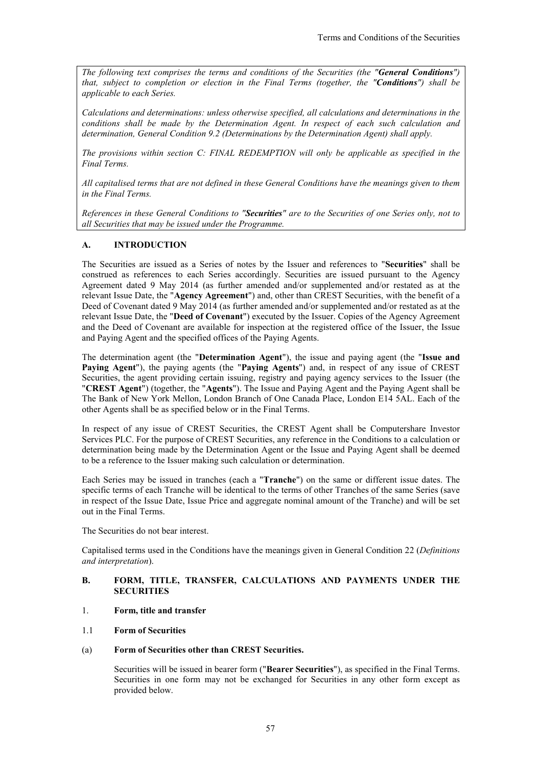*The following text comprises the terms and conditions of the Securities (the "General Conditions") that, subject to completion or election in the Final Terms (together, the "Conditions") shall be applicable to each Series.* 

*Calculations and determinations: unless otherwise specified, all calculations and determinations in the conditions shall be made by the Determination Agent. In respect of each such calculation and determination, General Condition 9.2 (Determinations by the Determination Agent) shall apply.*

*The provisions within section C: FINAL REDEMPTION will only be applicable as specified in the Final Terms.* 

*All capitalised terms that are not defined in these General Conditions have the meanings given to them in the Final Terms.*

*References in these General Conditions to "Securities" are to the Securities of one Series only, not to all Securities that may be issued under the Programme.* 

# **A. INTRODUCTION**

The Securities are issued as a Series of notes by the Issuer and references to "**Securities**" shall be construed as references to each Series accordingly. Securities are issued pursuant to the Agency Agreement dated 9 May 2014 (as further amended and/or supplemented and/or restated as at the relevant Issue Date, the "**Agency Agreement**") and, other than CREST Securities, with the benefit of a Deed of Covenant dated 9 May 2014 (as further amended and/or supplemented and/or restated as at the relevant Issue Date, the "**Deed of Covenant**") executed by the Issuer. Copies of the Agency Agreement and the Deed of Covenant are available for inspection at the registered office of the Issuer, the Issue and Paying Agent and the specified offices of the Paying Agents.

The determination agent (the "**Determination Agent**"), the issue and paying agent (the "**Issue and Paying Agent**"), the paying agents (the "**Paying Agents**") and, in respect of any issue of CREST Securities, the agent providing certain issuing, registry and paying agency services to the Issuer (the "**CREST Agent**") (together, the "**Agents**"). The Issue and Paying Agent and the Paying Agent shall be The Bank of New York Mellon, London Branch of One Canada Place, London E14 5AL. Each of the other Agents shall be as specified below or in the Final Terms.

In respect of any issue of CREST Securities, the CREST Agent shall be Computershare Investor Services PLC. For the purpose of CREST Securities, any reference in the Conditions to a calculation or determination being made by the Determination Agent or the Issue and Paying Agent shall be deemed to be a reference to the Issuer making such calculation or determination.

Each Series may be issued in tranches (each a "**Tranche**") on the same or different issue dates. The specific terms of each Tranche will be identical to the terms of other Tranches of the same Series (save in respect of the Issue Date, Issue Price and aggregate nominal amount of the Tranche) and will be set out in the Final Terms.

The Securities do not bear interest.

Capitalised terms used in the Conditions have the meanings given in General Condition 22 (*Definitions and interpretation*).

## **B. FORM, TITLE, TRANSFER, CALCULATIONS AND PAYMENTS UNDER THE SECURITIES**

- 1. **Form, title and transfer**
- 1.1 **Form of Securities**

#### (a) **Form of Securities other than CREST Securities.**

Securities will be issued in bearer form ("**Bearer Securities**"), as specified in the Final Terms. Securities in one form may not be exchanged for Securities in any other form except as provided below.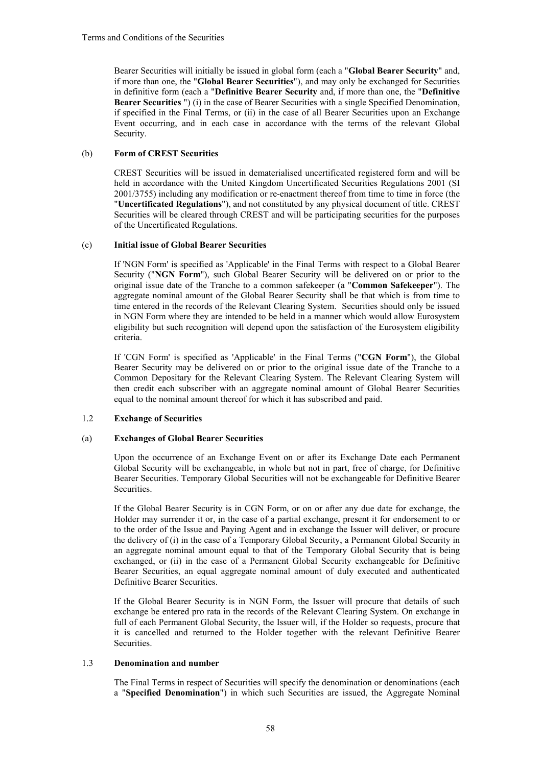Bearer Securities will initially be issued in global form (each a "**Global Bearer Security**" and, if more than one, the "**Global Bearer Securities**"), and may only be exchanged for Securities in definitive form (each a "**Definitive Bearer Security** and, if more than one, the "**Definitive Bearer Securities** ") (i) in the case of Bearer Securities with a single Specified Denomination, if specified in the Final Terms, or (ii) in the case of all Bearer Securities upon an Exchange Event occurring, and in each case in accordance with the terms of the relevant Global Security.

# (b) **Form of CREST Securities**

CREST Securities will be issued in dematerialised uncertificated registered form and will be held in accordance with the United Kingdom Uncertificated Securities Regulations 2001 (SI 2001/3755) including any modification or re-enactment thereof from time to time in force (the "**Uncertificated Regulations**"), and not constituted by any physical document of title. CREST Securities will be cleared through CREST and will be participating securities for the purposes of the Uncertificated Regulations.

# (c) **Initial issue of Global Bearer Securities**

If 'NGN Form' is specified as 'Applicable' in the Final Terms with respect to a Global Bearer Security ("**NGN Form**"), such Global Bearer Security will be delivered on or prior to the original issue date of the Tranche to a common safekeeper (a "**Common Safekeeper**"). The aggregate nominal amount of the Global Bearer Security shall be that which is from time to time entered in the records of the Relevant Clearing System. Securities should only be issued in NGN Form where they are intended to be held in a manner which would allow Eurosystem eligibility but such recognition will depend upon the satisfaction of the Eurosystem eligibility criteria.

If 'CGN Form' is specified as 'Applicable' in the Final Terms ("**CGN Form**"), the Global Bearer Security may be delivered on or prior to the original issue date of the Tranche to a Common Depositary for the Relevant Clearing System. The Relevant Clearing System will then credit each subscriber with an aggregate nominal amount of Global Bearer Securities equal to the nominal amount thereof for which it has subscribed and paid.

# 1.2 **Exchange of Securities**

#### (a) **Exchanges of Global Bearer Securities**

Upon the occurrence of an Exchange Event on or after its Exchange Date each Permanent Global Security will be exchangeable, in whole but not in part, free of charge, for Definitive Bearer Securities. Temporary Global Securities will not be exchangeable for Definitive Bearer Securities.

If the Global Bearer Security is in CGN Form, or on or after any due date for exchange, the Holder may surrender it or, in the case of a partial exchange, present it for endorsement to or to the order of the Issue and Paying Agent and in exchange the Issuer will deliver, or procure the delivery of (i) in the case of a Temporary Global Security, a Permanent Global Security in an aggregate nominal amount equal to that of the Temporary Global Security that is being exchanged, or (ii) in the case of a Permanent Global Security exchangeable for Definitive Bearer Securities, an equal aggregate nominal amount of duly executed and authenticated Definitive Bearer Securities.

If the Global Bearer Security is in NGN Form, the Issuer will procure that details of such exchange be entered pro rata in the records of the Relevant Clearing System. On exchange in full of each Permanent Global Security, the Issuer will, if the Holder so requests, procure that it is cancelled and returned to the Holder together with the relevant Definitive Bearer Securities.

## 1.3 **Denomination and number**

The Final Terms in respect of Securities will specify the denomination or denominations (each a "**Specified Denomination**") in which such Securities are issued, the Aggregate Nominal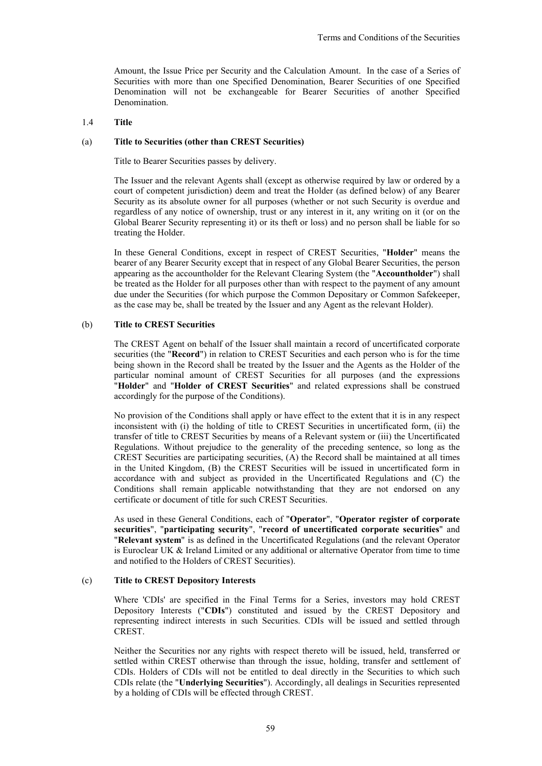Amount, the Issue Price per Security and the Calculation Amount. In the case of a Series of Securities with more than one Specified Denomination, Bearer Securities of one Specified Denomination will not be exchangeable for Bearer Securities of another Specified **Denomination** 

### 1.4 **Title**

#### (a) **Title to Securities (other than CREST Securities)**

Title to Bearer Securities passes by delivery.

The Issuer and the relevant Agents shall (except as otherwise required by law or ordered by a court of competent jurisdiction) deem and treat the Holder (as defined below) of any Bearer Security as its absolute owner for all purposes (whether or not such Security is overdue and regardless of any notice of ownership, trust or any interest in it, any writing on it (or on the Global Bearer Security representing it) or its theft or loss) and no person shall be liable for so treating the Holder.

In these General Conditions, except in respect of CREST Securities, "**Holder**" means the bearer of any Bearer Security except that in respect of any Global Bearer Securities, the person appearing as the accountholder for the Relevant Clearing System (the "**Accountholder**") shall be treated as the Holder for all purposes other than with respect to the payment of any amount due under the Securities (for which purpose the Common Depositary or Common Safekeeper, as the case may be, shall be treated by the Issuer and any Agent as the relevant Holder).

# (b) **Title to CREST Securities**

The CREST Agent on behalf of the Issuer shall maintain a record of uncertificated corporate securities (the "**Record**") in relation to CREST Securities and each person who is for the time being shown in the Record shall be treated by the Issuer and the Agents as the Holder of the particular nominal amount of CREST Securities for all purposes (and the expressions "**Holder**" and "**Holder of CREST Securities**" and related expressions shall be construed accordingly for the purpose of the Conditions).

No provision of the Conditions shall apply or have effect to the extent that it is in any respect inconsistent with (i) the holding of title to CREST Securities in uncertificated form, (ii) the transfer of title to CREST Securities by means of a Relevant system or (iii) the Uncertificated Regulations. Without prejudice to the generality of the preceding sentence, so long as the CREST Securities are participating securities, (A) the Record shall be maintained at all times in the United Kingdom, (B) the CREST Securities will be issued in uncertificated form in accordance with and subject as provided in the Uncertificated Regulations and (C) the Conditions shall remain applicable notwithstanding that they are not endorsed on any certificate or document of title for such CREST Securities.

As used in these General Conditions, each of "**Operator**", "**Operator register of corporate securities**", "**participating security**", "**record of uncertificated corporate securities**" and "**Relevant system**" is as defined in the Uncertificated Regulations (and the relevant Operator is Euroclear UK & Ireland Limited or any additional or alternative Operator from time to time and notified to the Holders of CREST Securities).

# (c) **Title to CREST Depository Interests**

Where 'CDIs' are specified in the Final Terms for a Series, investors may hold CREST Depository Interests ("**CDIs**") constituted and issued by the CREST Depository and representing indirect interests in such Securities. CDIs will be issued and settled through CREST.

Neither the Securities nor any rights with respect thereto will be issued, held, transferred or settled within CREST otherwise than through the issue, holding, transfer and settlement of CDIs. Holders of CDIs will not be entitled to deal directly in the Securities to which such CDIs relate (the "**Underlying Securities**"). Accordingly, all dealings in Securities represented by a holding of CDIs will be effected through CREST.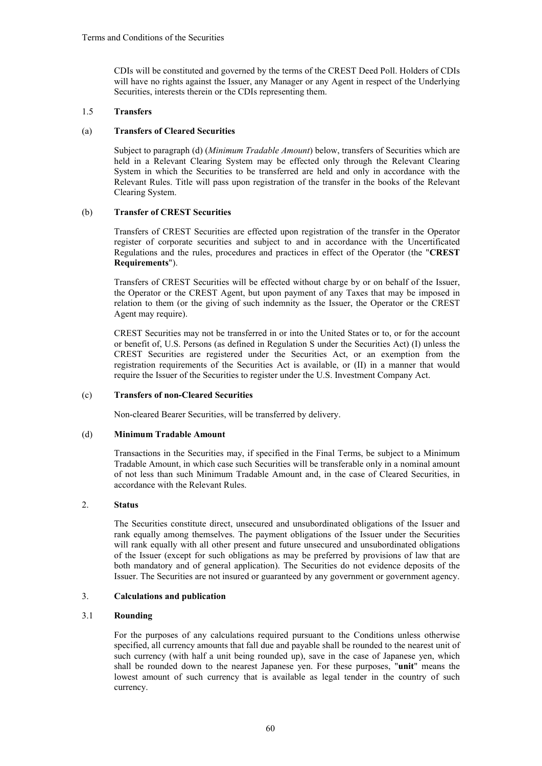CDIs will be constituted and governed by the terms of the CREST Deed Poll. Holders of CDIs will have no rights against the Issuer, any Manager or any Agent in respect of the Underlying Securities, interests therein or the CDIs representing them.

# 1.5 **Transfers**

# (a) **Transfers of Cleared Securities**

Subject to paragraph (d) (*Minimum Tradable Amount*) below, transfers of Securities which are held in a Relevant Clearing System may be effected only through the Relevant Clearing System in which the Securities to be transferred are held and only in accordance with the Relevant Rules. Title will pass upon registration of the transfer in the books of the Relevant Clearing System.

# (b) **Transfer of CREST Securities**

Transfers of CREST Securities are effected upon registration of the transfer in the Operator register of corporate securities and subject to and in accordance with the Uncertificated Regulations and the rules, procedures and practices in effect of the Operator (the "**CREST Requirements**").

Transfers of CREST Securities will be effected without charge by or on behalf of the Issuer, the Operator or the CREST Agent, but upon payment of any Taxes that may be imposed in relation to them (or the giving of such indemnity as the Issuer, the Operator or the CREST Agent may require).

CREST Securities may not be transferred in or into the United States or to, or for the account or benefit of, U.S. Persons (as defined in Regulation S under the Securities Act) (I) unless the CREST Securities are registered under the Securities Act, or an exemption from the registration requirements of the Securities Act is available, or (II) in a manner that would require the Issuer of the Securities to register under the U.S. Investment Company Act.

# (c) **Transfers of non-Cleared Securities**

Non-cleared Bearer Securities, will be transferred by delivery.

# (d) **Minimum Tradable Amount**

Transactions in the Securities may, if specified in the Final Terms, be subject to a Minimum Tradable Amount, in which case such Securities will be transferable only in a nominal amount of not less than such Minimum Tradable Amount and, in the case of Cleared Securities, in accordance with the Relevant Rules.

# 2. **Status**

The Securities constitute direct, unsecured and unsubordinated obligations of the Issuer and rank equally among themselves. The payment obligations of the Issuer under the Securities will rank equally with all other present and future unsecured and unsubordinated obligations of the Issuer (except for such obligations as may be preferred by provisions of law that are both mandatory and of general application). The Securities do not evidence deposits of the Issuer. The Securities are not insured or guaranteed by any government or government agency.

# 3. **Calculations and publication**

# 3.1 **Rounding**

For the purposes of any calculations required pursuant to the Conditions unless otherwise specified, all currency amounts that fall due and payable shall be rounded to the nearest unit of such currency (with half a unit being rounded up), save in the case of Japanese yen, which shall be rounded down to the nearest Japanese yen. For these purposes, "**unit**" means the lowest amount of such currency that is available as legal tender in the country of such currency.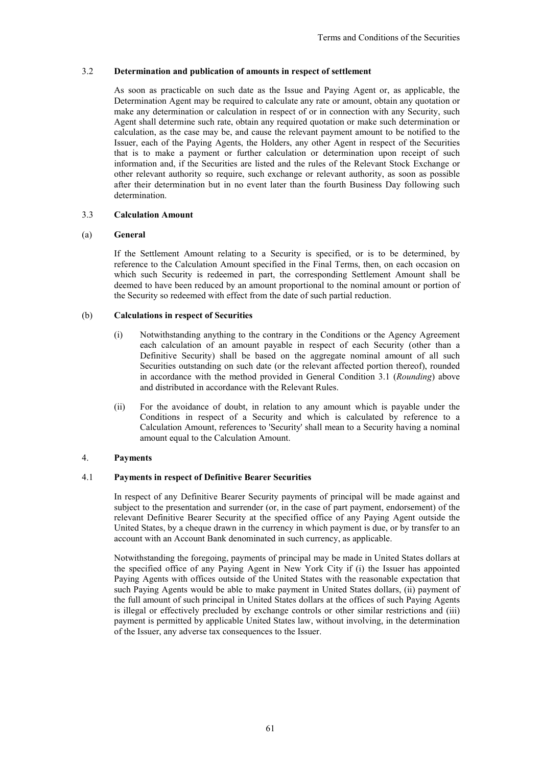# 3.2 **Determination and publication of amounts in respect of settlement**

As soon as practicable on such date as the Issue and Paying Agent or, as applicable, the Determination Agent may be required to calculate any rate or amount, obtain any quotation or make any determination or calculation in respect of or in connection with any Security, such Agent shall determine such rate, obtain any required quotation or make such determination or calculation, as the case may be, and cause the relevant payment amount to be notified to the Issuer, each of the Paying Agents, the Holders, any other Agent in respect of the Securities that is to make a payment or further calculation or determination upon receipt of such information and, if the Securities are listed and the rules of the Relevant Stock Exchange or other relevant authority so require, such exchange or relevant authority, as soon as possible after their determination but in no event later than the fourth Business Day following such determination.

# 3.3 **Calculation Amount**

#### (a) **General**

If the Settlement Amount relating to a Security is specified, or is to be determined, by reference to the Calculation Amount specified in the Final Terms, then, on each occasion on which such Security is redeemed in part, the corresponding Settlement Amount shall be deemed to have been reduced by an amount proportional to the nominal amount or portion of the Security so redeemed with effect from the date of such partial reduction.

## (b) **Calculations in respect of Securities**

- (i) Notwithstanding anything to the contrary in the Conditions or the Agency Agreement each calculation of an amount payable in respect of each Security (other than a Definitive Security) shall be based on the aggregate nominal amount of all such Securities outstanding on such date (or the relevant affected portion thereof), rounded in accordance with the method provided in General Condition 3.1 (*Rounding*) above and distributed in accordance with the Relevant Rules.
- (ii) For the avoidance of doubt, in relation to any amount which is payable under the Conditions in respect of a Security and which is calculated by reference to a Calculation Amount, references to 'Security' shall mean to a Security having a nominal amount equal to the Calculation Amount.

# 4. **Payments**

# 4.1 **Payments in respect of Definitive Bearer Securities**

In respect of any Definitive Bearer Security payments of principal will be made against and subject to the presentation and surrender (or, in the case of part payment, endorsement) of the relevant Definitive Bearer Security at the specified office of any Paying Agent outside the United States, by a cheque drawn in the currency in which payment is due, or by transfer to an account with an Account Bank denominated in such currency, as applicable.

Notwithstanding the foregoing, payments of principal may be made in United States dollars at the specified office of any Paying Agent in New York City if (i) the Issuer has appointed Paying Agents with offices outside of the United States with the reasonable expectation that such Paying Agents would be able to make payment in United States dollars, (ii) payment of the full amount of such principal in United States dollars at the offices of such Paying Agents is illegal or effectively precluded by exchange controls or other similar restrictions and (iii) payment is permitted by applicable United States law, without involving, in the determination of the Issuer, any adverse tax consequences to the Issuer.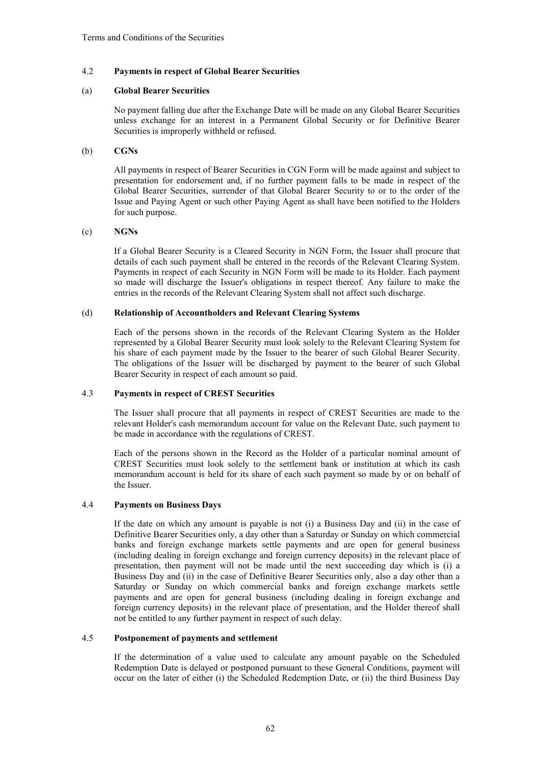# 4.2 **Payments in respect of Global Bearer Securities**

## (a) **Global Bearer Securities**

No payment falling due after the Exchange Date will be made on any Global Bearer Securities unless exchange for an interest in a Permanent Global Security or for Definitive Bearer Securities is improperly withheld or refused.

# (b) **CGNs**

All payments in respect of Bearer Securities in CGN Form will be made against and subject to presentation for endorsement and, if no further payment falls to be made in respect of the Global Bearer Securities, surrender of that Global Bearer Security to or to the order of the Issue and Paying Agent or such other Paying Agent as shall have been notified to the Holders for such purpose.

## (c) **NGNs**

If a Global Bearer Security is a Cleared Security in NGN Form, the Issuer shall procure that details of each such payment shall be entered in the records of the Relevant Clearing System. Payments in respect of each Security in NGN Form will be made to its Holder. Each payment so made will discharge the Issuer's obligations in respect thereof. Any failure to make the entries in the records of the Relevant Clearing System shall not affect such discharge.

# (d) **Relationship of Accountholders and Relevant Clearing Systems**

Each of the persons shown in the records of the Relevant Clearing System as the Holder represented by a Global Bearer Security must look solely to the Relevant Clearing System for his share of each payment made by the Issuer to the bearer of such Global Bearer Security. The obligations of the Issuer will be discharged by payment to the bearer of such Global Bearer Security in respect of each amount so paid.

## 4.3 **Payments in respect of CREST Securities**

The Issuer shall procure that all payments in respect of CREST Securities are made to the relevant Holder's cash memorandum account for value on the Relevant Date, such payment to be made in accordance with the regulations of CREST.

Each of the persons shown in the Record as the Holder of a particular nominal amount of CREST Securities must look solely to the settlement bank or institution at which its cash memorandum account is held for its share of each such payment so made by or on behalf of the Issuer.

# 4.4 **Payments on Business Days**

If the date on which any amount is payable is not (i) a Business Day and (ii) in the case of Definitive Bearer Securities only, a day other than a Saturday or Sunday on which commercial banks and foreign exchange markets settle payments and are open for general business (including dealing in foreign exchange and foreign currency deposits) in the relevant place of presentation, then payment will not be made until the next succeeding day which is (i) a Business Day and (ii) in the case of Definitive Bearer Securities only, also a day other than a Saturday or Sunday on which commercial banks and foreign exchange markets settle payments and are open for general business (including dealing in foreign exchange and foreign currency deposits) in the relevant place of presentation, and the Holder thereof shall not be entitled to any further payment in respect of such delay.

#### 4.5 **Postponement of payments and settlement**

If the determination of a value used to calculate any amount payable on the Scheduled Redemption Date is delayed or postponed pursuant to these General Conditions, payment will occur on the later of either (i) the Scheduled Redemption Date, or (ii) the third Business Day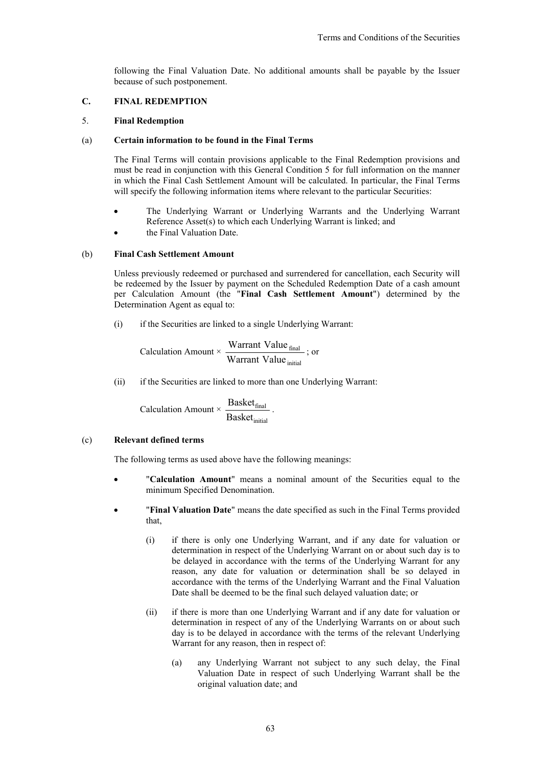following the Final Valuation Date. No additional amounts shall be payable by the Issuer because of such postponement.

# **C. FINAL REDEMPTION**

# 5. **Final Redemption**

## (a) **Certain information to be found in the Final Terms**

The Final Terms will contain provisions applicable to the Final Redemption provisions and must be read in conjunction with this General Condition 5 for full information on the manner in which the Final Cash Settlement Amount will be calculated. In particular, the Final Terms will specify the following information items where relevant to the particular Securities:

- The Underlying Warrant or Underlying Warrants and the Underlying Warrant Reference Asset(s) to which each Underlying Warrant is linked; and
- the Final Valuation Date.

# (b) **Final Cash Settlement Amount**

Unless previously redeemed or purchased and surrendered for cancellation, each Security will be redeemed by the Issuer by payment on the Scheduled Redemption Date of a cash amount per Calculation Amount (the "**Final Cash Settlement Amount**") determined by the Determination Agent as equal to:

(i) if the Securities are linked to a single Underlying Warrant:

Calculation Amount × 
$$
\frac{\text{Warrant Value}_{\text{final}}}{\text{Warrant Value}_{\text{initial}}}
$$
;

\nor

(ii) if the Securities are linked to more than one Underlying Warrant:

$$
Calculation\,\,Amount \times \,\frac{Basket_{final}}{Basket_{initial}}\,\,.
$$

#### (c) **Relevant defined terms**

The following terms as used above have the following meanings:

- "**Calculation Amount**" means a nominal amount of the Securities equal to the minimum Specified Denomination.
- "**Final Valuation Date**" means the date specified as such in the Final Terms provided that,
	- (i) if there is only one Underlying Warrant, and if any date for valuation or determination in respect of the Underlying Warrant on or about such day is to be delayed in accordance with the terms of the Underlying Warrant for any reason, any date for valuation or determination shall be so delayed in accordance with the terms of the Underlying Warrant and the Final Valuation Date shall be deemed to be the final such delayed valuation date; or
	- (ii) if there is more than one Underlying Warrant and if any date for valuation or determination in respect of any of the Underlying Warrants on or about such day is to be delayed in accordance with the terms of the relevant Underlying Warrant for any reason, then in respect of:
		- (a) any Underlying Warrant not subject to any such delay, the Final Valuation Date in respect of such Underlying Warrant shall be the original valuation date; and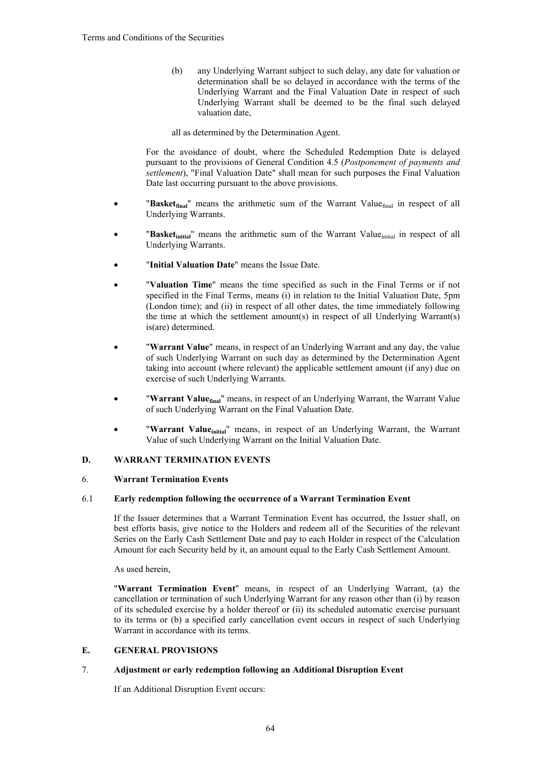(b) any Underlying Warrant subject to such delay, any date for valuation or determination shall be so delayed in accordance with the terms of the Underlying Warrant and the Final Valuation Date in respect of such Underlying Warrant shall be deemed to be the final such delayed valuation date,

all as determined by the Determination Agent.

For the avoidance of doubt, where the Scheduled Redemption Date is delayed pursuant to the provisions of General Condition 4.5 (*Postponement of payments and settlement*), "Final Valuation Date" shall mean for such purposes the Final Valuation Date last occurring pursuant to the above provisions.

- "**Basketfinal**" means the arithmetic sum of the Warrant Valuefinal in respect of all Underlying Warrants.
- **"Basket**<sub>initial</sub>" means the arithmetic sum of the Warrant Value<sub>initial</sub> in respect of all Underlying Warrants.
- "**Initial Valuation Date**" means the Issue Date.
- "**Valuation Time**" means the time specified as such in the Final Terms or if not specified in the Final Terms, means (i) in relation to the Initial Valuation Date, 5pm (London time); and (ii) in respect of all other dates, the time immediately following the time at which the settlement amount(s) in respect of all Underlying Warrant(s) is(are) determined.
- "**Warrant Value**" means, in respect of an Underlying Warrant and any day, the value of such Underlying Warrant on such day as determined by the Determination Agent taking into account (where relevant) the applicable settlement amount (if any) due on exercise of such Underlying Warrants.
- "**Warrant Valuefinal**" means, in respect of an Underlying Warrant, the Warrant Value of such Underlying Warrant on the Final Valuation Date.
- "Warrant Value<sub>initial</sub>" means, in respect of an Underlying Warrant, the Warrant Value of such Underlying Warrant on the Initial Valuation Date.

# **D. WARRANT TERMINATION EVENTS**

# 6. **Warrant Termination Events**

# 6.1 **Early redemption following the occurrence of a Warrant Termination Event**

If the Issuer determines that a Warrant Termination Event has occurred, the Issuer shall, on best efforts basis, give notice to the Holders and redeem all of the Securities of the relevant Series on the Early Cash Settlement Date and pay to each Holder in respect of the Calculation Amount for each Security held by it, an amount equal to the Early Cash Settlement Amount.

As used herein,

"**Warrant Termination Event**" means, in respect of an Underlying Warrant, (a) the cancellation or termination of such Underlying Warrant for any reason other than (i) by reason of its scheduled exercise by a holder thereof or (ii) its scheduled automatic exercise pursuant to its terms or (b) a specified early cancellation event occurs in respect of such Underlying Warrant in accordance with its terms.

# **E. GENERAL PROVISIONS**

#### 7. **Adjustment or early redemption following an Additional Disruption Event**

If an Additional Disruption Event occurs: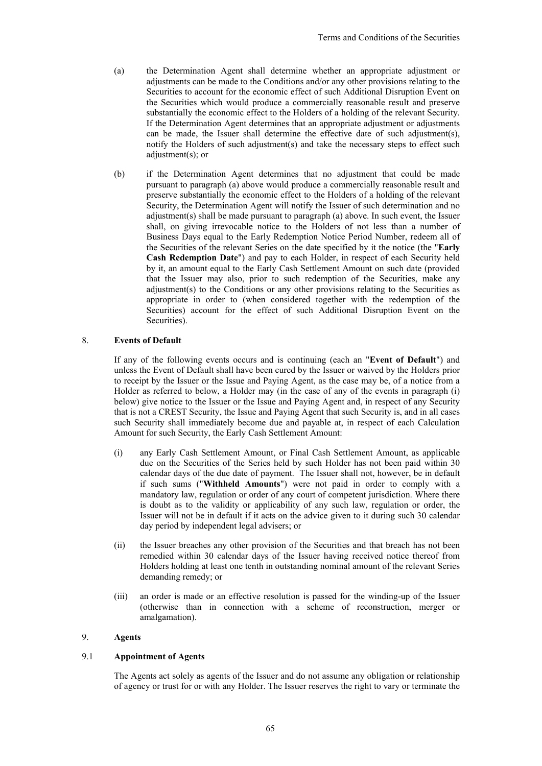- (a) the Determination Agent shall determine whether an appropriate adjustment or adjustments can be made to the Conditions and/or any other provisions relating to the Securities to account for the economic effect of such Additional Disruption Event on the Securities which would produce a commercially reasonable result and preserve substantially the economic effect to the Holders of a holding of the relevant Security. If the Determination Agent determines that an appropriate adjustment or adjustments can be made, the Issuer shall determine the effective date of such adjustment(s), notify the Holders of such adjustment(s) and take the necessary steps to effect such adjustment(s); or
- (b) if the Determination Agent determines that no adjustment that could be made pursuant to paragraph (a) above would produce a commercially reasonable result and preserve substantially the economic effect to the Holders of a holding of the relevant Security, the Determination Agent will notify the Issuer of such determination and no adjustment(s) shall be made pursuant to paragraph (a) above. In such event, the Issuer shall, on giving irrevocable notice to the Holders of not less than a number of Business Days equal to the Early Redemption Notice Period Number, redeem all of the Securities of the relevant Series on the date specified by it the notice (the "**Early Cash Redemption Date**") and pay to each Holder, in respect of each Security held by it, an amount equal to the Early Cash Settlement Amount on such date (provided that the Issuer may also, prior to such redemption of the Securities, make any adjustment(s) to the Conditions or any other provisions relating to the Securities as appropriate in order to (when considered together with the redemption of the Securities) account for the effect of such Additional Disruption Event on the Securities).

# 8. **Events of Default**

If any of the following events occurs and is continuing (each an "**Event of Default**") and unless the Event of Default shall have been cured by the Issuer or waived by the Holders prior to receipt by the Issuer or the Issue and Paying Agent, as the case may be, of a notice from a Holder as referred to below, a Holder may (in the case of any of the events in paragraph (i) below) give notice to the Issuer or the Issue and Paying Agent and, in respect of any Security that is not a CREST Security, the Issue and Paying Agent that such Security is, and in all cases such Security shall immediately become due and payable at, in respect of each Calculation Amount for such Security, the Early Cash Settlement Amount:

- (i) any Early Cash Settlement Amount, or Final Cash Settlement Amount, as applicable due on the Securities of the Series held by such Holder has not been paid within 30 calendar days of the due date of payment. The Issuer shall not, however, be in default if such sums ("**Withheld Amounts**") were not paid in order to comply with a mandatory law, regulation or order of any court of competent jurisdiction. Where there is doubt as to the validity or applicability of any such law, regulation or order, the Issuer will not be in default if it acts on the advice given to it during such 30 calendar day period by independent legal advisers; or
- (ii) the Issuer breaches any other provision of the Securities and that breach has not been remedied within 30 calendar days of the Issuer having received notice thereof from Holders holding at least one tenth in outstanding nominal amount of the relevant Series demanding remedy; or
- (iii) an order is made or an effective resolution is passed for the winding-up of the Issuer (otherwise than in connection with a scheme of reconstruction, merger or amalgamation).

# 9. **Agents**

# 9.1 **Appointment of Agents**

The Agents act solely as agents of the Issuer and do not assume any obligation or relationship of agency or trust for or with any Holder. The Issuer reserves the right to vary or terminate the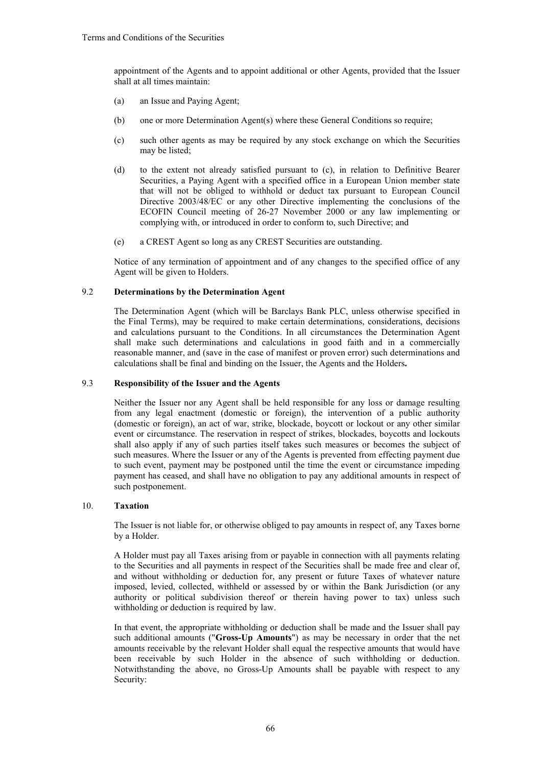appointment of the Agents and to appoint additional or other Agents, provided that the Issuer shall at all times maintain:

- (a) an Issue and Paying Agent;
- (b) one or more Determination Agent(s) where these General Conditions so require;
- (c) such other agents as may be required by any stock exchange on which the Securities may be listed;
- (d) to the extent not already satisfied pursuant to (c), in relation to Definitive Bearer Securities, a Paying Agent with a specified office in a European Union member state that will not be obliged to withhold or deduct tax pursuant to European Council Directive 2003/48/EC or any other Directive implementing the conclusions of the ECOFIN Council meeting of 26-27 November 2000 or any law implementing or complying with, or introduced in order to conform to, such Directive; and
- (e) a CREST Agent so long as any CREST Securities are outstanding.

Notice of any termination of appointment and of any changes to the specified office of any Agent will be given to Holders.

## 9.2 **Determinations by the Determination Agent**

The Determination Agent (which will be Barclays Bank PLC, unless otherwise specified in the Final Terms), may be required to make certain determinations, considerations, decisions and calculations pursuant to the Conditions. In all circumstances the Determination Agent shall make such determinations and calculations in good faith and in a commercially reasonable manner, and (save in the case of manifest or proven error) such determinations and calculations shall be final and binding on the Issuer, the Agents and the Holders**.**

#### 9.3 **Responsibility of the Issuer and the Agents**

Neither the Issuer nor any Agent shall be held responsible for any loss or damage resulting from any legal enactment (domestic or foreign), the intervention of a public authority (domestic or foreign), an act of war, strike, blockade, boycott or lockout or any other similar event or circumstance. The reservation in respect of strikes, blockades, boycotts and lockouts shall also apply if any of such parties itself takes such measures or becomes the subject of such measures. Where the Issuer or any of the Agents is prevented from effecting payment due to such event, payment may be postponed until the time the event or circumstance impeding payment has ceased, and shall have no obligation to pay any additional amounts in respect of such postponement.

## 10. **Taxation**

The Issuer is not liable for, or otherwise obliged to pay amounts in respect of, any Taxes borne by a Holder.

A Holder must pay all Taxes arising from or payable in connection with all payments relating to the Securities and all payments in respect of the Securities shall be made free and clear of, and without withholding or deduction for, any present or future Taxes of whatever nature imposed, levied, collected, withheld or assessed by or within the Bank Jurisdiction (or any authority or political subdivision thereof or therein having power to tax) unless such withholding or deduction is required by law.

In that event, the appropriate withholding or deduction shall be made and the Issuer shall pay such additional amounts ("**Gross-Up Amounts**") as may be necessary in order that the net amounts receivable by the relevant Holder shall equal the respective amounts that would have been receivable by such Holder in the absence of such withholding or deduction. Notwithstanding the above, no Gross-Up Amounts shall be payable with respect to any Security: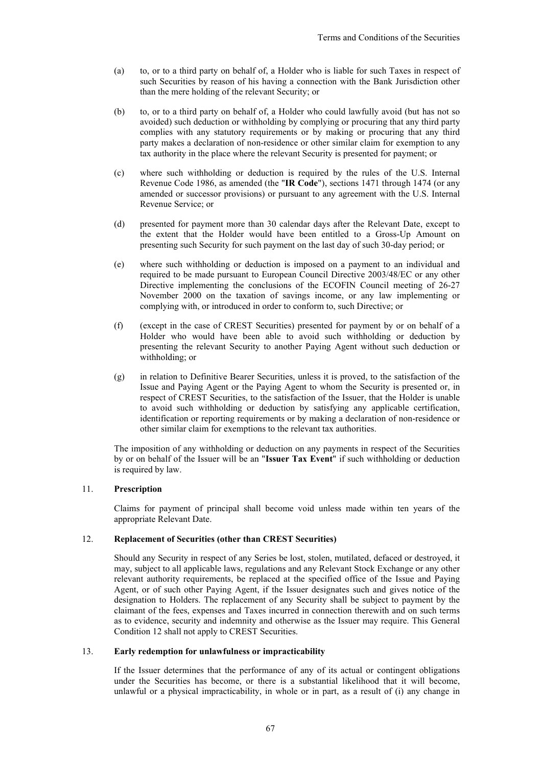- (a) to, or to a third party on behalf of, a Holder who is liable for such Taxes in respect of such Securities by reason of his having a connection with the Bank Jurisdiction other than the mere holding of the relevant Security; or
- (b) to, or to a third party on behalf of, a Holder who could lawfully avoid (but has not so avoided) such deduction or withholding by complying or procuring that any third party complies with any statutory requirements or by making or procuring that any third party makes a declaration of non-residence or other similar claim for exemption to any tax authority in the place where the relevant Security is presented for payment; or
- (c) where such withholding or deduction is required by the rules of the U.S. Internal Revenue Code 1986, as amended (the "**IR Code**"), sections 1471 through 1474 (or any amended or successor provisions) or pursuant to any agreement with the U.S. Internal Revenue Service; or
- (d) presented for payment more than 30 calendar days after the Relevant Date, except to the extent that the Holder would have been entitled to a Gross-Up Amount on presenting such Security for such payment on the last day of such 30-day period; or
- (e) where such withholding or deduction is imposed on a payment to an individual and required to be made pursuant to European Council Directive 2003/48/EC or any other Directive implementing the conclusions of the ECOFIN Council meeting of 26-27 November 2000 on the taxation of savings income, or any law implementing or complying with, or introduced in order to conform to, such Directive; or
- (f) (except in the case of CREST Securities) presented for payment by or on behalf of a Holder who would have been able to avoid such withholding or deduction by presenting the relevant Security to another Paying Agent without such deduction or withholding; or
- (g) in relation to Definitive Bearer Securities, unless it is proved, to the satisfaction of the Issue and Paying Agent or the Paying Agent to whom the Security is presented or, in respect of CREST Securities, to the satisfaction of the Issuer, that the Holder is unable to avoid such withholding or deduction by satisfying any applicable certification, identification or reporting requirements or by making a declaration of non-residence or other similar claim for exemptions to the relevant tax authorities.

The imposition of any withholding or deduction on any payments in respect of the Securities by or on behalf of the Issuer will be an "**Issuer Tax Event**" if such withholding or deduction is required by law.

# 11. **Prescription**

Claims for payment of principal shall become void unless made within ten years of the appropriate Relevant Date.

#### 12. **Replacement of Securities (other than CREST Securities)**

Should any Security in respect of any Series be lost, stolen, mutilated, defaced or destroyed, it may, subject to all applicable laws, regulations and any Relevant Stock Exchange or any other relevant authority requirements, be replaced at the specified office of the Issue and Paying Agent, or of such other Paying Agent, if the Issuer designates such and gives notice of the designation to Holders. The replacement of any Security shall be subject to payment by the claimant of the fees, expenses and Taxes incurred in connection therewith and on such terms as to evidence, security and indemnity and otherwise as the Issuer may require. This General Condition 12 shall not apply to CREST Securities.

## 13. **Early redemption for unlawfulness or impracticability**

If the Issuer determines that the performance of any of its actual or contingent obligations under the Securities has become, or there is a substantial likelihood that it will become, unlawful or a physical impracticability, in whole or in part, as a result of (i) any change in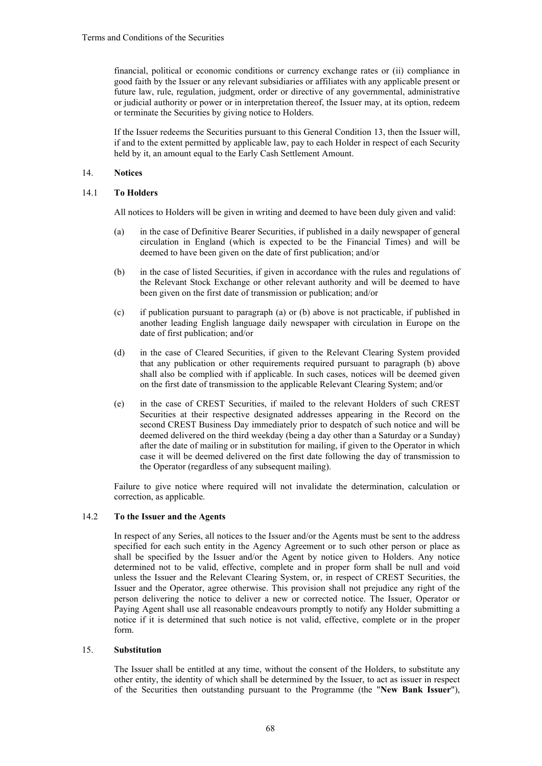financial, political or economic conditions or currency exchange rates or (ii) compliance in good faith by the Issuer or any relevant subsidiaries or affiliates with any applicable present or future law, rule, regulation, judgment, order or directive of any governmental, administrative or judicial authority or power or in interpretation thereof, the Issuer may, at its option, redeem or terminate the Securities by giving notice to Holders.

If the Issuer redeems the Securities pursuant to this General Condition 13, then the Issuer will, if and to the extent permitted by applicable law, pay to each Holder in respect of each Security held by it, an amount equal to the Early Cash Settlement Amount.

# 14. **Notices**

# 14.1 **To Holders**

All notices to Holders will be given in writing and deemed to have been duly given and valid:

- (a) in the case of Definitive Bearer Securities, if published in a daily newspaper of general circulation in England (which is expected to be the Financial Times) and will be deemed to have been given on the date of first publication; and/or
- (b) in the case of listed Securities, if given in accordance with the rules and regulations of the Relevant Stock Exchange or other relevant authority and will be deemed to have been given on the first date of transmission or publication; and/or
- (c) if publication pursuant to paragraph (a) or (b) above is not practicable, if published in another leading English language daily newspaper with circulation in Europe on the date of first publication; and/or
- (d) in the case of Cleared Securities, if given to the Relevant Clearing System provided that any publication or other requirements required pursuant to paragraph (b) above shall also be complied with if applicable. In such cases, notices will be deemed given on the first date of transmission to the applicable Relevant Clearing System; and/or
- (e) in the case of CREST Securities, if mailed to the relevant Holders of such CREST Securities at their respective designated addresses appearing in the Record on the second CREST Business Day immediately prior to despatch of such notice and will be deemed delivered on the third weekday (being a day other than a Saturday or a Sunday) after the date of mailing or in substitution for mailing, if given to the Operator in which case it will be deemed delivered on the first date following the day of transmission to the Operator (regardless of any subsequent mailing).

Failure to give notice where required will not invalidate the determination, calculation or correction, as applicable.

### 14.2 **To the Issuer and the Agents**

In respect of any Series, all notices to the Issuer and/or the Agents must be sent to the address specified for each such entity in the Agency Agreement or to such other person or place as shall be specified by the Issuer and/or the Agent by notice given to Holders. Any notice determined not to be valid, effective, complete and in proper form shall be null and void unless the Issuer and the Relevant Clearing System, or, in respect of CREST Securities, the Issuer and the Operator, agree otherwise. This provision shall not prejudice any right of the person delivering the notice to deliver a new or corrected notice. The Issuer, Operator or Paying Agent shall use all reasonable endeavours promptly to notify any Holder submitting a notice if it is determined that such notice is not valid, effective, complete or in the proper form.

# 15. **Substitution**

The Issuer shall be entitled at any time, without the consent of the Holders, to substitute any other entity, the identity of which shall be determined by the Issuer, to act as issuer in respect of the Securities then outstanding pursuant to the Programme (the "**New Bank Issuer**"),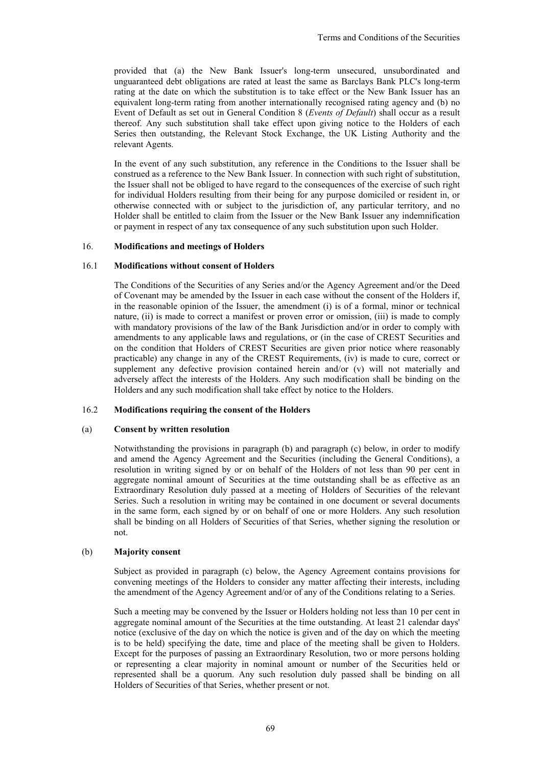provided that (a) the New Bank Issuer's long-term unsecured, unsubordinated and unguaranteed debt obligations are rated at least the same as Barclays Bank PLC's long-term rating at the date on which the substitution is to take effect or the New Bank Issuer has an equivalent long-term rating from another internationally recognised rating agency and (b) no Event of Default as set out in General Condition 8 (*Events of Default*) shall occur as a result thereof. Any such substitution shall take effect upon giving notice to the Holders of each Series then outstanding, the Relevant Stock Exchange, the UK Listing Authority and the relevant Agents.

In the event of any such substitution, any reference in the Conditions to the Issuer shall be construed as a reference to the New Bank Issuer. In connection with such right of substitution, the Issuer shall not be obliged to have regard to the consequences of the exercise of such right for individual Holders resulting from their being for any purpose domiciled or resident in, or otherwise connected with or subject to the jurisdiction of, any particular territory, and no Holder shall be entitled to claim from the Issuer or the New Bank Issuer any indemnification or payment in respect of any tax consequence of any such substitution upon such Holder.

## 16. **Modifications and meetings of Holders**

#### 16.1 **Modifications without consent of Holders**

The Conditions of the Securities of any Series and/or the Agency Agreement and/or the Deed of Covenant may be amended by the Issuer in each case without the consent of the Holders if, in the reasonable opinion of the Issuer, the amendment (i) is of a formal, minor or technical nature, (ii) is made to correct a manifest or proven error or omission, (iii) is made to comply with mandatory provisions of the law of the Bank Jurisdiction and/or in order to comply with amendments to any applicable laws and regulations, or (in the case of CREST Securities and on the condition that Holders of CREST Securities are given prior notice where reasonably practicable) any change in any of the CREST Requirements, (iv) is made to cure, correct or supplement any defective provision contained herein and/or (v) will not materially and adversely affect the interests of the Holders. Any such modification shall be binding on the Holders and any such modification shall take effect by notice to the Holders.

# 16.2 **Modifications requiring the consent of the Holders**

#### (a) **Consent by written resolution**

Notwithstanding the provisions in paragraph (b) and paragraph (c) below, in order to modify and amend the Agency Agreement and the Securities (including the General Conditions), a resolution in writing signed by or on behalf of the Holders of not less than 90 per cent in aggregate nominal amount of Securities at the time outstanding shall be as effective as an Extraordinary Resolution duly passed at a meeting of Holders of Securities of the relevant Series. Such a resolution in writing may be contained in one document or several documents in the same form, each signed by or on behalf of one or more Holders. Any such resolution shall be binding on all Holders of Securities of that Series, whether signing the resolution or not.

# (b) **Majority consent**

Subject as provided in paragraph (c) below, the Agency Agreement contains provisions for convening meetings of the Holders to consider any matter affecting their interests, including the amendment of the Agency Agreement and/or of any of the Conditions relating to a Series.

Such a meeting may be convened by the Issuer or Holders holding not less than 10 per cent in aggregate nominal amount of the Securities at the time outstanding. At least 21 calendar days' notice (exclusive of the day on which the notice is given and of the day on which the meeting is to be held) specifying the date, time and place of the meeting shall be given to Holders. Except for the purposes of passing an Extraordinary Resolution, two or more persons holding or representing a clear majority in nominal amount or number of the Securities held or represented shall be a quorum. Any such resolution duly passed shall be binding on all Holders of Securities of that Series, whether present or not.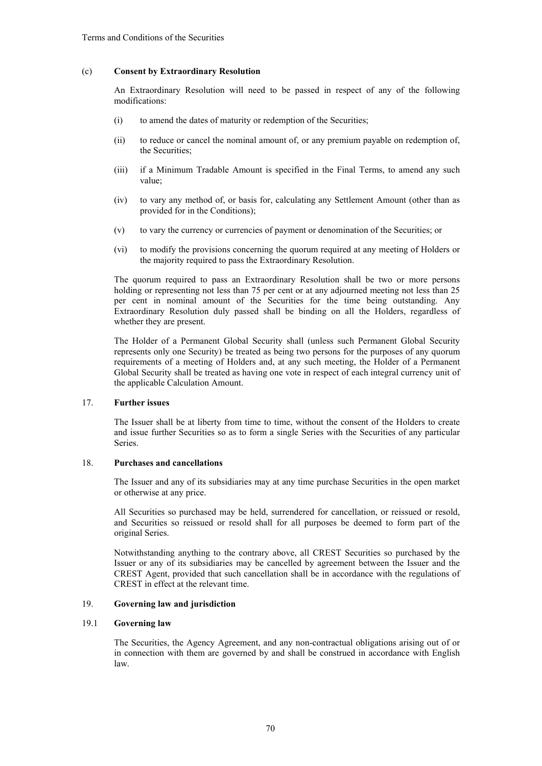## (c) **Consent by Extraordinary Resolution**

An Extraordinary Resolution will need to be passed in respect of any of the following modifications:

- (i) to amend the dates of maturity or redemption of the Securities;
- (ii) to reduce or cancel the nominal amount of, or any premium payable on redemption of, the Securities;
- (iii) if a Minimum Tradable Amount is specified in the Final Terms, to amend any such value;
- (iv) to vary any method of, or basis for, calculating any Settlement Amount (other than as provided for in the Conditions);
- (v) to vary the currency or currencies of payment or denomination of the Securities; or
- (vi) to modify the provisions concerning the quorum required at any meeting of Holders or the majority required to pass the Extraordinary Resolution.

The quorum required to pass an Extraordinary Resolution shall be two or more persons holding or representing not less than 75 per cent or at any adjourned meeting not less than 25 per cent in nominal amount of the Securities for the time being outstanding. Any Extraordinary Resolution duly passed shall be binding on all the Holders, regardless of whether they are present.

The Holder of a Permanent Global Security shall (unless such Permanent Global Security represents only one Security) be treated as being two persons for the purposes of any quorum requirements of a meeting of Holders and, at any such meeting, the Holder of a Permanent Global Security shall be treated as having one vote in respect of each integral currency unit of the applicable Calculation Amount.

# 17. **Further issues**

The Issuer shall be at liberty from time to time, without the consent of the Holders to create and issue further Securities so as to form a single Series with the Securities of any particular Series.

# 18. **Purchases and cancellations**

The Issuer and any of its subsidiaries may at any time purchase Securities in the open market or otherwise at any price.

All Securities so purchased may be held, surrendered for cancellation, or reissued or resold, and Securities so reissued or resold shall for all purposes be deemed to form part of the original Series.

Notwithstanding anything to the contrary above, all CREST Securities so purchased by the Issuer or any of its subsidiaries may be cancelled by agreement between the Issuer and the CREST Agent, provided that such cancellation shall be in accordance with the regulations of CREST in effect at the relevant time.

# 19. **Governing law and jurisdiction**

# 19.1 **Governing law**

The Securities, the Agency Agreement, and any non-contractual obligations arising out of or in connection with them are governed by and shall be construed in accordance with English law.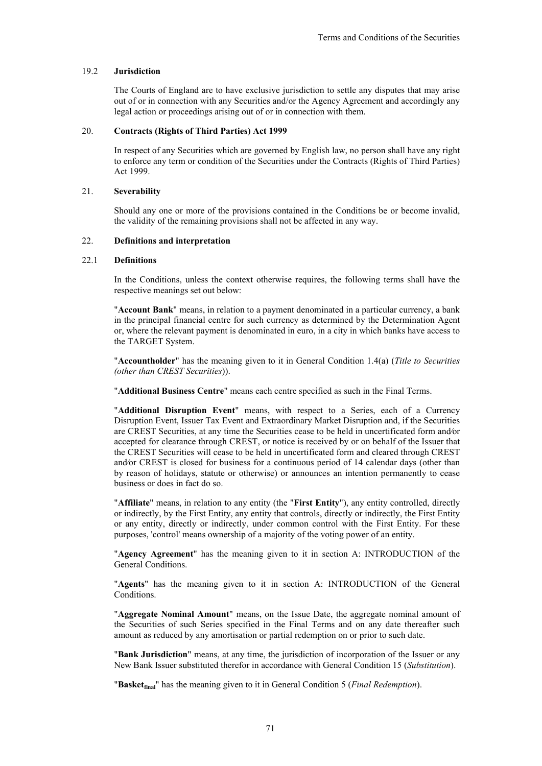## 19.2 **Jurisdiction**

The Courts of England are to have exclusive jurisdiction to settle any disputes that may arise out of or in connection with any Securities and/or the Agency Agreement and accordingly any legal action or proceedings arising out of or in connection with them.

## 20. **Contracts (Rights of Third Parties) Act 1999**

In respect of any Securities which are governed by English law, no person shall have any right to enforce any term or condition of the Securities under the Contracts (Rights of Third Parties) Act 1999.

#### 21. **Severability**

Should any one or more of the provisions contained in the Conditions be or become invalid, the validity of the remaining provisions shall not be affected in any way.

## 22. **Definitions and interpretation**

#### 22.1 **Definitions**

In the Conditions, unless the context otherwise requires, the following terms shall have the respective meanings set out below:

"**Account Bank**" means, in relation to a payment denominated in a particular currency, a bank in the principal financial centre for such currency as determined by the Determination Agent or, where the relevant payment is denominated in euro, in a city in which banks have access to the TARGET System.

"**Accountholder**" has the meaning given to it in General Condition 1.4(a) (*Title to Securities (other than CREST Securities*)).

"**Additional Business Centre**" means each centre specified as such in the Final Terms.

"**Additional Disruption Event**" means, with respect to a Series, each of a Currency Disruption Event, Issuer Tax Event and Extraordinary Market Disruption and, if the Securities are CREST Securities, at any time the Securities cease to be held in uncertificated form and⁄or accepted for clearance through CREST, or notice is received by or on behalf of the Issuer that the CREST Securities will cease to be held in uncertificated form and cleared through CREST and⁄or CREST is closed for business for a continuous period of 14 calendar days (other than by reason of holidays, statute or otherwise) or announces an intention permanently to cease business or does in fact do so.

"**Affiliate**" means, in relation to any entity (the "**First Entity**"), any entity controlled, directly or indirectly, by the First Entity, any entity that controls, directly or indirectly, the First Entity or any entity, directly or indirectly, under common control with the First Entity. For these purposes, 'control' means ownership of a majority of the voting power of an entity.

"**Agency Agreement**" has the meaning given to it in section A: INTRODUCTION of the General Conditions.

"**Agents**" has the meaning given to it in section A: INTRODUCTION of the General Conditions.

"**Aggregate Nominal Amount**" means, on the Issue Date, the aggregate nominal amount of the Securities of such Series specified in the Final Terms and on any date thereafter such amount as reduced by any amortisation or partial redemption on or prior to such date.

"**Bank Jurisdiction**" means, at any time, the jurisdiction of incorporation of the Issuer or any New Bank Issuer substituted therefor in accordance with General Condition 15 (*Substitution*).

"**Basketfinal**" has the meaning given to it in General Condition 5 (*Final Redemption*).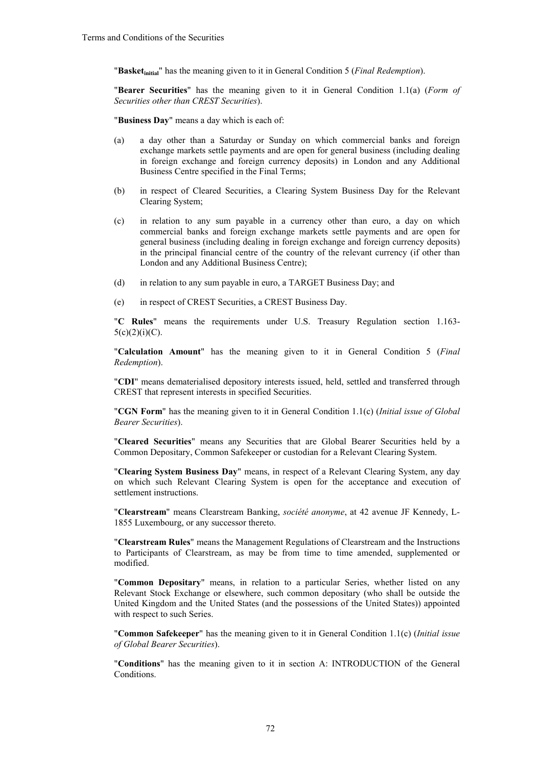"**Basketinitial**" has the meaning given to it in General Condition 5 (*Final Redemption*).

"**Bearer Securities**" has the meaning given to it in General Condition 1.1(a) (*Form of Securities other than CREST Securities*).

"**Business Day**" means a day which is each of:

- (a) a day other than a Saturday or Sunday on which commercial banks and foreign exchange markets settle payments and are open for general business (including dealing in foreign exchange and foreign currency deposits) in London and any Additional Business Centre specified in the Final Terms;
- (b) in respect of Cleared Securities, a Clearing System Business Day for the Relevant Clearing System;
- (c) in relation to any sum payable in a currency other than euro, a day on which commercial banks and foreign exchange markets settle payments and are open for general business (including dealing in foreign exchange and foreign currency deposits) in the principal financial centre of the country of the relevant currency (if other than London and any Additional Business Centre);
- (d) in relation to any sum payable in euro, a TARGET Business Day; and
- (e) in respect of CREST Securities, a CREST Business Day.

"**C Rules**" means the requirements under U.S. Treasury Regulation section 1.163-  $5(c)(2)(i)(C)$ .

"**Calculation Amount**" has the meaning given to it in General Condition 5 (*Final Redemption*).

"**CDI**" means dematerialised depository interests issued, held, settled and transferred through CREST that represent interests in specified Securities.

"**CGN Form**" has the meaning given to it in General Condition 1.1(c) (*Initial issue of Global Bearer Securities*).

"**Cleared Securities**" means any Securities that are Global Bearer Securities held by a Common Depositary, Common Safekeeper or custodian for a Relevant Clearing System.

"**Clearing System Business Day**" means, in respect of a Relevant Clearing System, any day on which such Relevant Clearing System is open for the acceptance and execution of settlement instructions.

"**Clearstream**" means Clearstream Banking, *société anonyme*, at 42 avenue JF Kennedy, L-1855 Luxembourg, or any successor thereto.

"**Clearstream Rules**" means the Management Regulations of Clearstream and the Instructions to Participants of Clearstream, as may be from time to time amended, supplemented or modified.

"**Common Depositary**" means, in relation to a particular Series, whether listed on any Relevant Stock Exchange or elsewhere, such common depositary (who shall be outside the United Kingdom and the United States (and the possessions of the United States)) appointed with respect to such Series.

"**Common Safekeeper**" has the meaning given to it in General Condition 1.1(c) (*Initial issue of Global Bearer Securities*).

"**Conditions**" has the meaning given to it in section A: INTRODUCTION of the General Conditions.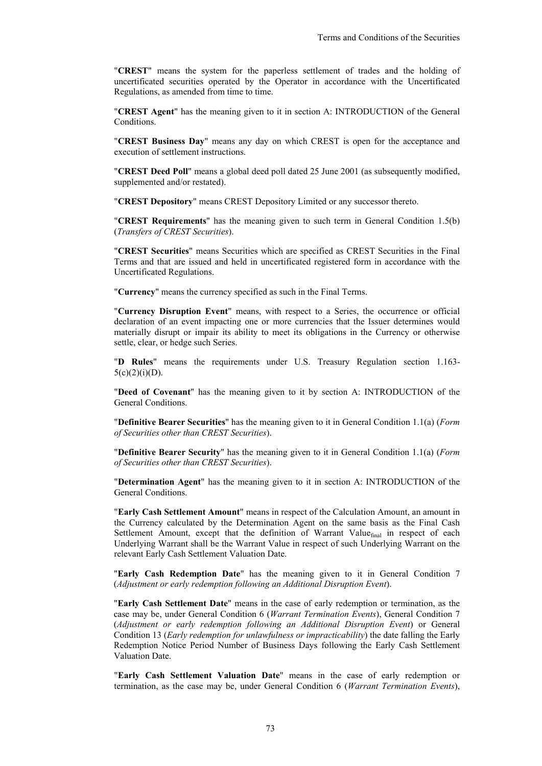"**CREST**" means the system for the paperless settlement of trades and the holding of uncertificated securities operated by the Operator in accordance with the Uncertificated Regulations, as amended from time to time.

"**CREST Agent**" has the meaning given to it in section A: INTRODUCTION of the General Conditions.

"**CREST Business Day**" means any day on which CREST is open for the acceptance and execution of settlement instructions.

"**CREST Deed Poll**" means a global deed poll dated 25 June 2001 (as subsequently modified, supplemented and/or restated).

"**CREST Depository**" means CREST Depository Limited or any successor thereto.

"**CREST Requirements**" has the meaning given to such term in General Condition 1.5(b) (*Transfers of CREST Securities*).

"**CREST Securities**" means Securities which are specified as CREST Securities in the Final Terms and that are issued and held in uncertificated registered form in accordance with the Uncertificated Regulations.

"**Currency**" means the currency specified as such in the Final Terms.

"**Currency Disruption Event**" means, with respect to a Series, the occurrence or official declaration of an event impacting one or more currencies that the Issuer determines would materially disrupt or impair its ability to meet its obligations in the Currency or otherwise settle, clear, or hedge such Series.

"**D Rules**" means the requirements under U.S. Treasury Regulation section 1.163-  $5(c)(2)(i)(D)$ .

"**Deed of Covenant**" has the meaning given to it by section A: INTRODUCTION of the General Conditions.

"**Definitive Bearer Securities**" has the meaning given to it in General Condition 1.1(a) (*Form of Securities other than CREST Securities*).

"**Definitive Bearer Security**" has the meaning given to it in General Condition 1.1(a) (*Form of Securities other than CREST Securities*).

"**Determination Agent**" has the meaning given to it in section A: INTRODUCTION of the General Conditions.

"**Early Cash Settlement Amount**" means in respect of the Calculation Amount, an amount in the Currency calculated by the Determination Agent on the same basis as the Final Cash Settlement Amount, except that the definition of Warrant Value<sub>final</sub> in respect of each Underlying Warrant shall be the Warrant Value in respect of such Underlying Warrant on the relevant Early Cash Settlement Valuation Date.

"**Early Cash Redemption Date**" has the meaning given to it in General Condition 7 (*Adjustment or early redemption following an Additional Disruption Event*).

"**Early Cash Settlement Date**" means in the case of early redemption or termination, as the case may be, under General Condition 6 (*Warrant Termination Events*), General Condition 7 (*Adjustment or early redemption following an Additional Disruption Event*) or General Condition 13 (*Early redemption for unlawfulness or impracticability*) the date falling the Early Redemption Notice Period Number of Business Days following the Early Cash Settlement Valuation Date.

"**Early Cash Settlement Valuation Date**" means in the case of early redemption or termination, as the case may be, under General Condition 6 (*Warrant Termination Events*),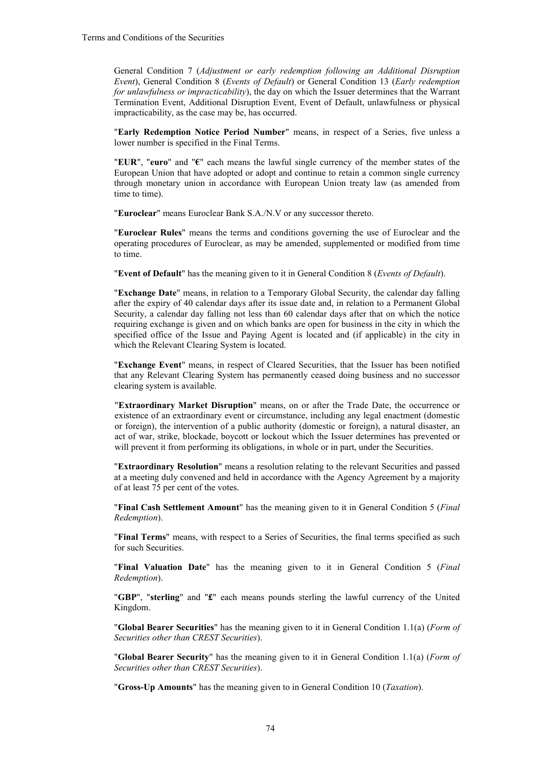General Condition 7 (*Adjustment or early redemption following an Additional Disruption Event*), General Condition 8 (*Events of Default*) or General Condition 13 (*Early redemption for unlawfulness or impracticability*), the day on which the Issuer determines that the Warrant Termination Event, Additional Disruption Event, Event of Default, unlawfulness or physical impracticability, as the case may be, has occurred.

"**Early Redemption Notice Period Number**" means, in respect of a Series, five unless a lower number is specified in the Final Terms.

"**EUR**", "**euro**" and "**€**" each means the lawful single currency of the member states of the European Union that have adopted or adopt and continue to retain a common single currency through monetary union in accordance with European Union treaty law (as amended from time to time).

"**Euroclear**" means Euroclear Bank S.A./N.V or any successor thereto.

"**Euroclear Rules**" means the terms and conditions governing the use of Euroclear and the operating procedures of Euroclear, as may be amended, supplemented or modified from time to time.

"**Event of Default**" has the meaning given to it in General Condition 8 (*Events of Default*).

"**Exchange Date**" means, in relation to a Temporary Global Security, the calendar day falling after the expiry of 40 calendar days after its issue date and, in relation to a Permanent Global Security, a calendar day falling not less than 60 calendar days after that on which the notice requiring exchange is given and on which banks are open for business in the city in which the specified office of the Issue and Paying Agent is located and (if applicable) in the city in which the Relevant Clearing System is located.

"**Exchange Event**" means, in respect of Cleared Securities, that the Issuer has been notified that any Relevant Clearing System has permanently ceased doing business and no successor clearing system is available.

"**Extraordinary Market Disruption**" means, on or after the Trade Date, the occurrence or existence of an extraordinary event or circumstance, including any legal enactment (domestic or foreign), the intervention of a public authority (domestic or foreign), a natural disaster, an act of war, strike, blockade, boycott or lockout which the Issuer determines has prevented or will prevent it from performing its obligations, in whole or in part, under the Securities.

"**Extraordinary Resolution**" means a resolution relating to the relevant Securities and passed at a meeting duly convened and held in accordance with the Agency Agreement by a majority of at least 75 per cent of the votes.

"**Final Cash Settlement Amount**" has the meaning given to it in General Condition 5 (*Final Redemption*).

"**Final Terms**" means, with respect to a Series of Securities, the final terms specified as such for such Securities.

"**Final Valuation Date**" has the meaning given to it in General Condition 5 (*Final Redemption*).

"**GBP**", "**sterling**" and "**£**" each means pounds sterling the lawful currency of the United Kingdom.

"**Global Bearer Securities**" has the meaning given to it in General Condition 1.1(a) (*Form of Securities other than CREST Securities*).

"**Global Bearer Security**" has the meaning given to it in General Condition 1.1(a) (*Form of Securities other than CREST Securities*).

"**Gross-Up Amounts**" has the meaning given to in General Condition 10 (*Taxation*).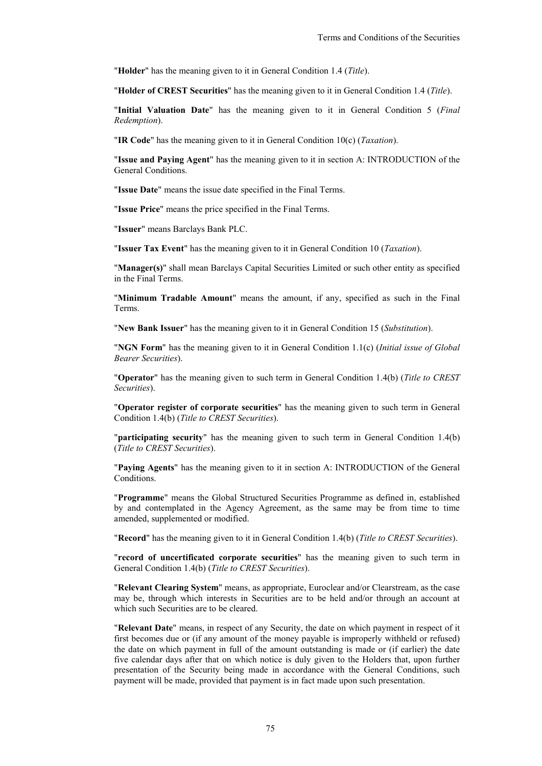"**Holder**" has the meaning given to it in General Condition 1.4 (*Title*).

"**Holder of CREST Securities**" has the meaning given to it in General Condition 1.4 (*Title*).

"**Initial Valuation Date**" has the meaning given to it in General Condition 5 (*Final Redemption*).

"**IR Code**" has the meaning given to it in General Condition 10(c) (*Taxation*).

"**Issue and Paying Agent**" has the meaning given to it in section A: INTRODUCTION of the General Conditions.

"**Issue Date**" means the issue date specified in the Final Terms.

"**Issue Price**" means the price specified in the Final Terms.

"**Issuer**" means Barclays Bank PLC.

"**Issuer Tax Event**" has the meaning given to it in General Condition 10 (*Taxation*).

"**Manager(s)**" shall mean Barclays Capital Securities Limited or such other entity as specified in the Final Terms.

"**Minimum Tradable Amount**" means the amount, if any, specified as such in the Final Terms.

"**New Bank Issuer**" has the meaning given to it in General Condition 15 (*Substitution*).

"**NGN Form**" has the meaning given to it in General Condition 1.1(c) (*Initial issue of Global Bearer Securities*).

"**Operator**" has the meaning given to such term in General Condition 1.4(b) (*Title to CREST Securities*).

"**Operator register of corporate securities**" has the meaning given to such term in General Condition 1.4(b) (*Title to CREST Securities*).

"**participating security**" has the meaning given to such term in General Condition 1.4(b) (*Title to CREST Securities*).

"**Paying Agents**" has the meaning given to it in section A: INTRODUCTION of the General Conditions.

"**Programme**" means the Global Structured Securities Programme as defined in, established by and contemplated in the Agency Agreement, as the same may be from time to time amended, supplemented or modified.

"**Record**" has the meaning given to it in General Condition 1.4(b) (*Title to CREST Securities*).

"**record of uncertificated corporate securities**" has the meaning given to such term in General Condition 1.4(b) (*Title to CREST Securities*).

"**Relevant Clearing System**" means, as appropriate, Euroclear and/or Clearstream, as the case may be, through which interests in Securities are to be held and/or through an account at which such Securities are to be cleared.

"**Relevant Date**" means, in respect of any Security, the date on which payment in respect of it first becomes due or (if any amount of the money payable is improperly withheld or refused) the date on which payment in full of the amount outstanding is made or (if earlier) the date five calendar days after that on which notice is duly given to the Holders that, upon further presentation of the Security being made in accordance with the General Conditions, such payment will be made, provided that payment is in fact made upon such presentation.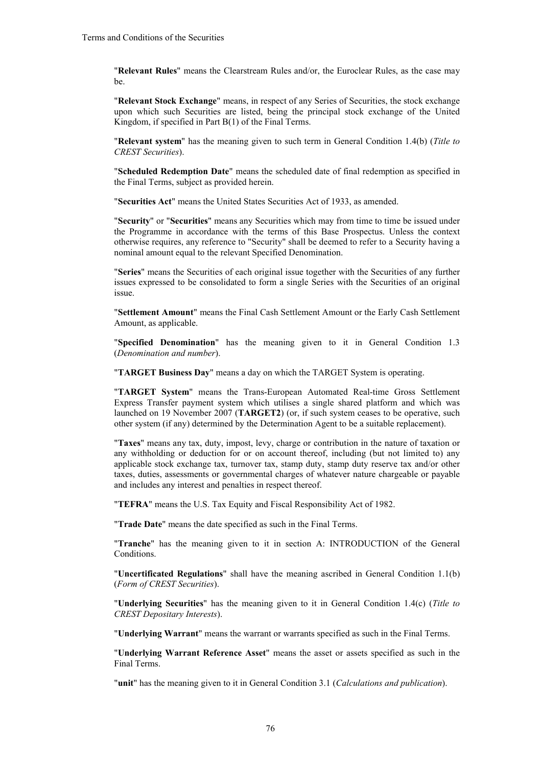"**Relevant Rules**" means the Clearstream Rules and/or, the Euroclear Rules, as the case may be.

"**Relevant Stock Exchange**" means, in respect of any Series of Securities, the stock exchange upon which such Securities are listed, being the principal stock exchange of the United Kingdom, if specified in Part B(1) of the Final Terms.

"**Relevant system**" has the meaning given to such term in General Condition 1.4(b) (*Title to CREST Securities*).

"**Scheduled Redemption Date**" means the scheduled date of final redemption as specified in the Final Terms, subject as provided herein.

"**Securities Act**" means the United States Securities Act of 1933, as amended.

"**Security**" or "**Securities**" means any Securities which may from time to time be issued under the Programme in accordance with the terms of this Base Prospectus. Unless the context otherwise requires, any reference to "Security" shall be deemed to refer to a Security having a nominal amount equal to the relevant Specified Denomination.

"**Series**" means the Securities of each original issue together with the Securities of any further issues expressed to be consolidated to form a single Series with the Securities of an original issue.

"**Settlement Amount**" means the Final Cash Settlement Amount or the Early Cash Settlement Amount, as applicable.

"**Specified Denomination**" has the meaning given to it in General Condition 1.3 (*Denomination and number*).

"**TARGET Business Day**" means a day on which the TARGET System is operating.

"**TARGET System**" means the Trans-European Automated Real-time Gross Settlement Express Transfer payment system which utilises a single shared platform and which was launched on 19 November 2007 (**TARGET2**) (or, if such system ceases to be operative, such other system (if any) determined by the Determination Agent to be a suitable replacement).

"**Taxes**" means any tax, duty, impost, levy, charge or contribution in the nature of taxation or any withholding or deduction for or on account thereof, including (but not limited to) any applicable stock exchange tax, turnover tax, stamp duty, stamp duty reserve tax and/or other taxes, duties, assessments or governmental charges of whatever nature chargeable or payable and includes any interest and penalties in respect thereof.

"**TEFRA**" means the U.S. Tax Equity and Fiscal Responsibility Act of 1982.

"**Trade Date**" means the date specified as such in the Final Terms.

"**Tranche**" has the meaning given to it in section A: INTRODUCTION of the General Conditions.

"**Uncertificated Regulations**" shall have the meaning ascribed in General Condition 1.1(b) (*Form of CREST Securities*).

"**Underlying Securities**" has the meaning given to it in General Condition 1.4(c) (*Title to CREST Depositary Interests*).

"**Underlying Warrant**" means the warrant or warrants specified as such in the Final Terms.

"**Underlying Warrant Reference Asset**" means the asset or assets specified as such in the Final Terms.

"**unit**" has the meaning given to it in General Condition 3.1 (*Calculations and publication*).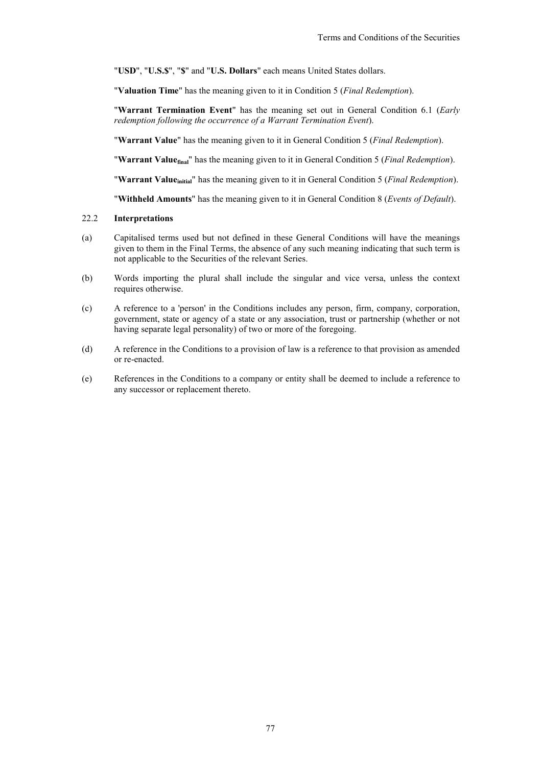"**USD**", "**U.S.\$**", "**\$**" and "**U.S. Dollars**" each means United States dollars.

"**Valuation Time**" has the meaning given to it in Condition 5 (*Final Redemption*).

"**Warrant Termination Event**" has the meaning set out in General Condition 6.1 (*Early redemption following the occurrence of a Warrant Termination Event*).

"**Warrant Value**" has the meaning given to it in General Condition 5 (*Final Redemption*).

"**Warrant Valuefinal**" has the meaning given to it in General Condition 5 (*Final Redemption*).

"**Warrant Valueinitial**" has the meaning given to it in General Condition 5 (*Final Redemption*).

"**Withheld Amounts**" has the meaning given to it in General Condition 8 (*Events of Default*).

## 22.2 **Interpretations**

- (a) Capitalised terms used but not defined in these General Conditions will have the meanings given to them in the Final Terms, the absence of any such meaning indicating that such term is not applicable to the Securities of the relevant Series.
- (b) Words importing the plural shall include the singular and vice versa, unless the context requires otherwise.
- (c) A reference to a 'person' in the Conditions includes any person, firm, company, corporation, government, state or agency of a state or any association, trust or partnership (whether or not having separate legal personality) of two or more of the foregoing.
- (d) A reference in the Conditions to a provision of law is a reference to that provision as amended or re-enacted.
- (e) References in the Conditions to a company or entity shall be deemed to include a reference to any successor or replacement thereto.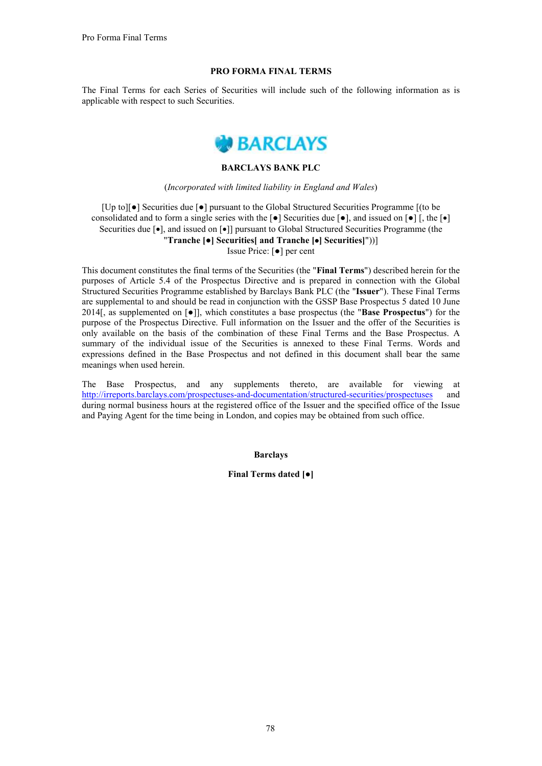## **PRO FORMA FINAL TERMS**

The Final Terms for each Series of Securities will include such of the following information as is applicable with respect to such Securities.



## **BARCLAYS BANK PLC**

#### (*Incorporated with limited liability in England and Wales*)

[Up to][**●**] Securities due [**●**] pursuant to the Global Structured Securities Programme [(to be consolidated and to form a single series with the  $\lceil \bullet \rceil$  Securities due  $\lceil \bullet \rceil$ , and issued on  $\lceil \bullet \rceil$ , the  $\lceil \bullet \rceil$ Securities due  $\lceil \bullet \rceil$ , and issued on  $\lceil \bullet \rceil$ ] pursuant to Global Structured Securities Programme (the "**Tranche [●] Securities[ and Tranche [] Securities]**"))] Issue Price: [**●**] per cent

This document constitutes the final terms of the Securities (the "**Final Terms**") described herein for the purposes of Article 5.4 of the Prospectus Directive and is prepared in connection with the Global Structured Securities Programme established by Barclays Bank PLC (the "**Issuer**"). These Final Terms are supplemental to and should be read in conjunction with the GSSP Base Prospectus 5 dated 10 June 2014[, as supplemented on [**●**]], which constitutes a base prospectus (the "**Base Prospectus**") for the purpose of the Prospectus Directive. Full information on the Issuer and the offer of the Securities is only available on the basis of the combination of these Final Terms and the Base Prospectus. A summary of the individual issue of the Securities is annexed to these Final Terms. Words and expressions defined in the Base Prospectus and not defined in this document shall bear the same meanings when used herein.

The Base Prospectus, and any supplements thereto, are available for viewing at http://irreports.barclays.com/prospectuses-and-documentation/structured-securities/prospectuses and during normal business hours at the registered office of the Issuer and the specified office of the Issue and Paying Agent for the time being in London, and copies may be obtained from such office.

#### **Barclays**

**Final Terms dated [●]**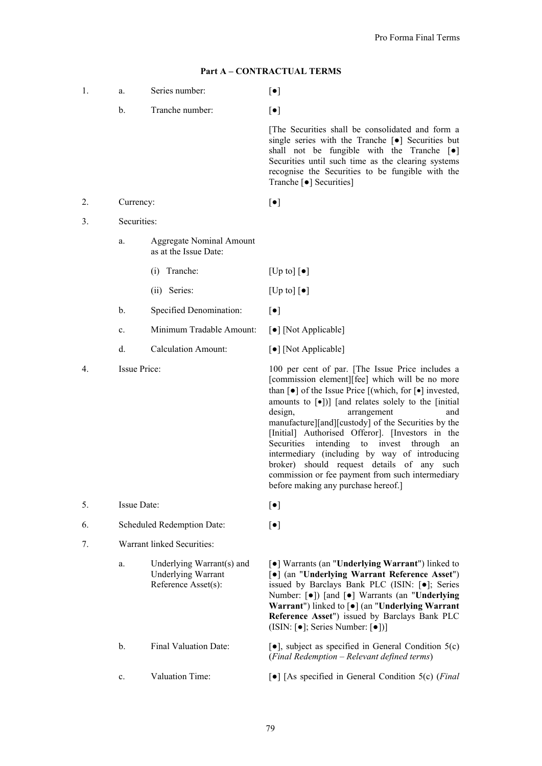| 1. | a.           | Series number:                                                                | $[\bullet]$                                                                                                                                                                                                                                                                                                                                                                                                                                                                                                                                                                                                                                                                                             |
|----|--------------|-------------------------------------------------------------------------------|---------------------------------------------------------------------------------------------------------------------------------------------------------------------------------------------------------------------------------------------------------------------------------------------------------------------------------------------------------------------------------------------------------------------------------------------------------------------------------------------------------------------------------------------------------------------------------------------------------------------------------------------------------------------------------------------------------|
|    | $b$ .        | Tranche number:                                                               | $\lbrack \bullet \rbrack$                                                                                                                                                                                                                                                                                                                                                                                                                                                                                                                                                                                                                                                                               |
|    |              |                                                                               | The Securities shall be consolidated and form a<br>single series with the Tranche [ $\bullet$ ] Securities but<br>shall not be fungible with the Tranche $\lceil \bullet \rceil$<br>Securities until such time as the clearing systems<br>recognise the Securities to be fungible with the<br>Tranche [ $\bullet$ ] Securities]                                                                                                                                                                                                                                                                                                                                                                         |
| 2. | Currency:    |                                                                               | $[\bullet]$                                                                                                                                                                                                                                                                                                                                                                                                                                                                                                                                                                                                                                                                                             |
| 3. | Securities:  |                                                                               |                                                                                                                                                                                                                                                                                                                                                                                                                                                                                                                                                                                                                                                                                                         |
|    | a.           | <b>Aggregate Nominal Amount</b><br>as at the Issue Date:                      |                                                                                                                                                                                                                                                                                                                                                                                                                                                                                                                                                                                                                                                                                                         |
|    |              | Tranche:<br>(i)                                                               | $[Up~to] [\bullet]$                                                                                                                                                                                                                                                                                                                                                                                                                                                                                                                                                                                                                                                                                     |
|    |              | (ii) Series:                                                                  | [Up to] $\lbrack \bullet \rbrack$                                                                                                                                                                                                                                                                                                                                                                                                                                                                                                                                                                                                                                                                       |
|    | b.           | Specified Denomination:                                                       | $\lbrack \bullet \rbrack$                                                                                                                                                                                                                                                                                                                                                                                                                                                                                                                                                                                                                                                                               |
|    | c.           | Minimum Tradable Amount:                                                      | [•] [Not Applicable]                                                                                                                                                                                                                                                                                                                                                                                                                                                                                                                                                                                                                                                                                    |
|    | d.           | <b>Calculation Amount:</b>                                                    | [•] [Not Applicable]                                                                                                                                                                                                                                                                                                                                                                                                                                                                                                                                                                                                                                                                                    |
| 4. | Issue Price: |                                                                               | 100 per cent of par. [The Issue Price includes a<br>[commission element][fee] which will be no more<br>than $\lceil \bullet \rceil$ of the Issue Price $\lceil (\text{which, for } \lceil \bullet \rceil \text{ invested})$ ,<br>amounts to $\lceil \bullet \rceil$ )] [and relates solely to the [initial]<br>and<br>design,<br>arrangement<br>manufacture][and][custody] of the Securities by the<br>[Initial] Authorised Offeror]. [Investors in the<br>intending to<br>invest through<br>Securities<br>an<br>intermediary (including by way of introducing<br>broker) should request details of any such<br>commission or fee payment from such intermediary<br>before making any purchase hereof.] |
| 5. | Issue Date:  |                                                                               | $[\bullet]$                                                                                                                                                                                                                                                                                                                                                                                                                                                                                                                                                                                                                                                                                             |
| 6. |              | Scheduled Redemption Date:                                                    | $\lbrack \bullet \rbrack$                                                                                                                                                                                                                                                                                                                                                                                                                                                                                                                                                                                                                                                                               |
| 7. |              | Warrant linked Securities:                                                    |                                                                                                                                                                                                                                                                                                                                                                                                                                                                                                                                                                                                                                                                                                         |
|    | a.           | Underlying Warrant(s) and<br><b>Underlying Warrant</b><br>Reference Asset(s): | [•] Warrants (an "Underlying Warrant") linked to<br>[•] (an "Underlying Warrant Reference Asset")<br>issued by Barclays Bank PLC (ISIN: [.]; Series<br>Number: [ $\bullet$ ]) [and [ $\bullet$ ] Warrants (an "Underlying<br>Warrant") linked to [ $\bullet$ ] (an "Underlying Warrant<br>Reference Asset") issued by Barclays Bank PLC<br>(ISIN: $\lceil \bullet \rceil$ ; Series Number: $\lceil \bullet \rceil$ )]                                                                                                                                                                                                                                                                                   |
|    |              |                                                                               |                                                                                                                                                                                                                                                                                                                                                                                                                                                                                                                                                                                                                                                                                                         |

#### **Part A – CONTRACTUAL TERMS**

b. Final Valuation Date: [**●**], subject as specified in General Condition 5(c)

(*Final Redemption – Relevant defined terms*)

79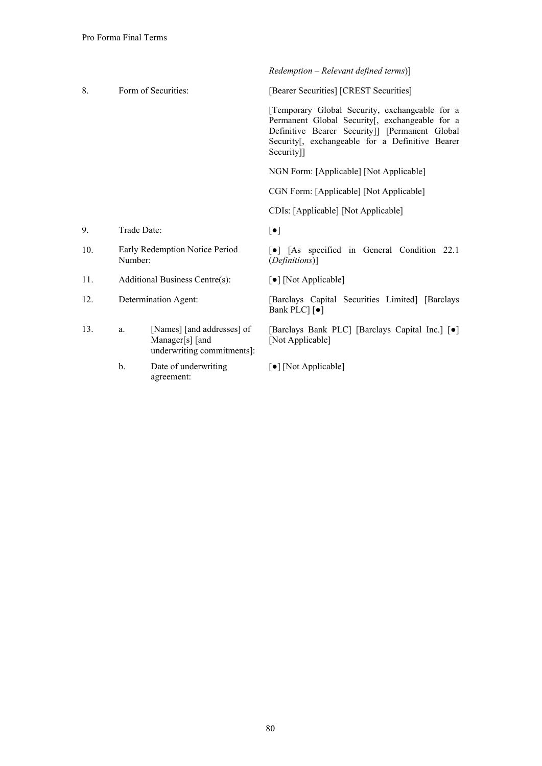|     |             |                                                                             | $Redemption - Relevant defined terms)$ ]                                                                                                                                                                            |
|-----|-------------|-----------------------------------------------------------------------------|---------------------------------------------------------------------------------------------------------------------------------------------------------------------------------------------------------------------|
| 8.  |             | Form of Securities:                                                         | [Bearer Securities] [CREST Securities]                                                                                                                                                                              |
|     |             |                                                                             | [Temporary Global Security, exchangeable for a<br>Permanent Global Security[, exchangeable for a<br>Definitive Bearer Security]] [Permanent Global<br>Security[, exchangeable for a Definitive Bearer<br>Security]] |
|     |             |                                                                             | NGN Form: [Applicable] [Not Applicable]                                                                                                                                                                             |
|     |             |                                                                             | CGN Form: [Applicable] [Not Applicable]                                                                                                                                                                             |
|     |             |                                                                             | CDIs: [Applicable] [Not Applicable]                                                                                                                                                                                 |
| 9.  | Trade Date: |                                                                             | $[\bullet]$                                                                                                                                                                                                         |
| 10. | Number:     | Early Redemption Notice Period                                              | [•] [As specified in General Condition 22.1]<br>(Definitions)]                                                                                                                                                      |
| 11. |             | Additional Business Centre(s):                                              | [•] [Not Applicable]                                                                                                                                                                                                |
| 12. |             | Determination Agent:                                                        | [Barclays Capital Securities Limited] [Barclays]<br>Bank PLC] [ $\bullet$ ]                                                                                                                                         |
| 13. | a.          | [Names] [and addresses] of<br>Manager[s] [and<br>underwriting commitments]: | [Barclays Bank PLC] [Barclays Capital Inc.] [ $\bullet$ ]<br>[Not Applicable]                                                                                                                                       |
|     | b.          | Date of underwriting<br>agreement:                                          | [•] [Not Applicable]                                                                                                                                                                                                |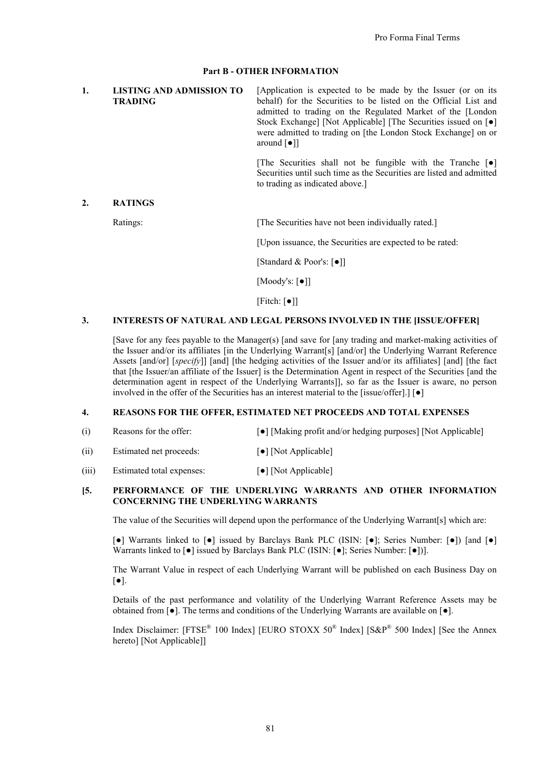## **Part B - OTHER INFORMATION**

| LISTING AND ADMISSION TO<br><b>TRADING</b> | [Application is expected to be made by the Issuer (or on its<br>behalf) for the Securities to be listed on the Official List and<br>admitted to trading on the Regulated Market of the [London]<br>Stock Exchange] [Not Applicable] [The Securities issued on [ $\bullet$ ]<br>were admitted to trading on [the London Stock Exchange] on or<br>around $\lceil \bullet \rceil$ |
|--------------------------------------------|--------------------------------------------------------------------------------------------------------------------------------------------------------------------------------------------------------------------------------------------------------------------------------------------------------------------------------------------------------------------------------|
|                                            |                                                                                                                                                                                                                                                                                                                                                                                |

[The Securities shall not be fungible with the Tranche [**●**] Securities until such time as the Securities are listed and admitted to trading as indicated above.]

## **2. RATINGS**

Ratings: [The Securities have not been individually rated.]

[Upon issuance, the Securities are expected to be rated:

[Standard & Poor's: [**●**]]

[Moody's: [**●**]]

[Fitch: [**●**]]

## **3. INTERESTS OF NATURAL AND LEGAL PERSONS INVOLVED IN THE [ISSUE/OFFER]**

[Save for any fees payable to the Manager(s) [and save for [any trading and market-making activities of the Issuer and/or its affiliates [in the Underlying Warrant[s] [and/or] the Underlying Warrant Reference Assets [and/or] [*specify*]] [and] [the hedging activities of the Issuer and/or its affiliates] [and] [the fact that [the Issuer/an affiliate of the Issuer] is the Determination Agent in respect of the Securities [and the determination agent in respect of the Underlying Warrants]], so far as the Issuer is aware, no person involved in the offer of the Securities has an interest material to the [issue/offer].] [**●**]

## **4. REASONS FOR THE OFFER, ESTIMATED NET PROCEEDS AND TOTAL EXPENSES**

- (i) Reasons for the offer: [**●**] [Making profit and/or hedging purposes] [Not Applicable]
- (ii) Estimated net proceeds: [**●**] [Not Applicable]
- (iii) Estimated total expenses: [**●**] [Not Applicable]

## **[5. PERFORMANCE OF THE UNDERLYING WARRANTS AND OTHER INFORMATION CONCERNING THE UNDERLYING WARRANTS**

The value of the Securities will depend upon the performance of the Underlying Warrant[s] which are:

[**●**] Warrants linked to [**●**] issued by Barclays Bank PLC (ISIN: [**●**]; Series Number: [**●**]) [and [**●**] Warrants linked to [**●**] issued by Barclays Bank PLC (ISIN: [**●**]; Series Number: [**●**])].

The Warrant Value in respect of each Underlying Warrant will be published on each Business Day on [**●**].

Details of the past performance and volatility of the Underlying Warrant Reference Assets may be obtained from [**●**]. The terms and conditions of the Underlying Warrants are available on [**●**].

Index Disclaimer: [FTSE<sup>®</sup> 100 Index] [EURO STOXX 50<sup>®</sup> Index] [S&P<sup>®</sup> 500 Index] [See the Annex hereto] [Not Applicable]]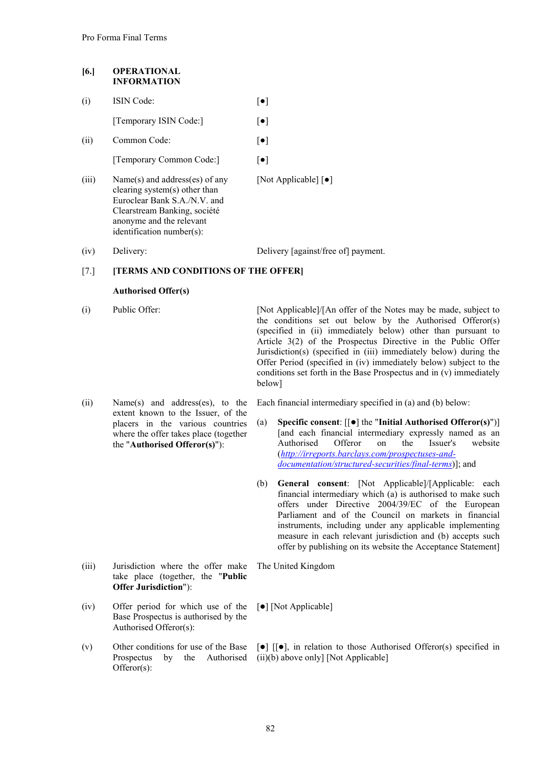## **[6.] OPERATIONAL INFORMATION**

| (i)   | <b>ISIN</b> Code:                                                                                                                                           | $\lceil \bullet \rceil$                  |
|-------|-------------------------------------------------------------------------------------------------------------------------------------------------------------|------------------------------------------|
|       | [Temporary ISIN Code:]                                                                                                                                      | $\lceil \bullet \rceil$                  |
| (ii)  | Common Code:                                                                                                                                                | $\lceil \bullet \rceil$                  |
|       | [Temporary Common Code:]                                                                                                                                    | $  \bullet  $                            |
| (iii) | Name(s) and address(es) of any<br>clearing system(s) other than<br>Euroclear Bank S.A./N.V. and<br>Clearstream Banking, société<br>anonyme and the relevant | [Not Applicable] $\lceil \bullet \rceil$ |

(iv) Delivery: Delivery [against/free of] payment.

## [7.] **[TERMS AND CONDITIONS OF THE OFFER]**

## **Authorised Offer(s)**

identification number(s):

(i) Public Offer: [Not Applicable]/[An offer of the Notes may be made, subject to the conditions set out below by the Authorised Offeror(s) (specified in (ii) immediately below) other than pursuant to Article 3(2) of the Prospectus Directive in the Public Offer Jurisdiction(s) (specified in (iii) immediately below) during the Offer Period (specified in (iv) immediately below) subject to the conditions set forth in the Base Prospectus and in (v) immediately below]

(ii) Name(s) and address(es), to the extent known to the Issuer, of the placers in the various countries where the offer takes place (together the "**Authorised Offeror(s)**"):

(iii) Jurisdiction where the offer make take place (together, the "**Public Offer Jurisdiction**"):

- (iv) Offer period for which use of the Base Prospectus is authorised by the Authorised Offeror(s):
- (v) Other conditions for use of the Base Prospectus by the Authorised Offeror(s):

Each financial intermediary specified in (a) and (b) below:

- (a) **Specific consent**:  $[[\bullet]]$  the "Initial Authorised Offeror(s)")] [and each financial intermediary expressly named as an Authorised Offeror on the Issuer's website (*http://irreports.barclays.com/prospectuses-anddocumentation/structured-securities/final-terms*)]; and
- (b) **General consent**: [Not Applicable]/[Applicable: each financial intermediary which (a) is authorised to make such offers under Directive 2004/39/EC of the European Parliament and of the Council on markets in financial instruments, including under any applicable implementing measure in each relevant jurisdiction and (b) accepts such offer by publishing on its website the Acceptance Statement]

The United Kingdom

[ $\bullet$ ] [Not Applicable]

 $\lceil \bullet \rceil$   $\lceil \bullet \rceil$ , in relation to those Authorised Offeror(s) specified in (ii)(b) above only] [Not Applicable]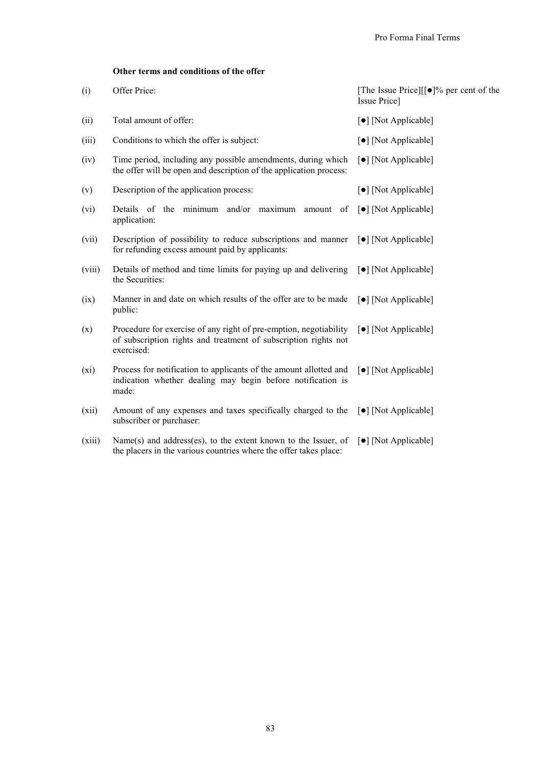## **Other terms and conditions of the offer**

| (i)    | Offer Price:                                                                                                                                       | [The Issue Price][ $\lceil \bullet \rceil\%$ per cent of the<br>Issue Price] |
|--------|----------------------------------------------------------------------------------------------------------------------------------------------------|------------------------------------------------------------------------------|
| (ii)   | Total amount of offer:                                                                                                                             | [ $\bullet$ ] [Not Applicable]                                               |
| (iii)  | Conditions to which the offer is subject:                                                                                                          | $\lceil \bullet \rceil$ [Not Applicable]                                     |
| (iv)   | Time period, including any possible amendments, during which<br>the offer will be open and description of the application process:                 | [ $\bullet$ ] [Not Applicable]                                               |
| (v)    | Description of the application process:                                                                                                            | [ $\bullet$ ] [Not Applicable]                                               |
| (vi)   | Details of the minimum and/or maximum amount of<br>application:                                                                                    | $\lceil \bullet \rceil$ [Not Applicable]                                     |
| (vii)  | Description of possibility to reduce subscriptions and manner<br>for refunding excess amount paid by applicants:                                   | $\lceil \bullet \rceil$ [Not Applicable]                                     |
| (viii) | Details of method and time limits for paying up and delivering<br>the Securities:                                                                  | $\lceil \bullet \rceil$ [Not Applicable]                                     |
| (ix)   | Manner in and date on which results of the offer are to be made<br>public:                                                                         | $\lceil \bullet \rceil$ [Not Applicable]                                     |
| (x)    | Procedure for exercise of any right of pre-emption, negotiability<br>of subscription rights and treatment of subscription rights not<br>exercised: | [ $\bullet$ ] [Not Applicable]                                               |
| (xi)   | Process for notification to applicants of the amount allotted and<br>indication whether dealing may begin before notification is<br>made:          | $\lceil \bullet \rceil$ [Not Applicable]                                     |
| (xii)  | Amount of any expenses and taxes specifically charged to the<br>subscriber or purchaser:                                                           | $\lceil \bullet \rceil$ [Not Applicable]                                     |
| (xiii) | Name(s) and address(es), to the extent known to the Issuer, of<br>the placers in the various countries where the offer takes place:                | $\lceil \bullet \rceil$ [Not Applicable]                                     |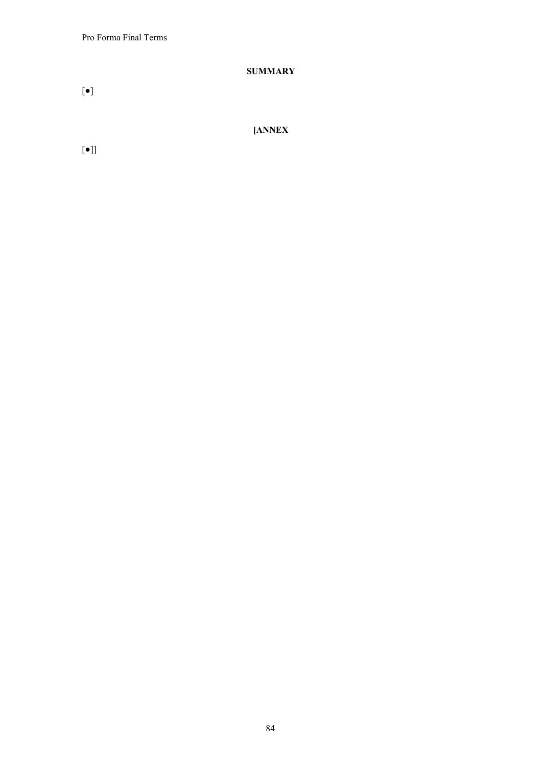Pro Forma Final Terms

# **SUMMARY**

[**●**]

**[ANNEX**

[**●**]]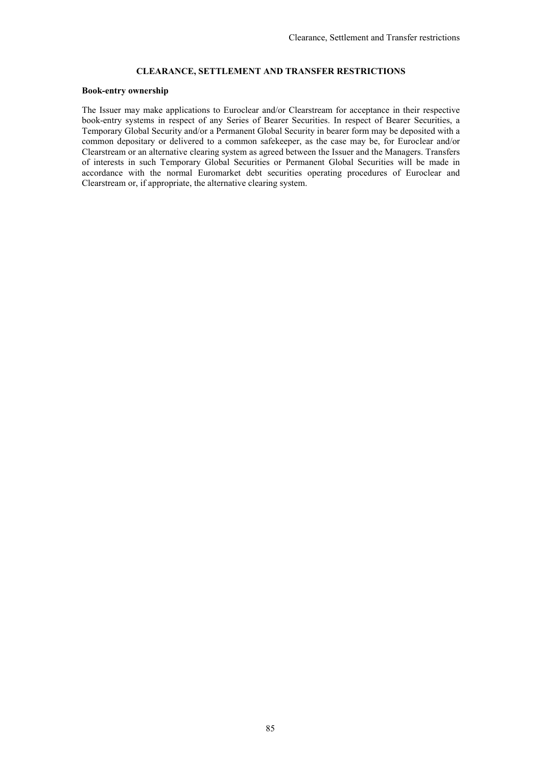# **CLEARANCE, SETTLEMENT AND TRANSFER RESTRICTIONS**

#### **Book-entry ownership**

The Issuer may make applications to Euroclear and/or Clearstream for acceptance in their respective book-entry systems in respect of any Series of Bearer Securities. In respect of Bearer Securities, a Temporary Global Security and/or a Permanent Global Security in bearer form may be deposited with a common depositary or delivered to a common safekeeper, as the case may be, for Euroclear and/or Clearstream or an alternative clearing system as agreed between the Issuer and the Managers. Transfers of interests in such Temporary Global Securities or Permanent Global Securities will be made in accordance with the normal Euromarket debt securities operating procedures of Euroclear and Clearstream or, if appropriate, the alternative clearing system.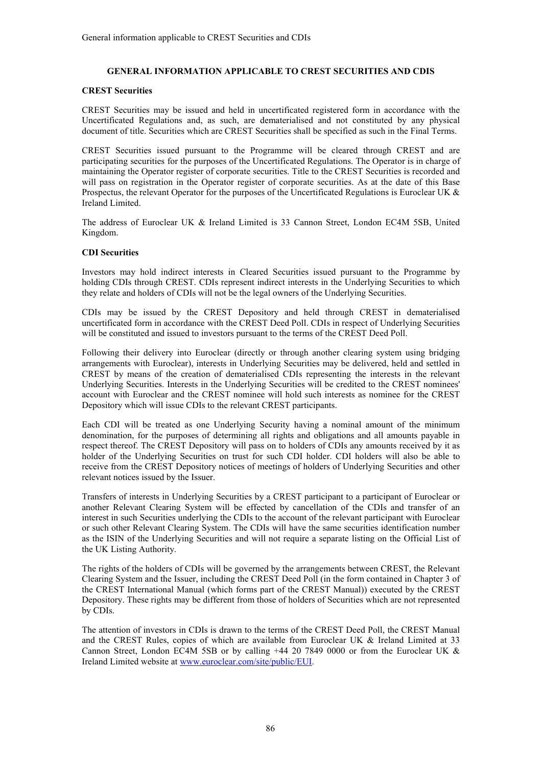## **GENERAL INFORMATION APPLICABLE TO CREST SECURITIES AND CDIS**

## **CREST Securities**

CREST Securities may be issued and held in uncertificated registered form in accordance with the Uncertificated Regulations and, as such, are dematerialised and not constituted by any physical document of title. Securities which are CREST Securities shall be specified as such in the Final Terms.

CREST Securities issued pursuant to the Programme will be cleared through CREST and are participating securities for the purposes of the Uncertificated Regulations. The Operator is in charge of maintaining the Operator register of corporate securities. Title to the CREST Securities is recorded and will pass on registration in the Operator register of corporate securities. As at the date of this Base Prospectus, the relevant Operator for the purposes of the Uncertificated Regulations is Euroclear UK & Ireland Limited.

The address of Euroclear UK & Ireland Limited is 33 Cannon Street, London EC4M 5SB, United Kingdom.

## **CDI Securities**

Investors may hold indirect interests in Cleared Securities issued pursuant to the Programme by holding CDIs through CREST. CDIs represent indirect interests in the Underlying Securities to which they relate and holders of CDIs will not be the legal owners of the Underlying Securities.

CDIs may be issued by the CREST Depository and held through CREST in dematerialised uncertificated form in accordance with the CREST Deed Poll. CDIs in respect of Underlying Securities will be constituted and issued to investors pursuant to the terms of the CREST Deed Poll.

Following their delivery into Euroclear (directly or through another clearing system using bridging arrangements with Euroclear), interests in Underlying Securities may be delivered, held and settled in CREST by means of the creation of dematerialised CDIs representing the interests in the relevant Underlying Securities. Interests in the Underlying Securities will be credited to the CREST nominees' account with Euroclear and the CREST nominee will hold such interests as nominee for the CREST Depository which will issue CDIs to the relevant CREST participants.

Each CDI will be treated as one Underlying Security having a nominal amount of the minimum denomination, for the purposes of determining all rights and obligations and all amounts payable in respect thereof. The CREST Depository will pass on to holders of CDIs any amounts received by it as holder of the Underlying Securities on trust for such CDI holder. CDI holders will also be able to receive from the CREST Depository notices of meetings of holders of Underlying Securities and other relevant notices issued by the Issuer.

Transfers of interests in Underlying Securities by a CREST participant to a participant of Euroclear or another Relevant Clearing System will be effected by cancellation of the CDIs and transfer of an interest in such Securities underlying the CDIs to the account of the relevant participant with Euroclear or such other Relevant Clearing System. The CDIs will have the same securities identification number as the ISIN of the Underlying Securities and will not require a separate listing on the Official List of the UK Listing Authority.

The rights of the holders of CDIs will be governed by the arrangements between CREST, the Relevant Clearing System and the Issuer, including the CREST Deed Poll (in the form contained in Chapter 3 of the CREST International Manual (which forms part of the CREST Manual)) executed by the CREST Depository. These rights may be different from those of holders of Securities which are not represented by CDIs.

The attention of investors in CDIs is drawn to the terms of the CREST Deed Poll, the CREST Manual and the CREST Rules, copies of which are available from Euroclear UK & Ireland Limited at 33 Cannon Street, London EC4M 5SB or by calling +44 20 7849 0000 or from the Euroclear UK & Ireland Limited website at www.euroclear.com/site/public/EUI.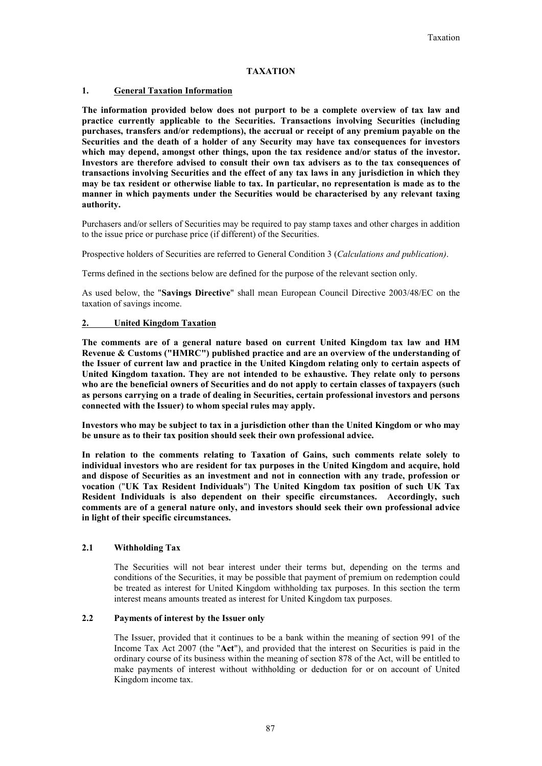## **TAXATION**

#### **1. General Taxation Information**

**The information provided below does not purport to be a complete overview of tax law and practice currently applicable to the Securities. Transactions involving Securities (including purchases, transfers and/or redemptions), the accrual or receipt of any premium payable on the Securities and the death of a holder of any Security may have tax consequences for investors which may depend, amongst other things, upon the tax residence and/or status of the investor. Investors are therefore advised to consult their own tax advisers as to the tax consequences of transactions involving Securities and the effect of any tax laws in any jurisdiction in which they may be tax resident or otherwise liable to tax. In particular, no representation is made as to the manner in which payments under the Securities would be characterised by any relevant taxing authority.**

Purchasers and/or sellers of Securities may be required to pay stamp taxes and other charges in addition to the issue price or purchase price (if different) of the Securities.

Prospective holders of Securities are referred to General Condition 3 (*Calculations and publication)*.

Terms defined in the sections below are defined for the purpose of the relevant section only.

As used below, the "**Savings Directive**" shall mean European Council Directive 2003/48/EC on the taxation of savings income.

## **2. United Kingdom Taxation**

**The comments are of a general nature based on current United Kingdom tax law and HM Revenue & Customs ("HMRC") published practice and are an overview of the understanding of the Issuer of current law and practice in the United Kingdom relating only to certain aspects of United Kingdom taxation. They are not intended to be exhaustive. They relate only to persons who are the beneficial owners of Securities and do not apply to certain classes of taxpayers (such as persons carrying on a trade of dealing in Securities, certain professional investors and persons connected with the Issuer) to whom special rules may apply.**

**Investors who may be subject to tax in a jurisdiction other than the United Kingdom or who may be unsure as to their tax position should seek their own professional advice.**

**In relation to the comments relating to Taxation of Gains, such comments relate solely to individual investors who are resident for tax purposes in the United Kingdom and acquire, hold and dispose of Securities as an investment and not in connection with any trade, profession or vocation** ("**UK Tax Resident Individuals**") **The United Kingdom tax position of such UK Tax Resident Individuals is also dependent on their specific circumstances. Accordingly, such comments are of a general nature only, and investors should seek their own professional advice in light of their specific circumstances.**

#### **2.1 Withholding Tax**

The Securities will not bear interest under their terms but, depending on the terms and conditions of the Securities, it may be possible that payment of premium on redemption could be treated as interest for United Kingdom withholding tax purposes. In this section the term interest means amounts treated as interest for United Kingdom tax purposes.

#### **2.2 Payments of interest by the Issuer only**

The Issuer, provided that it continues to be a bank within the meaning of section 991 of the Income Tax Act 2007 (the "**Act**"), and provided that the interest on Securities is paid in the ordinary course of its business within the meaning of section 878 of the Act, will be entitled to make payments of interest without withholding or deduction for or on account of United Kingdom income tax.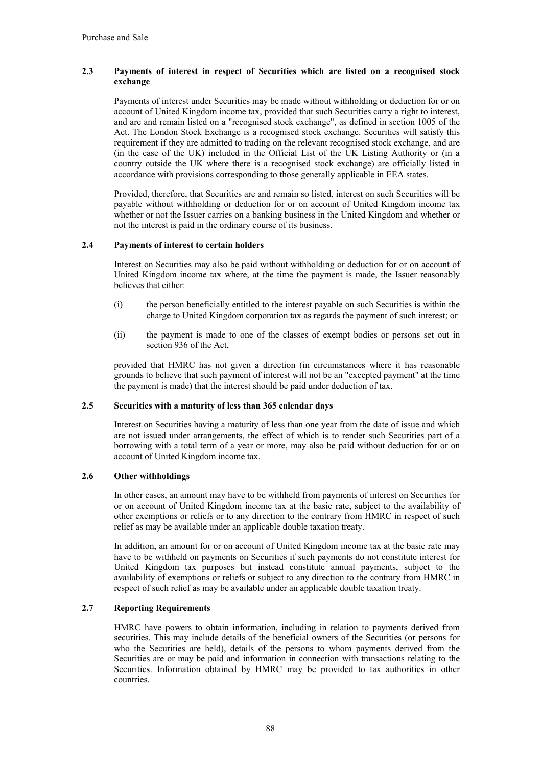## **2.3 Payments of interest in respect of Securities which are listed on a recognised stock exchange**

Payments of interest under Securities may be made without withholding or deduction for or on account of United Kingdom income tax, provided that such Securities carry a right to interest, and are and remain listed on a "recognised stock exchange", as defined in section 1005 of the Act. The London Stock Exchange is a recognised stock exchange. Securities will satisfy this requirement if they are admitted to trading on the relevant recognised stock exchange, and are (in the case of the UK) included in the Official List of the UK Listing Authority or (in a country outside the UK where there is a recognised stock exchange) are officially listed in accordance with provisions corresponding to those generally applicable in EEA states.

Provided, therefore, that Securities are and remain so listed, interest on such Securities will be payable without withholding or deduction for or on account of United Kingdom income tax whether or not the Issuer carries on a banking business in the United Kingdom and whether or not the interest is paid in the ordinary course of its business.

## **2.4 Payments of interest to certain holders**

Interest on Securities may also be paid without withholding or deduction for or on account of United Kingdom income tax where, at the time the payment is made, the Issuer reasonably believes that either:

- (i) the person beneficially entitled to the interest payable on such Securities is within the charge to United Kingdom corporation tax as regards the payment of such interest; or
- (ii) the payment is made to one of the classes of exempt bodies or persons set out in section 936 of the Act,

provided that HMRC has not given a direction (in circumstances where it has reasonable grounds to believe that such payment of interest will not be an "excepted payment" at the time the payment is made) that the interest should be paid under deduction of tax.

## **2.5 Securities with a maturity of less than 365 calendar days**

Interest on Securities having a maturity of less than one year from the date of issue and which are not issued under arrangements, the effect of which is to render such Securities part of a borrowing with a total term of a year or more, may also be paid without deduction for or on account of United Kingdom income tax.

## **2.6 Other withholdings**

In other cases, an amount may have to be withheld from payments of interest on Securities for or on account of United Kingdom income tax at the basic rate, subject to the availability of other exemptions or reliefs or to any direction to the contrary from HMRC in respect of such relief as may be available under an applicable double taxation treaty.

In addition, an amount for or on account of United Kingdom income tax at the basic rate may have to be withheld on payments on Securities if such payments do not constitute interest for United Kingdom tax purposes but instead constitute annual payments, subject to the availability of exemptions or reliefs or subject to any direction to the contrary from HMRC in respect of such relief as may be available under an applicable double taxation treaty.

## **2.7 Reporting Requirements**

HMRC have powers to obtain information, including in relation to payments derived from securities. This may include details of the beneficial owners of the Securities (or persons for who the Securities are held), details of the persons to whom payments derived from the Securities are or may be paid and information in connection with transactions relating to the Securities. Information obtained by HMRC may be provided to tax authorities in other countries.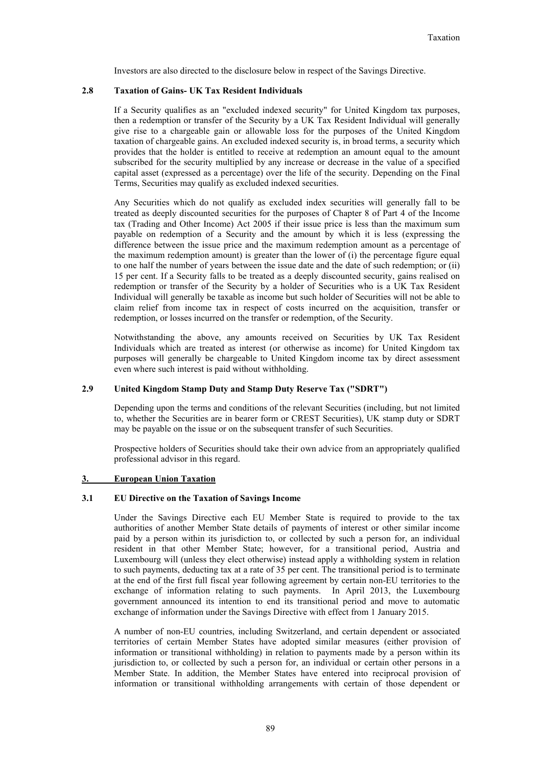Investors are also directed to the disclosure below in respect of the Savings Directive.

## **2.8 Taxation of Gains- UK Tax Resident Individuals**

If a Security qualifies as an "excluded indexed security" for United Kingdom tax purposes, then a redemption or transfer of the Security by a UK Tax Resident Individual will generally give rise to a chargeable gain or allowable loss for the purposes of the United Kingdom taxation of chargeable gains. An excluded indexed security is, in broad terms, a security which provides that the holder is entitled to receive at redemption an amount equal to the amount subscribed for the security multiplied by any increase or decrease in the value of a specified capital asset (expressed as a percentage) over the life of the security. Depending on the Final Terms, Securities may qualify as excluded indexed securities.

Any Securities which do not qualify as excluded index securities will generally fall to be treated as deeply discounted securities for the purposes of Chapter 8 of Part 4 of the Income tax (Trading and Other Income) Act 2005 if their issue price is less than the maximum sum payable on redemption of a Security and the amount by which it is less (expressing the difference between the issue price and the maximum redemption amount as a percentage of the maximum redemption amount) is greater than the lower of  $(i)$  the percentage figure equal to one half the number of years between the issue date and the date of such redemption; or (ii) 15 per cent. If a Security falls to be treated as a deeply discounted security, gains realised on redemption or transfer of the Security by a holder of Securities who is a UK Tax Resident Individual will generally be taxable as income but such holder of Securities will not be able to claim relief from income tax in respect of costs incurred on the acquisition, transfer or redemption, or losses incurred on the transfer or redemption, of the Security.

Notwithstanding the above, any amounts received on Securities by UK Tax Resident Individuals which are treated as interest (or otherwise as income) for United Kingdom tax purposes will generally be chargeable to United Kingdom income tax by direct assessment even where such interest is paid without withholding.

## **2.9 United Kingdom Stamp Duty and Stamp Duty Reserve Tax ("SDRT")**

Depending upon the terms and conditions of the relevant Securities (including, but not limited to, whether the Securities are in bearer form or CREST Securities), UK stamp duty or SDRT may be payable on the issue or on the subsequent transfer of such Securities.

Prospective holders of Securities should take their own advice from an appropriately qualified professional advisor in this regard.

#### **3. European Union Taxation**

#### **3.1 EU Directive on the Taxation of Savings Income**

Under the Savings Directive each EU Member State is required to provide to the tax authorities of another Member State details of payments of interest or other similar income paid by a person within its jurisdiction to, or collected by such a person for, an individual resident in that other Member State; however, for a transitional period, Austria and Luxembourg will (unless they elect otherwise) instead apply a withholding system in relation to such payments, deducting tax at a rate of 35 per cent. The transitional period is to terminate at the end of the first full fiscal year following agreement by certain non-EU territories to the exchange of information relating to such payments. In April 2013, the Luxembourg government announced its intention to end its transitional period and move to automatic exchange of information under the Savings Directive with effect from 1 January 2015.

A number of non-EU countries, including Switzerland, and certain dependent or associated territories of certain Member States have adopted similar measures (either provision of information or transitional withholding) in relation to payments made by a person within its jurisdiction to, or collected by such a person for, an individual or certain other persons in a Member State. In addition, the Member States have entered into reciprocal provision of information or transitional withholding arrangements with certain of those dependent or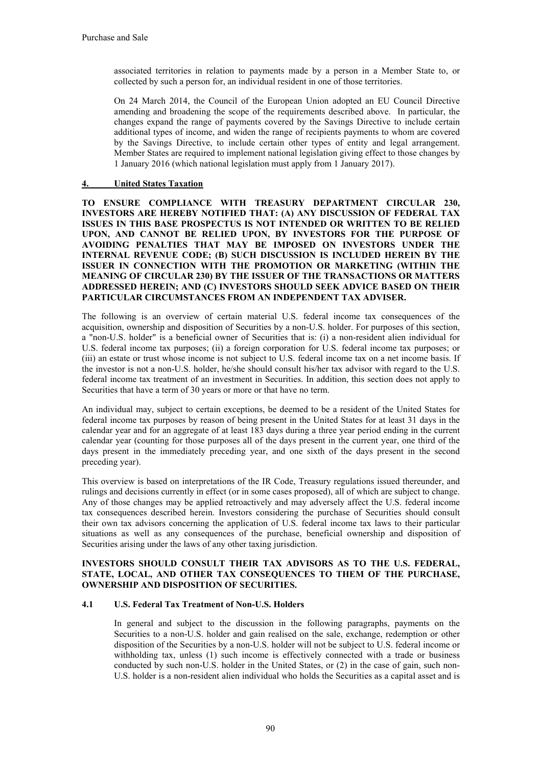associated territories in relation to payments made by a person in a Member State to, or collected by such a person for, an individual resident in one of those territories.

On 24 March 2014, the Council of the European Union adopted an EU Council Directive amending and broadening the scope of the requirements described above. In particular, the changes expand the range of payments covered by the Savings Directive to include certain additional types of income, and widen the range of recipients payments to whom are covered by the Savings Directive, to include certain other types of entity and legal arrangement. Member States are required to implement national legislation giving effect to those changes by 1 January 2016 (which national legislation must apply from 1 January 2017).

## **4. United States Taxation**

**TO ENSURE COMPLIANCE WITH TREASURY DEPARTMENT CIRCULAR 230, INVESTORS ARE HEREBY NOTIFIED THAT: (A) ANY DISCUSSION OF FEDERAL TAX ISSUES IN THIS BASE PROSPECTUS IS NOT INTENDED OR WRITTEN TO BE RELIED UPON, AND CANNOT BE RELIED UPON, BY INVESTORS FOR THE PURPOSE OF AVOIDING PENALTIES THAT MAY BE IMPOSED ON INVESTORS UNDER THE INTERNAL REVENUE CODE; (B) SUCH DISCUSSION IS INCLUDED HEREIN BY THE ISSUER IN CONNECTION WITH THE PROMOTION OR MARKETING (WITHIN THE MEANING OF CIRCULAR 230) BY THE ISSUER OF THE TRANSACTIONS OR MATTERS ADDRESSED HEREIN; AND (C) INVESTORS SHOULD SEEK ADVICE BASED ON THEIR PARTICULAR CIRCUMSTANCES FROM AN INDEPENDENT TAX ADVISER.**

The following is an overview of certain material U.S. federal income tax consequences of the acquisition, ownership and disposition of Securities by a non-U.S. holder. For purposes of this section, a "non-U.S. holder" is a beneficial owner of Securities that is: (i) a non-resident alien individual for U.S. federal income tax purposes; (ii) a foreign corporation for U.S. federal income tax purposes; or (iii) an estate or trust whose income is not subject to U.S. federal income tax on a net income basis. If the investor is not a non-U.S. holder, he/she should consult his/her tax advisor with regard to the U.S. federal income tax treatment of an investment in Securities. In addition, this section does not apply to Securities that have a term of 30 years or more or that have no term.

An individual may, subject to certain exceptions, be deemed to be a resident of the United States for federal income tax purposes by reason of being present in the United States for at least 31 days in the calendar year and for an aggregate of at least 183 days during a three year period ending in the current calendar year (counting for those purposes all of the days present in the current year, one third of the days present in the immediately preceding year, and one sixth of the days present in the second preceding year).

This overview is based on interpretations of the IR Code, Treasury regulations issued thereunder, and rulings and decisions currently in effect (or in some cases proposed), all of which are subject to change. Any of those changes may be applied retroactively and may adversely affect the U.S. federal income tax consequences described herein. Investors considering the purchase of Securities should consult their own tax advisors concerning the application of U.S. federal income tax laws to their particular situations as well as any consequences of the purchase, beneficial ownership and disposition of Securities arising under the laws of any other taxing jurisdiction.

## **INVESTORS SHOULD CONSULT THEIR TAX ADVISORS AS TO THE U.S. FEDERAL, STATE, LOCAL, AND OTHER TAX CONSEQUENCES TO THEM OF THE PURCHASE, OWNERSHIP AND DISPOSITION OF SECURITIES.**

## **4.1 U.S. Federal Tax Treatment of Non-U.S. Holders**

In general and subject to the discussion in the following paragraphs, payments on the Securities to a non-U.S. holder and gain realised on the sale, exchange, redemption or other disposition of the Securities by a non-U.S. holder will not be subject to U.S. federal income or withholding tax, unless (1) such income is effectively connected with a trade or business conducted by such non-U.S. holder in the United States, or (2) in the case of gain, such non-U.S. holder is a non-resident alien individual who holds the Securities as a capital asset and is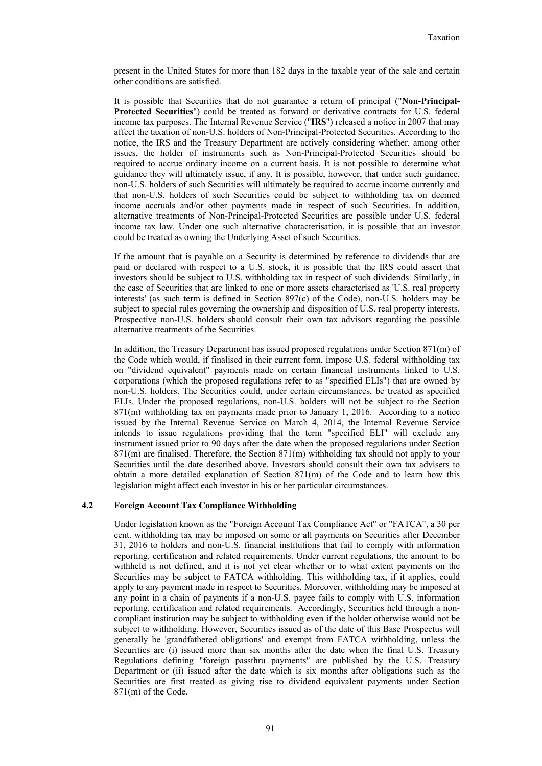present in the United States for more than 182 days in the taxable year of the sale and certain other conditions are satisfied.

It is possible that Securities that do not guarantee a return of principal ("**Non-Principal-Protected Securities**") could be treated as forward or derivative contracts for U.S. federal income tax purposes. The Internal Revenue Service ("**IRS**") released a notice in 2007 that may affect the taxation of non-U.S. holders of Non-Principal-Protected Securities. According to the notice, the IRS and the Treasury Department are actively considering whether, among other issues, the holder of instruments such as Non-Principal-Protected Securities should be required to accrue ordinary income on a current basis. It is not possible to determine what guidance they will ultimately issue, if any. It is possible, however, that under such guidance, non-U.S. holders of such Securities will ultimately be required to accrue income currently and that non-U.S. holders of such Securities could be subject to withholding tax on deemed income accruals and/or other payments made in respect of such Securities. In addition, alternative treatments of Non-Principal-Protected Securities are possible under U.S. federal income tax law. Under one such alternative characterisation, it is possible that an investor could be treated as owning the Underlying Asset of such Securities.

If the amount that is payable on a Security is determined by reference to dividends that are paid or declared with respect to a U.S. stock, it is possible that the IRS could assert that investors should be subject to U.S. withholding tax in respect of such dividends. Similarly, in the case of Securities that are linked to one or more assets characterised as 'U.S. real property interests' (as such term is defined in Section 897(c) of the Code), non-U.S. holders may be subject to special rules governing the ownership and disposition of U.S. real property interests. Prospective non-U.S. holders should consult their own tax advisors regarding the possible alternative treatments of the Securities.

In addition, the Treasury Department has issued proposed regulations under Section 871(m) of the Code which would, if finalised in their current form, impose U.S. federal withholding tax on "dividend equivalent" payments made on certain financial instruments linked to U.S. corporations (which the proposed regulations refer to as "specified ELIs") that are owned by non-U.S. holders. The Securities could, under certain circumstances, be treated as specified ELIs. Under the proposed regulations, non-U.S. holders will not be subject to the Section 871(m) withholding tax on payments made prior to January 1, 2016. According to a notice issued by the Internal Revenue Service on March 4, 2014, the Internal Revenue Service intends to issue regulations providing that the term "specified ELI" will exclude any instrument issued prior to 90 days after the date when the proposed regulations under Section 871(m) are finalised. Therefore, the Section 871(m) withholding tax should not apply to your Securities until the date described above. Investors should consult their own tax advisers to obtain a more detailed explanation of Section 871(m) of the Code and to learn how this legislation might affect each investor in his or her particular circumstances.

#### **4.2 Foreign Account Tax Compliance Withholding**

Under legislation known as the "Foreign Account Tax Compliance Act" or "FATCA", a 30 per cent. withholding tax may be imposed on some or all payments on Securities after December 31, 2016 to holders and non-U.S. financial institutions that fail to comply with information reporting, certification and related requirements. Under current regulations, the amount to be withheld is not defined, and it is not yet clear whether or to what extent payments on the Securities may be subject to FATCA withholding. This withholding tax, if it applies, could apply to any payment made in respect to Securities. Moreover, withholding may be imposed at any point in a chain of payments if a non-U.S. payee fails to comply with U.S. information reporting, certification and related requirements. Accordingly, Securities held through a noncompliant institution may be subject to withholding even if the holder otherwise would not be subject to withholding. However, Securities issued as of the date of this Base Prospectus will generally be 'grandfathered obligations' and exempt from FATCA withholding, unless the Securities are (i) issued more than six months after the date when the final U.S. Treasury Regulations defining "foreign passthru payments" are published by the U.S. Treasury Department or (ii) issued after the date which is six months after obligations such as the Securities are first treated as giving rise to dividend equivalent payments under Section 871(m) of the Code.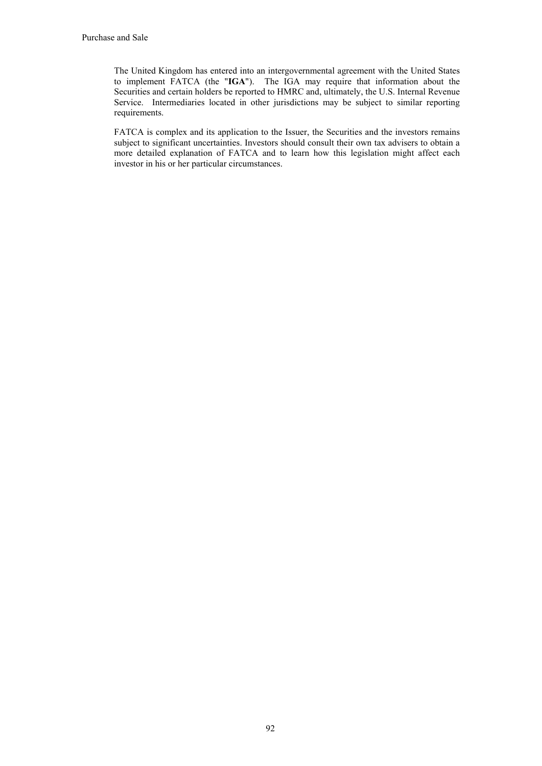The United Kingdom has entered into an intergovernmental agreement with the United States to implement FATCA (the "**IGA**"). The IGA may require that information about the Securities and certain holders be reported to HMRC and, ultimately, the U.S. Internal Revenue Service. Intermediaries located in other jurisdictions may be subject to similar reporting requirements.

FATCA is complex and its application to the Issuer, the Securities and the investors remains subject to significant uncertainties. Investors should consult their own tax advisers to obtain a more detailed explanation of FATCA and to learn how this legislation might affect each investor in his or her particular circumstances.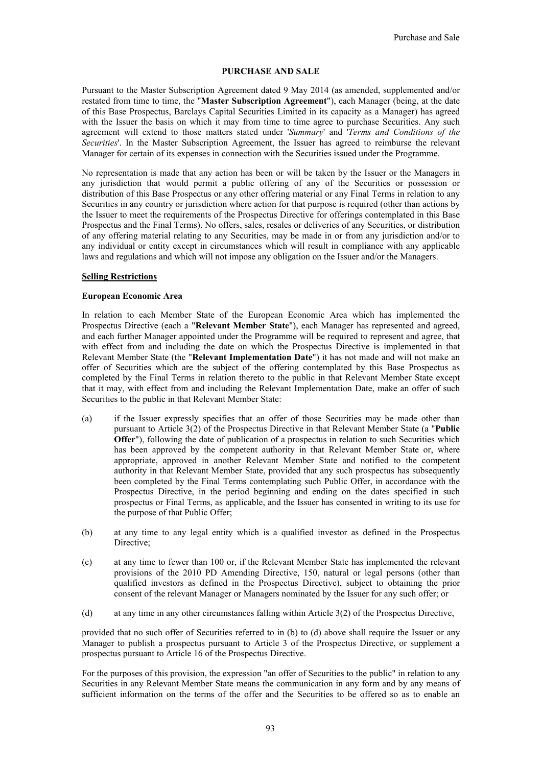## **PURCHASE AND SALE**

Pursuant to the Master Subscription Agreement dated 9 May 2014 (as amended, supplemented and/or restated from time to time, the "**Master Subscription Agreement**"), each Manager (being, at the date of this Base Prospectus, Barclays Capital Securities Limited in its capacity as a Manager) has agreed with the Issuer the basis on which it may from time to time agree to purchase Securities. Any such agreement will extend to those matters stated under '*Summary*' and '*Terms and Conditions of the Securities*'. In the Master Subscription Agreement, the Issuer has agreed to reimburse the relevant Manager for certain of its expenses in connection with the Securities issued under the Programme.

No representation is made that any action has been or will be taken by the Issuer or the Managers in any jurisdiction that would permit a public offering of any of the Securities or possession or distribution of this Base Prospectus or any other offering material or any Final Terms in relation to any Securities in any country or jurisdiction where action for that purpose is required (other than actions by the Issuer to meet the requirements of the Prospectus Directive for offerings contemplated in this Base Prospectus and the Final Terms). No offers, sales, resales or deliveries of any Securities, or distribution of any offering material relating to any Securities, may be made in or from any jurisdiction and/or to any individual or entity except in circumstances which will result in compliance with any applicable laws and regulations and which will not impose any obligation on the Issuer and/or the Managers.

#### **Selling Restrictions**

#### **European Economic Area**

In relation to each Member State of the European Economic Area which has implemented the Prospectus Directive (each a "**Relevant Member State**"), each Manager has represented and agreed, and each further Manager appointed under the Programme will be required to represent and agree, that with effect from and including the date on which the Prospectus Directive is implemented in that Relevant Member State (the "**Relevant Implementation Date**") it has not made and will not make an offer of Securities which are the subject of the offering contemplated by this Base Prospectus as completed by the Final Terms in relation thereto to the public in that Relevant Member State except that it may, with effect from and including the Relevant Implementation Date, make an offer of such Securities to the public in that Relevant Member State:

- (a) if the Issuer expressly specifies that an offer of those Securities may be made other than pursuant to Article 3(2) of the Prospectus Directive in that Relevant Member State (a "**Public Offer**"), following the date of publication of a prospectus in relation to such Securities which has been approved by the competent authority in that Relevant Member State or, where appropriate, approved in another Relevant Member State and notified to the competent authority in that Relevant Member State, provided that any such prospectus has subsequently been completed by the Final Terms contemplating such Public Offer, in accordance with the Prospectus Directive, in the period beginning and ending on the dates specified in such prospectus or Final Terms, as applicable, and the Issuer has consented in writing to its use for the purpose of that Public Offer;
- (b) at any time to any legal entity which is a qualified investor as defined in the Prospectus Directive;
- (c) at any time to fewer than 100 or, if the Relevant Member State has implemented the relevant provisions of the 2010 PD Amending Directive, 150, natural or legal persons (other than qualified investors as defined in the Prospectus Directive), subject to obtaining the prior consent of the relevant Manager or Managers nominated by the Issuer for any such offer; or
- (d) at any time in any other circumstances falling within Article 3(2) of the Prospectus Directive,

provided that no such offer of Securities referred to in (b) to (d) above shall require the Issuer or any Manager to publish a prospectus pursuant to Article 3 of the Prospectus Directive, or supplement a prospectus pursuant to Article 16 of the Prospectus Directive.

For the purposes of this provision, the expression "an offer of Securities to the public" in relation to any Securities in any Relevant Member State means the communication in any form and by any means of sufficient information on the terms of the offer and the Securities to be offered so as to enable an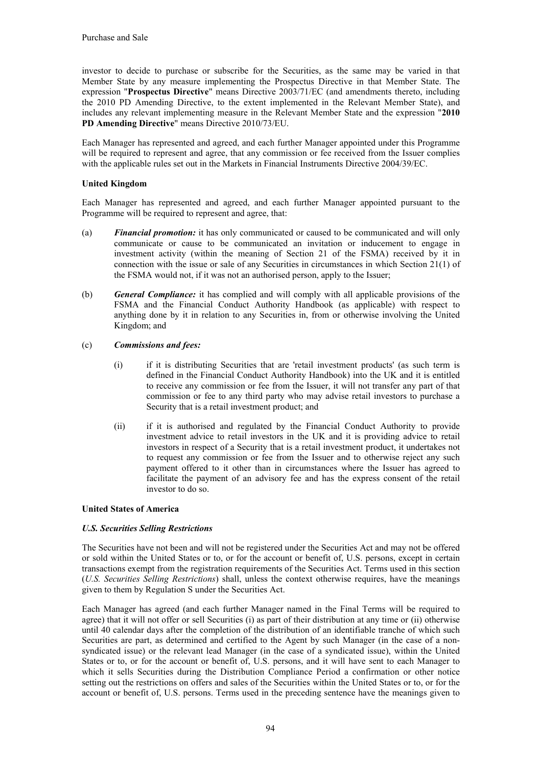investor to decide to purchase or subscribe for the Securities, as the same may be varied in that Member State by any measure implementing the Prospectus Directive in that Member State. The expression "**Prospectus Directive**" means Directive 2003/71/EC (and amendments thereto, including the 2010 PD Amending Directive, to the extent implemented in the Relevant Member State), and includes any relevant implementing measure in the Relevant Member State and the expression "**2010 PD Amending Directive**" means Directive 2010/73/EU.

Each Manager has represented and agreed, and each further Manager appointed under this Programme will be required to represent and agree, that any commission or fee received from the Issuer complies with the applicable rules set out in the Markets in Financial Instruments Directive 2004/39/EC.

## **United Kingdom**

Each Manager has represented and agreed, and each further Manager appointed pursuant to the Programme will be required to represent and agree, that:

- (a) *Financial promotion:* it has only communicated or caused to be communicated and will only communicate or cause to be communicated an invitation or inducement to engage in investment activity (within the meaning of Section 21 of the FSMA) received by it in connection with the issue or sale of any Securities in circumstances in which Section 21(1) of the FSMA would not, if it was not an authorised person, apply to the Issuer;
- (b) *General Compliance:* it has complied and will comply with all applicable provisions of the FSMA and the Financial Conduct Authority Handbook (as applicable) with respect to anything done by it in relation to any Securities in, from or otherwise involving the United Kingdom; and

## (c) *Commissions and fees:*

- (i) if it is distributing Securities that are 'retail investment products' (as such term is defined in the Financial Conduct Authority Handbook) into the UK and it is entitled to receive any commission or fee from the Issuer, it will not transfer any part of that commission or fee to any third party who may advise retail investors to purchase a Security that is a retail investment product; and
- (ii) if it is authorised and regulated by the Financial Conduct Authority to provide investment advice to retail investors in the UK and it is providing advice to retail investors in respect of a Security that is a retail investment product, it undertakes not to request any commission or fee from the Issuer and to otherwise reject any such payment offered to it other than in circumstances where the Issuer has agreed to facilitate the payment of an advisory fee and has the express consent of the retail investor to do so.

## **United States of America**

## *U.S. Securities Selling Restrictions*

The Securities have not been and will not be registered under the Securities Act and may not be offered or sold within the United States or to, or for the account or benefit of, U.S. persons, except in certain transactions exempt from the registration requirements of the Securities Act. Terms used in this section (*U.S. Securities Selling Restrictions*) shall, unless the context otherwise requires, have the meanings given to them by Regulation S under the Securities Act.

Each Manager has agreed (and each further Manager named in the Final Terms will be required to agree) that it will not offer or sell Securities (i) as part of their distribution at any time or (ii) otherwise until 40 calendar days after the completion of the distribution of an identifiable tranche of which such Securities are part, as determined and certified to the Agent by such Manager (in the case of a nonsyndicated issue) or the relevant lead Manager (in the case of a syndicated issue), within the United States or to, or for the account or benefit of, U.S. persons, and it will have sent to each Manager to which it sells Securities during the Distribution Compliance Period a confirmation or other notice setting out the restrictions on offers and sales of the Securities within the United States or to, or for the account or benefit of, U.S. persons. Terms used in the preceding sentence have the meanings given to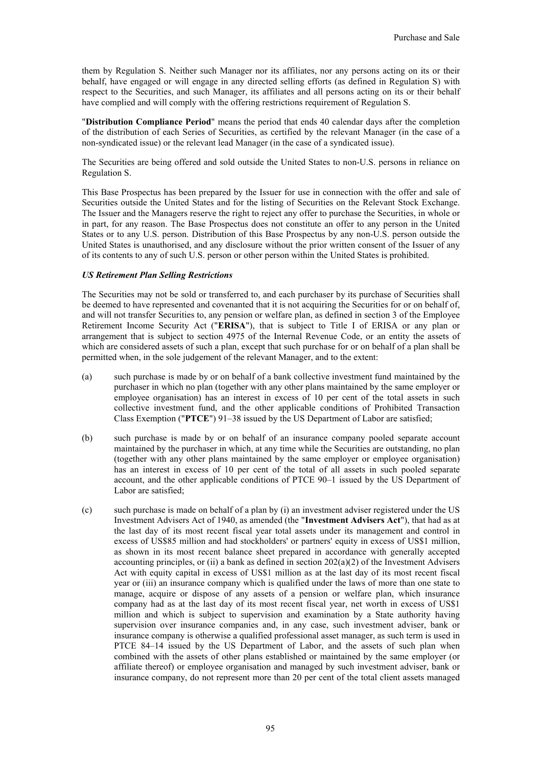them by Regulation S. Neither such Manager nor its affiliates, nor any persons acting on its or their behalf, have engaged or will engage in any directed selling efforts (as defined in Regulation S) with respect to the Securities, and such Manager, its affiliates and all persons acting on its or their behalf have complied and will comply with the offering restrictions requirement of Regulation S.

"**Distribution Compliance Period**" means the period that ends 40 calendar days after the completion of the distribution of each Series of Securities, as certified by the relevant Manager (in the case of a non-syndicated issue) or the relevant lead Manager (in the case of a syndicated issue).

The Securities are being offered and sold outside the United States to non-U.S. persons in reliance on Regulation S.

This Base Prospectus has been prepared by the Issuer for use in connection with the offer and sale of Securities outside the United States and for the listing of Securities on the Relevant Stock Exchange. The Issuer and the Managers reserve the right to reject any offer to purchase the Securities, in whole or in part, for any reason. The Base Prospectus does not constitute an offer to any person in the United States or to any U.S. person. Distribution of this Base Prospectus by any non-U.S. person outside the United States is unauthorised, and any disclosure without the prior written consent of the Issuer of any of its contents to any of such U.S. person or other person within the United States is prohibited.

#### *US Retirement Plan Selling Restrictions*

The Securities may not be sold or transferred to, and each purchaser by its purchase of Securities shall be deemed to have represented and covenanted that it is not acquiring the Securities for or on behalf of, and will not transfer Securities to, any pension or welfare plan, as defined in section 3 of the Employee Retirement Income Security Act ("**ERISA**"), that is subject to Title I of ERISA or any plan or arrangement that is subject to section 4975 of the Internal Revenue Code, or an entity the assets of which are considered assets of such a plan, except that such purchase for or on behalf of a plan shall be permitted when, in the sole judgement of the relevant Manager, and to the extent:

- (a) such purchase is made by or on behalf of a bank collective investment fund maintained by the purchaser in which no plan (together with any other plans maintained by the same employer or employee organisation) has an interest in excess of 10 per cent of the total assets in such collective investment fund, and the other applicable conditions of Prohibited Transaction Class Exemption ("**PTCE**") 91–38 issued by the US Department of Labor are satisfied;
- (b) such purchase is made by or on behalf of an insurance company pooled separate account maintained by the purchaser in which, at any time while the Securities are outstanding, no plan (together with any other plans maintained by the same employer or employee organisation) has an interest in excess of 10 per cent of the total of all assets in such pooled separate account, and the other applicable conditions of PTCE 90–1 issued by the US Department of Labor are satisfied;
- (c) such purchase is made on behalf of a plan by (i) an investment adviser registered under the US Investment Advisers Act of 1940, as amended (the "**Investment Advisers Act**"), that had as at the last day of its most recent fiscal year total assets under its management and control in excess of US\$85 million and had stockholders' or partners' equity in excess of US\$1 million, as shown in its most recent balance sheet prepared in accordance with generally accepted accounting principles, or (ii) a bank as defined in section  $202(a)(2)$  of the Investment Advisers Act with equity capital in excess of US\$1 million as at the last day of its most recent fiscal year or (iii) an insurance company which is qualified under the laws of more than one state to manage, acquire or dispose of any assets of a pension or welfare plan, which insurance company had as at the last day of its most recent fiscal year, net worth in excess of US\$1 million and which is subject to supervision and examination by a State authority having supervision over insurance companies and, in any case, such investment adviser, bank or insurance company is otherwise a qualified professional asset manager, as such term is used in PTCE 84–14 issued by the US Department of Labor, and the assets of such plan when combined with the assets of other plans established or maintained by the same employer (or affiliate thereof) or employee organisation and managed by such investment adviser, bank or insurance company, do not represent more than 20 per cent of the total client assets managed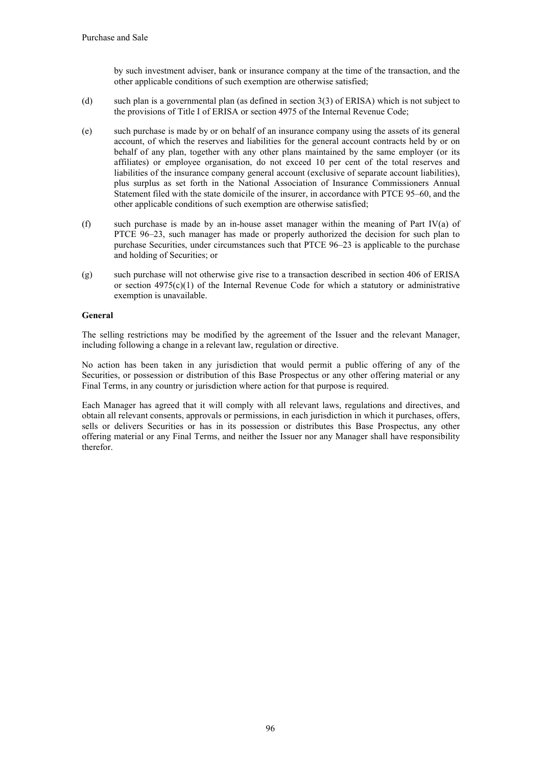by such investment adviser, bank or insurance company at the time of the transaction, and the other applicable conditions of such exemption are otherwise satisfied;

- (d) such plan is a governmental plan (as defined in section 3(3) of ERISA) which is not subject to the provisions of Title I of ERISA or section 4975 of the Internal Revenue Code;
- (e) such purchase is made by or on behalf of an insurance company using the assets of its general account, of which the reserves and liabilities for the general account contracts held by or on behalf of any plan, together with any other plans maintained by the same employer (or its affiliates) or employee organisation, do not exceed 10 per cent of the total reserves and liabilities of the insurance company general account (exclusive of separate account liabilities), plus surplus as set forth in the National Association of Insurance Commissioners Annual Statement filed with the state domicile of the insurer, in accordance with PTCE 95–60, and the other applicable conditions of such exemption are otherwise satisfied;
- (f) such purchase is made by an in-house asset manager within the meaning of Part IV(a) of PTCE 96–23, such manager has made or properly authorized the decision for such plan to purchase Securities, under circumstances such that PTCE 96–23 is applicable to the purchase and holding of Securities; or
- (g) such purchase will not otherwise give rise to a transaction described in section 406 of ERISA or section  $4975(c)(1)$  of the Internal Revenue Code for which a statutory or administrative exemption is unavailable.

## **General**

The selling restrictions may be modified by the agreement of the Issuer and the relevant Manager, including following a change in a relevant law, regulation or directive.

No action has been taken in any jurisdiction that would permit a public offering of any of the Securities, or possession or distribution of this Base Prospectus or any other offering material or any Final Terms, in any country or jurisdiction where action for that purpose is required.

Each Manager has agreed that it will comply with all relevant laws, regulations and directives, and obtain all relevant consents, approvals or permissions, in each jurisdiction in which it purchases, offers, sells or delivers Securities or has in its possession or distributes this Base Prospectus, any other offering material or any Final Terms, and neither the Issuer nor any Manager shall have responsibility therefor.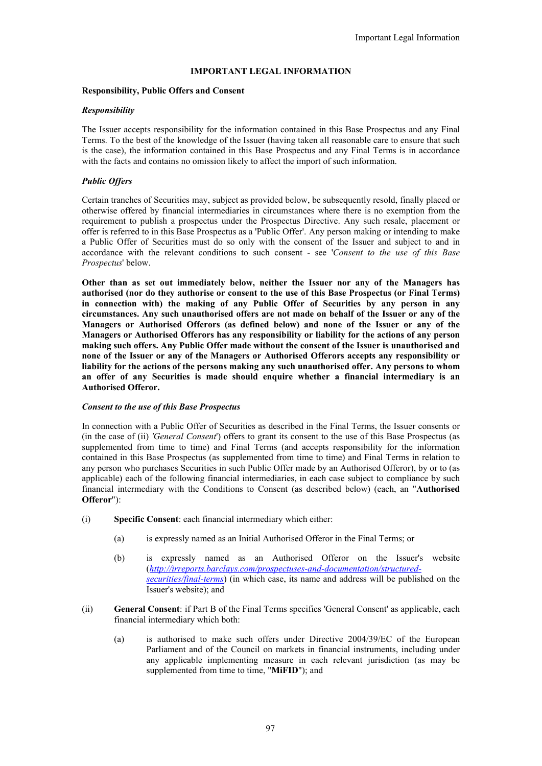## **IMPORTANT LEGAL INFORMATION**

#### **Responsibility, Public Offers and Consent**

#### *Responsibility*

The Issuer accepts responsibility for the information contained in this Base Prospectus and any Final Terms. To the best of the knowledge of the Issuer (having taken all reasonable care to ensure that such is the case), the information contained in this Base Prospectus and any Final Terms is in accordance with the facts and contains no omission likely to affect the import of such information.

## *Public Offers*

Certain tranches of Securities may, subject as provided below, be subsequently resold, finally placed or otherwise offered by financial intermediaries in circumstances where there is no exemption from the requirement to publish a prospectus under the Prospectus Directive. Any such resale, placement or offer is referred to in this Base Prospectus as a 'Public Offer'. Any person making or intending to make a Public Offer of Securities must do so only with the consent of the Issuer and subject to and in accordance with the relevant conditions to such consent - see '*Consent to the use of this Base Prospectus*' below.

**Other than as set out immediately below, neither the Issuer nor any of the Managers has authorised (nor do they authorise or consent to the use of this Base Prospectus (or Final Terms) in connection with) the making of any Public Offer of Securities by any person in any circumstances. Any such unauthorised offers are not made on behalf of the Issuer or any of the Managers or Authorised Offerors (as defined below) and none of the Issuer or any of the Managers or Authorised Offerors has any responsibility or liability for the actions of any person making such offers. Any Public Offer made without the consent of the Issuer is unauthorised and none of the Issuer or any of the Managers or Authorised Offerors accepts any responsibility or liability for the actions of the persons making any such unauthorised offer. Any persons to whom an offer of any Securities is made should enquire whether a financial intermediary is an Authorised Offeror.**

#### *Consent to the use of this Base Prospectus*

In connection with a Public Offer of Securities as described in the Final Terms, the Issuer consents or (in the case of (ii) *'General Consent*') offers to grant its consent to the use of this Base Prospectus (as supplemented from time to time) and Final Terms (and accepts responsibility for the information contained in this Base Prospectus (as supplemented from time to time) and Final Terms in relation to any person who purchases Securities in such Public Offer made by an Authorised Offeror), by or to (as applicable) each of the following financial intermediaries, in each case subject to compliance by such financial intermediary with the Conditions to Consent (as described below) (each, an "**Authorised Offeror**"):

- (i) **Specific Consent**: each financial intermediary which either:
	- (a) is expressly named as an Initial Authorised Offeror in the Final Terms; or
	- (b) is expressly named as an Authorised Offeror on the Issuer's website (*http://irreports.barclays.com/prospectuses-and-documentation/structuredsecurities/final-terms*) (in which case, its name and address will be published on the Issuer's website); and
- (ii) **General Consent**: if Part B of the Final Terms specifies 'General Consent' as applicable, each financial intermediary which both:
	- (a) is authorised to make such offers under Directive 2004/39/EC of the European Parliament and of the Council on markets in financial instruments, including under any applicable implementing measure in each relevant jurisdiction (as may be supplemented from time to time, "**MiFID**"); and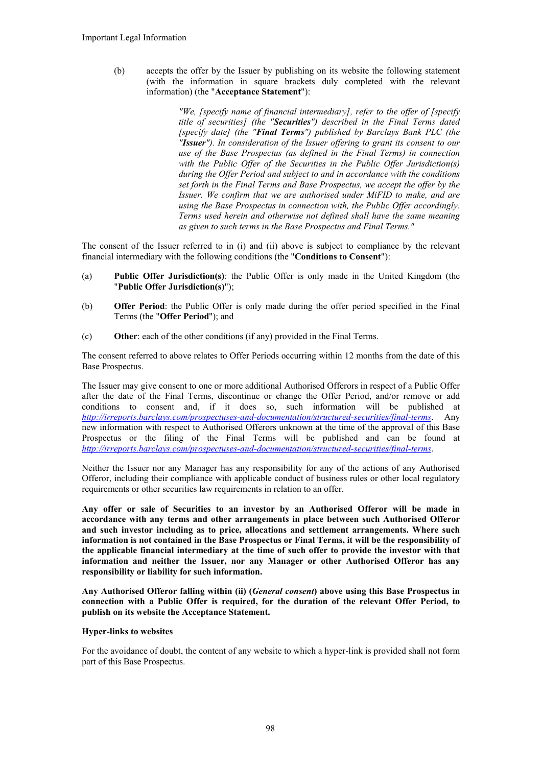(b) accepts the offer by the Issuer by publishing on its website the following statement (with the information in square brackets duly completed with the relevant information) (the "**Acceptance Statement**"):

> *"We, [specify name of financial intermediary], refer to the offer of [specify title of securities] (the "Securities") described in the Final Terms dated [specify date] (the "Final Terms") published by Barclays Bank PLC (the "Issuer"). In consideration of the Issuer offering to grant its consent to our use of the Base Prospectus (as defined in the Final Terms) in connection with the Public Offer of the Securities in the Public Offer Jurisdiction(s) during the Offer Period and subject to and in accordance with the conditions set forth in the Final Terms and Base Prospectus, we accept the offer by the Issuer. We confirm that we are authorised under MiFID to make, and are using the Base Prospectus in connection with, the Public Offer accordingly. Terms used herein and otherwise not defined shall have the same meaning as given to such terms in the Base Prospectus and Final Terms."*

The consent of the Issuer referred to in (i) and (ii) above is subject to compliance by the relevant financial intermediary with the following conditions (the "**Conditions to Consent**"):

- (a) **Public Offer Jurisdiction(s)**: the Public Offer is only made in the United Kingdom (the "**Public Offer Jurisdiction(s)**");
- (b) **Offer Period**: the Public Offer is only made during the offer period specified in the Final Terms (the "**Offer Period**"); and
- (c) **Other**: each of the other conditions (if any) provided in the Final Terms.

The consent referred to above relates to Offer Periods occurring within 12 months from the date of this Base Prospectus.

The Issuer may give consent to one or more additional Authorised Offerors in respect of a Public Offer after the date of the Final Terms, discontinue or change the Offer Period, and/or remove or add conditions to consent and, if it does so, such information will be published at *http://irreports.barclays.com/prospectuses-and-documentation/structured-securities/final-terms*. Any new information with respect to Authorised Offerors unknown at the time of the approval of this Base Prospectus or the filing of the Final Terms will be published and can be found at *http://irreports.barclays.com/prospectuses-and-documentation/structured-securities/final-terms*.

Neither the Issuer nor any Manager has any responsibility for any of the actions of any Authorised Offeror, including their compliance with applicable conduct of business rules or other local regulatory requirements or other securities law requirements in relation to an offer.

**Any offer or sale of Securities to an investor by an Authorised Offeror will be made in accordance with any terms and other arrangements in place between such Authorised Offeror and such investor including as to price, allocations and settlement arrangements. Where such information is not contained in the Base Prospectus or Final Terms, it will be the responsibility of the applicable financial intermediary at the time of such offer to provide the investor with that information and neither the Issuer, nor any Manager or other Authorised Offeror has any responsibility or liability for such information.**

**Any Authorised Offeror falling within (ii) (***General consent***) above using this Base Prospectus in connection with a Public Offer is required, for the duration of the relevant Offer Period, to publish on its website the Acceptance Statement.**

#### **Hyper-links to websites**

For the avoidance of doubt, the content of any website to which a hyper-link is provided shall not form part of this Base Prospectus.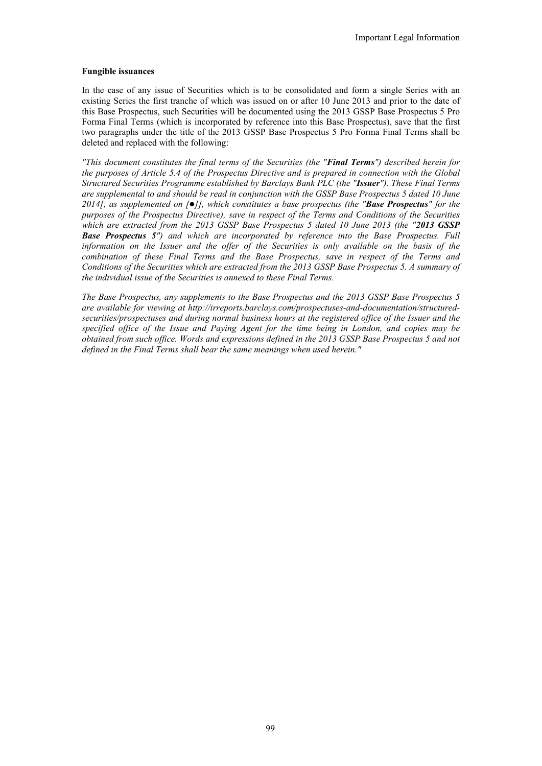#### **Fungible issuances**

In the case of any issue of Securities which is to be consolidated and form a single Series with an existing Series the first tranche of which was issued on or after 10 June 2013 and prior to the date of this Base Prospectus, such Securities will be documented using the 2013 GSSP Base Prospectus 5 Pro Forma Final Terms (which is incorporated by reference into this Base Prospectus), save that the first two paragraphs under the title of the 2013 GSSP Base Prospectus 5 Pro Forma Final Terms shall be deleted and replaced with the following:

*"This document constitutes the final terms of the Securities (the "Final Terms") described herein for the purposes of Article 5.4 of the Prospectus Directive and is prepared in connection with the Global Structured Securities Programme established by Barclays Bank PLC (the "Issuer"). These Final Terms are supplemental to and should be read in conjunction with the GSSP Base Prospectus 5 dated 10 June 2014[, as supplemented on []], which constitutes a base prospectus (the "Base Prospectus" for the purposes of the Prospectus Directive), save in respect of the Terms and Conditions of the Securities which are extracted from the 2013 GSSP Base Prospectus 5 dated 10 June 2013 (the "2013 GSSP Base Prospectus 5") and which are incorporated by reference into the Base Prospectus. Full information on the Issuer and the offer of the Securities is only available on the basis of the combination of these Final Terms and the Base Prospectus, save in respect of the Terms and Conditions of the Securities which are extracted from the 2013 GSSP Base Prospectus 5. A summary of the individual issue of the Securities is annexed to these Final Terms.*

*The Base Prospectus, any supplements to the Base Prospectus and the 2013 GSSP Base Prospectus 5 are available for viewing at http://irreports.barclays.com/prospectuses-and-documentation/structuredsecurities/prospectuses and during normal business hours at the registered office of the Issuer and the specified office of the Issue and Paying Agent for the time being in London, and copies may be obtained from such office. Words and expressions defined in the 2013 GSSP Base Prospectus 5 and not defined in the Final Terms shall bear the same meanings when used herein."*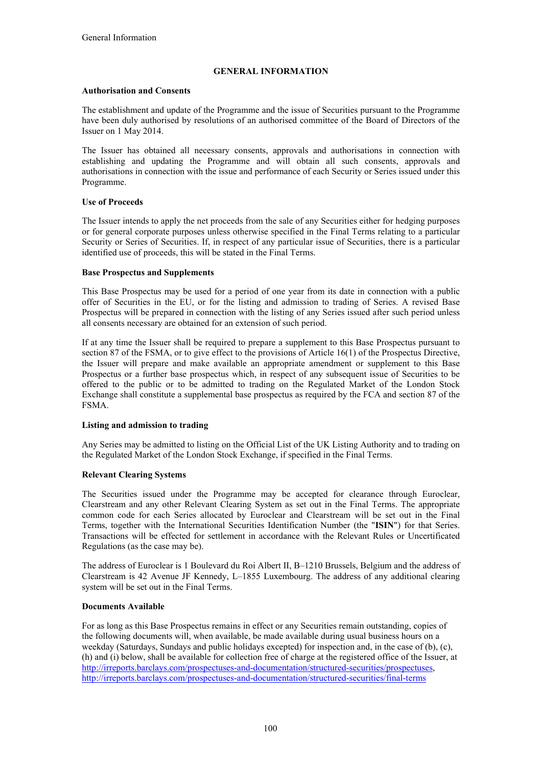## **GENERAL INFORMATION**

## **Authorisation and Consents**

The establishment and update of the Programme and the issue of Securities pursuant to the Programme have been duly authorised by resolutions of an authorised committee of the Board of Directors of the Issuer on 1 May 2014.

The Issuer has obtained all necessary consents, approvals and authorisations in connection with establishing and updating the Programme and will obtain all such consents, approvals and authorisations in connection with the issue and performance of each Security or Series issued under this Programme.

## **Use of Proceeds**

The Issuer intends to apply the net proceeds from the sale of any Securities either for hedging purposes or for general corporate purposes unless otherwise specified in the Final Terms relating to a particular Security or Series of Securities. If, in respect of any particular issue of Securities, there is a particular identified use of proceeds, this will be stated in the Final Terms.

#### **Base Prospectus and Supplements**

This Base Prospectus may be used for a period of one year from its date in connection with a public offer of Securities in the EU, or for the listing and admission to trading of Series. A revised Base Prospectus will be prepared in connection with the listing of any Series issued after such period unless all consents necessary are obtained for an extension of such period.

If at any time the Issuer shall be required to prepare a supplement to this Base Prospectus pursuant to section 87 of the FSMA, or to give effect to the provisions of Article 16(1) of the Prospectus Directive, the Issuer will prepare and make available an appropriate amendment or supplement to this Base Prospectus or a further base prospectus which, in respect of any subsequent issue of Securities to be offered to the public or to be admitted to trading on the Regulated Market of the London Stock Exchange shall constitute a supplemental base prospectus as required by the FCA and section 87 of the FSMA.

## **Listing and admission to trading**

Any Series may be admitted to listing on the Official List of the UK Listing Authority and to trading on the Regulated Market of the London Stock Exchange, if specified in the Final Terms.

## **Relevant Clearing Systems**

The Securities issued under the Programme may be accepted for clearance through Euroclear, Clearstream and any other Relevant Clearing System as set out in the Final Terms. The appropriate common code for each Series allocated by Euroclear and Clearstream will be set out in the Final Terms, together with the International Securities Identification Number (the "**ISIN**") for that Series. Transactions will be effected for settlement in accordance with the Relevant Rules or Uncertificated Regulations (as the case may be).

The address of Euroclear is 1 Boulevard du Roi Albert II, B–1210 Brussels, Belgium and the address of Clearstream is 42 Avenue JF Kennedy, L–1855 Luxembourg. The address of any additional clearing system will be set out in the Final Terms.

## **Documents Available**

For as long as this Base Prospectus remains in effect or any Securities remain outstanding, copies of the following documents will, when available, be made available during usual business hours on a weekday (Saturdays, Sundays and public holidays excepted) for inspection and, in the case of (b), (c), (h) and (i) below, shall be available for collection free of charge at the registered office of the Issuer, at http://irreports.barclays.com/prospectuses-and-documentation/structured-securities/prospectuses, http://irreports.barclays.com/prospectuses-and-documentation/structured-securities/final-terms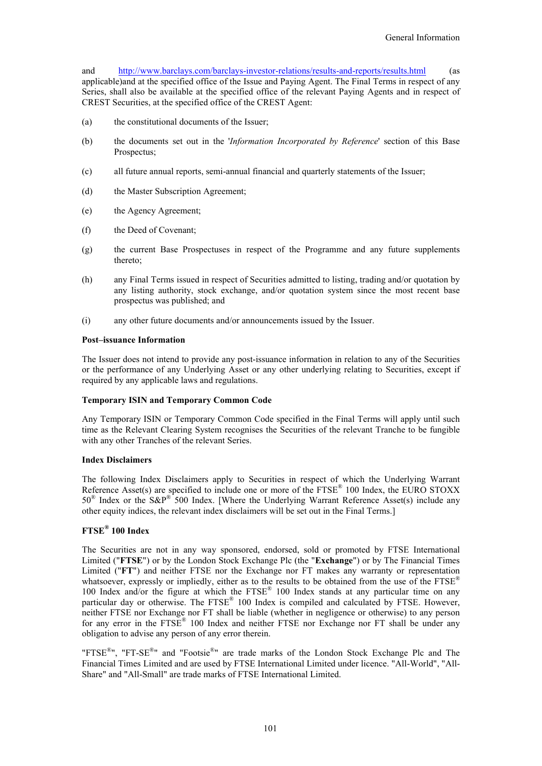and http://www.barclays.com/barclays-investor-relations/results-and-reports/results.html (as applicable)and at the specified office of the Issue and Paying Agent. The Final Terms in respect of any Series, shall also be available at the specified office of the relevant Paying Agents and in respect of CREST Securities, at the specified office of the CREST Agent:

- (a) the constitutional documents of the Issuer;
- (b) the documents set out in the '*Information Incorporated by Reference*' section of this Base Prospectus;
- (c) all future annual reports, semi-annual financial and quarterly statements of the Issuer;
- (d) the Master Subscription Agreement;
- (e) the Agency Agreement;
- (f) the Deed of Covenant;
- (g) the current Base Prospectuses in respect of the Programme and any future supplements thereto;
- (h) any Final Terms issued in respect of Securities admitted to listing, trading and/or quotation by any listing authority, stock exchange, and/or quotation system since the most recent base prospectus was published; and
- (i) any other future documents and/or announcements issued by the Issuer.

#### **Post–issuance Information**

The Issuer does not intend to provide any post-issuance information in relation to any of the Securities or the performance of any Underlying Asset or any other underlying relating to Securities, except if required by any applicable laws and regulations.

#### **Temporary ISIN and Temporary Common Code**

Any Temporary ISIN or Temporary Common Code specified in the Final Terms will apply until such time as the Relevant Clearing System recognises the Securities of the relevant Tranche to be fungible with any other Tranches of the relevant Series.

#### **Index Disclaimers**

The following Index Disclaimers apply to Securities in respect of which the Underlying Warrant Reference Asset(s) are specified to include one or more of the FTSE<sup>®</sup> 100 Index, the EURO STOXX  $50^{\circ}$  Index or the S&P<sup>®</sup> 500 Index. [Where the Underlying Warrant Reference Asset(s) include any other equity indices, the relevant index disclaimers will be set out in the Final Terms.]

## **FTSE® 100 Index**

The Securities are not in any way sponsored, endorsed, sold or promoted by FTSE International Limited ("**FTSE**") or by the London Stock Exchange Plc (the "**Exchange**") or by The Financial Times Limited ("**FT**") and neither FTSE nor the Exchange nor FT makes any warranty or representation whatsoever, expressly or impliedly, either as to the results to be obtained from the use of the FTSE<sup>®</sup> 100 Index and/or the figure at which the FTSE<sup>®</sup> 100 Index stands at any particular time on any particular day or otherwise. The FTSE® 100 Index is compiled and calculated by FTSE. However, neither FTSE nor Exchange nor FT shall be liable (whether in negligence or otherwise) to any person for any error in the FTSE® 100 Index and neither FTSE nor Exchange nor FT shall be under any obligation to advise any person of any error therein.

"FTSE<sup>®</sup>", "FT-SE<sup>®</sup>" and "Footsie<sup>®</sup>" are trade marks of the London Stock Exchange Plc and The Financial Times Limited and are used by FTSE International Limited under licence. "All-World", "All-Share" and "All-Small" are trade marks of FTSE International Limited.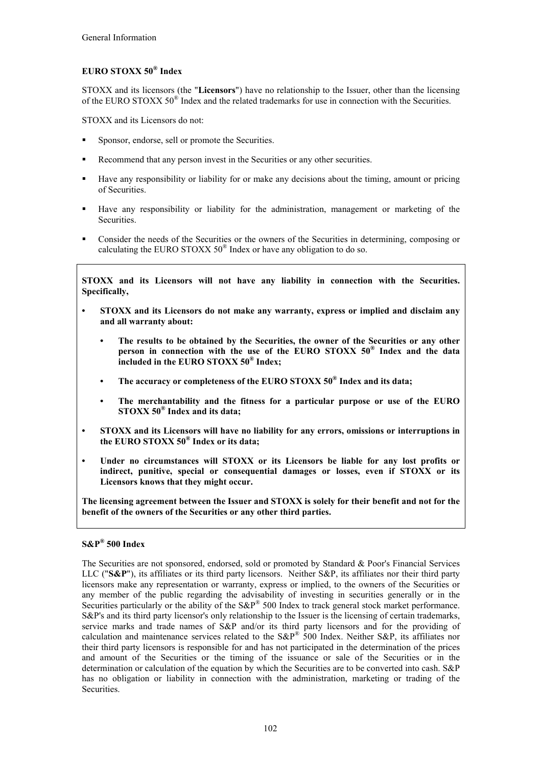# **EURO STOXX 50® Index**

STOXX and its licensors (the "**Licensors**") have no relationship to the Issuer, other than the licensing of the EURO STOXX 50<sup>®</sup> Index and the related trademarks for use in connection with the Securities.

STOXX and its Licensors do not:

- **Sponsor, endorse, sell or promote the Securities.**
- Recommend that any person invest in the Securities or any other securities.
- Have any responsibility or liability for or make any decisions about the timing, amount or pricing of Securities.
- Have any responsibility or liability for the administration, management or marketing of the Securities.
- Consider the needs of the Securities or the owners of the Securities in determining, composing or calculating the EURO STOXX  $50^{\circ}$  Index or have any obligation to do so.

**STOXX and its Licensors will not have any liability in connection with the Securities. Specifically,**

- **• STOXX and its Licensors do not make any warranty, express or implied and disclaim any and all warranty about:**
	- **• The results to be obtained by the Securities, the owner of the Securities or any other person in connection with the use of the EURO STOXX 50® Index and the data included in the EURO STOXX 50® Index;**
	- **• The accuracy or completeness of the EURO STOXX 50® Index and its data;**
	- **• The merchantability and the fitness for a particular purpose or use of the EURO STOXX 50® Index and its data;**
- **• STOXX and its Licensors will have no liability for any errors, omissions or interruptions in the EURO STOXX 50® Index or its data;**
- **• Under no circumstances will STOXX or its Licensors be liable for any lost profits or indirect, punitive, special or consequential damages or losses, even if STOXX or its Licensors knows that they might occur.**

**The licensing agreement between the Issuer and STOXX is solely for their benefit and not for the benefit of the owners of the Securities or any other third parties.**

## **S&P® 500 Index**

The Securities are not sponsored, endorsed, sold or promoted by Standard & Poor's Financial Services LLC ("**S&P**"), its affiliates or its third party licensors. Neither S&P, its affiliates nor their third party licensors make any representation or warranty, express or implied, to the owners of the Securities or any member of the public regarding the advisability of investing in securities generally or in the Securities particularly or the ability of the S&P® 500 Index to track general stock market performance. S&P's and its third party licensor's only relationship to the Issuer is the licensing of certain trademarks, service marks and trade names of S&P and/or its third party licensors and for the providing of calculation and maintenance services related to the  $S\&P^{\mathbb{B}}$  500 Index. Neither S&P, its affiliates nor their third party licensors is responsible for and has not participated in the determination of the prices and amount of the Securities or the timing of the issuance or sale of the Securities or in the determination or calculation of the equation by which the Securities are to be converted into cash. S&P has no obligation or liability in connection with the administration, marketing or trading of the Securities.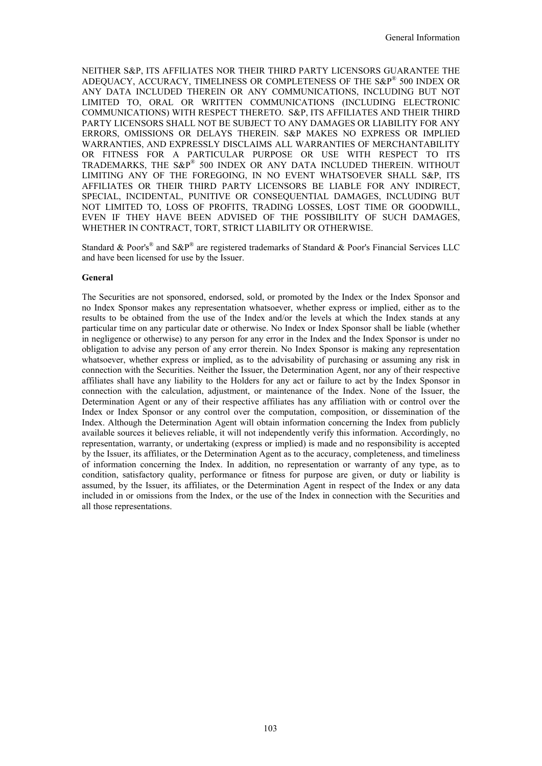NEITHER S&P, ITS AFFILIATES NOR THEIR THIRD PARTY LICENSORS GUARANTEE THE ADEQUACY, ACCURACY, TIMELINESS OR COMPLETENESS OF THE S&P® 500 INDEX OR ANY DATA INCLUDED THEREIN OR ANY COMMUNICATIONS, INCLUDING BUT NOT LIMITED TO, ORAL OR WRITTEN COMMUNICATIONS (INCLUDING ELECTRONIC COMMUNICATIONS) WITH RESPECT THERETO. S&P, ITS AFFILIATES AND THEIR THIRD PARTY LICENSORS SHALL NOT BE SUBJECT TO ANY DAMAGES OR LIABILITY FOR ANY ERRORS, OMISSIONS OR DELAYS THEREIN. S&P MAKES NO EXPRESS OR IMPLIED WARRANTIES, AND EXPRESSLY DISCLAIMS ALL WARRANTIES OF MERCHANTABILITY OR FITNESS FOR A PARTICULAR PURPOSE OR USE WITH RESPECT TO ITS TRADEMARKS, THE S&P® 500 INDEX OR ANY DATA INCLUDED THEREIN. WITHOUT LIMITING ANY OF THE FOREGOING, IN NO EVENT WHATSOEVER SHALL S&P, ITS AFFILIATES OR THEIR THIRD PARTY LICENSORS BE LIABLE FOR ANY INDIRECT, SPECIAL, INCIDENTAL, PUNITIVE OR CONSEQUENTIAL DAMAGES, INCLUDING BUT NOT LIMITED TO, LOSS OF PROFITS, TRADING LOSSES, LOST TIME OR GOODWILL, EVEN IF THEY HAVE BEEN ADVISED OF THE POSSIBILITY OF SUCH DAMAGES, WHETHER IN CONTRACT, TORT, STRICT LIABILITY OR OTHERWISE.

Standard & Poor's<sup>®</sup> and S&P<sup>®</sup> are registered trademarks of Standard & Poor's Financial Services LLC and have been licensed for use by the Issuer.

#### **General**

The Securities are not sponsored, endorsed, sold, or promoted by the Index or the Index Sponsor and no Index Sponsor makes any representation whatsoever, whether express or implied, either as to the results to be obtained from the use of the Index and/or the levels at which the Index stands at any particular time on any particular date or otherwise. No Index or Index Sponsor shall be liable (whether in negligence or otherwise) to any person for any error in the Index and the Index Sponsor is under no obligation to advise any person of any error therein. No Index Sponsor is making any representation whatsoever, whether express or implied, as to the advisability of purchasing or assuming any risk in connection with the Securities. Neither the Issuer, the Determination Agent, nor any of their respective affiliates shall have any liability to the Holders for any act or failure to act by the Index Sponsor in connection with the calculation, adjustment, or maintenance of the Index. None of the Issuer, the Determination Agent or any of their respective affiliates has any affiliation with or control over the Index or Index Sponsor or any control over the computation, composition, or dissemination of the Index. Although the Determination Agent will obtain information concerning the Index from publicly available sources it believes reliable, it will not independently verify this information. Accordingly, no representation, warranty, or undertaking (express or implied) is made and no responsibility is accepted by the Issuer, its affiliates, or the Determination Agent as to the accuracy, completeness, and timeliness of information concerning the Index. In addition, no representation or warranty of any type, as to condition, satisfactory quality, performance or fitness for purpose are given, or duty or liability is assumed, by the Issuer, its affiliates, or the Determination Agent in respect of the Index or any data included in or omissions from the Index, or the use of the Index in connection with the Securities and all those representations.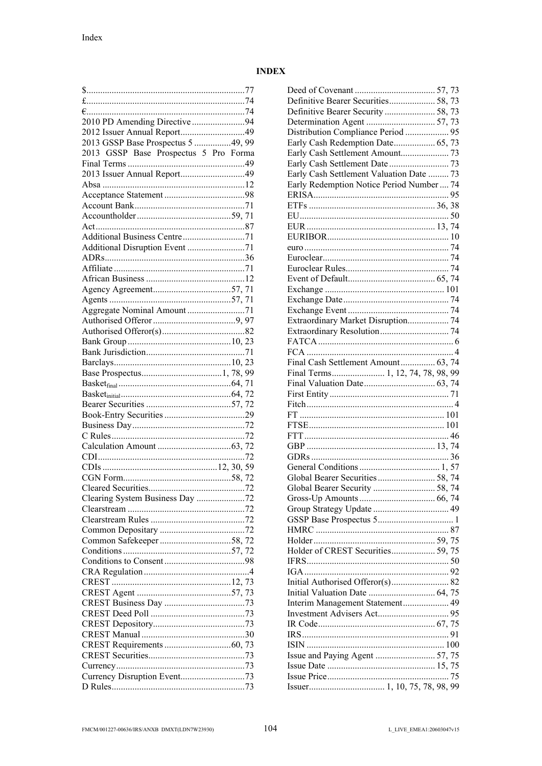# **INDEX**

| 2013 GSSP Base Prospectus 5 49, 99    |  |
|---------------------------------------|--|
| 2013 GSSP Base Prospectus 5 Pro Forma |  |
|                                       |  |
|                                       |  |
|                                       |  |
|                                       |  |
|                                       |  |
|                                       |  |
|                                       |  |
|                                       |  |
|                                       |  |
| Additional Disruption Event 71        |  |
|                                       |  |
|                                       |  |
|                                       |  |
|                                       |  |
|                                       |  |
|                                       |  |
|                                       |  |
|                                       |  |
|                                       |  |
|                                       |  |
|                                       |  |
|                                       |  |
|                                       |  |
|                                       |  |
|                                       |  |
|                                       |  |
|                                       |  |
|                                       |  |
|                                       |  |
|                                       |  |
|                                       |  |
|                                       |  |
|                                       |  |
|                                       |  |
|                                       |  |
| Clearing System Business Day 72       |  |
|                                       |  |
|                                       |  |
|                                       |  |
|                                       |  |
|                                       |  |
|                                       |  |
|                                       |  |
|                                       |  |
|                                       |  |
|                                       |  |
|                                       |  |
|                                       |  |
|                                       |  |
|                                       |  |
|                                       |  |
|                                       |  |
|                                       |  |
|                                       |  |

| Definitive Bearer Securities 58, 73      |  |
|------------------------------------------|--|
| Definitive Bearer Security  58, 73       |  |
|                                          |  |
| Distribution Compliance Period  95       |  |
| Early Cash Redemption Date 65, 73        |  |
|                                          |  |
|                                          |  |
| Early Cash Settlement Valuation Date  73 |  |
| Early Redemption Notice Period Number 74 |  |
|                                          |  |
|                                          |  |
|                                          |  |
|                                          |  |
|                                          |  |
|                                          |  |
|                                          |  |
|                                          |  |
|                                          |  |
|                                          |  |
|                                          |  |
|                                          |  |
|                                          |  |
| Extraordinary Market Disruption 74       |  |
|                                          |  |
|                                          |  |
|                                          |  |
| Final Cash Settlement Amount 63, 74      |  |
| Final Terms 1, 12, 74, 78, 98, 99        |  |
|                                          |  |
|                                          |  |
|                                          |  |
|                                          |  |
|                                          |  |
|                                          |  |
|                                          |  |
|                                          |  |
|                                          |  |
|                                          |  |
|                                          |  |
|                                          |  |
| Global Bearer Security  58, 74           |  |
|                                          |  |
|                                          |  |
|                                          |  |
|                                          |  |
|                                          |  |
| Holder of CREST Securities 59, 75        |  |
|                                          |  |
|                                          |  |
|                                          |  |
|                                          |  |
|                                          |  |
|                                          |  |
|                                          |  |
|                                          |  |
|                                          |  |
|                                          |  |
|                                          |  |
|                                          |  |
|                                          |  |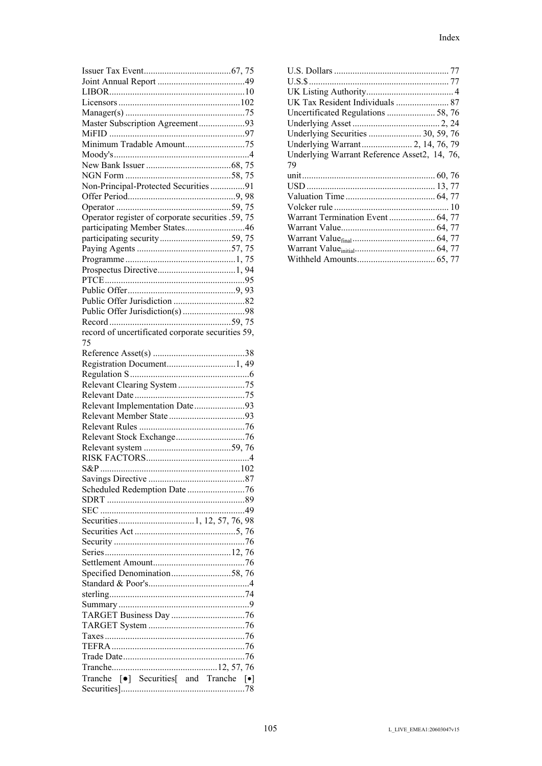| Master Subscription Agreement93                   |  |
|---------------------------------------------------|--|
|                                                   |  |
|                                                   |  |
|                                                   |  |
|                                                   |  |
|                                                   |  |
| Non-Principal-Protected Securities91              |  |
|                                                   |  |
|                                                   |  |
| Operator register of corporate securities .59, 75 |  |
|                                                   |  |
| participating Member States46                     |  |
|                                                   |  |
|                                                   |  |
|                                                   |  |
|                                                   |  |
|                                                   |  |
|                                                   |  |
|                                                   |  |
|                                                   |  |
|                                                   |  |
| record of uncertificated corporate securities 59, |  |
| 75                                                |  |
|                                                   |  |
|                                                   |  |
|                                                   |  |
|                                                   |  |
|                                                   |  |
|                                                   |  |
|                                                   |  |
| Relevant Implementation Date93                    |  |
|                                                   |  |
|                                                   |  |
|                                                   |  |
|                                                   |  |
|                                                   |  |
|                                                   |  |
|                                                   |  |
| Scheduled Redemption Date 76                      |  |
|                                                   |  |
|                                                   |  |
|                                                   |  |
|                                                   |  |
|                                                   |  |
|                                                   |  |
|                                                   |  |
|                                                   |  |
| Specified Denomination58, 76                      |  |
|                                                   |  |
|                                                   |  |
|                                                   |  |
|                                                   |  |
|                                                   |  |
|                                                   |  |
|                                                   |  |
|                                                   |  |
|                                                   |  |
| Tranche [·] Securities[ and Tranche [·]           |  |

| UK Tax Resident Individuals  87              |
|----------------------------------------------|
| Uncertificated Regulations  58, 76           |
|                                              |
| Underlying Securities  30, 59, 76            |
|                                              |
| Underlying Warrant Reference Asset2, 14, 76, |
| 79                                           |
|                                              |
|                                              |
|                                              |
|                                              |
|                                              |
| Warrant Termination Event  64, 77            |
|                                              |
|                                              |
|                                              |